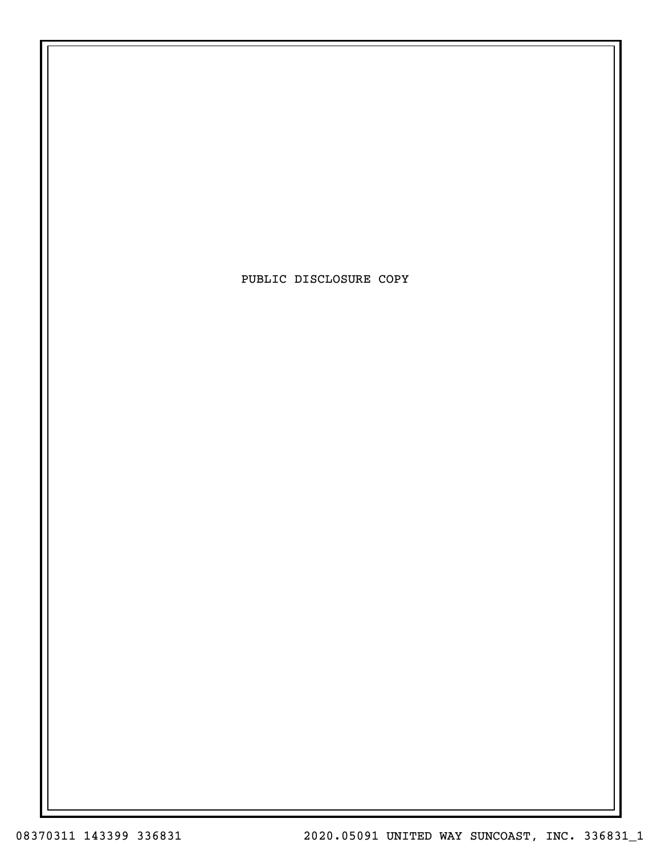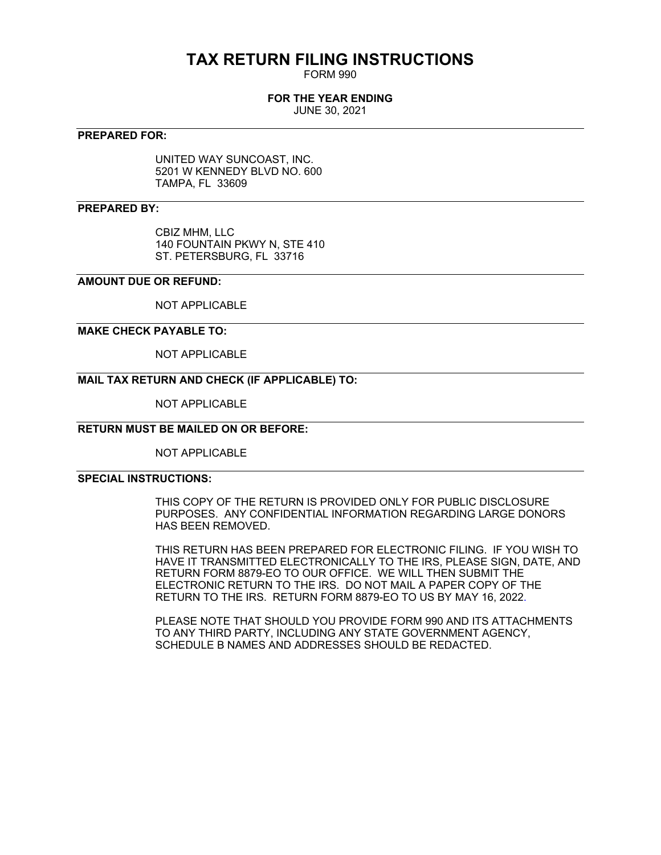# **TAX RETURN FILING INSTRUCTIONS**

FORM 990

# **FOR THE YEAR ENDING**

JUNE 30, 2021

# **PREPARED FOR:**

UNITED WAY SUNCOAST, INC. 5201 W KENNEDY BLVD NO. 600 TAMPA, FL 33609

# **PREPARED BY:**

CBIZ MHM, LLC 140 FOUNTAIN PKWY N, STE 410 ST. PETERSBURG, FL 33716

# **AMOUNT DUE OR REFUND:**

NOT APPLICABLE

# **MAKE CHECK PAYABLE TO:**

NOT APPLICABLE

# **MAIL TAX RETURN AND CHECK (IF APPLICABLE) TO:**

NOT APPLICABLE

# **RETURN MUST BE MAILED ON OR BEFORE:**

NOT APPLICABLE

# **SPECIAL INSTRUCTIONS:**

THIS COPY OF THE RETURN IS PROVIDED ONLY FOR PUBLIC DISCLOSURE PURPOSES. ANY CONFIDENTIAL INFORMATION REGARDING LARGE DONORS HAS BEEN REMOVED.

THIS RETURN HAS BEEN PREPARED FOR ELECTRONIC FILING. IF YOU WISH TO HAVE IT TRANSMITTED ELECTRONICALLY TO THE IRS, PLEASE SIGN, DATE, AND RETURN FORM 8879-EO TO OUR OFFICE. WE WILL THEN SUBMIT THE ELECTRONIC RETURN TO THE IRS. DO NOT MAIL A PAPER COPY OF THE RETURN TO THE IRS. RETURN FORM 8879-EO TO US BY MAY 16, 2022.

PLEASE NOTE THAT SHOULD YOU PROVIDE FORM 990 AND ITS ATTACHMENTS TO ANY THIRD PARTY, INCLUDING ANY STATE GOVERNMENT AGENCY, SCHEDULE B NAMES AND ADDRESSES SHOULD BE REDACTED.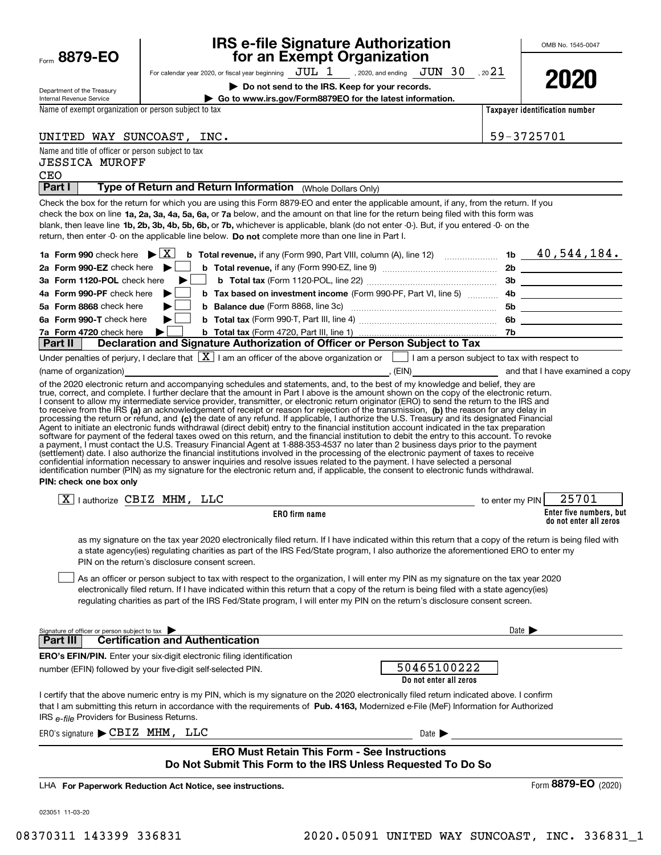| Form | 8879-1<br>E |
|------|-------------|
|      |             |

# **IRS e-file Signature Authorization for an Exempt Organization**

OMB No. 1545-0047

| Department of the Treasury |  |
|----------------------------|--|
| Internal Revenue Service   |  |

For calendar year 2020, or fiscal year beginning  $\rm\,JUL~$   $1$   $\rm\,$  , 2020, and ending  $\rm\,JUN~$   $30$   $\rm\,$  , 20 $21$ 

**| Do not send to the IRS. Keep for your records.**

**| Go to www.irs.gov/Form8879EO for the latest information.**



Name of exempt organization or person subject to tax

Name and title of officer or person subject to tax

UNITED WAY SUNCOAST, INC.

**Taxpayer identification number**

| 59-3725701 |  |  |  |  |
|------------|--|--|--|--|
|------------|--|--|--|--|

Signature of officer or person subject to tax **Enter five numbers, but do not enter all zeros ERO firm name Do not enter all zeros** check the box on line **1a, 2a, 3a, 4a, 5a, 6a,** or **7a** below, and the amount on that line for the return being filed with this form was blank, then leave line **1b, 2b, 3b, 4b, 5b, 6b, or 7b,** whichever is applicable, blank (do not enter -0-). But, if you entered -0- on the return, then enter -0- on the applicable line below. **Do not** complete more than one line in Part I. **1a Form 990 | b Total revenue, 1b** check here if any (Form 990, Part VIII, column (A), line 12) ~~~~~~~ X 40,544,184. **2a Form 990-EZ** check here ▶ □ **3aForm 1120-POL** check here **4aForm 990-PF |** check here **5aForm 8868** check here **6aForm 990-T | <sup>b</sup> Total tax**  *Ta***Form 4720** check here  $\bullet$  **b Total tax 2b b Total revenue,**  if any (Form 990-EZ, line 9) ~~~~~~~~~~~~~~~ **3b b Total tax**  (Form 1120-POL, line 22) ~~~~~~~~~~~~~~~~~ **b b Tax based on investment income** (Form 990-PF, Part VI, line 5) **https://www.programmers. 5b b Balance due**  ~~~~~~~~~~~~~~~~~~~ (Form 8868, line 3c) **6b** check here (Form 990-T, Part III, line 4) ~~~~~~~~~~~~~~~~~~ **7b||**to receive from the IRS **(a)** an acknowledgement of receipt or reason for rejection of the transmission, **(b)** the reason for any delay in processing the return or refund, and (**c)** the date of any refund. If applicable, I authorize the U.S. Treasury and its designated Financial **PIN: check one box only ERO's EFIN/PIN.** Enter your six-digit electronic filing identification that I am submitting this return in accordance with the requirements of Pub. 4163, Modernized e-File (MeF) Information for Authorized **For Paperwork Reduction Act Notice, see instructions.** LHAIRS <sub>e-file</sub> Providers for Business Returns. Date  $\blacktriangleright$  $ERO's signature \triangleright \textbf{CBIZ}$   $\textbf{MHM}$ ,  $\textbf{LLC}$  and  $\textbf{Date}$  and  $\textbf{Date}$  and  $\textbf{Date}$   $\textbf{Date}$ Form (2020) **8879-EO Part I** | Type of Return and Return Information (Whole Dollars Only) Check the box for the return for which you are using this Form 8879-EO and enter the applicable amount, if any, from the return. If you b Total tax (Form 4720, Part III, line 1) ... Under penalties of perjury, I declare that  $[\![\boldsymbol{\mathbf{X}}]\!]$  I am an officer of the above organization or  $[\![\;]\!]$  I am a person subject to tax with respect to (name of organization) **(a)** and that I have examined a copy (FIN) and that I have examined a copy of the 2020 electronic return and accompanying schedules and statements, and, to the best of my knowledge and belief, they are true, correct, and complete. I further declare that the amount in Part I above is the amount shown on the copy of the electronic return. I consent to allow my intermediate service provider, transmitter, or electronic return originator (ERO) to send the return to the IRS and Agent to initiate an electronic funds withdrawal (direct debit) entry to the financial institution account indicated in the tax preparation<br>software for payment of the federal taxes owed on this return, and the financial i a payment, I must contact the U.S. Treasury Financial Agent at 1-888-353-4537 no later than 2 business days prior to the payment (settlement) date. I also authorize the financial institutions involved in the processing of the electronic payment of taxes to receive<br>confidential information necessary to answer inquiries and resolve issues related to t identification number (PIN) as my signature for the electronic return and, if applicable, the consent to electronic funds withdrawal.  $\boxed{\textbf{X}}$  I authorize CBIZ MHM, LLC  $\boxed{\textbf{X}}$  authorize CBIZ MHM, LLC as my signature on the tax year 2020 electronically filed return. If I have indicated within this return that a copy of the return is being filed with a state agency(ies) regulating charities as part of the IRS Fed/State program, I also authorize the aforementioned ERO to enter my PIN on the return's disclosure consent screen. As an officer or person subject to tax with respect to the organization, I will enter my PIN as my signature on the tax year 2020 electronically filed return. If I have indicated within this return that a copy of the return is being filed with a state agency(ies) regulating charities as part of the IRS Fed/State program, I will enter my PIN on the return's disclosure consent screen. **Part III Certification and Authentication** number (EFIN) followed by your five-digit self-selected PIN. I certify that the above numeric entry is my PIN, which is my signature on the 2020 electronically filed return indicated above. I confirm **Part II Declaration and Signature Authorization of Officer or Person Subject to Tax ERO Must Retain This Form - See Instructions Do Not Submit This Form to the IRS Unless Requested To Do So**  $\mathcal{L}^{\text{max}}$  $\mathcal{L}^{\text{max}}$  $\mathcal{L}^{\text{max}}$  $\mathcal{L}^{\text{max}}$  $\mathcal{L}^{\text{max}}$ CEO 50465100222 JESSICA MUROFF

023051 11-03-20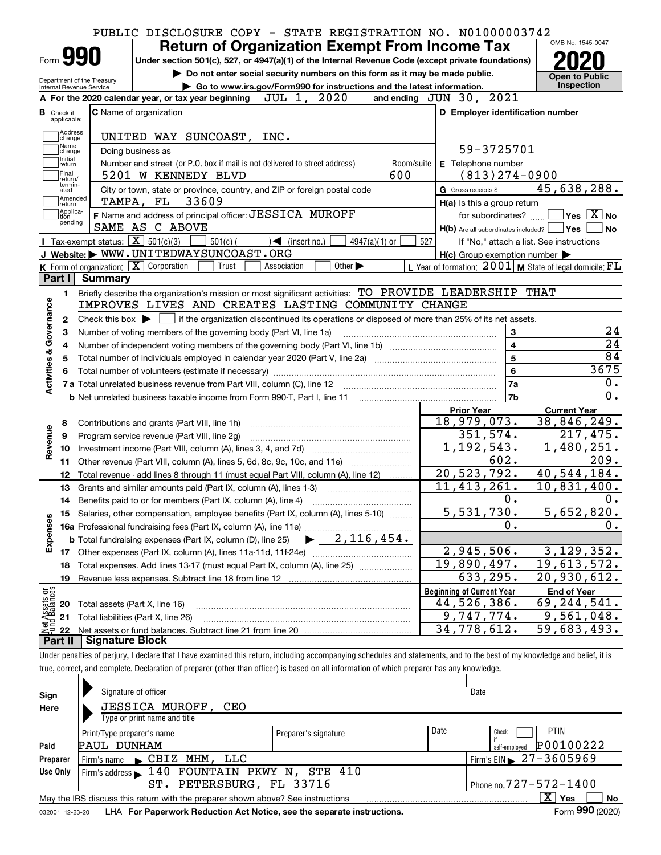|                                |                          | PUBLIC DISCLOSURE COPY - STATE REGISTRATION NO. N01000003742<br><b>Return of Organization Exempt From Income Tax</b>                                                                |                                  |                                                     | OMB No. 1545-0047                                           |
|--------------------------------|--------------------------|-------------------------------------------------------------------------------------------------------------------------------------------------------------------------------------|----------------------------------|-----------------------------------------------------|-------------------------------------------------------------|
|                                | Form 990                 | Under section 501(c), 527, or 4947(a)(1) of the Internal Revenue Code (except private foundations)                                                                                  |                                  |                                                     |                                                             |
|                                | Internal Revenue Service | Do not enter social security numbers on this form as it may be made public.<br>Department of the Treasury<br>Go to www.irs.gov/Form990 for instructions and the latest information. |                                  |                                                     | <b>Open to Public</b><br><b>Inspection</b>                  |
|                                |                          | JUL 1, 2020<br>A For the 2020 calendar year, or tax year beginning                                                                                                                  | and ending JUN 30, 2021          |                                                     |                                                             |
| <b>B</b> Check if              |                          | <b>C</b> Name of organization                                                                                                                                                       |                                  | D Employer identification number                    |                                                             |
|                                | applicable:              |                                                                                                                                                                                     |                                  |                                                     |                                                             |
|                                | Address<br>change        | UNITED WAY SUNCOAST, INC.                                                                                                                                                           |                                  |                                                     |                                                             |
|                                | Name<br>change           | Doing business as                                                                                                                                                                   |                                  | 59-3725701                                          |                                                             |
|                                | Initial<br>return        | Number and street (or P.O. box if mail is not delivered to street address)                                                                                                          | Room/suite                       | E Telephone number                                  |                                                             |
|                                | Final<br>return/         | 5201 W KENNEDY BLVD                                                                                                                                                                 | 600                              | $(813)$ 274-0900                                    |                                                             |
|                                | termin-<br>ated          | City or town, state or province, country, and ZIP or foreign postal code                                                                                                            | <b>G</b> Gross receipts \$       |                                                     | 45,638,288.                                                 |
|                                | Amended<br> return       | TAMPA, FL 33609                                                                                                                                                                     |                                  | H(a) Is this a group return                         |                                                             |
|                                | Applica-<br>tion         | F Name and address of principal officer: JESSICA MUROFF                                                                                                                             |                                  |                                                     | for subordinates? $\Box$ Yes $\boxed{X}$ No                 |
|                                | pending                  | SAME AS C ABOVE                                                                                                                                                                     |                                  | $H(b)$ Are all subordinates included? $\Box$ Yes    | ∣No                                                         |
|                                |                          | Tax-exempt status: $\boxed{\mathbf{X}}$ 501(c)(3) $\boxed{\mathbf{X}}$<br>$501(c)$ (<br>$\sqrt{\frac{1}{1}}$ (insert no.)<br>$4947(a)(1)$ or                                        | 527                              |                                                     | If "No," attach a list. See instructions                    |
|                                |                          | J Website: WWW.UNITEDWAYSUNCOAST.ORG                                                                                                                                                |                                  | $H(c)$ Group exemption number $\blacktriangleright$ |                                                             |
|                                |                          | K Form of organization: $\boxed{\mathbf{X}}$ Corporation<br>Other $\blacktriangleright$<br>Trust<br>Association                                                                     |                                  |                                                     | L Year of formation: $2001$ M State of legal domicile: $FL$ |
| Part I                         |                          | Summarv                                                                                                                                                                             |                                  |                                                     |                                                             |
|                                | 1.                       | Briefly describe the organization's mission or most significant activities: TO PROVIDE LEADERSHIP THAT                                                                              |                                  |                                                     |                                                             |
| Activities & Governance        |                          | IMPROVES LIVES AND CREATES LASTING COMMUNITY CHANGE                                                                                                                                 |                                  |                                                     |                                                             |
|                                | 2                        | Check this box $\blacktriangleright$ $\Box$ if the organization discontinued its operations or disposed of more than 25% of its net assets.                                         |                                  |                                                     |                                                             |
|                                | З                        |                                                                                                                                                                                     |                                  | 3                                                   | 24                                                          |
|                                | 4                        |                                                                                                                                                                                     |                                  | $\overline{\mathbf{4}}$                             | 24                                                          |
|                                | 5                        |                                                                                                                                                                                     |                                  | 5                                                   | 84                                                          |
|                                |                          |                                                                                                                                                                                     |                                  | 6                                                   | 3675                                                        |
|                                |                          |                                                                                                                                                                                     |                                  | l 7a                                                | $0$ .                                                       |
|                                |                          |                                                                                                                                                                                     |                                  | 7b                                                  | 0.                                                          |
|                                |                          |                                                                                                                                                                                     | <b>Prior Year</b>                |                                                     | <b>Current Year</b>                                         |
|                                | 8                        | Contributions and grants (Part VIII, line 1h)                                                                                                                                       |                                  | 18,979,073.                                         | 38,846,249.                                                 |
| Revenue                        | 9                        | Program service revenue (Part VIII, line 2g)                                                                                                                                        |                                  | 351,574.                                            | 217,475.                                                    |
|                                | 10                       |                                                                                                                                                                                     |                                  | 1,192,543.                                          | 1,480,251.                                                  |
|                                | 11                       | Other revenue (Part VIII, column (A), lines 5, 6d, 8c, 9c, 10c, and 11e)                                                                                                            |                                  | 602.                                                | 209.                                                        |
|                                | 12                       | Total revenue - add lines 8 through 11 (must equal Part VIII, column (A), line 12)                                                                                                  |                                  | 20, 523, 792.                                       | 40,544,184.                                                 |
|                                | 13                       | Grants and similar amounts paid (Part IX, column (A), lines 1-3)                                                                                                                    |                                  | 11, 413, 261.                                       | 10,831,400.                                                 |
|                                | 14                       |                                                                                                                                                                                     |                                  | 0.                                                  | 0.                                                          |
|                                |                          | 15 Salaries, other compensation, employee benefits (Part IX, column (A), lines 5-10)                                                                                                |                                  | 5,531,730.                                          | 5,652,820.                                                  |
|                                |                          | <b>16a</b> Professional fundraising fees (Part IX, column (A), line 11e)                                                                                                            |                                  | 0.                                                  | $0$ .                                                       |
| Expenses                       |                          | $2,116,454$ .<br><b>b</b> Total fundraising expenses (Part IX, column (D), line 25)                                                                                                 |                                  |                                                     |                                                             |
|                                | 17                       |                                                                                                                                                                                     |                                  | 2,945,506.                                          | 3,129,352.                                                  |
|                                | 18                       | Total expenses. Add lines 13-17 (must equal Part IX, column (A), line 25)                                                                                                           |                                  | 19,890,497.                                         | 19,613,572.                                                 |
|                                | 19                       | Revenue less expenses. Subtract line 18 from line 12                                                                                                                                |                                  | 633,295.                                            | 20,930,612.                                                 |
|                                |                          |                                                                                                                                                                                     | <b>Beginning of Current Year</b> |                                                     | <b>End of Year</b>                                          |
|                                | 20                       | Total assets (Part X, line 16)                                                                                                                                                      |                                  | 44,526,386.                                         | 69, 244, 541.                                               |
|                                |                          | Total liabilities (Part X, line 26)                                                                                                                                                 |                                  | 9,747,774.                                          | 9,561,048.                                                  |
|                                |                          |                                                                                                                                                                                     |                                  |                                                     |                                                             |
| t Assets or<br>d Balances<br>鲳 | 21<br>22                 |                                                                                                                                                                                     |                                  | $\overline{34}$ , 778, 612.                         | 59,683,493.                                                 |

| Under penalties of perjury, I declare that I have examined this return, including accompanying schedules and statements, and to the best of my knowledge and belief, it is |  |
|----------------------------------------------------------------------------------------------------------------------------------------------------------------------------|--|
| true, correct, and complete. Declaration of preparer (other than officer) is based on all information of which preparer has any knowledge.                                 |  |
|                                                                                                                                                                            |  |

| Sign<br>Here                                                                                                                            | Signature of officer<br><b>JESSICA MUROFF, CEO</b><br>Type or print name and title                           |  | Date                         |                              |  |  |  |
|-----------------------------------------------------------------------------------------------------------------------------------------|--------------------------------------------------------------------------------------------------------------|--|------------------------------|------------------------------|--|--|--|
| Date<br><b>PTIN</b><br>Check<br>Print/Type preparer's name<br>Preparer's signature<br>P00100222<br>PAUL DUNHAM<br>Paid<br>self-emploved |                                                                                                              |  |                              |                              |  |  |  |
| Firm's name CBIZ MHM, LLC<br>Preparer                                                                                                   |                                                                                                              |  |                              | Firm's EIN $\geq 27-3605969$ |  |  |  |
| Firm's address 140 FOUNTAIN PKWY N, STE 410<br>Use Only                                                                                 |                                                                                                              |  |                              |                              |  |  |  |
|                                                                                                                                         | ST. PETERSBURG, FL 33716                                                                                     |  | Phone no. $727 - 572 - 1400$ |                              |  |  |  |
|                                                                                                                                         | x<br>Yes<br>No<br>May the IRS discuss this return with the preparer shown above? See instructions            |  |                              |                              |  |  |  |
|                                                                                                                                         | Form 990 (2020)<br>LHA For Paperwork Reduction Act Notice, see the separate instructions.<br>032001 12-23-20 |  |                              |                              |  |  |  |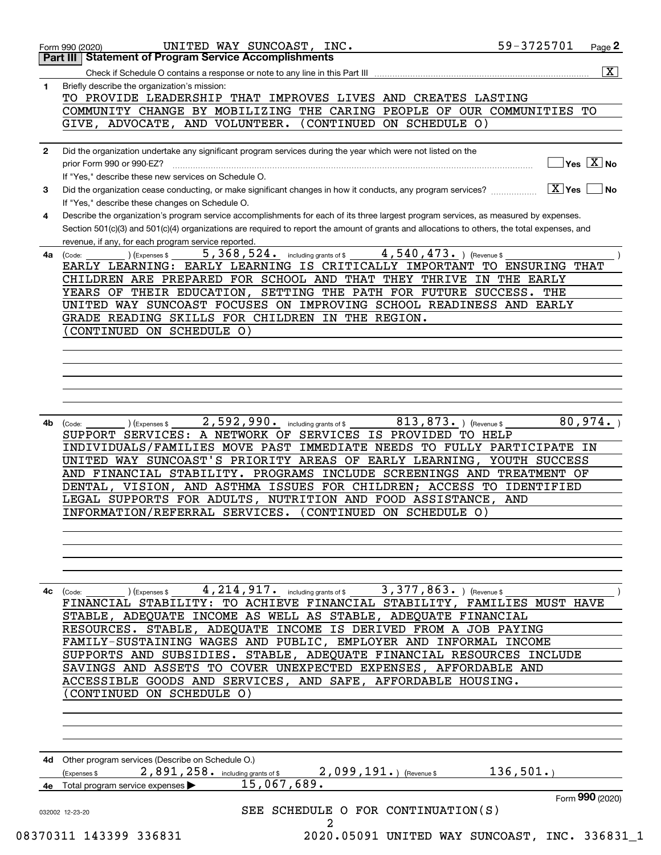|              | <b>Part III   Statement of Program Service Accomplishments</b>                                                                               |
|--------------|----------------------------------------------------------------------------------------------------------------------------------------------|
|              | $\overline{\mathbf{x}}$                                                                                                                      |
| 1            | Briefly describe the organization's mission:                                                                                                 |
|              | TO PROVIDE LEADERSHIP THAT IMPROVES LIVES AND CREATES LASTING                                                                                |
|              | COMMUNITY CHANGE BY MOBILIZING THE CARING PEOPLE OF OUR COMMUNITIES TO                                                                       |
|              | GIVE, ADVOCATE, AND VOLUNTEER.<br>(CONTINUED ON SCHEDULE O)                                                                                  |
|              |                                                                                                                                              |
| $\mathbf{2}$ | Did the organization undertake any significant program services during the year which were not listed on the                                 |
|              | $]$ Yes $[\overline{\mathrm{X}}]$ No<br>prior Form 990 or 990-EZ?                                                                            |
|              | If "Yes," describe these new services on Schedule O.                                                                                         |
|              | $\boxed{\text{X}}$ Yes                                                                                                                       |
| 3            | ∣ No<br>Did the organization cease conducting, or make significant changes in how it conducts, any program services?                         |
|              | If "Yes," describe these changes on Schedule O.                                                                                              |
| 4            | Describe the organization's program service accomplishments for each of its three largest program services, as measured by expenses.         |
|              | Section 501(c)(3) and 501(c)(4) organizations are required to report the amount of grants and allocations to others, the total expenses, and |
|              | revenue, if any, for each program service reported.                                                                                          |
| 4a           | 4,540,473. ) (Revenue \$<br>5, 368, 524. including grants of \$<br>(Expenses \$<br>(Code:                                                    |
|              | EARLY LEARNING: EARLY LEARNING IS CRITICALLY IMPORTANT TO ENSURING THAT                                                                      |
|              | CHILDREN ARE PREPARED FOR SCHOOL AND THAT THEY THRIVE IN THE EARLY                                                                           |
|              | YEARS OF THEIR EDUCATION, SETTING THE PATH FOR FUTURE SUCCESS. THE                                                                           |
|              | UNITED WAY SUNCOAST FOCUSES ON IMPROVING SCHOOL READINESS AND EARLY                                                                          |
|              | GRADE READING SKILLS FOR CHILDREN IN THE REGION.                                                                                             |
|              | CONTINUED ON SCHEDULE O)                                                                                                                     |
|              |                                                                                                                                              |
|              |                                                                                                                                              |
|              |                                                                                                                                              |
|              |                                                                                                                                              |
|              |                                                                                                                                              |
|              |                                                                                                                                              |
|              | 813,873. ) (Revenue \$<br>80,974.<br>2,592,990. including grants of \$                                                                       |
| 4b           | (Expenses \$<br>(Code:<br>SUPPORT SERVICES: A NETWORK OF SERVICES IS PROVIDED TO HELP                                                        |
|              | INDIVIDUALS/FAMILIES MOVE PAST IMMEDIATE NEEDS TO FULLY PARTICIPATE IN                                                                       |
|              |                                                                                                                                              |
|              | UNITED WAY SUNCOAST'S PRIORITY AREAS OF EARLY LEARNING, YOUTH SUCCESS                                                                        |
|              | AND FINANCIAL STABILITY. PROGRAMS INCLUDE SCREENINGS AND TREATMENT OF                                                                        |
|              |                                                                                                                                              |
|              | DENTAL, VISION, AND ASTHMA ISSUES FOR CHILDREN; ACCESS TO IDENTIFIED                                                                         |
|              | LEGAL SUPPORTS FOR ADULTS, NUTRITION AND FOOD ASSISTANCE,<br>AND                                                                             |
|              | INFORMATION/REFERRAL SERVICES. (CONTINUED ON SCHEDULE O)                                                                                     |
|              |                                                                                                                                              |
|              |                                                                                                                                              |
|              |                                                                                                                                              |
|              |                                                                                                                                              |
|              |                                                                                                                                              |
| 4с           | 3,377,863.<br>4, 214, 917. including grants of \$<br>(Revenue \$<br>(Expenses \$<br>(Code:                                                   |
|              | FINANCIAL STABILITY: TO ACHIEVE FINANCIAL STABILITY, FAMILIES MUST HAVE                                                                      |
|              | STABLE, ADEQUATE INCOME AS WELL AS STABLE, ADEQUATE FINANCIAL                                                                                |
|              | RESOURCES. STABLE, ADEQUATE INCOME IS DERIVED FROM A JOB PAYING                                                                              |
|              |                                                                                                                                              |
|              | FAMILY-SUSTAINING WAGES AND PUBLIC, EMPLOYER AND INFORMAL INCOME                                                                             |
|              | SUPPORTS AND SUBSIDIES. STABLE, ADEQUATE FINANCIAL RESOURCES INCLUDE                                                                         |
|              | SAVINGS AND ASSETS TO COVER UNEXPECTED EXPENSES, AFFORDABLE AND                                                                              |
|              | ACCESSIBLE GOODS AND SERVICES, AND SAFE, AFFORDABLE HOUSING.                                                                                 |
|              | CONTINUED ON SCHEDULE O)                                                                                                                     |
|              |                                                                                                                                              |
|              |                                                                                                                                              |
|              |                                                                                                                                              |
|              |                                                                                                                                              |
|              | 4d Other program services (Describe on Schedule O.)                                                                                          |
|              | 136, 501.<br>2,891,258. including grants of \$<br>$2,099,191.$ (Revenue \$<br>(Expenses \$                                                   |
|              | 15,067,689.<br><b>4e</b> Total program service expenses $\blacktriangleright$                                                                |
|              | Form 990 (2020)                                                                                                                              |
|              | SEE SCHEDULE O FOR CONTINUATION(S)<br>032002 12-23-20                                                                                        |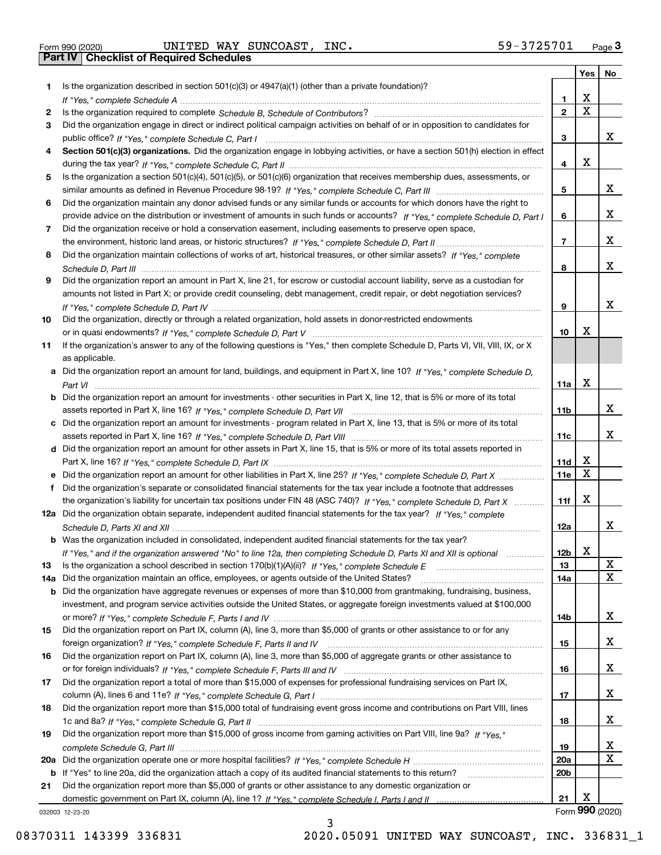| Form 990 (2020) |  |  |
|-----------------|--|--|
|                 |  |  |

|     |                                                                                                                                                                                                                                                           |                 | Yes                     | No              |
|-----|-----------------------------------------------------------------------------------------------------------------------------------------------------------------------------------------------------------------------------------------------------------|-----------------|-------------------------|-----------------|
| 1.  | Is the organization described in section $501(c)(3)$ or $4947(a)(1)$ (other than a private foundation)?                                                                                                                                                   |                 |                         |                 |
|     |                                                                                                                                                                                                                                                           | 1.              | X                       |                 |
| 2   |                                                                                                                                                                                                                                                           | $\overline{2}$  | $\overline{\mathbf{x}}$ |                 |
| 3   | Did the organization engage in direct or indirect political campaign activities on behalf of or in opposition to candidates for                                                                                                                           |                 |                         |                 |
|     |                                                                                                                                                                                                                                                           | 3               |                         | x               |
| 4   | Section 501(c)(3) organizations. Did the organization engage in lobbying activities, or have a section 501(h) election in effect                                                                                                                          |                 | X                       |                 |
|     |                                                                                                                                                                                                                                                           | 4               |                         |                 |
| 5   | Is the organization a section 501(c)(4), 501(c)(5), or 501(c)(6) organization that receives membership dues, assessments, or                                                                                                                              |                 |                         | x               |
|     |                                                                                                                                                                                                                                                           | 5               |                         |                 |
| 6   | Did the organization maintain any donor advised funds or any similar funds or accounts for which donors have the right to<br>provide advice on the distribution or investment of amounts in such funds or accounts? If "Yes," complete Schedule D, Part I | 6               |                         | x               |
| 7   | Did the organization receive or hold a conservation easement, including easements to preserve open space,                                                                                                                                                 |                 |                         |                 |
|     |                                                                                                                                                                                                                                                           | $\overline{7}$  |                         | X               |
| 8   | Did the organization maintain collections of works of art, historical treasures, or other similar assets? If "Yes," complete                                                                                                                              |                 |                         |                 |
|     |                                                                                                                                                                                                                                                           | 8               |                         | x               |
| 9   | Did the organization report an amount in Part X, line 21, for escrow or custodial account liability, serve as a custodian for                                                                                                                             |                 |                         |                 |
|     | amounts not listed in Part X; or provide credit counseling, debt management, credit repair, or debt negotiation services?                                                                                                                                 |                 |                         |                 |
|     |                                                                                                                                                                                                                                                           | 9               |                         | x               |
| 10  | Did the organization, directly or through a related organization, hold assets in donor-restricted endowments                                                                                                                                              |                 |                         |                 |
|     |                                                                                                                                                                                                                                                           | 10              | х                       |                 |
| 11  | If the organization's answer to any of the following questions is "Yes," then complete Schedule D, Parts VI, VIII, VIII, IX, or X                                                                                                                         |                 |                         |                 |
|     | as applicable.                                                                                                                                                                                                                                            |                 |                         |                 |
|     | a Did the organization report an amount for land, buildings, and equipment in Part X, line 10? If "Yes." complete Schedule D.                                                                                                                             |                 |                         |                 |
|     |                                                                                                                                                                                                                                                           | 11a             | X                       |                 |
|     | <b>b</b> Did the organization report an amount for investments - other securities in Part X, line 12, that is 5% or more of its total                                                                                                                     |                 |                         |                 |
|     |                                                                                                                                                                                                                                                           | 11b             |                         | х               |
|     | c Did the organization report an amount for investments - program related in Part X, line 13, that is 5% or more of its total                                                                                                                             |                 |                         |                 |
|     |                                                                                                                                                                                                                                                           | 11c             |                         | х               |
|     | d Did the organization report an amount for other assets in Part X, line 15, that is 5% or more of its total assets reported in                                                                                                                           |                 | х                       |                 |
|     |                                                                                                                                                                                                                                                           | 11d<br>11e      | $\mathbf X$             |                 |
| f   | e Did the organization report an amount for other liabilities in Part X, line 25? If "Yes," complete Schedule D, Part X<br>Did the organization's separate or consolidated financial statements for the tax year include a footnote that addresses        |                 |                         |                 |
|     | the organization's liability for uncertain tax positions under FIN 48 (ASC 740)? If "Yes," complete Schedule D, Part X                                                                                                                                    | 11f             | X                       |                 |
|     | 12a Did the organization obtain separate, independent audited financial statements for the tax year? If "Yes," complete                                                                                                                                   |                 |                         |                 |
|     |                                                                                                                                                                                                                                                           | 12a             |                         | х               |
|     | <b>b</b> Was the organization included in consolidated, independent audited financial statements for the tax year?                                                                                                                                        |                 |                         |                 |
|     | If "Yes," and if the organization answered "No" to line 12a, then completing Schedule D, Parts XI and XII is optional                                                                                                                                     | 12D             | ▵                       |                 |
| 13  |                                                                                                                                                                                                                                                           | 13              |                         | X               |
| 14a | Did the organization maintain an office, employees, or agents outside of the United States?                                                                                                                                                               | 14a             |                         | $\mathbf X$     |
|     | <b>b</b> Did the organization have aggregate revenues or expenses of more than \$10,000 from grantmaking, fundraising, business,                                                                                                                          |                 |                         |                 |
|     | investment, and program service activities outside the United States, or aggregate foreign investments valued at \$100,000                                                                                                                                |                 |                         |                 |
|     |                                                                                                                                                                                                                                                           | 14b             |                         | x               |
| 15  | Did the organization report on Part IX, column (A), line 3, more than \$5,000 of grants or other assistance to or for any                                                                                                                                 |                 |                         |                 |
|     |                                                                                                                                                                                                                                                           | 15              |                         | x               |
| 16  | Did the organization report on Part IX, column (A), line 3, more than \$5,000 of aggregate grants or other assistance to                                                                                                                                  |                 |                         |                 |
|     |                                                                                                                                                                                                                                                           | 16              |                         | X               |
| 17  | Did the organization report a total of more than \$15,000 of expenses for professional fundraising services on Part IX,                                                                                                                                   |                 |                         |                 |
|     |                                                                                                                                                                                                                                                           | 17              |                         | X               |
| 18  | Did the organization report more than \$15,000 total of fundraising event gross income and contributions on Part VIII, lines                                                                                                                              |                 |                         | x               |
|     |                                                                                                                                                                                                                                                           | 18              |                         |                 |
| 19  | Did the organization report more than \$15,000 of gross income from gaming activities on Part VIII, line 9a? If "Yes."                                                                                                                                    | 19              |                         | X               |
|     |                                                                                                                                                                                                                                                           | 20a             |                         | $\mathbf X$     |
|     | b If "Yes" to line 20a, did the organization attach a copy of its audited financial statements to this return?                                                                                                                                            | 20 <sub>b</sub> |                         |                 |
| 21  | Did the organization report more than \$5,000 of grants or other assistance to any domestic organization or                                                                                                                                               |                 |                         |                 |
|     |                                                                                                                                                                                                                                                           | 21              | X                       |                 |
|     | 032003 12-23-20                                                                                                                                                                                                                                           |                 |                         | Form 990 (2020) |

3

032003 12-23-20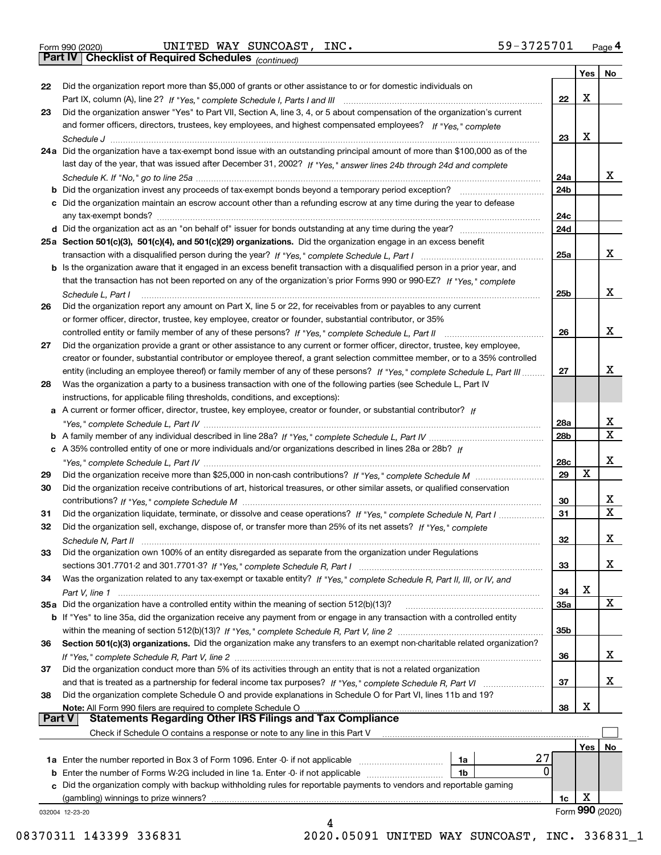|  | Form 990 (2020) |
|--|-----------------|
|  |                 |

*(continued)*

|               |                                                                                                                                   |                 | Yes | No              |
|---------------|-----------------------------------------------------------------------------------------------------------------------------------|-----------------|-----|-----------------|
| 22            | Did the organization report more than \$5,000 of grants or other assistance to or for domestic individuals on                     |                 |     |                 |
|               |                                                                                                                                   | 22              | X   |                 |
| 23            | Did the organization answer "Yes" to Part VII, Section A, line 3, 4, or 5 about compensation of the organization's current        |                 |     |                 |
|               | and former officers, directors, trustees, key employees, and highest compensated employees? If "Yes," complete                    |                 |     |                 |
|               |                                                                                                                                   | 23              | X   |                 |
|               | 24a Did the organization have a tax-exempt bond issue with an outstanding principal amount of more than \$100,000 as of the       |                 |     |                 |
|               | last day of the year, that was issued after December 31, 2002? If "Yes," answer lines 24b through 24d and complete                |                 |     |                 |
|               |                                                                                                                                   | 24a             |     | x.              |
|               | <b>b</b> Did the organization invest any proceeds of tax-exempt bonds beyond a temporary period exception?                        | 24 <sub>b</sub> |     |                 |
|               | c Did the organization maintain an escrow account other than a refunding escrow at any time during the year to defease            |                 |     |                 |
|               | any tax-exempt bonds?                                                                                                             | 24c             |     |                 |
|               | d Did the organization act as an "on behalf of" issuer for bonds outstanding at any time during the year?                         | 24d             |     |                 |
|               | 25a Section 501(c)(3), 501(c)(4), and 501(c)(29) organizations. Did the organization engage in an excess benefit                  |                 |     |                 |
|               |                                                                                                                                   | 25a             |     | x               |
|               | b Is the organization aware that it engaged in an excess benefit transaction with a disqualified person in a prior year, and      |                 |     |                 |
|               | that the transaction has not been reported on any of the organization's prior Forms 990 or 990-EZ? If "Yes," complete             |                 |     |                 |
|               | Schedule L, Part I                                                                                                                | 25b             |     | x               |
| 26            | Did the organization report any amount on Part X, line 5 or 22, for receivables from or payables to any current                   |                 |     |                 |
|               | or former officer, director, trustee, key employee, creator or founder, substantial contributor, or 35%                           |                 |     |                 |
|               |                                                                                                                                   | 26              |     | х               |
| 27            | Did the organization provide a grant or other assistance to any current or former officer, director, trustee, key employee,       |                 |     |                 |
|               | creator or founder, substantial contributor or employee thereof, a grant selection committee member, or to a 35% controlled       |                 |     |                 |
|               | entity (including an employee thereof) or family member of any of these persons? If "Yes," complete Schedule L, Part III          | 27              |     | x               |
| 28            | Was the organization a party to a business transaction with one of the following parties (see Schedule L, Part IV                 |                 |     |                 |
|               | instructions, for applicable filing thresholds, conditions, and exceptions):                                                      |                 |     |                 |
|               | a A current or former officer, director, trustee, key employee, creator or founder, or substantial contributor? If                |                 |     |                 |
|               |                                                                                                                                   | 28a             |     | х               |
|               |                                                                                                                                   | 28 <sub>b</sub> |     | х               |
|               | c A 35% controlled entity of one or more individuals and/or organizations described in lines 28a or 28b? If                       |                 |     |                 |
|               |                                                                                                                                   | 28c             |     | x               |
| 29            |                                                                                                                                   | 29              | X   |                 |
| 30            | Did the organization receive contributions of art, historical treasures, or other similar assets, or qualified conservation       |                 |     |                 |
|               |                                                                                                                                   | 30              |     | x               |
| 31            | Did the organization liquidate, terminate, or dissolve and cease operations? If "Yes," complete Schedule N, Part I                | 31              |     | X               |
| 32            | Did the organization sell, exchange, dispose of, or transfer more than 25% of its net assets? If "Yes," complete                  |                 |     |                 |
|               |                                                                                                                                   | 32              |     | х               |
| 33            | Did the organization own 100% of an entity disregarded as separate from the organization under Regulations                        |                 |     |                 |
|               |                                                                                                                                   | 33              |     | х               |
| 34            | Was the organization related to any tax-exempt or taxable entity? If "Yes," complete Schedule R, Part II, III, or IV, and         |                 |     |                 |
|               |                                                                                                                                   | 34              | х   |                 |
|               | 35a Did the organization have a controlled entity within the meaning of section 512(b)(13)?                                       | 35a             |     | X               |
|               | b If "Yes" to line 35a, did the organization receive any payment from or engage in any transaction with a controlled entity       |                 |     |                 |
|               |                                                                                                                                   | 35b             |     |                 |
| 36            | Section 501(c)(3) organizations. Did the organization make any transfers to an exempt non-charitable related organization?        |                 |     |                 |
|               |                                                                                                                                   | 36              |     | х               |
| 37            | Did the organization conduct more than 5% of its activities through an entity that is not a related organization                  |                 |     |                 |
|               |                                                                                                                                   | 37              |     | х               |
| 38            | Did the organization complete Schedule O and provide explanations in Schedule O for Part VI, lines 11b and 19?                    |                 |     |                 |
|               |                                                                                                                                   | 38              | х   |                 |
| <b>Part V</b> | Note: All Form 990 filers are required to complete Schedule O<br><b>Statements Regarding Other IRS Filings and Tax Compliance</b> |                 |     |                 |
|               | Check if Schedule O contains a response or note to any line in this Part V                                                        |                 |     |                 |
|               |                                                                                                                                   |                 | Yes | No              |
|               | 27<br>1a                                                                                                                          |                 |     |                 |
|               | 0<br><b>b</b> Enter the number of Forms W-2G included in line 1a. Enter -0- if not applicable<br>1b                               |                 |     |                 |
|               | c Did the organization comply with backup withholding rules for reportable payments to vendors and reportable gaming              |                 |     |                 |
|               | (gambling) winnings to prize winners?                                                                                             | 1c              | X   |                 |
|               | 032004 12-23-20                                                                                                                   |                 |     | Form 990 (2020) |
|               |                                                                                                                                   |                 |     |                 |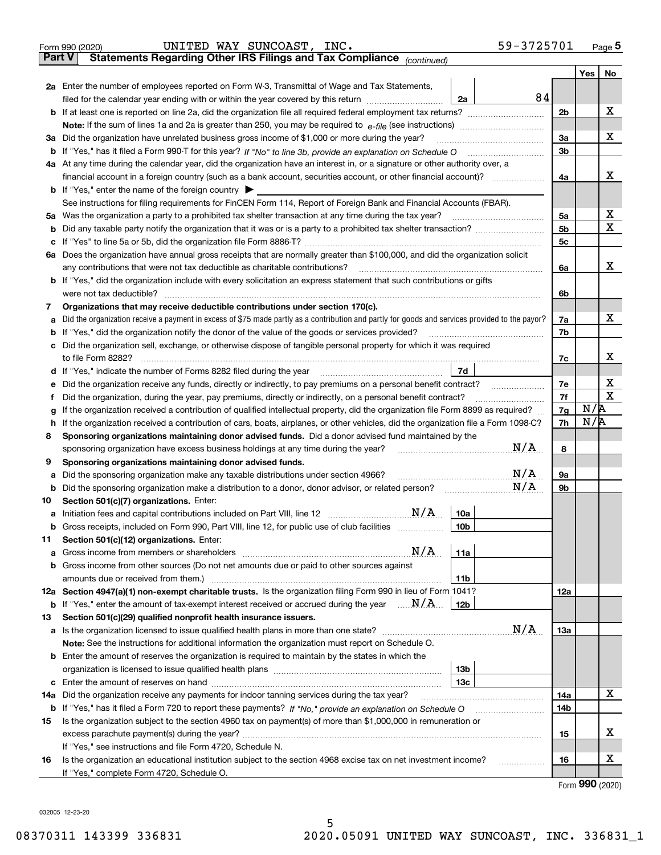|               | 59-3725701<br>UNITED WAY SUNCOAST,<br>INC.<br>Form 990 (2020)                                                                                                                                     |                |     | $Page$ <sup>5</sup> |
|---------------|---------------------------------------------------------------------------------------------------------------------------------------------------------------------------------------------------|----------------|-----|---------------------|
| <b>Part V</b> | Statements Regarding Other IRS Filings and Tax Compliance (continued)                                                                                                                             |                |     |                     |
|               |                                                                                                                                                                                                   |                | Yes | No                  |
|               | 2a Enter the number of employees reported on Form W-3, Transmittal of Wage and Tax Statements,                                                                                                    |                |     |                     |
|               | filed for the calendar year ending with or within the year covered by this return <i>manumumumum</i><br>2a                                                                                        | 84             |     |                     |
|               |                                                                                                                                                                                                   | 2 <sub>b</sub> |     | х                   |
|               |                                                                                                                                                                                                   |                |     |                     |
| За            | Did the organization have unrelated business gross income of \$1,000 or more during the year?                                                                                                     | 3a             |     | х                   |
|               |                                                                                                                                                                                                   | 3b             |     |                     |
|               | 4a At any time during the calendar year, did the organization have an interest in, or a signature or other authority over, a                                                                      |                |     |                     |
|               |                                                                                                                                                                                                   | 4a             |     | х                   |
|               | <b>b</b> If "Yes," enter the name of the foreign country $\blacktriangleright$                                                                                                                    |                |     |                     |
|               | See instructions for filing requirements for FinCEN Form 114, Report of Foreign Bank and Financial Accounts (FBAR).                                                                               |                |     |                     |
| 5а            | Was the organization a party to a prohibited tax shelter transaction at any time during the tax year?                                                                                             | 5a             |     | х                   |
| b             |                                                                                                                                                                                                   | 5b             |     | х                   |
| с             |                                                                                                                                                                                                   | 5c             |     |                     |
|               | 6a Does the organization have annual gross receipts that are normally greater than \$100,000, and did the organization solicit                                                                    |                |     |                     |
|               | any contributions that were not tax deductible as charitable contributions?                                                                                                                       | 6a             |     | х                   |
|               | <b>b</b> If "Yes," did the organization include with every solicitation an express statement that such contributions or gifts                                                                     |                |     |                     |
|               | were not tax deductible?                                                                                                                                                                          | 6b             |     |                     |
| 7             | Organizations that may receive deductible contributions under section 170(c).                                                                                                                     |                |     |                     |
| а             | Did the organization receive a payment in excess of \$75 made partly as a contribution and partly for goods and services provided to the payor?                                                   | 7a             |     | х                   |
| b             | If "Yes," did the organization notify the donor of the value of the goods or services provided?                                                                                                   | 7b             |     |                     |
| с             | Did the organization sell, exchange, or otherwise dispose of tangible personal property for which it was required                                                                                 |                |     |                     |
|               |                                                                                                                                                                                                   | 7c             |     | x                   |
| d             | 7d                                                                                                                                                                                                |                |     |                     |
| е             |                                                                                                                                                                                                   | 7e             |     | х<br>$\mathbf X$    |
| f             | Did the organization, during the year, pay premiums, directly or indirectly, on a personal benefit contract?                                                                                      | 7f             | N/R |                     |
| g             | If the organization received a contribution of qualified intellectual property, did the organization file Form 8899 as required?                                                                  | 7g             | N/R |                     |
| h             | If the organization received a contribution of cars, boats, airplanes, or other vehicles, did the organization file a Form 1098-C?                                                                | 7h             |     |                     |
| 8             | Sponsoring organizations maintaining donor advised funds. Did a donor advised fund maintained by the<br>N/A<br>sponsoring organization have excess business holdings at any time during the year? | 8              |     |                     |
| 9             | Sponsoring organizations maintaining donor advised funds.                                                                                                                                         |                |     |                     |
| а             | N/A<br>Did the sponsoring organization make any taxable distributions under section 4966?                                                                                                         | <b>9a</b>      |     |                     |
| b             | N/A<br>Did the sponsoring organization make a distribution to a donor, donor advisor, or related person?                                                                                          | 9b             |     |                     |
| 10            | Section 501(c)(7) organizations. Enter:                                                                                                                                                           |                |     |                     |
|               | N/A<br>10a<br>a Initiation fees and capital contributions included on Part VIII, line 12 [111] [12] [12] [12] [13] [13] [13]                                                                      |                |     |                     |
|               | Gross receipts, included on Form 990, Part VIII, line 12, for public use of club facilities<br>10 <sub>b</sub>                                                                                    |                |     |                     |
| 11            | Section 501(c)(12) organizations. Enter:                                                                                                                                                          |                |     |                     |
| a             | N/A<br>11a<br>Gross income from members or shareholders                                                                                                                                           |                |     |                     |
| b             | Gross income from other sources (Do not net amounts due or paid to other sources against                                                                                                          |                |     |                     |
|               | 11 <sub>b</sub>                                                                                                                                                                                   |                |     |                     |
|               | 12a Section 4947(a)(1) non-exempt charitable trusts. Is the organization filing Form 990 in lieu of Form 1041?                                                                                    | 12a            |     |                     |
|               | <b>b</b> If "Yes," enter the amount of tax-exempt interest received or accrued during the year $\ldots \mathbf{N}/\mathbf{A}$<br>12b                                                              |                |     |                     |
| 13            | Section 501(c)(29) qualified nonprofit health insurance issuers.                                                                                                                                  |                |     |                     |
| a             | N/A<br>Is the organization licensed to issue qualified health plans in more than one state?                                                                                                       | 13a            |     |                     |
|               | Note: See the instructions for additional information the organization must report on Schedule O.                                                                                                 |                |     |                     |
| b             | Enter the amount of reserves the organization is required to maintain by the states in which the                                                                                                  |                |     |                     |
|               | 13 <sub>b</sub>                                                                                                                                                                                   |                |     |                     |
|               | 13с                                                                                                                                                                                               |                |     |                     |
| 14a           | Did the organization receive any payments for indoor tanning services during the tax year?                                                                                                        | 14a            |     | х                   |
|               | <b>b</b> If "Yes," has it filed a Form 720 to report these payments? If "No," provide an explanation on Schedule O                                                                                | 14b            |     |                     |
| 15            | Is the organization subject to the section 4960 tax on payment(s) of more than \$1,000,000 in remuneration or                                                                                     |                |     |                     |
|               | excess parachute payment(s) during the year?                                                                                                                                                      | 15             |     | X.                  |
|               | If "Yes," see instructions and file Form 4720, Schedule N.                                                                                                                                        |                |     |                     |
| 16            | Is the organization an educational institution subject to the section 4968 excise tax on net investment income?                                                                                   | 16             |     | x                   |
|               | If "Yes," complete Form 4720, Schedule O.                                                                                                                                                         |                |     | $000 \; \text{m}$   |

Form (2020) **990**

032005 12-23-20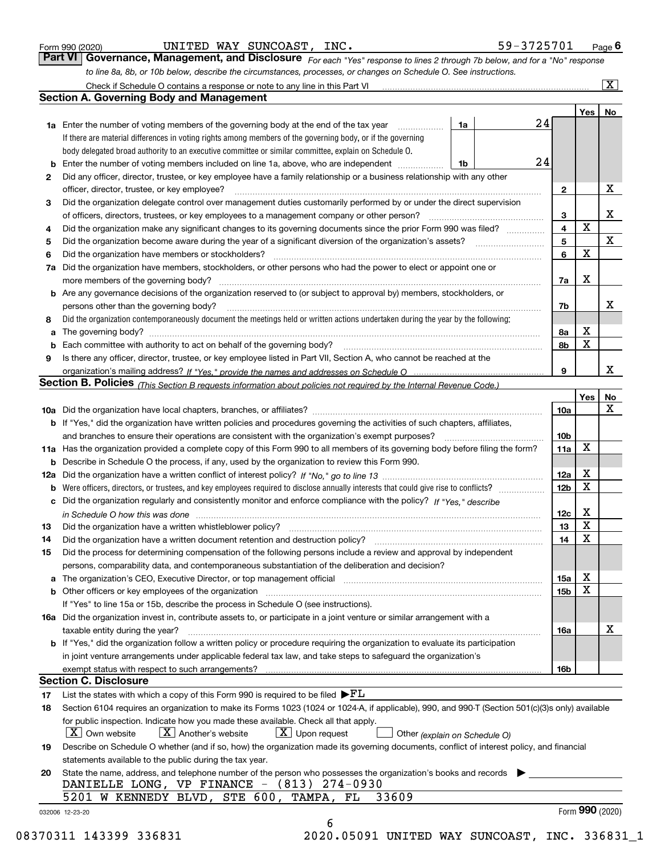|  | Form 990 (2020) |
|--|-----------------|
|  |                 |

| Form 990 (2020) |  | UNITED WAY SUNCOAST, INC. | 59-3725701                                                                                                                  | $P_{\text{aqe}}$ 6 |
|-----------------|--|---------------------------|-----------------------------------------------------------------------------------------------------------------------------|--------------------|
|                 |  |                           | Part VI Governance, Management, and Disclosure For each "Yes" response to lines 2 through 7b below, and for a "No" response |                    |
|                 |  |                           | to line 8a, 8b, or 10b below, describe the circumstances, processes, or changes on Schedule O. See instructions.            |                    |

|    |                                                                                                                                                                               |    |    |              | Yes             | No |
|----|-------------------------------------------------------------------------------------------------------------------------------------------------------------------------------|----|----|--------------|-----------------|----|
|    | <b>1a</b> Enter the number of voting members of the governing body at the end of the tax year <i>manumum</i>                                                                  | 1a | 24 |              |                 |    |
|    | If there are material differences in voting rights among members of the governing body, or if the governing                                                                   |    |    |              |                 |    |
|    | body delegated broad authority to an executive committee or similar committee, explain on Schedule O.                                                                         |    |    |              |                 |    |
| b  | Enter the number of voting members included on line 1a, above, who are independent                                                                                            | 1b | 24 |              |                 |    |
| 2  | Did any officer, director, trustee, or key employee have a family relationship or a business relationship with any other                                                      |    |    |              |                 |    |
|    | officer, director, trustee, or key employee?                                                                                                                                  |    |    | $\mathbf{2}$ |                 | X  |
| 3  | Did the organization delegate control over management duties customarily performed by or under the direct supervision                                                         |    |    |              |                 |    |
|    |                                                                                                                                                                               |    |    | 3            |                 | X  |
| 4  | Did the organization make any significant changes to its governing documents since the prior Form 990 was filed?                                                              |    |    | 4            | X               |    |
| 5  |                                                                                                                                                                               |    |    | 5            |                 | X  |
| 6  | Did the organization have members or stockholders?                                                                                                                            |    |    | 6            | X               |    |
| 7a | Did the organization have members, stockholders, or other persons who had the power to elect or appoint one or                                                                |    |    |              |                 |    |
|    |                                                                                                                                                                               |    |    | 7a           | Χ               |    |
|    | <b>b</b> Are any governance decisions of the organization reserved to (or subject to approval by) members, stockholders, or                                                   |    |    |              |                 |    |
|    | persons other than the governing body?                                                                                                                                        |    |    | 7b           |                 | x  |
| 8  | Did the organization contemporaneously document the meetings held or written actions undertaken during the year by the following:                                             |    |    |              |                 |    |
| а  |                                                                                                                                                                               |    |    | 8a           | X               |    |
| b  |                                                                                                                                                                               |    |    | 8b           | X               |    |
| 9  | Is there any officer, director, trustee, or key employee listed in Part VII, Section A, who cannot be reached at the                                                          |    |    |              |                 |    |
|    |                                                                                                                                                                               |    |    | 9            |                 | х  |
|    | Section B. Policies <sub>(This</sub> Section B requests information about policies not required by the Internal Revenue Code.)                                                |    |    |              |                 |    |
|    |                                                                                                                                                                               |    |    |              | Yes             | No |
|    |                                                                                                                                                                               |    |    | 10a          |                 | X  |
|    | <b>b</b> If "Yes," did the organization have written policies and procedures governing the activities of such chapters, affiliates,                                           |    |    |              |                 |    |
|    |                                                                                                                                                                               |    |    | 10b          |                 |    |
|    | 11a Has the organization provided a complete copy of this Form 990 to all members of its governing body before filing the form?                                               |    |    | 11a          | X               |    |
|    | <b>b</b> Describe in Schedule O the process, if any, used by the organization to review this Form 990.                                                                        |    |    |              |                 |    |
|    |                                                                                                                                                                               |    |    | 12a          | X               |    |
| b  |                                                                                                                                                                               |    |    | 12b          | X               |    |
| c  | Did the organization regularly and consistently monitor and enforce compliance with the policy? If "Yes," describe                                                            |    |    |              |                 |    |
|    | in Schedule O how this was done manufactured and contact the state of the state of the state of the state of t                                                                |    |    | 12c          | X               |    |
| 13 |                                                                                                                                                                               |    |    | 13           | X               |    |
| 14 | Did the organization have a written document retention and destruction policy? manufactured and the organization have a written document retention and destruction policy?    |    |    | 14           | X               |    |
| 15 | Did the process for determining compensation of the following persons include a review and approval by independent                                                            |    |    |              |                 |    |
|    | persons, comparability data, and contemporaneous substantiation of the deliberation and decision?                                                                             |    |    |              |                 |    |
| a  | The organization's CEO, Executive Director, or top management official manufactured content content of the organization's CEO, Executive Director, or top management official |    |    | 15a          | X               |    |
|    | <b>b</b> Other officers or key employees of the organization                                                                                                                  |    |    | 15b          | X               |    |
|    | If "Yes" to line 15a or 15b, describe the process in Schedule O (see instructions).                                                                                           |    |    |              |                 |    |
|    | 16a Did the organization invest in, contribute assets to, or participate in a joint venture or similar arrangement with a                                                     |    |    |              |                 |    |
|    | taxable entity during the year?                                                                                                                                               |    |    | 16a          |                 | X  |
|    | b If "Yes," did the organization follow a written policy or procedure requiring the organization to evaluate its participation                                                |    |    |              |                 |    |
|    | in joint venture arrangements under applicable federal tax law, and take steps to safequard the organization's                                                                |    |    |              |                 |    |
|    | exempt status with respect to such arrangements?                                                                                                                              |    |    | 16b          |                 |    |
|    | <b>Section C. Disclosure</b>                                                                                                                                                  |    |    |              |                 |    |
| 17 | List the states with which a copy of this Form 990 is required to be filed $\blacktriangleright$ $\underline{FL}$                                                             |    |    |              |                 |    |
| 18 | Section 6104 requires an organization to make its Forms 1023 (1024 or 1024-A, if applicable), 990, and 990-T (Section 501(c)(3)s only) available                              |    |    |              |                 |    |
|    | for public inspection. Indicate how you made these available. Check all that apply.                                                                                           |    |    |              |                 |    |
|    | $\boxed{\textbf{X}}$ Another's website<br>$\boxed{\text{X}}$ Upon request<br>  X   Own website<br>Other (explain on Schedule O)                                               |    |    |              |                 |    |
| 19 | Describe on Schedule O whether (and if so, how) the organization made its governing documents, conflict of interest policy, and financial                                     |    |    |              |                 |    |
|    | statements available to the public during the tax year.                                                                                                                       |    |    |              |                 |    |
| 20 | State the name, address, and telephone number of the person who possesses the organization's books and records                                                                |    |    |              |                 |    |
|    | DANIELLE LONG, VP FINANCE - (813) 274-0930                                                                                                                                    |    |    |              |                 |    |
|    | 5201 W KENNEDY BLVD, STE 600, TAMPA, FL<br>33609                                                                                                                              |    |    |              |                 |    |
|    |                                                                                                                                                                               |    |    |              | Form 990 (2020) |    |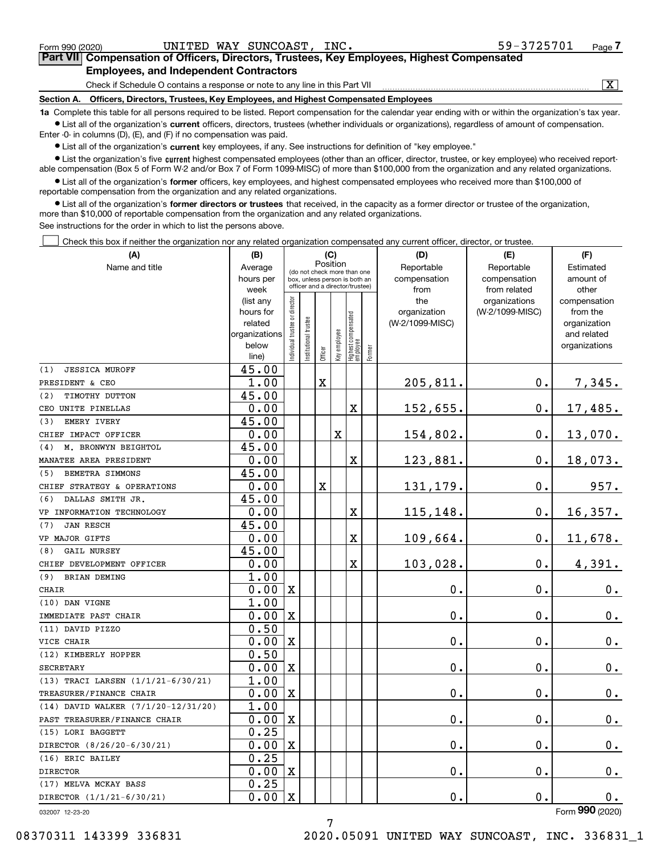| Form 990 (2020)                                                                                                                 | UNITED WAY SUNCOAST, INC.                                                    |  |  | 59-3725701                                                                                 | Page |  |  |  |  |
|---------------------------------------------------------------------------------------------------------------------------------|------------------------------------------------------------------------------|--|--|--------------------------------------------------------------------------------------------|------|--|--|--|--|
|                                                                                                                                 |                                                                              |  |  | Part VII Compensation of Officers, Directors, Trustees, Key Employees, Highest Compensated |      |  |  |  |  |
| <b>Employees, and Independent Contractors</b>                                                                                   |                                                                              |  |  |                                                                                            |      |  |  |  |  |
|                                                                                                                                 | Check if Schedule O contains a response or note to any line in this Part VII |  |  |                                                                                            |      |  |  |  |  |
| Officers, Directors, Trustees, Key Employees, and Highest Compensated Employees<br>Section A.                                   |                                                                              |  |  |                                                                                            |      |  |  |  |  |
| de Academic Bartista el carecero a anterior la bartista de carecero de fue estado a carecero da carecero de conceledade terremo |                                                                              |  |  |                                                                                            |      |  |  |  |  |

**1a**  Complete this table for all persons required to be listed. Report compensation for the calendar year ending with or within the organization's tax year. **•** List all of the organization's current officers, directors, trustees (whether individuals or organizations), regardless of amount of compensation. Enter -0- in columns (D), (E), and (F) if no compensation was paid.

 $\bullet$  List all of the organization's  $\,$ current key employees, if any. See instructions for definition of "key employee."

**•** List the organization's five current highest compensated employees (other than an officer, director, trustee, or key employee) who received reportable compensation (Box 5 of Form W-2 and/or Box 7 of Form 1099-MISC) of more than \$100,000 from the organization and any related organizations.

**•** List all of the organization's former officers, key employees, and highest compensated employees who received more than \$100,000 of reportable compensation from the organization and any related organizations.

**former directors or trustees**  ¥ List all of the organization's that received, in the capacity as a former director or trustee of the organization, more than \$10,000 of reportable compensation from the organization and any related organizations.

See instructions for the order in which to list the persons above.

Check this box if neither the organization nor any related organization compensated any current officer, director, or trustee.  $\mathcal{L}^{\text{max}}$ 

| (A)                                               | (B)                      |                               |                                         | (C)     |              |                                                                  |           | (D)             | (E)             | (F)                         |
|---------------------------------------------------|--------------------------|-------------------------------|-----------------------------------------|---------|--------------|------------------------------------------------------------------|-----------|-----------------|-----------------|-----------------------------|
| Name and title                                    | Average                  |                               | Position<br>(do not check more than one |         | Reportable   | Reportable                                                       | Estimated |                 |                 |                             |
|                                                   | hours per                |                               |                                         |         |              | box, unless person is both an<br>officer and a director/trustee) |           | compensation    | compensation    | amount of                   |
|                                                   | week                     |                               |                                         |         |              |                                                                  |           | from            | from related    | other                       |
|                                                   | (list any                |                               |                                         |         |              |                                                                  |           | the             | organizations   | compensation                |
|                                                   | hours for                |                               |                                         |         |              |                                                                  |           | organization    | (W-2/1099-MISC) | from the                    |
|                                                   | related<br>organizations |                               |                                         |         |              |                                                                  |           | (W-2/1099-MISC) |                 | organization<br>and related |
|                                                   | below                    |                               |                                         |         |              |                                                                  |           |                 |                 | organizations               |
|                                                   | line)                    | ndividual trustee or director | nstitutional trustee                    | Officer | key employee | Highest compensated<br> employee                                 | Former    |                 |                 |                             |
| <b>JESSICA MUROFF</b><br>(1)                      | 45.00                    |                               |                                         |         |              |                                                                  |           |                 |                 |                             |
| PRESIDENT & CEO                                   | 1.00                     |                               |                                         | X       |              |                                                                  |           | 205,811.        | $0$ .           | 7,345.                      |
| TIMOTHY DUTTON<br>(2)                             | 45.00                    |                               |                                         |         |              |                                                                  |           |                 |                 |                             |
| CEO UNITE PINELLAS                                | 0.00                     |                               |                                         |         |              | х                                                                |           | 152,655.        | $\mathbf 0$ .   | 17,485.                     |
| EMERY IVERY<br>(3)                                | 45.00                    |                               |                                         |         |              |                                                                  |           |                 |                 |                             |
| CHIEF IMPACT OFFICER                              | 0.00                     |                               |                                         |         | X            |                                                                  |           | 154,802.        | $0$ .           | 13,070.                     |
| M. BRONWYN BEIGHTOL<br>(4)                        | 45.00                    |                               |                                         |         |              |                                                                  |           |                 |                 |                             |
| MANATEE AREA PRESIDENT                            | 0.00                     |                               |                                         |         |              | х                                                                |           | 123,881.        | 0.              | 18,073.                     |
| BEMETRA SIMMONS<br>(5)                            | 45.00                    |                               |                                         |         |              |                                                                  |           |                 |                 |                             |
| CHIEF STRATEGY & OPERATIONS                       | 0.00                     |                               |                                         | X       |              |                                                                  |           | 131,179.        | 0.              | 957.                        |
| DALLAS SMITH JR.<br>(6)                           | 45.00                    |                               |                                         |         |              |                                                                  |           |                 |                 |                             |
| VP INFORMATION TECHNOLOGY                         | 0.00                     |                               |                                         |         |              | х                                                                |           | 115,148.        | 0.              | 16,357.                     |
| <b>JAN RESCH</b><br>(7)                           | 45.00                    |                               |                                         |         |              |                                                                  |           |                 |                 |                             |
| VP MAJOR GIFTS                                    | 0.00                     |                               |                                         |         |              | X                                                                |           | 109,664.        | 0.              | 11,678.                     |
| <b>GAIL NURSEY</b><br>(8)                         | 45.00                    |                               |                                         |         |              |                                                                  |           |                 |                 |                             |
| CHIEF DEVELOPMENT OFFICER                         | 0.00                     |                               |                                         |         |              | X                                                                |           | 103,028.        | о.              | 4,391.                      |
| <b>BRIAN DEMING</b><br>(9)                        | 1.00                     |                               |                                         |         |              |                                                                  |           |                 |                 |                             |
| <b>CHAIR</b>                                      | 0.00                     | $\mathbf{X}$                  |                                         |         |              |                                                                  |           | $\mathbf 0$ .   | $\mathbf{0}$ .  | 0.                          |
| (10) DAN VIGNE                                    | 1.00                     |                               |                                         |         |              |                                                                  |           |                 |                 |                             |
| IMMEDIATE PAST CHAIR                              | 0.00                     | $\mathbf x$                   |                                         |         |              |                                                                  |           | 0.              | $\mathbf 0$ .   | $0_{.}$                     |
| (11) DAVID PIZZO                                  | 0.50                     |                               |                                         |         |              |                                                                  |           |                 |                 |                             |
| VICE CHAIR                                        | 0.00                     | $\mathbf X$                   |                                         |         |              |                                                                  |           | 0.              | 0.              | $0_{.}$                     |
| (12) KIMBERLY HOPPER                              | 0.50                     |                               |                                         |         |              |                                                                  |           |                 |                 |                             |
| <b>SECRETARY</b>                                  | 0.00                     | $\mathbf x$                   |                                         |         |              |                                                                  |           | 0.              | $\mathbf 0$ .   | 0.                          |
| (13) TRACI LARSEN (1/1/21-6/30/21)                | 1.00                     |                               |                                         |         |              |                                                                  |           |                 |                 |                             |
| TREASURER/FINANCE CHAIR                           | 0.00<br>1.00             | $\mathbf{X}$                  |                                         |         |              |                                                                  |           | 0.              | 0.              | 0.                          |
| (14) DAVID WALKER (7/1/20-12/31/20)               | 0.00                     | $\mathbf x$                   |                                         |         |              |                                                                  |           | 0.              | 0.              |                             |
| PAST TREASURER/FINANCE CHAIR<br>(15) LORI BAGGETT | 0.25                     |                               |                                         |         |              |                                                                  |           |                 |                 | 0.                          |
| DIRECTOR (8/26/20-6/30/21)                        | 0.00                     | $\mathbf X$                   |                                         |         |              |                                                                  |           | 0.              | о.              | 0.                          |
| (16) ERIC BAILEY                                  | 0.25                     |                               |                                         |         |              |                                                                  |           |                 |                 |                             |
| <b>DIRECTOR</b>                                   | 0.00                     | $\mathbf x$                   |                                         |         |              |                                                                  |           | 0.              | $\mathbf 0$ .   | 0.                          |
| (17) MELVA MCKAY BASS                             | 0.25                     |                               |                                         |         |              |                                                                  |           |                 |                 |                             |
| DIRECTOR (1/1/21-6/30/21)                         | 0.00                     | $\mathbf x$                   |                                         |         |              |                                                                  |           | 0.              | 0.              | $0$ .                       |
|                                                   |                          |                               |                                         |         |              |                                                                  |           |                 |                 |                             |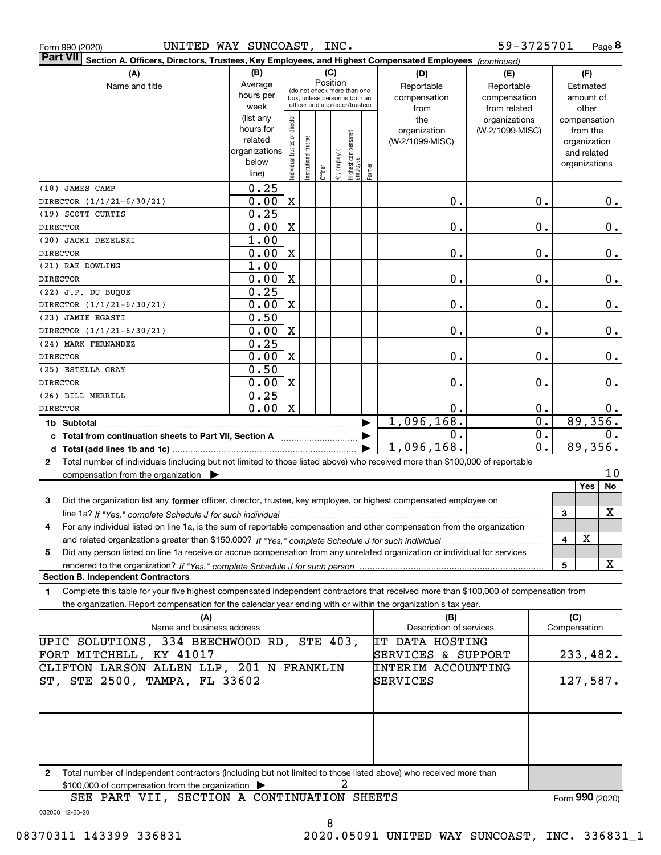|  | Form 990 (2020) |
|--|-----------------|
|  |                 |

| Part VII Section A. Officers, Directors, Trustees, Key Employees, and Highest Compensated Employees (continued)                              |                      |                                         |                       |                                 |              |                                   |        |                         |                 |                  |              |                              |       |
|----------------------------------------------------------------------------------------------------------------------------------------------|----------------------|-----------------------------------------|-----------------------|---------------------------------|--------------|-----------------------------------|--------|-------------------------|-----------------|------------------|--------------|------------------------------|-------|
| (A)                                                                                                                                          | (B)                  |                                         |                       | (C)                             |              |                                   |        | (D)                     | (E)             |                  |              | (F)                          |       |
| Name and title                                                                                                                               | Average              | Position<br>(do not check more than one |                       | Reportable                      | Reportable   |                                   |        | Estimated               |                 |                  |              |                              |       |
|                                                                                                                                              | hours per            |                                         |                       | box, unless person is both an   |              |                                   |        | compensation            | compensation    |                  |              | amount of                    |       |
|                                                                                                                                              | week                 |                                         |                       | officer and a director/trustee) |              |                                   |        | from                    | from related    |                  |              | other                        |       |
|                                                                                                                                              | (list any            |                                         |                       |                                 |              |                                   |        | the                     | organizations   |                  |              | compensation                 |       |
|                                                                                                                                              | hours for<br>related |                                         |                       |                                 |              |                                   |        | organization            | (W-2/1099-MISC) |                  |              | from the                     |       |
|                                                                                                                                              | organizations        |                                         |                       |                                 |              |                                   |        | (W-2/1099-MISC)         |                 |                  |              | organization                 |       |
|                                                                                                                                              | below                |                                         |                       |                                 |              |                                   |        |                         |                 |                  |              | and related<br>organizations |       |
|                                                                                                                                              | line)                | Individual trustee or director          | Institutional trustee | Officer                         | Key employee | Highest compensated<br>  employee | Former |                         |                 |                  |              |                              |       |
| (18) JAMES CAMP                                                                                                                              | 0.25                 |                                         |                       |                                 |              |                                   |        |                         |                 |                  |              |                              |       |
| DIRECTOR (1/1/21-6/30/21)                                                                                                                    | 0.00                 | $\mathbf X$                             |                       |                                 |              |                                   |        | 0.                      |                 | 0.               |              |                              | 0.    |
| (19) SCOTT CURTIS                                                                                                                            | 0.25                 |                                         |                       |                                 |              |                                   |        |                         |                 |                  |              |                              |       |
| <b>DIRECTOR</b>                                                                                                                              | 0.00                 | X                                       |                       |                                 |              |                                   |        | 0.                      |                 | 0.               |              |                              | $0$ . |
| (20) JACKI DEZELSKI                                                                                                                          | 1.00                 |                                         |                       |                                 |              |                                   |        |                         |                 |                  |              |                              |       |
| <b>DIRECTOR</b>                                                                                                                              | 0.00                 | X                                       |                       |                                 |              |                                   |        | 0.                      |                 | 0.               |              |                              | 0.    |
| (21) RAE DOWLING                                                                                                                             | 1.00                 |                                         |                       |                                 |              |                                   |        |                         |                 |                  |              |                              |       |
| <b>DIRECTOR</b>                                                                                                                              | 0.00                 | X                                       |                       |                                 |              |                                   |        | 0.                      |                 | 0.               |              |                              | 0.    |
| (22) J.P. DU BUQUE                                                                                                                           | 0.25                 |                                         |                       |                                 |              |                                   |        |                         |                 |                  |              |                              |       |
| DIRECTOR (1/1/21-6/30/21)                                                                                                                    | 0.00                 | X                                       |                       |                                 |              |                                   |        | 0.                      |                 | 0.               |              |                              | 0.    |
| (23) JAMIE EGASTI                                                                                                                            | 0.50                 |                                         |                       |                                 |              |                                   |        |                         |                 |                  |              |                              |       |
| DIRECTOR (1/1/21-6/30/21)                                                                                                                    | 0.00                 | $\mathbf X$                             |                       |                                 |              |                                   |        | 0.                      |                 | 0.               |              |                              | $0$ . |
| (24) MARK FERNANDEZ                                                                                                                          | 0.25                 |                                         |                       |                                 |              |                                   |        |                         |                 |                  |              |                              |       |
| <b>DIRECTOR</b>                                                                                                                              | 0.00                 | X                                       |                       |                                 |              |                                   |        | 0.                      |                 | 0.               |              |                              | 0.    |
| (25) ESTELLA GRAY                                                                                                                            | 0.50                 |                                         |                       |                                 |              |                                   |        |                         |                 |                  |              |                              |       |
| <b>DIRECTOR</b>                                                                                                                              | 0.00                 | $\mathbf X$                             |                       |                                 |              |                                   |        | 0.                      |                 | 0.               |              |                              | 0.    |
| (26) BILL MERRILL                                                                                                                            | 0.25                 |                                         |                       |                                 |              |                                   |        |                         |                 |                  |              |                              |       |
| <b>DIRECTOR</b>                                                                                                                              | 0.00                 | $\mathbf X$                             |                       |                                 |              |                                   |        | 0.                      |                 | 0.               |              |                              | $0$ . |
| 1b Subtotal                                                                                                                                  |                      |                                         |                       |                                 |              |                                   |        | 1,096,168.              |                 | $\overline{0}$ . |              | 89,356.                      |       |
| c Total from continuation sheets to Part VII, Section A manufactor continues                                                                 |                      |                                         |                       |                                 |              |                                   |        | 0.                      |                 | $\overline{0}$ . |              |                              | 0.    |
|                                                                                                                                              |                      |                                         |                       |                                 |              |                                   |        | 1,096,168.              |                 | $\overline{0}$ . |              | 89,356.                      |       |
| Total number of individuals (including but not limited to those listed above) who received more than \$100,000 of reportable<br>$\mathbf{2}$ |                      |                                         |                       |                                 |              |                                   |        |                         |                 |                  |              |                              |       |
| compensation from the organization $\blacktriangleright$                                                                                     |                      |                                         |                       |                                 |              |                                   |        |                         |                 |                  |              |                              | 10    |
|                                                                                                                                              |                      |                                         |                       |                                 |              |                                   |        |                         |                 |                  |              | <b>Yes</b>                   | No    |
| 3<br>Did the organization list any former officer, director, trustee, key employee, or highest compensated employee on                       |                      |                                         |                       |                                 |              |                                   |        |                         |                 |                  |              |                              |       |
| line 1a? If "Yes," complete Schedule J for such individual                                                                                   |                      |                                         |                       |                                 |              |                                   |        |                         |                 |                  | 3            |                              | X     |
| For any individual listed on line 1a, is the sum of reportable compensation and other compensation from the organization<br>4                |                      |                                         |                       |                                 |              |                                   |        |                         |                 |                  |              |                              |       |
|                                                                                                                                              |                      |                                         |                       |                                 |              |                                   |        |                         |                 |                  | 4            | $\mathbf X$                  |       |
| Did any person listed on line 1a receive or accrue compensation from any unrelated organization or individual for services<br>5              |                      |                                         |                       |                                 |              |                                   |        |                         |                 |                  |              |                              |       |
|                                                                                                                                              |                      |                                         |                       |                                 |              |                                   |        |                         |                 |                  | 5            |                              | X     |
| <b>Section B. Independent Contractors</b>                                                                                                    |                      |                                         |                       |                                 |              |                                   |        |                         |                 |                  |              |                              |       |
| Complete this table for your five highest compensated independent contractors that received more than \$100,000 of compensation from<br>1    |                      |                                         |                       |                                 |              |                                   |        |                         |                 |                  |              |                              |       |
| the organization. Report compensation for the calendar year ending with or within the organization's tax year.                               |                      |                                         |                       |                                 |              |                                   |        |                         |                 |                  |              |                              |       |
| (A)                                                                                                                                          |                      |                                         |                       |                                 |              |                                   |        | (B)                     |                 |                  | (C)          |                              |       |
| Name and business address                                                                                                                    |                      |                                         |                       |                                 |              |                                   |        | Description of services |                 |                  | Compensation |                              |       |
| SOLUTIONS, 334 BEECHWOOD RD, STE 403,<br>UPIC                                                                                                |                      |                                         |                       |                                 |              |                                   |        | <b>IT DATA HOSTING</b>  |                 |                  |              |                              |       |
| FORT MITCHELL, KY 41017                                                                                                                      |                      |                                         |                       |                                 |              |                                   |        | SERVICES & SUPPORT      |                 |                  |              | 233,482.                     |       |

|                                                                       | Total number of independent contractors (including but not limited to those listed above) who received more than |  |  |  |  |  |  |  |  |
|-----------------------------------------------------------------------|------------------------------------------------------------------------------------------------------------------|--|--|--|--|--|--|--|--|
| \$100,000 of compensation from the organization $\blacktriangleright$ |                                                                                                                  |  |  |  |  |  |  |  |  |
|                                                                       | SEE PART VII, SECTION A CONTINUATION SHEETS                                                                      |  |  |  |  |  |  |  |  |

032008 12-23-20

ST, STE 2500, TAMPA, FL 33602

CLIFTON LARSON ALLEN LLP, 201 N FRANKLIN

8

SERVICES

INTERIM ACCOUNTING

Form (2020) **990**

127,587.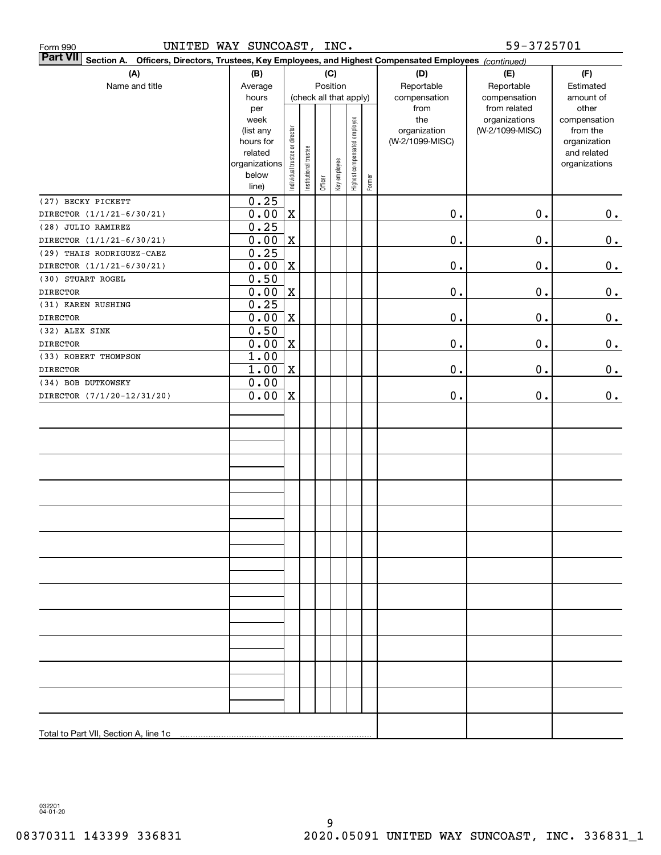| 59-3725701<br>UNITED WAY SUNCOAST, INC.<br>Form 990                                                                       |                |                                |                       |                        |              |                              |        |                 |                               |                       |  |
|---------------------------------------------------------------------------------------------------------------------------|----------------|--------------------------------|-----------------------|------------------------|--------------|------------------------------|--------|-----------------|-------------------------------|-----------------------|--|
| <b>Part VII</b><br>Section A. Officers, Directors, Trustees, Key Employees, and Highest Compensated Employees (continued) |                |                                |                       |                        |              |                              |        |                 |                               |                       |  |
| (A)                                                                                                                       | (B)            |                                |                       |                        | (C)          |                              |        | (D)             | (E)                           | (F)                   |  |
| Name and title                                                                                                            | Average        |                                |                       | Position               |              |                              |        | Reportable      | Reportable                    | Estimated             |  |
|                                                                                                                           | hours          |                                |                       | (check all that apply) |              |                              |        | compensation    | compensation                  | amount of             |  |
|                                                                                                                           | per<br>week    |                                |                       |                        |              |                              |        | from<br>the     | from related<br>organizations | other<br>compensation |  |
|                                                                                                                           | (list any      |                                |                       |                        |              |                              |        | organization    | (W-2/1099-MISC)               | from the              |  |
|                                                                                                                           | hours for      |                                |                       |                        |              |                              |        | (W-2/1099-MISC) |                               | organization          |  |
|                                                                                                                           | related        |                                |                       |                        |              |                              |        |                 |                               | and related           |  |
|                                                                                                                           | organizations  |                                |                       |                        |              |                              |        |                 |                               | organizations         |  |
|                                                                                                                           | below<br>line) | Individual trustee or director | Institutional trustee | Officer                | Key employee | Highest compensated employee | Former |                 |                               |                       |  |
| (27) BECKY PICKETT                                                                                                        | 0.25           |                                |                       |                        |              |                              |        |                 |                               |                       |  |
| DIRECTOR (1/1/21-6/30/21)                                                                                                 | 0.00           | $\mathbf X$                    |                       |                        |              |                              |        | $\mathbf 0$ .   | $\mathbf 0$ .                 | 0.                    |  |
| (28) JULIO RAMIREZ                                                                                                        | 0.25           |                                |                       |                        |              |                              |        |                 |                               |                       |  |
| DIRECTOR (1/1/21-6/30/21)                                                                                                 | 0.00           | $\mathbf X$                    |                       |                        |              |                              |        | $\mathbf 0$ .   | $\mathbf 0$ .                 | 0.                    |  |
| (29) THAIS RODRIGUEZ-CAEZ                                                                                                 | 0.25           |                                |                       |                        |              |                              |        |                 |                               |                       |  |
| DIRECTOR (1/1/21-6/30/21)                                                                                                 | 0.00           | $\mathbf X$                    |                       |                        |              |                              |        | $\mathbf 0$ .   | 0.                            | 0.                    |  |
| (30) STUART ROGEL                                                                                                         | 0.50           |                                |                       |                        |              |                              |        |                 |                               |                       |  |
| <b>DIRECTOR</b>                                                                                                           | 0.00           | $\mathbf X$                    |                       |                        |              |                              |        | $\mathbf 0$ .   | 0.                            | 0.                    |  |
| (31) KAREN RUSHING                                                                                                        | 0.25           |                                |                       |                        |              |                              |        |                 |                               |                       |  |
| <b>DIRECTOR</b>                                                                                                           | 0.00           | $\mathbf X$                    |                       |                        |              |                              |        | $\mathbf 0$ .   | 0.                            | 0.                    |  |
| (32) ALEX SINK                                                                                                            | 0.50           |                                |                       |                        |              |                              |        |                 |                               |                       |  |
| <b>DIRECTOR</b>                                                                                                           | 0.00           | $\mathbf X$                    |                       |                        |              |                              |        | $\mathbf 0$ .   | 0.                            | 0.                    |  |
| (33) ROBERT THOMPSON                                                                                                      | 1.00           |                                |                       |                        |              |                              |        |                 |                               |                       |  |
| <b>DIRECTOR</b>                                                                                                           | 1.00           | $\mathbf X$                    |                       |                        |              |                              |        | $\mathbf 0$ .   | 0.                            | 0.                    |  |
| (34) BOB DUTKOWSKY                                                                                                        | 0.00           |                                |                       |                        |              |                              |        |                 |                               |                       |  |
| DIRECTOR (7/1/20-12/31/20)                                                                                                | 0.00           | $\mathbf X$                    |                       |                        |              |                              |        | $\mathbf 0$ .   | 0.                            | 0.                    |  |
|                                                                                                                           |                |                                |                       |                        |              |                              |        |                 |                               |                       |  |
|                                                                                                                           |                |                                |                       |                        |              |                              |        |                 |                               |                       |  |
|                                                                                                                           |                |                                |                       |                        |              |                              |        |                 |                               |                       |  |
|                                                                                                                           |                |                                |                       |                        |              |                              |        |                 |                               |                       |  |
|                                                                                                                           |                |                                |                       |                        |              |                              |        |                 |                               |                       |  |
|                                                                                                                           |                |                                |                       |                        |              |                              |        |                 |                               |                       |  |
|                                                                                                                           |                |                                |                       |                        |              |                              |        |                 |                               |                       |  |
|                                                                                                                           |                |                                |                       |                        |              |                              |        |                 |                               |                       |  |
|                                                                                                                           |                |                                |                       |                        |              |                              |        |                 |                               |                       |  |
|                                                                                                                           |                |                                |                       |                        |              |                              |        |                 |                               |                       |  |
|                                                                                                                           |                |                                |                       |                        |              |                              |        |                 |                               |                       |  |
|                                                                                                                           |                |                                |                       |                        |              |                              |        |                 |                               |                       |  |
|                                                                                                                           |                |                                |                       |                        |              |                              |        |                 |                               |                       |  |
|                                                                                                                           |                |                                |                       |                        |              |                              |        |                 |                               |                       |  |
|                                                                                                                           |                |                                |                       |                        |              |                              |        |                 |                               |                       |  |
|                                                                                                                           |                |                                |                       |                        |              |                              |        |                 |                               |                       |  |
|                                                                                                                           |                |                                |                       |                        |              |                              |        |                 |                               |                       |  |
|                                                                                                                           |                |                                |                       |                        |              |                              |        |                 |                               |                       |  |
|                                                                                                                           |                |                                |                       |                        |              |                              |        |                 |                               |                       |  |
|                                                                                                                           |                |                                |                       |                        |              |                              |        |                 |                               |                       |  |
|                                                                                                                           |                |                                |                       |                        |              |                              |        |                 |                               |                       |  |
|                                                                                                                           |                |                                |                       |                        |              |                              |        |                 |                               |                       |  |
| Total to Part VII, Section A, line 1c                                                                                     |                |                                |                       |                        |              |                              |        |                 |                               |                       |  |

032201 04-01-20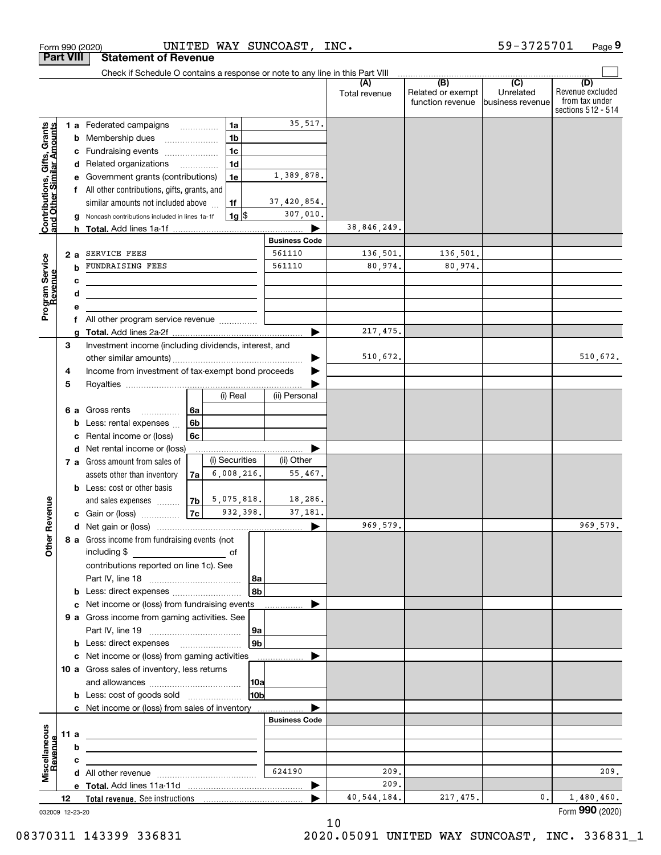|                                                           |                  |   | Form 990 (2020)                                                                           |          |                |                 | UNITED WAY SUNCOAST, | INC.          |                                       | 59-3725701                     | Page 9                                                   |
|-----------------------------------------------------------|------------------|---|-------------------------------------------------------------------------------------------|----------|----------------|-----------------|----------------------|---------------|---------------------------------------|--------------------------------|----------------------------------------------------------|
|                                                           | <b>Part VIII</b> |   | <b>Statement of Revenue</b>                                                               |          |                |                 |                      |               |                                       |                                |                                                          |
|                                                           |                  |   | Check if Schedule O contains a response or note to any line in this Part VIII             |          |                |                 |                      | (A)           | (B)                                   | $\overline{(C)}$               | (D)                                                      |
|                                                           |                  |   |                                                                                           |          |                |                 |                      | Total revenue | Related or exempt<br>function revenue | Unrelated<br>lbusiness revenue | Revenue excluded<br>from tax under<br>sections 512 - 514 |
|                                                           |                  |   | 1 a Federated campaigns                                                                   |          | 1a             |                 | 35,517.              |               |                                       |                                |                                                          |
|                                                           |                  |   | <b>b</b> Membership dues<br>$\ldots \ldots \ldots \ldots \ldots$                          |          | 1 <sub>b</sub> |                 |                      |               |                                       |                                |                                                          |
|                                                           |                  |   | c Fundraising events                                                                      |          | 1 <sub>c</sub> |                 |                      |               |                                       |                                |                                                          |
|                                                           |                  |   | d Related organizations                                                                   |          | 1 <sub>d</sub> |                 |                      |               |                                       |                                |                                                          |
|                                                           |                  |   | e Government grants (contributions)                                                       |          | 1e             |                 | 1,389,878.           |               |                                       |                                |                                                          |
| Contributions, Gifts, Grants<br>and Other Similar Amounts |                  |   | f All other contributions, gifts, grants, and                                             |          |                |                 |                      |               |                                       |                                |                                                          |
|                                                           |                  |   | similar amounts not included above                                                        |          | 1f             |                 | 37,420,854.          |               |                                       |                                |                                                          |
|                                                           |                  | g | Noncash contributions included in lines 1a-1f                                             |          | $1g$ \$        |                 | 307,010.             |               |                                       |                                |                                                          |
|                                                           |                  |   |                                                                                           |          |                |                 | <b>Business Code</b> | 38,846,249.   |                                       |                                |                                                          |
|                                                           | 2a               |   | SERVICE FEES                                                                              |          |                |                 | 561110               | 136,501.      | 136,501.                              |                                |                                                          |
|                                                           |                  | b | FUNDRAISING FEES                                                                          |          |                |                 | 561110               | 80,974.       | 80,974.                               |                                |                                                          |
|                                                           |                  | c |                                                                                           |          |                |                 |                      |               |                                       |                                |                                                          |
|                                                           |                  | d | the control of the control of the control of the control of the control of                |          |                |                 |                      |               |                                       |                                |                                                          |
| Program Service<br>Revenue                                |                  | е |                                                                                           |          |                |                 |                      |               |                                       |                                |                                                          |
|                                                           |                  |   | f All other program service revenue                                                       |          |                |                 |                      |               |                                       |                                |                                                          |
|                                                           |                  | a |                                                                                           |          |                |                 |                      | 217,475.      |                                       |                                |                                                          |
|                                                           | 3                |   | Investment income (including dividends, interest, and                                     |          |                |                 |                      |               |                                       |                                |                                                          |
|                                                           |                  |   |                                                                                           |          |                |                 |                      | 510,672.      |                                       |                                | 510,672.                                                 |
|                                                           | 4                |   | Income from investment of tax-exempt bond proceeds                                        |          |                |                 |                      |               |                                       |                                |                                                          |
|                                                           | 5                |   |                                                                                           |          | (i) Real       |                 | (ii) Personal        |               |                                       |                                |                                                          |
|                                                           |                  |   |                                                                                           |          |                |                 |                      |               |                                       |                                |                                                          |
|                                                           | 6а               | b | Gross rents<br>.<br>Less: rental expenses                                                 | 6а<br>6b |                |                 |                      |               |                                       |                                |                                                          |
|                                                           |                  | c | Rental income or (loss)                                                                   | 6с       |                |                 |                      |               |                                       |                                |                                                          |
|                                                           |                  |   | d Net rental income or (loss)                                                             |          |                |                 |                      |               |                                       |                                |                                                          |
|                                                           |                  |   | 7 a Gross amount from sales of                                                            |          | (i) Securities |                 | (ii) Other           |               |                                       |                                |                                                          |
|                                                           |                  |   | assets other than inventory                                                               | 7al      | 6,008,216.     |                 | 55,467.              |               |                                       |                                |                                                          |
|                                                           |                  |   | <b>b</b> Less: cost or other basis                                                        |          |                |                 |                      |               |                                       |                                |                                                          |
|                                                           |                  |   | and sales expenses                                                                        | 7b l     | 5,075,818.     |                 | 18,286.              |               |                                       |                                |                                                          |
| evenue                                                    |                  |   | c Gain or (loss)                                                                          | 7c       | 932,398.       |                 | 37,181.              |               |                                       |                                |                                                          |
| Œ                                                         |                  |   |                                                                                           |          |                |                 |                      | 969,579.      |                                       |                                | 969,579.                                                 |
| Other                                                     |                  |   | 8 a Gross income from fundraising events (not                                             |          |                |                 |                      |               |                                       |                                |                                                          |
|                                                           |                  |   | contributions reported on line 1c). See                                                   |          |                |                 |                      |               |                                       |                                |                                                          |
|                                                           |                  |   |                                                                                           |          |                | 8a<br>8bl       |                      |               |                                       |                                |                                                          |
|                                                           |                  |   | <b>b</b> Less: direct expenses <i></i><br>c Net income or (loss) from fundraising events  |          |                |                 |                      |               |                                       |                                |                                                          |
|                                                           |                  |   | 9 a Gross income from gaming activities. See                                              |          |                |                 | .                    |               |                                       |                                |                                                          |
|                                                           |                  |   |                                                                                           |          |                | 9a              |                      |               |                                       |                                |                                                          |
|                                                           |                  |   | <b>b</b> Less: direct expenses <b>manually</b>                                            |          |                | 9b              |                      |               |                                       |                                |                                                          |
|                                                           |                  |   | c Net income or (loss) from gaming activities                                             |          |                |                 | .                    |               |                                       |                                |                                                          |
|                                                           |                  |   | 10 a Gross sales of inventory, less returns                                               |          |                |                 |                      |               |                                       |                                |                                                          |
|                                                           |                  |   |                                                                                           |          |                |                 |                      |               |                                       |                                |                                                          |
|                                                           |                  |   |                                                                                           |          |                | 10 <sub>b</sub> |                      |               |                                       |                                |                                                          |
|                                                           |                  |   | c Net income or (loss) from sales of inventory                                            |          |                |                 |                      |               |                                       |                                |                                                          |
|                                                           |                  |   |                                                                                           |          |                |                 | <b>Business Code</b> |               |                                       |                                |                                                          |
|                                                           | 11 a             |   | the control of the control of the control of the control of the control of                |          |                |                 |                      |               |                                       |                                |                                                          |
| Revenue                                                   |                  | b | the control of the control of the control of the control of the control of the control of |          |                |                 |                      |               |                                       |                                |                                                          |
| Miscellaneous                                             |                  | с | the contract of the contract of the contract of the contract of the contract of           |          |                |                 | 624190               | 209.          |                                       |                                |                                                          |
|                                                           |                  |   |                                                                                           |          |                |                 |                      | 209.          |                                       |                                | 209.                                                     |
|                                                           |                  |   |                                                                                           |          |                |                 |                      | 40, 544, 184. | 217,475.                              | 0.                             | 1,480,460.                                               |
|                                                           | 12               |   |                                                                                           |          |                |                 |                      |               |                                       |                                | Form 990 (2020)                                          |
|                                                           | 032009 12-23-20  |   |                                                                                           |          |                |                 |                      |               |                                       |                                |                                                          |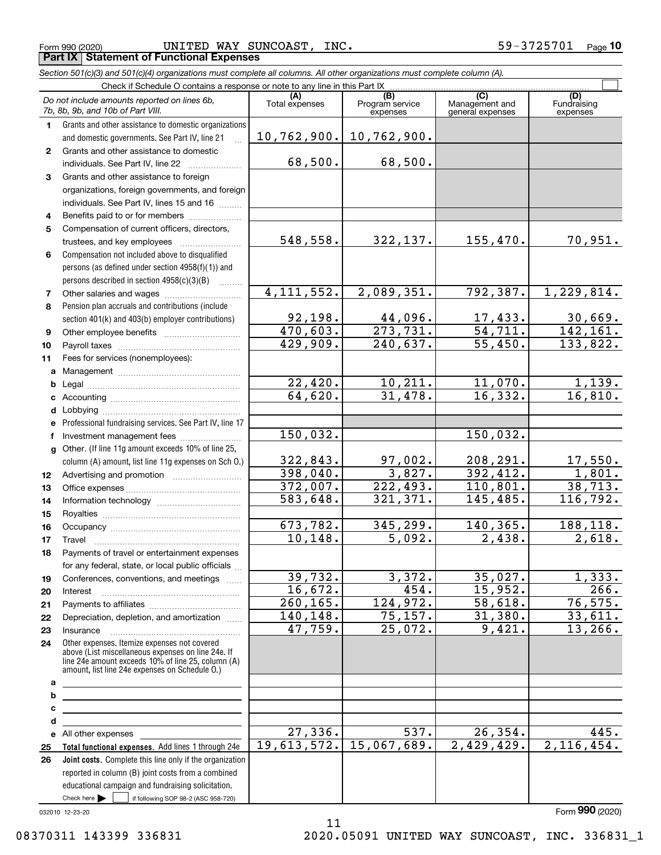Form 990 (2020) UNITED WAY SUNCOAST, INC.  $59-3725701$  Page **Part IX Statement of Functional Expenses**

|              | Section 501(c)(3) and 501(c)(4) organizations must complete all columns. All other organizations must complete column (A).                                                                                 |                        |                                    |                                           |                                |
|--------------|------------------------------------------------------------------------------------------------------------------------------------------------------------------------------------------------------------|------------------------|------------------------------------|-------------------------------------------|--------------------------------|
|              | Check if Schedule O contains a response or note to any line in this Part IX                                                                                                                                |                        |                                    |                                           |                                |
|              | Do not include amounts reported on lines 6b,<br>7b, 8b, 9b, and 10b of Part VIII.                                                                                                                          | (A)<br>Total expenses  | (B)<br>Program service<br>expenses | (C)<br>Management and<br>general expenses | (D)<br>Fundraising<br>expenses |
| 1.           | Grants and other assistance to domestic organizations                                                                                                                                                      |                        |                                    |                                           |                                |
|              | and domestic governments. See Part IV, line 21                                                                                                                                                             |                        | $10, 762, 900.$ 10, 762, 900.      |                                           |                                |
| $\mathbf{2}$ | Grants and other assistance to domestic                                                                                                                                                                    |                        |                                    |                                           |                                |
|              | individuals. See Part IV, line 22                                                                                                                                                                          | 68,500.                | 68,500.                            |                                           |                                |
| 3            | Grants and other assistance to foreign                                                                                                                                                                     |                        |                                    |                                           |                                |
|              | organizations, foreign governments, and foreign                                                                                                                                                            |                        |                                    |                                           |                                |
|              | individuals. See Part IV, lines 15 and 16                                                                                                                                                                  |                        |                                    |                                           |                                |
| 4            | Benefits paid to or for members                                                                                                                                                                            |                        |                                    |                                           |                                |
| 5            | Compensation of current officers, directors,                                                                                                                                                               |                        |                                    |                                           |                                |
|              | trustees, and key employees                                                                                                                                                                                | 548,558.               | 322,137.                           | 155,470.                                  | 70,951.                        |
| 6            | Compensation not included above to disqualified                                                                                                                                                            |                        |                                    |                                           |                                |
|              | persons (as defined under section 4958(f)(1)) and                                                                                                                                                          |                        |                                    |                                           |                                |
|              | persons described in section 4958(c)(3)(B)                                                                                                                                                                 |                        |                                    |                                           |                                |
| 7            |                                                                                                                                                                                                            | 4, 111, 552.           | 2,089,351.                         | 792,387.                                  | 1,229,814.                     |
| 8            | Pension plan accruals and contributions (include                                                                                                                                                           |                        |                                    |                                           |                                |
|              | section 401(k) and 403(b) employer contributions)                                                                                                                                                          | 92,198.                | 44,096.                            | $\frac{17,433.}{54,711.}$                 | 30,669.                        |
| 9            |                                                                                                                                                                                                            | 470,603.               | $\overline{273,731}$ .             |                                           | 142, 161.                      |
| 10           |                                                                                                                                                                                                            | 429,909.               | $\overline{240,637}$ .             | 55,450.                                   | 133,822.                       |
| 11           | Fees for services (nonemployees):                                                                                                                                                                          |                        |                                    |                                           |                                |
| a            |                                                                                                                                                                                                            |                        |                                    |                                           |                                |
| b            |                                                                                                                                                                                                            | 22,420.                | 10, 211.                           | 11,070.                                   | 1,139.                         |
| c            |                                                                                                                                                                                                            | 64,620.                | 31,478.                            | 16, 332.                                  | 16,810.                        |
| d            |                                                                                                                                                                                                            |                        |                                    |                                           |                                |
| е            | Professional fundraising services. See Part IV, line 17                                                                                                                                                    |                        |                                    |                                           |                                |
| f            | Investment management fees                                                                                                                                                                                 | 150,032.               |                                    | 150,032.                                  |                                |
| q            | Other. (If line 11g amount exceeds 10% of line 25,                                                                                                                                                         |                        |                                    |                                           |                                |
|              | column (A) amount, list line 11g expenses on Sch O.)                                                                                                                                                       | 322,843.               | 97,002.                            | 208, 291.                                 | 17,550.                        |
| 12           |                                                                                                                                                                                                            | 398,040.               | 3,827.                             | 392,412.                                  | 1,801.                         |
| 13           |                                                                                                                                                                                                            | 372,007.               | 222,493.                           | 110,801.                                  | 38, 713.                       |
| 14           |                                                                                                                                                                                                            | 583,648.               | 321, 371.                          | 145,485.                                  | 116,792.                       |
| 15           |                                                                                                                                                                                                            |                        |                                    |                                           |                                |
| 16           |                                                                                                                                                                                                            | $\overline{673,782}$ . | $\overline{345}$ , 299.            | 140,365.                                  | 188,118.                       |
| 17           |                                                                                                                                                                                                            | 10, 148.               | 5,092.                             | 2,438.                                    | 2,618.                         |
| 18           | Payments of travel or entertainment expenses                                                                                                                                                               |                        |                                    |                                           |                                |
|              | for any federal, state, or local public officials                                                                                                                                                          |                        |                                    |                                           |                                |
| 19           | Conferences, conventions, and meetings                                                                                                                                                                     | 39,732.                | 3,372.                             | 35,027.                                   | 1,333.                         |
| 20           | Interest                                                                                                                                                                                                   | 16,672.                | 454.<br>124,972.                   | 15,952.                                   | 266.<br>76, 575.               |
| 21           |                                                                                                                                                                                                            | 260, 165.              |                                    | 58,618.                                   |                                |
| 22           | Depreciation, depletion, and amortization                                                                                                                                                                  | 140,148.<br>47,759.    | 75, 157.<br>25,072.                | 31,380.<br>9,421.                         | 33,611.<br>13, 266.            |
| 23           | Insurance                                                                                                                                                                                                  |                        |                                    |                                           |                                |
| 24           | Other expenses. Itemize expenses not covered<br>above (List miscellaneous expenses on line 24e. If<br>line 24e amount exceeds 10% of line 25, column (A)<br>amount, list line 24e expenses on Schedule O.) |                        |                                    |                                           |                                |
| а            | <u> 1989 - Johann Barn, amerikansk politiker (</u>                                                                                                                                                         |                        |                                    |                                           |                                |
| b            | <u> 1989 - Johann Barbara, martin amerikan basar dan berasal dalam basar dalam basar dalam basar dalam basar dala</u>                                                                                      |                        |                                    |                                           |                                |
| с            | <u> 1989 - Johann Stein, marwolaethau a bhann an t-Amhain an t-Amhain an t-Amhain an t-Amhain an t-Amhain an t-A</u>                                                                                       |                        |                                    |                                           |                                |
| d            | <u> 1989 - Johann Stein, marwolaethau a bhann an t-Amhair an t-Amhair an t-Amhair an t-Amhair an t-Amhair an t-A</u>                                                                                       |                        |                                    |                                           |                                |
|              | e All other expenses                                                                                                                                                                                       | 27,336.                | 537.                               | 26, 354.                                  | 445.                           |
| 25           | Total functional expenses. Add lines 1 through 24e                                                                                                                                                         | 19,613,572.            | 15,067,689.                        | 2,429,429.                                | 2, 116, 454.                   |
| 26           | Joint costs. Complete this line only if the organization                                                                                                                                                   |                        |                                    |                                           |                                |
|              | reported in column (B) joint costs from a combined                                                                                                                                                         |                        |                                    |                                           |                                |
|              | educational campaign and fundraising solicitation.                                                                                                                                                         |                        |                                    |                                           |                                |

11

032010 12-23-20

Check here

 $\mathcal{L}^{\text{max}}$ 

if following SOP 98-2 (ASC 958-720)

Form (2020) **990**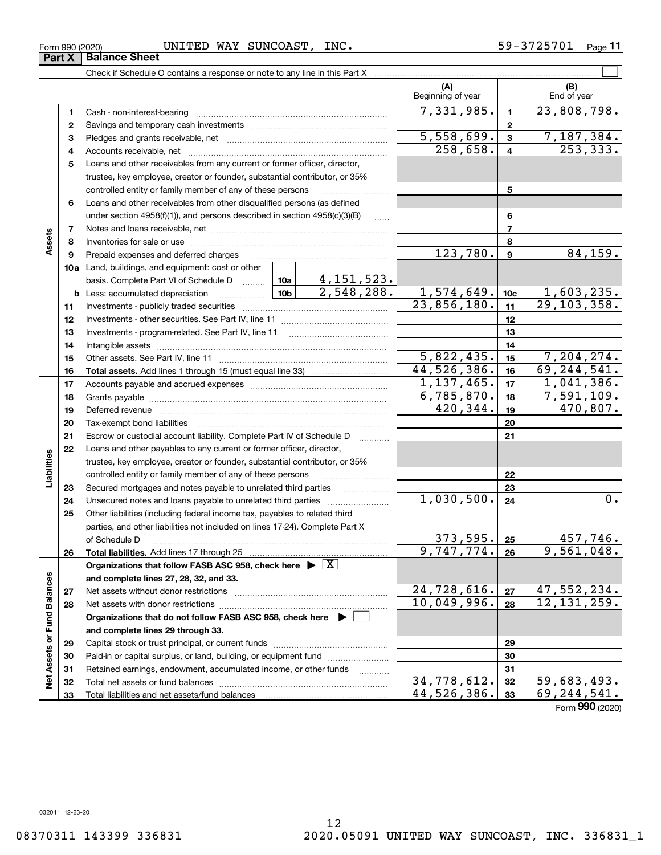# Form 990 (2020) UNITED WAY SUNCOAST, INC.  $59-3725701$  Page

Check if Schedule O contains a response or note to any line in this Part X ..........

|                             |          |                                                                                                         | (A)<br>Beginning of year |                 | (B)<br>End of year        |
|-----------------------------|----------|---------------------------------------------------------------------------------------------------------|--------------------------|-----------------|---------------------------|
|                             | 1        | Cash - non-interest-bearing                                                                             | 7,331,985.               | 1               | 23,808,798.               |
|                             | 2        |                                                                                                         |                          | $\overline{2}$  |                           |
|                             | 3        |                                                                                                         | 5,558,699.               | 3               | <u>7,187,384.</u>         |
|                             | 4        |                                                                                                         | 258,658.                 | 4               | 253, 333.                 |
|                             | 5        | Loans and other receivables from any current or former officer, director,                               |                          |                 |                           |
|                             |          | trustee, key employee, creator or founder, substantial contributor, or 35%                              |                          |                 |                           |
|                             |          | controlled entity or family member of any of these persons                                              |                          | 5               |                           |
|                             | 6        | Loans and other receivables from other disqualified persons (as defined                                 |                          |                 |                           |
|                             |          | under section $4958(f)(1)$ , and persons described in section $4958(c)(3)(B)$                           |                          | 6               |                           |
|                             | 7        |                                                                                                         |                          | $\overline{7}$  |                           |
| Assets                      | 8        |                                                                                                         |                          | 8               |                           |
|                             | 9        | Prepaid expenses and deferred charges                                                                   | 123,780.                 | 9               | 84, 159.                  |
|                             |          | 10a Land, buildings, and equipment: cost or other                                                       |                          |                 |                           |
|                             |          |                                                                                                         |                          |                 |                           |
|                             |          | <b>b</b> Less: accumulated depreciation                                                                 | 1,574,649.               | 10 <sub>c</sub> | <u>1,603,235.</u>         |
|                             | 11       |                                                                                                         | 23,856,180.              | 11              | 29, 103, 358.             |
|                             | 12       |                                                                                                         |                          | 12              |                           |
|                             | 13       |                                                                                                         |                          | 13              |                           |
|                             | 14       |                                                                                                         |                          | 14              |                           |
|                             | 15       |                                                                                                         | $\overline{5,822,435}$ . | 15              | 7,204,274.                |
|                             | 16       |                                                                                                         | 44,526,386.              | 16              | 69, 244, 541.             |
|                             | 17       |                                                                                                         | 1, 137, 465.             | 17              | 1,041,386.<br>7,591,109.  |
|                             | 18       |                                                                                                         | 6,785,870.<br>420,344.   | 18<br>19        | 470,807.                  |
|                             | 19<br>20 |                                                                                                         |                          | 20              |                           |
|                             | 21       | Escrow or custodial account liability. Complete Part IV of Schedule D                                   |                          | 21              |                           |
|                             | 22       | .<br>Loans and other payables to any current or former officer, director,                               |                          |                 |                           |
| Liabilities                 |          | trustee, key employee, creator or founder, substantial contributor, or 35%                              |                          |                 |                           |
|                             |          | controlled entity or family member of any of these persons                                              |                          | 22              |                           |
|                             | 23       | Secured mortgages and notes payable to unrelated third parties                                          |                          | 23              |                           |
|                             | 24       | Unsecured notes and loans payable to unrelated third parties                                            | 1,030,500.               | 24              | 0.                        |
|                             | 25       | Other liabilities (including federal income tax, payables to related third                              |                          |                 |                           |
|                             |          | parties, and other liabilities not included on lines 17-24). Complete Part X                            |                          |                 |                           |
|                             |          | of Schedule D                                                                                           | <u>373,595.</u>          | 25              | 457,746.                  |
|                             | 26       |                                                                                                         | 9,747,774.               | 26              | 9,561,048.                |
|                             |          | Organizations that follow FASB ASC 958, check here $\overline{\triangleright \big[ \overline{X} \big]}$ |                          |                 |                           |
|                             |          | and complete lines 27, 28, 32, and 33.                                                                  |                          |                 |                           |
|                             | 27       | Net assets without donor restrictions                                                                   | 24,728,616.              | 27              | 47,552,234.               |
|                             | 28       | Net assets with donor restrictions                                                                      | 10,049,996.              | 28              | 12, 131, 259.             |
|                             |          | Organizations that do not follow FASB ASC 958, check here $\blacktriangleright$                         |                          |                 |                           |
|                             |          | and complete lines 29 through 33.                                                                       |                          |                 |                           |
| Net Assets or Fund Balances | 29       |                                                                                                         |                          | 29              |                           |
|                             | 30       | Paid-in or capital surplus, or land, building, or equipment fund                                        |                          | 30              |                           |
|                             | 31       | Retained earnings, endowment, accumulated income, or other funds                                        |                          | 31              |                           |
|                             | 32       | Total net assets or fund balances                                                                       | 34,778,612.              | 32              | $\overline{59,683,493}$ . |
|                             | 33       |                                                                                                         | 44,526,386.              | 33              | $\overline{69,244,541}$ . |

 $\mathcal{L}^{\text{max}}$ 

Form (2020) **990**

**Part X Balance Sheet**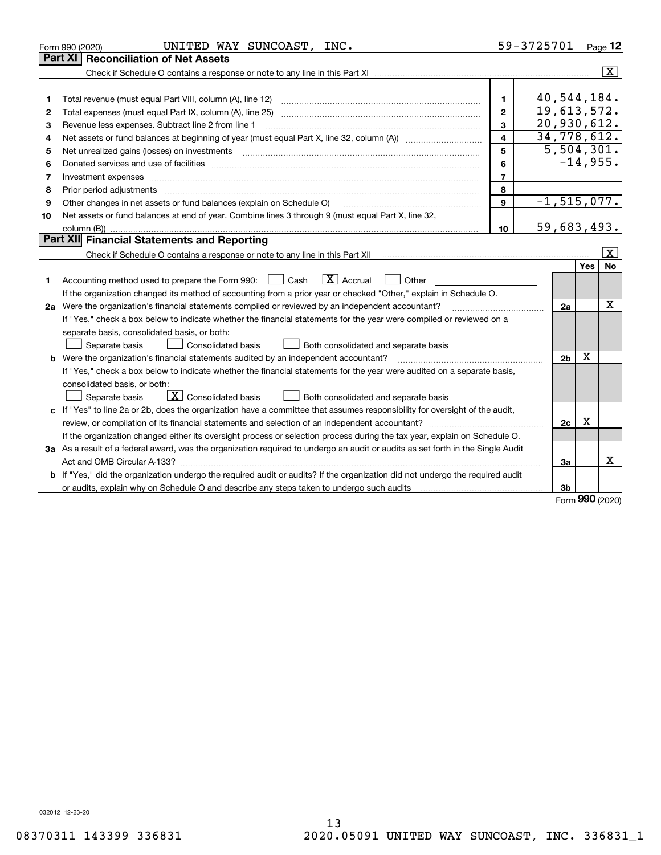|    | UNITED WAY SUNCOAST, INC.<br>Form 990 (2020)                                                                                                                                                                                   |                         | 59-3725701      |            | Page 12                 |
|----|--------------------------------------------------------------------------------------------------------------------------------------------------------------------------------------------------------------------------------|-------------------------|-----------------|------------|-------------------------|
|    | <b>Reconciliation of Net Assets</b><br>Part XI                                                                                                                                                                                 |                         |                 |            |                         |
|    |                                                                                                                                                                                                                                |                         |                 |            | $\overline{\mathbf{x}}$ |
|    |                                                                                                                                                                                                                                |                         |                 |            |                         |
| 1  | Total revenue (must equal Part VIII, column (A), line 12)                                                                                                                                                                      | $\mathbf{1}$            | 40,544,184.     |            |                         |
| 2  | Total expenses (must equal Part IX, column (A), line 25)                                                                                                                                                                       | $\overline{2}$          | 19,613,572.     |            |                         |
| 3  | Revenue less expenses. Subtract line 2 from line 1                                                                                                                                                                             | 3                       | 20,930,612.     |            |                         |
| 4  |                                                                                                                                                                                                                                | $\overline{\mathbf{4}}$ | 34,778,612.     |            |                         |
| 5  | Net unrealized gains (losses) on investments                                                                                                                                                                                   | 5                       | 5,504,301.      |            |                         |
| 6  |                                                                                                                                                                                                                                | 6                       |                 | $-14,955.$ |                         |
| 7  | Investment expenses www.communication.com/www.communication.com/www.communication.com/www.com                                                                                                                                  | $\overline{7}$          |                 |            |                         |
| 8  | Prior period adjustments material contents and content of the content of the content of the content of the content of the content of the content of the content of the content of the content of the content of the content of | 8                       |                 |            |                         |
| 9  | Other changes in net assets or fund balances (explain on Schedule O)                                                                                                                                                           | 9                       | $-1, 515, 077.$ |            |                         |
| 10 | Net assets or fund balances at end of year. Combine lines 3 through 9 (must equal Part X, line 32,                                                                                                                             |                         |                 |            |                         |
|    |                                                                                                                                                                                                                                | 10                      | 59,683,493.     |            |                         |
|    | Part XII Financial Statements and Reporting                                                                                                                                                                                    |                         |                 |            |                         |
|    | Check if Schedule O contains a response or note to any line in this Part XII [11] [12] Check if Schedule O contains a response or note to any line in this Part XII                                                            |                         |                 |            | $\mathbf{X}$            |
|    |                                                                                                                                                                                                                                |                         |                 | Yes        | No                      |
| 1  | $ X $ Accrual<br>Accounting method used to prepare the Form 990: <u>June</u> Cash<br>Other                                                                                                                                     |                         |                 |            |                         |
|    | If the organization changed its method of accounting from a prior year or checked "Other," explain in Schedule O.                                                                                                              |                         |                 |            |                         |
|    | 2a Were the organization's financial statements compiled or reviewed by an independent accountant?                                                                                                                             |                         | 2a              |            | X                       |
|    | If "Yes," check a box below to indicate whether the financial statements for the year were compiled or reviewed on a                                                                                                           |                         |                 |            |                         |
|    | separate basis, consolidated basis, or both:                                                                                                                                                                                   |                         |                 |            |                         |
|    | Separate basis<br>Both consolidated and separate basis<br><b>Consolidated basis</b>                                                                                                                                            |                         |                 |            |                         |
|    | <b>b</b> Were the organization's financial statements audited by an independent accountant?                                                                                                                                    |                         | 2 <sub>b</sub>  | X          |                         |
|    | If "Yes," check a box below to indicate whether the financial statements for the year were audited on a separate basis,                                                                                                        |                         |                 |            |                         |
|    | consolidated basis, or both:                                                                                                                                                                                                   |                         |                 |            |                         |
|    | $\mathbf{X}$ Consolidated basis<br>Both consolidated and separate basis<br>Separate basis                                                                                                                                      |                         |                 |            |                         |
|    | c If "Yes" to line 2a or 2b, does the organization have a committee that assumes responsibility for oversight of the audit,                                                                                                    |                         |                 |            |                         |
|    |                                                                                                                                                                                                                                |                         | 2c              | x          |                         |
|    | If the organization changed either its oversight process or selection process during the tax year, explain on Schedule O.                                                                                                      |                         |                 |            |                         |
|    | 3a As a result of a federal award, was the organization required to undergo an audit or audits as set forth in the Single Audit                                                                                                |                         |                 |            |                         |
|    |                                                                                                                                                                                                                                |                         | За              |            | x                       |
|    | b If "Yes," did the organization undergo the required audit or audits? If the organization did not undergo the required audit                                                                                                  |                         |                 |            |                         |
|    |                                                                                                                                                                                                                                |                         | 3b              |            |                         |

Form (2020) **990**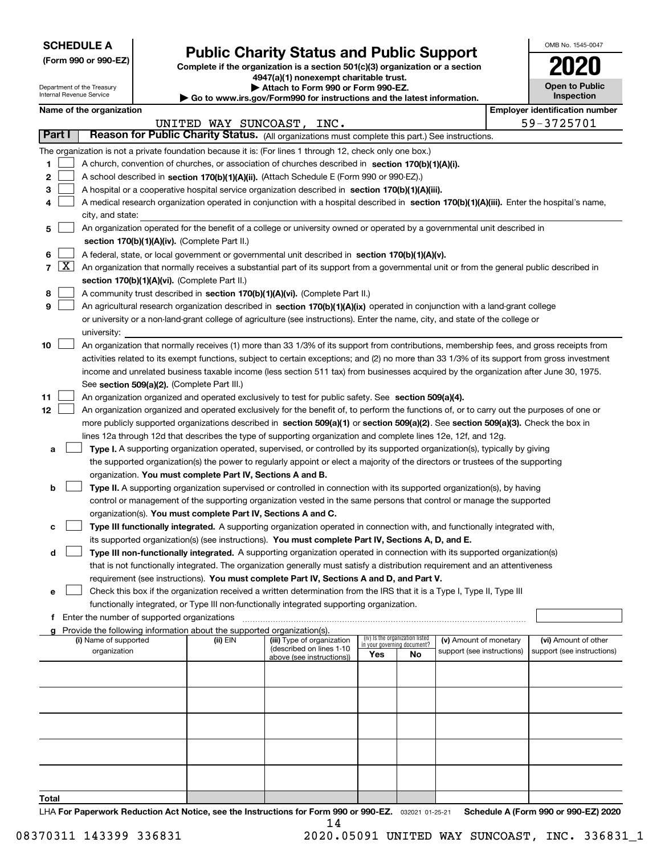| <b>SCHEDULE A</b> |
|-------------------|
|-------------------|

Department of the Treasury Internal Revenue Service

**(Form 990 or 990-EZ)**

# **Public Charity Status and Public Support**

**Complete if the organization is a section 501(c)(3) organization or a section 4947(a)(1) nonexempt charitable trust. | Attach to Form 990 or Form 990-EZ.** 

| <b>P</b> Allach to Form you of Form you LE.                              |
|--------------------------------------------------------------------------|
| ▶ Go to www.irs.gov/Form990 for instructions and the latest information. |

| <b>Open to Public</b><br>Inspection |
|-------------------------------------|

OMB No. 1545-0047

# **Name of the organization Employer identification number Employer identification number**

|                            |                                                                                                                                                                                                                                                                                                                                                                                                                                                                                                                                                                                     |          | UNITED WAY SUNCOAST, INC.                              |                                                                |    |                            |  | 59-3725701                 |  |  |
|----------------------------|-------------------------------------------------------------------------------------------------------------------------------------------------------------------------------------------------------------------------------------------------------------------------------------------------------------------------------------------------------------------------------------------------------------------------------------------------------------------------------------------------------------------------------------------------------------------------------------|----------|--------------------------------------------------------|----------------------------------------------------------------|----|----------------------------|--|----------------------------|--|--|
| Part I                     | Reason for Public Charity Status. (All organizations must complete this part.) See instructions.                                                                                                                                                                                                                                                                                                                                                                                                                                                                                    |          |                                                        |                                                                |    |                            |  |                            |  |  |
| 1<br>2<br>з<br>4           | The organization is not a private foundation because it is: (For lines 1 through 12, check only one box.)<br>A church, convention of churches, or association of churches described in section 170(b)(1)(A)(i).<br>A school described in section 170(b)(1)(A)(ii). (Attach Schedule E (Form 990 or 990-EZ).)<br>A hospital or a cooperative hospital service organization described in section 170(b)(1)(A)(iii).<br>A medical research organization operated in conjunction with a hospital described in section 170(b)(1)(A)(iii). Enter the hospital's name,<br>city, and state: |          |                                                        |                                                                |    |                            |  |                            |  |  |
| 5                          | An organization operated for the benefit of a college or university owned or operated by a governmental unit described in                                                                                                                                                                                                                                                                                                                                                                                                                                                           |          |                                                        |                                                                |    |                            |  |                            |  |  |
|                            | section 170(b)(1)(A)(iv). (Complete Part II.)                                                                                                                                                                                                                                                                                                                                                                                                                                                                                                                                       |          |                                                        |                                                                |    |                            |  |                            |  |  |
|                            | A federal, state, or local government or governmental unit described in section 170(b)(1)(A)(v).                                                                                                                                                                                                                                                                                                                                                                                                                                                                                    |          |                                                        |                                                                |    |                            |  |                            |  |  |
| <u>x</u><br>$\overline{7}$ | An organization that normally receives a substantial part of its support from a governmental unit or from the general public described in                                                                                                                                                                                                                                                                                                                                                                                                                                           |          |                                                        |                                                                |    |                            |  |                            |  |  |
|                            | section 170(b)(1)(A)(vi). (Complete Part II.)                                                                                                                                                                                                                                                                                                                                                                                                                                                                                                                                       |          |                                                        |                                                                |    |                            |  |                            |  |  |
| 8                          | A community trust described in section 170(b)(1)(A)(vi). (Complete Part II.)                                                                                                                                                                                                                                                                                                                                                                                                                                                                                                        |          |                                                        |                                                                |    |                            |  |                            |  |  |
| 9                          | An agricultural research organization described in section 170(b)(1)(A)(ix) operated in conjunction with a land-grant college                                                                                                                                                                                                                                                                                                                                                                                                                                                       |          |                                                        |                                                                |    |                            |  |                            |  |  |
|                            | or university or a non-land-grant college of agriculture (see instructions). Enter the name, city, and state of the college or                                                                                                                                                                                                                                                                                                                                                                                                                                                      |          |                                                        |                                                                |    |                            |  |                            |  |  |
|                            | university:                                                                                                                                                                                                                                                                                                                                                                                                                                                                                                                                                                         |          |                                                        |                                                                |    |                            |  |                            |  |  |
| 10                         | An organization that normally receives (1) more than 33 1/3% of its support from contributions, membership fees, and gross receipts from                                                                                                                                                                                                                                                                                                                                                                                                                                            |          |                                                        |                                                                |    |                            |  |                            |  |  |
|                            | activities related to its exempt functions, subject to certain exceptions; and (2) no more than 33 1/3% of its support from gross investment                                                                                                                                                                                                                                                                                                                                                                                                                                        |          |                                                        |                                                                |    |                            |  |                            |  |  |
|                            | income and unrelated business taxable income (less section 511 tax) from businesses acquired by the organization after June 30, 1975.                                                                                                                                                                                                                                                                                                                                                                                                                                               |          |                                                        |                                                                |    |                            |  |                            |  |  |
|                            | See section 509(a)(2). (Complete Part III.)                                                                                                                                                                                                                                                                                                                                                                                                                                                                                                                                         |          |                                                        |                                                                |    |                            |  |                            |  |  |
| 11                         | An organization organized and operated exclusively to test for public safety. See section 509(a)(4).                                                                                                                                                                                                                                                                                                                                                                                                                                                                                |          |                                                        |                                                                |    |                            |  |                            |  |  |
| 12                         | An organization organized and operated exclusively for the benefit of, to perform the functions of, or to carry out the purposes of one or                                                                                                                                                                                                                                                                                                                                                                                                                                          |          |                                                        |                                                                |    |                            |  |                            |  |  |
|                            | more publicly supported organizations described in section 509(a)(1) or section 509(a)(2). See section 509(a)(3). Check the box in                                                                                                                                                                                                                                                                                                                                                                                                                                                  |          |                                                        |                                                                |    |                            |  |                            |  |  |
|                            | lines 12a through 12d that describes the type of supporting organization and complete lines 12e, 12f, and 12g.                                                                                                                                                                                                                                                                                                                                                                                                                                                                      |          |                                                        |                                                                |    |                            |  |                            |  |  |
| а                          | Type I. A supporting organization operated, supervised, or controlled by its supported organization(s), typically by giving                                                                                                                                                                                                                                                                                                                                                                                                                                                         |          |                                                        |                                                                |    |                            |  |                            |  |  |
|                            | the supported organization(s) the power to regularly appoint or elect a majority of the directors or trustees of the supporting                                                                                                                                                                                                                                                                                                                                                                                                                                                     |          |                                                        |                                                                |    |                            |  |                            |  |  |
|                            | organization. You must complete Part IV, Sections A and B.                                                                                                                                                                                                                                                                                                                                                                                                                                                                                                                          |          |                                                        |                                                                |    |                            |  |                            |  |  |
| b                          | Type II. A supporting organization supervised or controlled in connection with its supported organization(s), by having<br>control or management of the supporting organization vested in the same persons that control or manage the supported                                                                                                                                                                                                                                                                                                                                     |          |                                                        |                                                                |    |                            |  |                            |  |  |
|                            | organization(s). You must complete Part IV, Sections A and C.                                                                                                                                                                                                                                                                                                                                                                                                                                                                                                                       |          |                                                        |                                                                |    |                            |  |                            |  |  |
| с                          | Type III functionally integrated. A supporting organization operated in connection with, and functionally integrated with,                                                                                                                                                                                                                                                                                                                                                                                                                                                          |          |                                                        |                                                                |    |                            |  |                            |  |  |
|                            | its supported organization(s) (see instructions). You must complete Part IV, Sections A, D, and E.                                                                                                                                                                                                                                                                                                                                                                                                                                                                                  |          |                                                        |                                                                |    |                            |  |                            |  |  |
| d                          | Type III non-functionally integrated. A supporting organization operated in connection with its supported organization(s)                                                                                                                                                                                                                                                                                                                                                                                                                                                           |          |                                                        |                                                                |    |                            |  |                            |  |  |
|                            | that is not functionally integrated. The organization generally must satisfy a distribution requirement and an attentiveness                                                                                                                                                                                                                                                                                                                                                                                                                                                        |          |                                                        |                                                                |    |                            |  |                            |  |  |
|                            | requirement (see instructions). You must complete Part IV, Sections A and D, and Part V.                                                                                                                                                                                                                                                                                                                                                                                                                                                                                            |          |                                                        |                                                                |    |                            |  |                            |  |  |
| е                          | Check this box if the organization received a written determination from the IRS that it is a Type I, Type II, Type III                                                                                                                                                                                                                                                                                                                                                                                                                                                             |          |                                                        |                                                                |    |                            |  |                            |  |  |
|                            | functionally integrated, or Type III non-functionally integrated supporting organization.                                                                                                                                                                                                                                                                                                                                                                                                                                                                                           |          |                                                        |                                                                |    |                            |  |                            |  |  |
|                            | Enter the number of supported organizations                                                                                                                                                                                                                                                                                                                                                                                                                                                                                                                                         |          |                                                        |                                                                |    |                            |  |                            |  |  |
| a                          | Provide the following information about the supported organization(s).                                                                                                                                                                                                                                                                                                                                                                                                                                                                                                              |          |                                                        |                                                                |    |                            |  |                            |  |  |
|                            | (i) Name of supported                                                                                                                                                                                                                                                                                                                                                                                                                                                                                                                                                               | (ii) EIN | (iii) Type of organization<br>(described on lines 1-10 | (iv) Is the organization listed<br>in your governing document? |    | (v) Amount of monetary     |  | (vi) Amount of other       |  |  |
|                            | organization                                                                                                                                                                                                                                                                                                                                                                                                                                                                                                                                                                        |          | above (see instructions))                              | Yes                                                            | No | support (see instructions) |  | support (see instructions) |  |  |
|                            |                                                                                                                                                                                                                                                                                                                                                                                                                                                                                                                                                                                     |          |                                                        |                                                                |    |                            |  |                            |  |  |
|                            |                                                                                                                                                                                                                                                                                                                                                                                                                                                                                                                                                                                     |          |                                                        |                                                                |    |                            |  |                            |  |  |
|                            |                                                                                                                                                                                                                                                                                                                                                                                                                                                                                                                                                                                     |          |                                                        |                                                                |    |                            |  |                            |  |  |
|                            |                                                                                                                                                                                                                                                                                                                                                                                                                                                                                                                                                                                     |          |                                                        |                                                                |    |                            |  |                            |  |  |
|                            |                                                                                                                                                                                                                                                                                                                                                                                                                                                                                                                                                                                     |          |                                                        |                                                                |    |                            |  |                            |  |  |
|                            |                                                                                                                                                                                                                                                                                                                                                                                                                                                                                                                                                                                     |          |                                                        |                                                                |    |                            |  |                            |  |  |
|                            |                                                                                                                                                                                                                                                                                                                                                                                                                                                                                                                                                                                     |          |                                                        |                                                                |    |                            |  |                            |  |  |
|                            |                                                                                                                                                                                                                                                                                                                                                                                                                                                                                                                                                                                     |          |                                                        |                                                                |    |                            |  |                            |  |  |
|                            |                                                                                                                                                                                                                                                                                                                                                                                                                                                                                                                                                                                     |          |                                                        |                                                                |    |                            |  |                            |  |  |
| Total                      |                                                                                                                                                                                                                                                                                                                                                                                                                                                                                                                                                                                     |          |                                                        |                                                                |    |                            |  |                            |  |  |

LHA For Paperwork Reduction Act Notice, see the Instructions for Form 990 or 990-EZ. <sub>032021</sub> o1-25-21 Schedule A (Form 990 or 990-EZ) 2020 14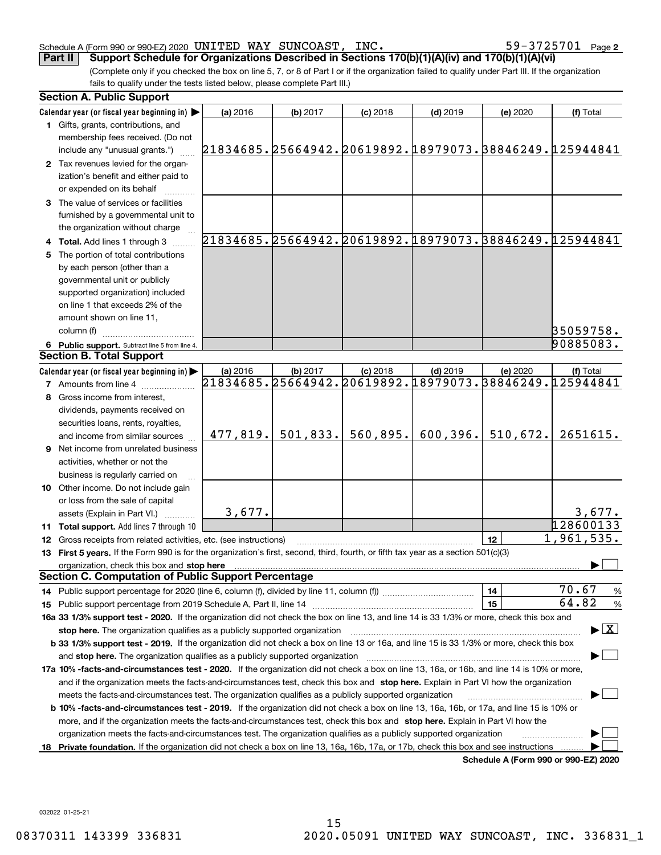#### Schedule A (Form 990 or 990-EZ) 2020 UN<code>LTED WAY SUNCOAST</code> , INC . 5 Y \_ 3 / Z 5 / U L Page UNITED WAY SUNCOAST, INC.  $59-3725701$

59-3725701 Page 2

(Complete only if you checked the box on line 5, 7, or 8 of Part I or if the organization failed to qualify under Part III. If the organization fails to qualify under the tests listed below, please complete Part III.) **Part II Support Schedule for Organizations Described in Sections 170(b)(1)(A)(iv) and 170(b)(1)(A)(vi)**

| Calendar year (or fiscal year beginning in)<br>(a) 2016<br>(b) 2017<br>$(c)$ 2018<br>$(d)$ 2019<br>(e) 2020<br>(f) Total<br>1 Gifts, grants, contributions, and<br>membership fees received. (Do not<br>21834685.25664942.20619892.18979073.38846249.125944841<br>include any "unusual grants.")<br>2 Tax revenues levied for the organ-<br>ization's benefit and either paid to<br>or expended on its behalf<br>3 The value of services or facilities<br>furnished by a governmental unit to<br>the organization without charge<br>21834685.25664942.20619892.18979073.38846249.125944841<br>4 Total. Add lines 1 through 3<br>5 The portion of total contributions<br>by each person (other than a<br>governmental unit or publicly<br>supported organization) included<br>on line 1 that exceeds 2% of the<br>amount shown on line 11,<br>35059758.<br>column (f)<br>90885083.<br>6 Public support. Subtract line 5 from line 4.<br><b>Section B. Total Support</b><br>Calendar year (or fiscal year beginning in)<br>$(d)$ 2019<br>(a) 2016<br>(b) 2017<br>$(c)$ 2018<br>(e) 2020<br>(f) Total<br>21834685.25664942.20619892.18979073.38846249.125944841<br><b>7</b> Amounts from line 4<br>8 Gross income from interest,<br>dividends, payments received on<br>securities loans, rents, royalties,<br>560,895.<br>600, 396.<br>510,672.<br>477,819.<br>501,833.<br>2651615.<br>and income from similar sources<br><b>9</b> Net income from unrelated business<br>activities, whether or not the<br>business is regularly carried on<br><b>10</b> Other income. Do not include gain<br>or loss from the sale of capital<br>3,677.<br>3,677.<br>assets (Explain in Part VI.) <b>Constant</b><br>128600133<br>11 Total support. Add lines 7 through 10<br>1,961,535.<br>12<br>12 Gross receipts from related activities, etc. (see instructions)<br>13 First 5 years. If the Form 990 is for the organization's first, second, third, fourth, or fifth tax year as a section 501(c)(3)<br>organization, check this box and stop here<br><b>Section C. Computation of Public Support Percentage</b><br>70.67<br>14<br>$\frac{9}{6}$<br>64.82<br>15<br>%<br>16a 33 1/3% support test - 2020. If the organization did not check the box on line 13, and line 14 is 33 1/3% or more, check this box and<br>$\blacktriangleright$ $\vert$ X $\vert$<br>stop here. The organization qualifies as a publicly supported organization<br>b 33 1/3% support test - 2019. If the organization did not check a box on line 13 or 16a, and line 15 is 33 1/3% or more, check this box<br>and stop here. The organization qualifies as a publicly supported organization<br>17a 10% -facts-and-circumstances test - 2020. If the organization did not check a box on line 13, 16a, or 16b, and line 14 is 10% or more,<br>and if the organization meets the facts-and-circumstances test, check this box and stop here. Explain in Part VI how the organization<br>meets the facts-and-circumstances test. The organization qualifies as a publicly supported organization<br><b>b 10% -facts-and-circumstances test - 2019.</b> If the organization did not check a box on line 13, 16a, 16b, or 17a, and line 15 is 10% or<br>more, and if the organization meets the facts-and-circumstances test, check this box and stop here. Explain in Part VI how the<br>organization meets the facts-and-circumstances test. The organization qualifies as a publicly supported organization | <b>Section A. Public Support</b> |  |  |  |
|----------------------------------------------------------------------------------------------------------------------------------------------------------------------------------------------------------------------------------------------------------------------------------------------------------------------------------------------------------------------------------------------------------------------------------------------------------------------------------------------------------------------------------------------------------------------------------------------------------------------------------------------------------------------------------------------------------------------------------------------------------------------------------------------------------------------------------------------------------------------------------------------------------------------------------------------------------------------------------------------------------------------------------------------------------------------------------------------------------------------------------------------------------------------------------------------------------------------------------------------------------------------------------------------------------------------------------------------------------------------------------------------------------------------------------------------------------------------------------------------------------------------------------------------------------------------------------------------------------------------------------------------------------------------------------------------------------------------------------------------------------------------------------------------------------------------------------------------------------------------------------------------------------------------------------------------------------------------------------------------------------------------------------------------------------------------------------------------------------------------------------------------------------------------------------------------------------------------------------------------------------------------------------------------------------------------------------------------------------------------------------------------------------------------------------------------------------------------------------------------------------------------------------------------------------------------------------------------------------------------------------------------------------------------------------------------------------------------------------------------------------------------------------------------------------------------------------------------------------------------------------------------------------------------------------------------------------------------------------------------------------------------------------------------------------------------------------------------------------------------------------------------------------------------------------------------------------------------------------------------------------------------------------------------------------------------------------------------------------------------------------------------------------------------------------------------------------------------------|----------------------------------|--|--|--|
|                                                                                                                                                                                                                                                                                                                                                                                                                                                                                                                                                                                                                                                                                                                                                                                                                                                                                                                                                                                                                                                                                                                                                                                                                                                                                                                                                                                                                                                                                                                                                                                                                                                                                                                                                                                                                                                                                                                                                                                                                                                                                                                                                                                                                                                                                                                                                                                                                                                                                                                                                                                                                                                                                                                                                                                                                                                                                                                                                                                                                                                                                                                                                                                                                                                                                                                                                                                                                                                                            |                                  |  |  |  |
|                                                                                                                                                                                                                                                                                                                                                                                                                                                                                                                                                                                                                                                                                                                                                                                                                                                                                                                                                                                                                                                                                                                                                                                                                                                                                                                                                                                                                                                                                                                                                                                                                                                                                                                                                                                                                                                                                                                                                                                                                                                                                                                                                                                                                                                                                                                                                                                                                                                                                                                                                                                                                                                                                                                                                                                                                                                                                                                                                                                                                                                                                                                                                                                                                                                                                                                                                                                                                                                                            |                                  |  |  |  |
|                                                                                                                                                                                                                                                                                                                                                                                                                                                                                                                                                                                                                                                                                                                                                                                                                                                                                                                                                                                                                                                                                                                                                                                                                                                                                                                                                                                                                                                                                                                                                                                                                                                                                                                                                                                                                                                                                                                                                                                                                                                                                                                                                                                                                                                                                                                                                                                                                                                                                                                                                                                                                                                                                                                                                                                                                                                                                                                                                                                                                                                                                                                                                                                                                                                                                                                                                                                                                                                                            |                                  |  |  |  |
|                                                                                                                                                                                                                                                                                                                                                                                                                                                                                                                                                                                                                                                                                                                                                                                                                                                                                                                                                                                                                                                                                                                                                                                                                                                                                                                                                                                                                                                                                                                                                                                                                                                                                                                                                                                                                                                                                                                                                                                                                                                                                                                                                                                                                                                                                                                                                                                                                                                                                                                                                                                                                                                                                                                                                                                                                                                                                                                                                                                                                                                                                                                                                                                                                                                                                                                                                                                                                                                                            |                                  |  |  |  |
|                                                                                                                                                                                                                                                                                                                                                                                                                                                                                                                                                                                                                                                                                                                                                                                                                                                                                                                                                                                                                                                                                                                                                                                                                                                                                                                                                                                                                                                                                                                                                                                                                                                                                                                                                                                                                                                                                                                                                                                                                                                                                                                                                                                                                                                                                                                                                                                                                                                                                                                                                                                                                                                                                                                                                                                                                                                                                                                                                                                                                                                                                                                                                                                                                                                                                                                                                                                                                                                                            |                                  |  |  |  |
|                                                                                                                                                                                                                                                                                                                                                                                                                                                                                                                                                                                                                                                                                                                                                                                                                                                                                                                                                                                                                                                                                                                                                                                                                                                                                                                                                                                                                                                                                                                                                                                                                                                                                                                                                                                                                                                                                                                                                                                                                                                                                                                                                                                                                                                                                                                                                                                                                                                                                                                                                                                                                                                                                                                                                                                                                                                                                                                                                                                                                                                                                                                                                                                                                                                                                                                                                                                                                                                                            |                                  |  |  |  |
|                                                                                                                                                                                                                                                                                                                                                                                                                                                                                                                                                                                                                                                                                                                                                                                                                                                                                                                                                                                                                                                                                                                                                                                                                                                                                                                                                                                                                                                                                                                                                                                                                                                                                                                                                                                                                                                                                                                                                                                                                                                                                                                                                                                                                                                                                                                                                                                                                                                                                                                                                                                                                                                                                                                                                                                                                                                                                                                                                                                                                                                                                                                                                                                                                                                                                                                                                                                                                                                                            |                                  |  |  |  |
|                                                                                                                                                                                                                                                                                                                                                                                                                                                                                                                                                                                                                                                                                                                                                                                                                                                                                                                                                                                                                                                                                                                                                                                                                                                                                                                                                                                                                                                                                                                                                                                                                                                                                                                                                                                                                                                                                                                                                                                                                                                                                                                                                                                                                                                                                                                                                                                                                                                                                                                                                                                                                                                                                                                                                                                                                                                                                                                                                                                                                                                                                                                                                                                                                                                                                                                                                                                                                                                                            |                                  |  |  |  |
|                                                                                                                                                                                                                                                                                                                                                                                                                                                                                                                                                                                                                                                                                                                                                                                                                                                                                                                                                                                                                                                                                                                                                                                                                                                                                                                                                                                                                                                                                                                                                                                                                                                                                                                                                                                                                                                                                                                                                                                                                                                                                                                                                                                                                                                                                                                                                                                                                                                                                                                                                                                                                                                                                                                                                                                                                                                                                                                                                                                                                                                                                                                                                                                                                                                                                                                                                                                                                                                                            |                                  |  |  |  |
|                                                                                                                                                                                                                                                                                                                                                                                                                                                                                                                                                                                                                                                                                                                                                                                                                                                                                                                                                                                                                                                                                                                                                                                                                                                                                                                                                                                                                                                                                                                                                                                                                                                                                                                                                                                                                                                                                                                                                                                                                                                                                                                                                                                                                                                                                                                                                                                                                                                                                                                                                                                                                                                                                                                                                                                                                                                                                                                                                                                                                                                                                                                                                                                                                                                                                                                                                                                                                                                                            |                                  |  |  |  |
|                                                                                                                                                                                                                                                                                                                                                                                                                                                                                                                                                                                                                                                                                                                                                                                                                                                                                                                                                                                                                                                                                                                                                                                                                                                                                                                                                                                                                                                                                                                                                                                                                                                                                                                                                                                                                                                                                                                                                                                                                                                                                                                                                                                                                                                                                                                                                                                                                                                                                                                                                                                                                                                                                                                                                                                                                                                                                                                                                                                                                                                                                                                                                                                                                                                                                                                                                                                                                                                                            |                                  |  |  |  |
|                                                                                                                                                                                                                                                                                                                                                                                                                                                                                                                                                                                                                                                                                                                                                                                                                                                                                                                                                                                                                                                                                                                                                                                                                                                                                                                                                                                                                                                                                                                                                                                                                                                                                                                                                                                                                                                                                                                                                                                                                                                                                                                                                                                                                                                                                                                                                                                                                                                                                                                                                                                                                                                                                                                                                                                                                                                                                                                                                                                                                                                                                                                                                                                                                                                                                                                                                                                                                                                                            |                                  |  |  |  |
|                                                                                                                                                                                                                                                                                                                                                                                                                                                                                                                                                                                                                                                                                                                                                                                                                                                                                                                                                                                                                                                                                                                                                                                                                                                                                                                                                                                                                                                                                                                                                                                                                                                                                                                                                                                                                                                                                                                                                                                                                                                                                                                                                                                                                                                                                                                                                                                                                                                                                                                                                                                                                                                                                                                                                                                                                                                                                                                                                                                                                                                                                                                                                                                                                                                                                                                                                                                                                                                                            |                                  |  |  |  |
|                                                                                                                                                                                                                                                                                                                                                                                                                                                                                                                                                                                                                                                                                                                                                                                                                                                                                                                                                                                                                                                                                                                                                                                                                                                                                                                                                                                                                                                                                                                                                                                                                                                                                                                                                                                                                                                                                                                                                                                                                                                                                                                                                                                                                                                                                                                                                                                                                                                                                                                                                                                                                                                                                                                                                                                                                                                                                                                                                                                                                                                                                                                                                                                                                                                                                                                                                                                                                                                                            |                                  |  |  |  |
|                                                                                                                                                                                                                                                                                                                                                                                                                                                                                                                                                                                                                                                                                                                                                                                                                                                                                                                                                                                                                                                                                                                                                                                                                                                                                                                                                                                                                                                                                                                                                                                                                                                                                                                                                                                                                                                                                                                                                                                                                                                                                                                                                                                                                                                                                                                                                                                                                                                                                                                                                                                                                                                                                                                                                                                                                                                                                                                                                                                                                                                                                                                                                                                                                                                                                                                                                                                                                                                                            |                                  |  |  |  |
|                                                                                                                                                                                                                                                                                                                                                                                                                                                                                                                                                                                                                                                                                                                                                                                                                                                                                                                                                                                                                                                                                                                                                                                                                                                                                                                                                                                                                                                                                                                                                                                                                                                                                                                                                                                                                                                                                                                                                                                                                                                                                                                                                                                                                                                                                                                                                                                                                                                                                                                                                                                                                                                                                                                                                                                                                                                                                                                                                                                                                                                                                                                                                                                                                                                                                                                                                                                                                                                                            |                                  |  |  |  |
|                                                                                                                                                                                                                                                                                                                                                                                                                                                                                                                                                                                                                                                                                                                                                                                                                                                                                                                                                                                                                                                                                                                                                                                                                                                                                                                                                                                                                                                                                                                                                                                                                                                                                                                                                                                                                                                                                                                                                                                                                                                                                                                                                                                                                                                                                                                                                                                                                                                                                                                                                                                                                                                                                                                                                                                                                                                                                                                                                                                                                                                                                                                                                                                                                                                                                                                                                                                                                                                                            |                                  |  |  |  |
|                                                                                                                                                                                                                                                                                                                                                                                                                                                                                                                                                                                                                                                                                                                                                                                                                                                                                                                                                                                                                                                                                                                                                                                                                                                                                                                                                                                                                                                                                                                                                                                                                                                                                                                                                                                                                                                                                                                                                                                                                                                                                                                                                                                                                                                                                                                                                                                                                                                                                                                                                                                                                                                                                                                                                                                                                                                                                                                                                                                                                                                                                                                                                                                                                                                                                                                                                                                                                                                                            |                                  |  |  |  |
|                                                                                                                                                                                                                                                                                                                                                                                                                                                                                                                                                                                                                                                                                                                                                                                                                                                                                                                                                                                                                                                                                                                                                                                                                                                                                                                                                                                                                                                                                                                                                                                                                                                                                                                                                                                                                                                                                                                                                                                                                                                                                                                                                                                                                                                                                                                                                                                                                                                                                                                                                                                                                                                                                                                                                                                                                                                                                                                                                                                                                                                                                                                                                                                                                                                                                                                                                                                                                                                                            |                                  |  |  |  |
|                                                                                                                                                                                                                                                                                                                                                                                                                                                                                                                                                                                                                                                                                                                                                                                                                                                                                                                                                                                                                                                                                                                                                                                                                                                                                                                                                                                                                                                                                                                                                                                                                                                                                                                                                                                                                                                                                                                                                                                                                                                                                                                                                                                                                                                                                                                                                                                                                                                                                                                                                                                                                                                                                                                                                                                                                                                                                                                                                                                                                                                                                                                                                                                                                                                                                                                                                                                                                                                                            |                                  |  |  |  |
|                                                                                                                                                                                                                                                                                                                                                                                                                                                                                                                                                                                                                                                                                                                                                                                                                                                                                                                                                                                                                                                                                                                                                                                                                                                                                                                                                                                                                                                                                                                                                                                                                                                                                                                                                                                                                                                                                                                                                                                                                                                                                                                                                                                                                                                                                                                                                                                                                                                                                                                                                                                                                                                                                                                                                                                                                                                                                                                                                                                                                                                                                                                                                                                                                                                                                                                                                                                                                                                                            |                                  |  |  |  |
|                                                                                                                                                                                                                                                                                                                                                                                                                                                                                                                                                                                                                                                                                                                                                                                                                                                                                                                                                                                                                                                                                                                                                                                                                                                                                                                                                                                                                                                                                                                                                                                                                                                                                                                                                                                                                                                                                                                                                                                                                                                                                                                                                                                                                                                                                                                                                                                                                                                                                                                                                                                                                                                                                                                                                                                                                                                                                                                                                                                                                                                                                                                                                                                                                                                                                                                                                                                                                                                                            |                                  |  |  |  |
|                                                                                                                                                                                                                                                                                                                                                                                                                                                                                                                                                                                                                                                                                                                                                                                                                                                                                                                                                                                                                                                                                                                                                                                                                                                                                                                                                                                                                                                                                                                                                                                                                                                                                                                                                                                                                                                                                                                                                                                                                                                                                                                                                                                                                                                                                                                                                                                                                                                                                                                                                                                                                                                                                                                                                                                                                                                                                                                                                                                                                                                                                                                                                                                                                                                                                                                                                                                                                                                                            |                                  |  |  |  |
|                                                                                                                                                                                                                                                                                                                                                                                                                                                                                                                                                                                                                                                                                                                                                                                                                                                                                                                                                                                                                                                                                                                                                                                                                                                                                                                                                                                                                                                                                                                                                                                                                                                                                                                                                                                                                                                                                                                                                                                                                                                                                                                                                                                                                                                                                                                                                                                                                                                                                                                                                                                                                                                                                                                                                                                                                                                                                                                                                                                                                                                                                                                                                                                                                                                                                                                                                                                                                                                                            |                                  |  |  |  |
|                                                                                                                                                                                                                                                                                                                                                                                                                                                                                                                                                                                                                                                                                                                                                                                                                                                                                                                                                                                                                                                                                                                                                                                                                                                                                                                                                                                                                                                                                                                                                                                                                                                                                                                                                                                                                                                                                                                                                                                                                                                                                                                                                                                                                                                                                                                                                                                                                                                                                                                                                                                                                                                                                                                                                                                                                                                                                                                                                                                                                                                                                                                                                                                                                                                                                                                                                                                                                                                                            |                                  |  |  |  |
|                                                                                                                                                                                                                                                                                                                                                                                                                                                                                                                                                                                                                                                                                                                                                                                                                                                                                                                                                                                                                                                                                                                                                                                                                                                                                                                                                                                                                                                                                                                                                                                                                                                                                                                                                                                                                                                                                                                                                                                                                                                                                                                                                                                                                                                                                                                                                                                                                                                                                                                                                                                                                                                                                                                                                                                                                                                                                                                                                                                                                                                                                                                                                                                                                                                                                                                                                                                                                                                                            |                                  |  |  |  |
|                                                                                                                                                                                                                                                                                                                                                                                                                                                                                                                                                                                                                                                                                                                                                                                                                                                                                                                                                                                                                                                                                                                                                                                                                                                                                                                                                                                                                                                                                                                                                                                                                                                                                                                                                                                                                                                                                                                                                                                                                                                                                                                                                                                                                                                                                                                                                                                                                                                                                                                                                                                                                                                                                                                                                                                                                                                                                                                                                                                                                                                                                                                                                                                                                                                                                                                                                                                                                                                                            |                                  |  |  |  |
|                                                                                                                                                                                                                                                                                                                                                                                                                                                                                                                                                                                                                                                                                                                                                                                                                                                                                                                                                                                                                                                                                                                                                                                                                                                                                                                                                                                                                                                                                                                                                                                                                                                                                                                                                                                                                                                                                                                                                                                                                                                                                                                                                                                                                                                                                                                                                                                                                                                                                                                                                                                                                                                                                                                                                                                                                                                                                                                                                                                                                                                                                                                                                                                                                                                                                                                                                                                                                                                                            |                                  |  |  |  |
|                                                                                                                                                                                                                                                                                                                                                                                                                                                                                                                                                                                                                                                                                                                                                                                                                                                                                                                                                                                                                                                                                                                                                                                                                                                                                                                                                                                                                                                                                                                                                                                                                                                                                                                                                                                                                                                                                                                                                                                                                                                                                                                                                                                                                                                                                                                                                                                                                                                                                                                                                                                                                                                                                                                                                                                                                                                                                                                                                                                                                                                                                                                                                                                                                                                                                                                                                                                                                                                                            |                                  |  |  |  |
|                                                                                                                                                                                                                                                                                                                                                                                                                                                                                                                                                                                                                                                                                                                                                                                                                                                                                                                                                                                                                                                                                                                                                                                                                                                                                                                                                                                                                                                                                                                                                                                                                                                                                                                                                                                                                                                                                                                                                                                                                                                                                                                                                                                                                                                                                                                                                                                                                                                                                                                                                                                                                                                                                                                                                                                                                                                                                                                                                                                                                                                                                                                                                                                                                                                                                                                                                                                                                                                                            |                                  |  |  |  |
|                                                                                                                                                                                                                                                                                                                                                                                                                                                                                                                                                                                                                                                                                                                                                                                                                                                                                                                                                                                                                                                                                                                                                                                                                                                                                                                                                                                                                                                                                                                                                                                                                                                                                                                                                                                                                                                                                                                                                                                                                                                                                                                                                                                                                                                                                                                                                                                                                                                                                                                                                                                                                                                                                                                                                                                                                                                                                                                                                                                                                                                                                                                                                                                                                                                                                                                                                                                                                                                                            |                                  |  |  |  |
|                                                                                                                                                                                                                                                                                                                                                                                                                                                                                                                                                                                                                                                                                                                                                                                                                                                                                                                                                                                                                                                                                                                                                                                                                                                                                                                                                                                                                                                                                                                                                                                                                                                                                                                                                                                                                                                                                                                                                                                                                                                                                                                                                                                                                                                                                                                                                                                                                                                                                                                                                                                                                                                                                                                                                                                                                                                                                                                                                                                                                                                                                                                                                                                                                                                                                                                                                                                                                                                                            |                                  |  |  |  |
|                                                                                                                                                                                                                                                                                                                                                                                                                                                                                                                                                                                                                                                                                                                                                                                                                                                                                                                                                                                                                                                                                                                                                                                                                                                                                                                                                                                                                                                                                                                                                                                                                                                                                                                                                                                                                                                                                                                                                                                                                                                                                                                                                                                                                                                                                                                                                                                                                                                                                                                                                                                                                                                                                                                                                                                                                                                                                                                                                                                                                                                                                                                                                                                                                                                                                                                                                                                                                                                                            |                                  |  |  |  |
|                                                                                                                                                                                                                                                                                                                                                                                                                                                                                                                                                                                                                                                                                                                                                                                                                                                                                                                                                                                                                                                                                                                                                                                                                                                                                                                                                                                                                                                                                                                                                                                                                                                                                                                                                                                                                                                                                                                                                                                                                                                                                                                                                                                                                                                                                                                                                                                                                                                                                                                                                                                                                                                                                                                                                                                                                                                                                                                                                                                                                                                                                                                                                                                                                                                                                                                                                                                                                                                                            |                                  |  |  |  |
|                                                                                                                                                                                                                                                                                                                                                                                                                                                                                                                                                                                                                                                                                                                                                                                                                                                                                                                                                                                                                                                                                                                                                                                                                                                                                                                                                                                                                                                                                                                                                                                                                                                                                                                                                                                                                                                                                                                                                                                                                                                                                                                                                                                                                                                                                                                                                                                                                                                                                                                                                                                                                                                                                                                                                                                                                                                                                                                                                                                                                                                                                                                                                                                                                                                                                                                                                                                                                                                                            |                                  |  |  |  |
|                                                                                                                                                                                                                                                                                                                                                                                                                                                                                                                                                                                                                                                                                                                                                                                                                                                                                                                                                                                                                                                                                                                                                                                                                                                                                                                                                                                                                                                                                                                                                                                                                                                                                                                                                                                                                                                                                                                                                                                                                                                                                                                                                                                                                                                                                                                                                                                                                                                                                                                                                                                                                                                                                                                                                                                                                                                                                                                                                                                                                                                                                                                                                                                                                                                                                                                                                                                                                                                                            |                                  |  |  |  |
|                                                                                                                                                                                                                                                                                                                                                                                                                                                                                                                                                                                                                                                                                                                                                                                                                                                                                                                                                                                                                                                                                                                                                                                                                                                                                                                                                                                                                                                                                                                                                                                                                                                                                                                                                                                                                                                                                                                                                                                                                                                                                                                                                                                                                                                                                                                                                                                                                                                                                                                                                                                                                                                                                                                                                                                                                                                                                                                                                                                                                                                                                                                                                                                                                                                                                                                                                                                                                                                                            |                                  |  |  |  |
|                                                                                                                                                                                                                                                                                                                                                                                                                                                                                                                                                                                                                                                                                                                                                                                                                                                                                                                                                                                                                                                                                                                                                                                                                                                                                                                                                                                                                                                                                                                                                                                                                                                                                                                                                                                                                                                                                                                                                                                                                                                                                                                                                                                                                                                                                                                                                                                                                                                                                                                                                                                                                                                                                                                                                                                                                                                                                                                                                                                                                                                                                                                                                                                                                                                                                                                                                                                                                                                                            |                                  |  |  |  |
|                                                                                                                                                                                                                                                                                                                                                                                                                                                                                                                                                                                                                                                                                                                                                                                                                                                                                                                                                                                                                                                                                                                                                                                                                                                                                                                                                                                                                                                                                                                                                                                                                                                                                                                                                                                                                                                                                                                                                                                                                                                                                                                                                                                                                                                                                                                                                                                                                                                                                                                                                                                                                                                                                                                                                                                                                                                                                                                                                                                                                                                                                                                                                                                                                                                                                                                                                                                                                                                                            |                                  |  |  |  |
|                                                                                                                                                                                                                                                                                                                                                                                                                                                                                                                                                                                                                                                                                                                                                                                                                                                                                                                                                                                                                                                                                                                                                                                                                                                                                                                                                                                                                                                                                                                                                                                                                                                                                                                                                                                                                                                                                                                                                                                                                                                                                                                                                                                                                                                                                                                                                                                                                                                                                                                                                                                                                                                                                                                                                                                                                                                                                                                                                                                                                                                                                                                                                                                                                                                                                                                                                                                                                                                                            |                                  |  |  |  |
|                                                                                                                                                                                                                                                                                                                                                                                                                                                                                                                                                                                                                                                                                                                                                                                                                                                                                                                                                                                                                                                                                                                                                                                                                                                                                                                                                                                                                                                                                                                                                                                                                                                                                                                                                                                                                                                                                                                                                                                                                                                                                                                                                                                                                                                                                                                                                                                                                                                                                                                                                                                                                                                                                                                                                                                                                                                                                                                                                                                                                                                                                                                                                                                                                                                                                                                                                                                                                                                                            |                                  |  |  |  |
|                                                                                                                                                                                                                                                                                                                                                                                                                                                                                                                                                                                                                                                                                                                                                                                                                                                                                                                                                                                                                                                                                                                                                                                                                                                                                                                                                                                                                                                                                                                                                                                                                                                                                                                                                                                                                                                                                                                                                                                                                                                                                                                                                                                                                                                                                                                                                                                                                                                                                                                                                                                                                                                                                                                                                                                                                                                                                                                                                                                                                                                                                                                                                                                                                                                                                                                                                                                                                                                                            |                                  |  |  |  |
|                                                                                                                                                                                                                                                                                                                                                                                                                                                                                                                                                                                                                                                                                                                                                                                                                                                                                                                                                                                                                                                                                                                                                                                                                                                                                                                                                                                                                                                                                                                                                                                                                                                                                                                                                                                                                                                                                                                                                                                                                                                                                                                                                                                                                                                                                                                                                                                                                                                                                                                                                                                                                                                                                                                                                                                                                                                                                                                                                                                                                                                                                                                                                                                                                                                                                                                                                                                                                                                                            |                                  |  |  |  |
|                                                                                                                                                                                                                                                                                                                                                                                                                                                                                                                                                                                                                                                                                                                                                                                                                                                                                                                                                                                                                                                                                                                                                                                                                                                                                                                                                                                                                                                                                                                                                                                                                                                                                                                                                                                                                                                                                                                                                                                                                                                                                                                                                                                                                                                                                                                                                                                                                                                                                                                                                                                                                                                                                                                                                                                                                                                                                                                                                                                                                                                                                                                                                                                                                                                                                                                                                                                                                                                                            |                                  |  |  |  |
|                                                                                                                                                                                                                                                                                                                                                                                                                                                                                                                                                                                                                                                                                                                                                                                                                                                                                                                                                                                                                                                                                                                                                                                                                                                                                                                                                                                                                                                                                                                                                                                                                                                                                                                                                                                                                                                                                                                                                                                                                                                                                                                                                                                                                                                                                                                                                                                                                                                                                                                                                                                                                                                                                                                                                                                                                                                                                                                                                                                                                                                                                                                                                                                                                                                                                                                                                                                                                                                                            |                                  |  |  |  |
|                                                                                                                                                                                                                                                                                                                                                                                                                                                                                                                                                                                                                                                                                                                                                                                                                                                                                                                                                                                                                                                                                                                                                                                                                                                                                                                                                                                                                                                                                                                                                                                                                                                                                                                                                                                                                                                                                                                                                                                                                                                                                                                                                                                                                                                                                                                                                                                                                                                                                                                                                                                                                                                                                                                                                                                                                                                                                                                                                                                                                                                                                                                                                                                                                                                                                                                                                                                                                                                                            |                                  |  |  |  |
|                                                                                                                                                                                                                                                                                                                                                                                                                                                                                                                                                                                                                                                                                                                                                                                                                                                                                                                                                                                                                                                                                                                                                                                                                                                                                                                                                                                                                                                                                                                                                                                                                                                                                                                                                                                                                                                                                                                                                                                                                                                                                                                                                                                                                                                                                                                                                                                                                                                                                                                                                                                                                                                                                                                                                                                                                                                                                                                                                                                                                                                                                                                                                                                                                                                                                                                                                                                                                                                                            |                                  |  |  |  |
|                                                                                                                                                                                                                                                                                                                                                                                                                                                                                                                                                                                                                                                                                                                                                                                                                                                                                                                                                                                                                                                                                                                                                                                                                                                                                                                                                                                                                                                                                                                                                                                                                                                                                                                                                                                                                                                                                                                                                                                                                                                                                                                                                                                                                                                                                                                                                                                                                                                                                                                                                                                                                                                                                                                                                                                                                                                                                                                                                                                                                                                                                                                                                                                                                                                                                                                                                                                                                                                                            |                                  |  |  |  |
|                                                                                                                                                                                                                                                                                                                                                                                                                                                                                                                                                                                                                                                                                                                                                                                                                                                                                                                                                                                                                                                                                                                                                                                                                                                                                                                                                                                                                                                                                                                                                                                                                                                                                                                                                                                                                                                                                                                                                                                                                                                                                                                                                                                                                                                                                                                                                                                                                                                                                                                                                                                                                                                                                                                                                                                                                                                                                                                                                                                                                                                                                                                                                                                                                                                                                                                                                                                                                                                                            |                                  |  |  |  |
|                                                                                                                                                                                                                                                                                                                                                                                                                                                                                                                                                                                                                                                                                                                                                                                                                                                                                                                                                                                                                                                                                                                                                                                                                                                                                                                                                                                                                                                                                                                                                                                                                                                                                                                                                                                                                                                                                                                                                                                                                                                                                                                                                                                                                                                                                                                                                                                                                                                                                                                                                                                                                                                                                                                                                                                                                                                                                                                                                                                                                                                                                                                                                                                                                                                                                                                                                                                                                                                                            |                                  |  |  |  |
|                                                                                                                                                                                                                                                                                                                                                                                                                                                                                                                                                                                                                                                                                                                                                                                                                                                                                                                                                                                                                                                                                                                                                                                                                                                                                                                                                                                                                                                                                                                                                                                                                                                                                                                                                                                                                                                                                                                                                                                                                                                                                                                                                                                                                                                                                                                                                                                                                                                                                                                                                                                                                                                                                                                                                                                                                                                                                                                                                                                                                                                                                                                                                                                                                                                                                                                                                                                                                                                                            |                                  |  |  |  |
| Private foundation. If the organization did not check a box on line 13, 16a, 16b, 17a, or 17b, check this box and see instructions<br>18<br>Schedule A (Form 990 or 990-F7) 2020                                                                                                                                                                                                                                                                                                                                                                                                                                                                                                                                                                                                                                                                                                                                                                                                                                                                                                                                                                                                                                                                                                                                                                                                                                                                                                                                                                                                                                                                                                                                                                                                                                                                                                                                                                                                                                                                                                                                                                                                                                                                                                                                                                                                                                                                                                                                                                                                                                                                                                                                                                                                                                                                                                                                                                                                                                                                                                                                                                                                                                                                                                                                                                                                                                                                                           |                                  |  |  |  |

**Schedule A (Form 990 or 990-EZ) 2020**

032022 01-25-21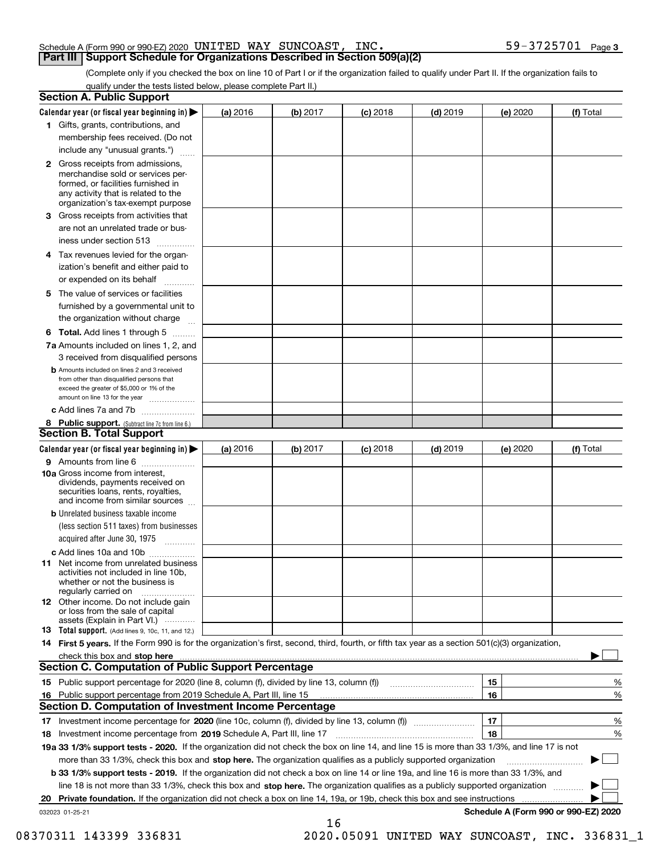### Schedule A (Form 990 or 990-EZ) 2020 <code>UNITED WAY SUNCOAST</code> , <code>INC.</code>  $59-3725701$  <code>Page</code> **Part III Support Schedule for Organizations Described in Section 509(a)(2)**

(Complete only if you checked the box on line 10 of Part I or if the organization failed to qualify under Part II. If the organization fails to qualify under the tests listed below, please complete Part II.)

|    | <b>Section A. Public Support</b>                                                                                                                                                                                               |            |          |            |            |          |                                      |
|----|--------------------------------------------------------------------------------------------------------------------------------------------------------------------------------------------------------------------------------|------------|----------|------------|------------|----------|--------------------------------------|
|    | Calendar year (or fiscal year beginning in) $\blacktriangleright$                                                                                                                                                              | $(a)$ 2016 | (b) 2017 | $(c)$ 2018 | $(d)$ 2019 | (e) 2020 | (f) Total                            |
|    | 1 Gifts, grants, contributions, and                                                                                                                                                                                            |            |          |            |            |          |                                      |
|    | membership fees received. (Do not                                                                                                                                                                                              |            |          |            |            |          |                                      |
|    | include any "unusual grants.")                                                                                                                                                                                                 |            |          |            |            |          |                                      |
|    | <b>2</b> Gross receipts from admissions,<br>merchandise sold or services per-<br>formed, or facilities furnished in<br>any activity that is related to the<br>organization's tax-exempt purpose                                |            |          |            |            |          |                                      |
|    | 3 Gross receipts from activities that                                                                                                                                                                                          |            |          |            |            |          |                                      |
|    | are not an unrelated trade or bus-                                                                                                                                                                                             |            |          |            |            |          |                                      |
|    | iness under section 513                                                                                                                                                                                                        |            |          |            |            |          |                                      |
|    | 4 Tax revenues levied for the organ-                                                                                                                                                                                           |            |          |            |            |          |                                      |
|    | ization's benefit and either paid to                                                                                                                                                                                           |            |          |            |            |          |                                      |
|    | or expended on its behalf<br>.                                                                                                                                                                                                 |            |          |            |            |          |                                      |
|    | 5 The value of services or facilities                                                                                                                                                                                          |            |          |            |            |          |                                      |
|    | furnished by a governmental unit to                                                                                                                                                                                            |            |          |            |            |          |                                      |
|    | the organization without charge                                                                                                                                                                                                |            |          |            |            |          |                                      |
|    | <b>6 Total.</b> Add lines 1 through 5                                                                                                                                                                                          |            |          |            |            |          |                                      |
|    | 7a Amounts included on lines 1, 2, and<br>3 received from disqualified persons                                                                                                                                                 |            |          |            |            |          |                                      |
|    | <b>b</b> Amounts included on lines 2 and 3 received<br>from other than disqualified persons that<br>exceed the greater of \$5,000 or 1% of the<br>amount on line 13 for the year                                               |            |          |            |            |          |                                      |
|    | c Add lines 7a and 7b                                                                                                                                                                                                          |            |          |            |            |          |                                      |
|    | 8 Public support. (Subtract line 7c from line 6.)                                                                                                                                                                              |            |          |            |            |          |                                      |
|    | <b>Section B. Total Support</b>                                                                                                                                                                                                |            |          |            |            |          |                                      |
|    | Calendar year (or fiscal year beginning in)                                                                                                                                                                                    | (a) 2016   | (b) 2017 | $(c)$ 2018 | $(d)$ 2019 | (e) 2020 | (f) Total                            |
|    | 9 Amounts from line 6                                                                                                                                                                                                          |            |          |            |            |          |                                      |
|    | 10a Gross income from interest,<br>dividends, payments received on<br>securities loans, rents, royalties,<br>and income from similar sources                                                                                   |            |          |            |            |          |                                      |
|    | <b>b</b> Unrelated business taxable income                                                                                                                                                                                     |            |          |            |            |          |                                      |
|    | (less section 511 taxes) from businesses<br>acquired after June 30, 1975                                                                                                                                                       |            |          |            |            |          |                                      |
|    | c Add lines 10a and 10b                                                                                                                                                                                                        |            |          |            |            |          |                                      |
|    | 11 Net income from unrelated business<br>activities not included in line 10b,<br>whether or not the business is<br>regularly carried on                                                                                        |            |          |            |            |          |                                      |
|    | 12 Other income. Do not include gain<br>or loss from the sale of capital<br>assets (Explain in Part VI.)                                                                                                                       |            |          |            |            |          |                                      |
|    | 13 Total support. (Add lines 9, 10c, 11, and 12.)                                                                                                                                                                              |            |          |            |            |          |                                      |
|    | 14 First 5 years. If the Form 990 is for the organization's first, second, third, fourth, or fifth tax year as a section 501(c)(3) organization,                                                                               |            |          |            |            |          |                                      |
|    | check this box and stop here measured and contained a state of the state of the state of the state of the state of the state of the state of the state of the state of the state of the state of the state of the state of the |            |          |            |            |          |                                      |
|    | <b>Section C. Computation of Public Support Percentage</b>                                                                                                                                                                     |            |          |            |            |          |                                      |
|    |                                                                                                                                                                                                                                |            |          |            |            | 15       | %                                    |
| 16 | Public support percentage from 2019 Schedule A, Part III, line 15                                                                                                                                                              |            |          |            |            | 16       | %                                    |
|    | <b>Section D. Computation of Investment Income Percentage</b>                                                                                                                                                                  |            |          |            |            |          |                                      |
|    | 17 Investment income percentage for 2020 (line 10c, column (f), divided by line 13, column (f))                                                                                                                                |            |          |            |            | 17       | %                                    |
|    | 18 Investment income percentage from 2019 Schedule A, Part III, line 17                                                                                                                                                        |            |          |            |            | 18       | %                                    |
|    | 19a 33 1/3% support tests - 2020. If the organization did not check the box on line 14, and line 15 is more than 33 1/3%, and line 17 is not                                                                                   |            |          |            |            |          |                                      |
|    | more than 33 1/3%, check this box and stop here. The organization qualifies as a publicly supported organization                                                                                                               |            |          |            |            |          |                                      |
|    | b 33 1/3% support tests - 2019. If the organization did not check a box on line 14 or line 19a, and line 16 is more than 33 1/3%, and                                                                                          |            |          |            |            |          |                                      |
|    | line 18 is not more than 33 1/3%, check this box and stop here. The organization qualifies as a publicly supported organization                                                                                                |            |          |            |            |          |                                      |
|    | 20 Private foundation. If the organization did not check a box on line 14, 19a, or 19b, check this box and see instructions                                                                                                    |            |          |            |            |          | .                                    |
|    | 032023 01-25-21                                                                                                                                                                                                                |            | 16       |            |            |          | Schedule A (Form 990 or 990-EZ) 2020 |
|    |                                                                                                                                                                                                                                |            |          |            |            |          |                                      |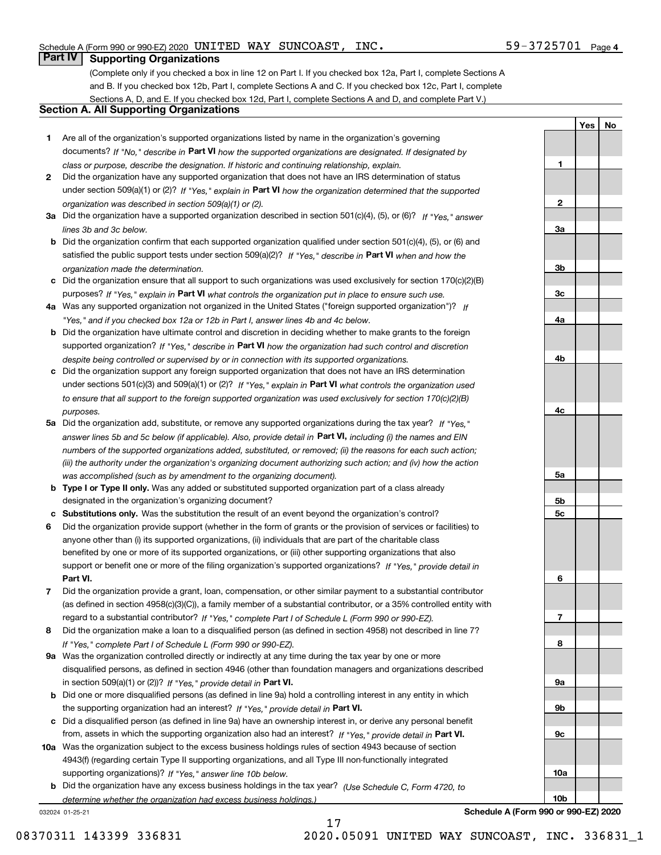**1**

**2**

**3a**

**YesNo**

# **Part IV Supporting Organizations**

(Complete only if you checked a box in line 12 on Part I. If you checked box 12a, Part I, complete Sections A and B. If you checked box 12b, Part I, complete Sections A and C. If you checked box 12c, Part I, complete Sections A, D, and E. If you checked box 12d, Part I, complete Sections A and D, and complete Part V.)

# **Section A. All Supporting Organizations**

- **1** Are all of the organization's supported organizations listed by name in the organization's governing documents? If "No," describe in **Part VI** how the supported organizations are designated. If designated by *class or purpose, describe the designation. If historic and continuing relationship, explain.*
- **2** Did the organization have any supported organization that does not have an IRS determination of status under section 509(a)(1) or (2)? If "Yes," explain in Part VI how the organization determined that the supported *organization was described in section 509(a)(1) or (2).*
- **3a** Did the organization have a supported organization described in section 501(c)(4), (5), or (6)? If "Yes," answer *lines 3b and 3c below.*
- **b** Did the organization confirm that each supported organization qualified under section 501(c)(4), (5), or (6) and satisfied the public support tests under section 509(a)(2)? If "Yes," describe in **Part VI** when and how the *organization made the determination.*
- **c**Did the organization ensure that all support to such organizations was used exclusively for section 170(c)(2)(B) purposes? If "Yes," explain in **Part VI** what controls the organization put in place to ensure such use.
- **4a***If* Was any supported organization not organized in the United States ("foreign supported organization")? *"Yes," and if you checked box 12a or 12b in Part I, answer lines 4b and 4c below.*
- **b** Did the organization have ultimate control and discretion in deciding whether to make grants to the foreign supported organization? If "Yes," describe in **Part VI** how the organization had such control and discretion *despite being controlled or supervised by or in connection with its supported organizations.*
- **c** Did the organization support any foreign supported organization that does not have an IRS determination under sections 501(c)(3) and 509(a)(1) or (2)? If "Yes," explain in **Part VI** what controls the organization used *to ensure that all support to the foreign supported organization was used exclusively for section 170(c)(2)(B) purposes.*
- **5a** Did the organization add, substitute, or remove any supported organizations during the tax year? If "Yes," answer lines 5b and 5c below (if applicable). Also, provide detail in **Part VI,** including (i) the names and EIN *numbers of the supported organizations added, substituted, or removed; (ii) the reasons for each such action; (iii) the authority under the organization's organizing document authorizing such action; and (iv) how the action was accomplished (such as by amendment to the organizing document).*
- **b** Type I or Type II only. Was any added or substituted supported organization part of a class already designated in the organization's organizing document?
- **cSubstitutions only.**  Was the substitution the result of an event beyond the organization's control?
- **6** Did the organization provide support (whether in the form of grants or the provision of services or facilities) to **Part VI.** *If "Yes," provide detail in* support or benefit one or more of the filing organization's supported organizations? anyone other than (i) its supported organizations, (ii) individuals that are part of the charitable class benefited by one or more of its supported organizations, or (iii) other supporting organizations that also
- **7**Did the organization provide a grant, loan, compensation, or other similar payment to a substantial contributor *If "Yes," complete Part I of Schedule L (Form 990 or 990-EZ).* regard to a substantial contributor? (as defined in section 4958(c)(3)(C)), a family member of a substantial contributor, or a 35% controlled entity with
- **8** Did the organization make a loan to a disqualified person (as defined in section 4958) not described in line 7? *If "Yes," complete Part I of Schedule L (Form 990 or 990-EZ).*
- **9a** Was the organization controlled directly or indirectly at any time during the tax year by one or more in section 509(a)(1) or (2))? If "Yes," *provide detail in* <code>Part VI.</code> disqualified persons, as defined in section 4946 (other than foundation managers and organizations described
- **b** Did one or more disqualified persons (as defined in line 9a) hold a controlling interest in any entity in which the supporting organization had an interest? If "Yes," provide detail in P**art VI**.
- **c**Did a disqualified person (as defined in line 9a) have an ownership interest in, or derive any personal benefit from, assets in which the supporting organization also had an interest? If "Yes," provide detail in P**art VI.**
- **10a** Was the organization subject to the excess business holdings rules of section 4943 because of section supporting organizations)? If "Yes," answer line 10b below. 4943(f) (regarding certain Type II supporting organizations, and all Type III non-functionally integrated
- **b** Did the organization have any excess business holdings in the tax year? (Use Schedule C, Form 4720, to *determine whether the organization had excess business holdings.)*

17

032024 01-25-21

**3b3c4a4b4c5a 5b5c6789a 9b9c10a10b**

**Schedule A (Form 990 or 990-EZ) 2020**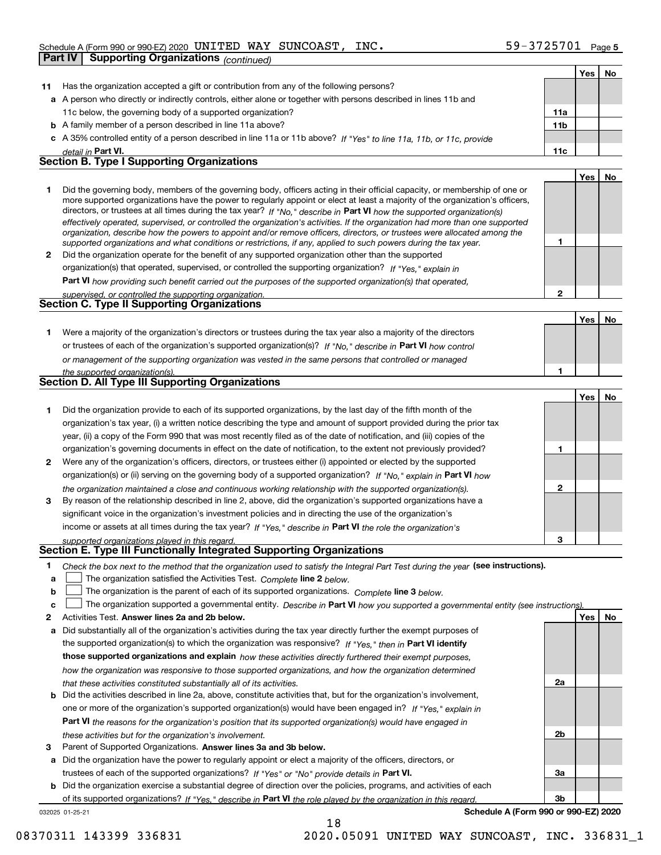|    |                                                                                                                                                                                                                                                            |                | Yes | No |
|----|------------------------------------------------------------------------------------------------------------------------------------------------------------------------------------------------------------------------------------------------------------|----------------|-----|----|
| 11 | Has the organization accepted a gift or contribution from any of the following persons?                                                                                                                                                                    |                |     |    |
|    | a A person who directly or indirectly controls, either alone or together with persons described in lines 11b and                                                                                                                                           |                |     |    |
|    | 11c below, the governing body of a supported organization?                                                                                                                                                                                                 | 11a            |     |    |
|    | <b>b</b> A family member of a person described in line 11a above?                                                                                                                                                                                          | 11b            |     |    |
| c  | A 35% controlled entity of a person described in line 11a or 11b above? If "Yes" to line 11a, 11b, or 11c, provide                                                                                                                                         |                |     |    |
|    | detail in Part VI.                                                                                                                                                                                                                                         | 11c            |     |    |
|    | <b>Section B. Type I Supporting Organizations</b>                                                                                                                                                                                                          |                |     |    |
|    |                                                                                                                                                                                                                                                            |                | Yes | No |
| 1  | Did the governing body, members of the governing body, officers acting in their official capacity, or membership of one or                                                                                                                                 |                |     |    |
|    | more supported organizations have the power to regularly appoint or elect at least a majority of the organization's officers,                                                                                                                              |                |     |    |
|    | directors, or trustees at all times during the tax year? If "No," describe in Part VI how the supported organization(s)                                                                                                                                    |                |     |    |
|    | effectively operated, supervised, or controlled the organization's activities. If the organization had more than one supported<br>organization, describe how the powers to appoint and/or remove officers, directors, or trustees were allocated among the |                |     |    |
|    | supported organizations and what conditions or restrictions, if any, applied to such powers during the tax year.                                                                                                                                           | 1              |     |    |
| 2  | Did the organization operate for the benefit of any supported organization other than the supported                                                                                                                                                        |                |     |    |
|    | organization(s) that operated, supervised, or controlled the supporting organization? If "Yes," explain in                                                                                                                                                 |                |     |    |
|    | Part VI how providing such benefit carried out the purposes of the supported organization(s) that operated,                                                                                                                                                |                |     |    |
|    | supervised, or controlled the supporting organization.                                                                                                                                                                                                     | $\mathbf{2}$   |     |    |
|    | Section C. Type II Supporting Organizations                                                                                                                                                                                                                |                |     |    |
|    |                                                                                                                                                                                                                                                            |                | Yes | No |
| 1. | Were a majority of the organization's directors or trustees during the tax year also a majority of the directors                                                                                                                                           |                |     |    |
|    | or trustees of each of the organization's supported organization(s)? If "No," describe in Part VI how control                                                                                                                                              |                |     |    |
|    | or management of the supporting organization was vested in the same persons that controlled or managed                                                                                                                                                     |                |     |    |
|    | the supported organization(s).                                                                                                                                                                                                                             | 1              |     |    |
|    | <b>Section D. All Type III Supporting Organizations</b>                                                                                                                                                                                                    |                |     |    |
|    |                                                                                                                                                                                                                                                            |                | Yes | No |
| 1  | Did the organization provide to each of its supported organizations, by the last day of the fifth month of the                                                                                                                                             |                |     |    |
|    | organization's tax year, (i) a written notice describing the type and amount of support provided during the prior tax                                                                                                                                      |                |     |    |
|    | year, (ii) a copy of the Form 990 that was most recently filed as of the date of notification, and (iii) copies of the                                                                                                                                     |                |     |    |
|    | organization's governing documents in effect on the date of notification, to the extent not previously provided?                                                                                                                                           | 1              |     |    |
| 2  | Were any of the organization's officers, directors, or trustees either (i) appointed or elected by the supported                                                                                                                                           |                |     |    |
|    | organization(s) or (ii) serving on the governing body of a supported organization? If "No," explain in Part VI how                                                                                                                                         |                |     |    |
|    | the organization maintained a close and continuous working relationship with the supported organization(s).                                                                                                                                                | $\mathbf{2}$   |     |    |
| 3  | By reason of the relationship described in line 2, above, did the organization's supported organizations have a                                                                                                                                            |                |     |    |
|    | significant voice in the organization's investment policies and in directing the use of the organization's                                                                                                                                                 |                |     |    |
|    | income or assets at all times during the tax year? If "Yes," describe in Part VI the role the organization's                                                                                                                                               |                |     |    |
|    | supported organizations played in this regard.                                                                                                                                                                                                             | 3              |     |    |
|    | Section E. Type III Functionally Integrated Supporting Organizations                                                                                                                                                                                       |                |     |    |
| 1  | Check the box next to the method that the organization used to satisfy the Integral Part Test during the year (see instructions).                                                                                                                          |                |     |    |
| a  | The organization satisfied the Activities Test. Complete line 2 below.                                                                                                                                                                                     |                |     |    |
| b  | The organization is the parent of each of its supported organizations. Complete line 3 below.                                                                                                                                                              |                |     |    |
| c  | The organization supported a governmental entity. Describe in Part VI how you supported a governmental entity (see instructions)                                                                                                                           |                |     |    |
| 2  | Activities Test. Answer lines 2a and 2b below.                                                                                                                                                                                                             |                | Yes | No |
| а  | Did substantially all of the organization's activities during the tax year directly further the exempt purposes of                                                                                                                                         |                |     |    |
|    | the supported organization(s) to which the organization was responsive? If "Yes," then in Part VI identify                                                                                                                                                 |                |     |    |
|    | those supported organizations and explain how these activities directly furthered their exempt purposes,                                                                                                                                                   |                |     |    |
|    | how the organization was responsive to those supported organizations, and how the organization determined                                                                                                                                                  |                |     |    |
|    | that these activities constituted substantially all of its activities.                                                                                                                                                                                     | 2a             |     |    |
| b  | Did the activities described in line 2a, above, constitute activities that, but for the organization's involvement,                                                                                                                                        |                |     |    |
|    | one or more of the organization's supported organization(s) would have been engaged in? If "Yes," explain in                                                                                                                                               |                |     |    |
|    | Part VI the reasons for the organization's position that its supported organization(s) would have engaged in                                                                                                                                               |                |     |    |
|    |                                                                                                                                                                                                                                                            | 2 <sub>b</sub> |     |    |
| з  | these activities but for the organization's involvement.<br>Parent of Supported Organizations. Answer lines 3a and 3b below.                                                                                                                               |                |     |    |
| а  | Did the organization have the power to regularly appoint or elect a majority of the officers, directors, or                                                                                                                                                |                |     |    |
|    | trustees of each of the supported organizations? If "Yes" or "No" provide details in Part VI.                                                                                                                                                              | За             |     |    |
|    |                                                                                                                                                                                                                                                            |                |     |    |

032025 01-25-21 **b** Did the organization exercise a substantial degree of direction over the policies, programs, and activities of each of its supported organizations? If "Yes," describe in Part VI the role played by the organization in this regard.

18

**Schedule A (Form 990 or 990-EZ) 2020**

**3b**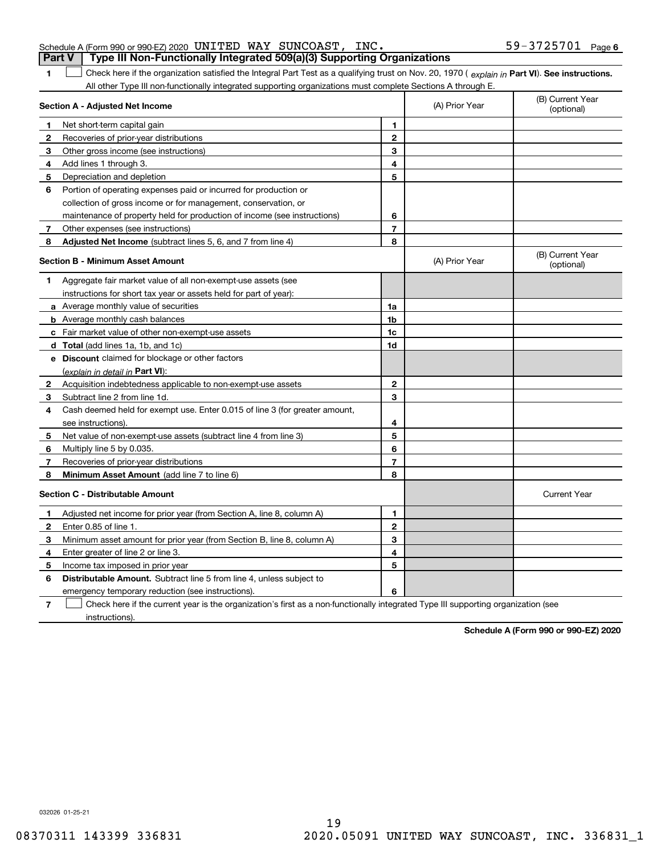**1**

## Schedule A (Form 990 or 990-EZ) 2020 <code>UNITED WAY SUNCOAST</code> , <code>INC.</code>  $59-3725701$  <code>Page</code> **Part V Type III Non-Functionally Integrated 509(a)(3) Supporting Organizations**

1 Check here if the organization satisfied the Integral Part Test as a qualifying trust on Nov. 20, 1970 (explain in Part VI). See instructions. All other Type III non-functionally integrated supporting organizations must complete Sections A through E.

|              | Section A - Adjusted Net Income                                                                                                   |                | (A) Prior Year | (B) Current Year<br>(optional) |
|--------------|-----------------------------------------------------------------------------------------------------------------------------------|----------------|----------------|--------------------------------|
| 1            | Net short-term capital gain                                                                                                       | 1              |                |                                |
| 2            | Recoveries of prior-year distributions                                                                                            | $\overline{2}$ |                |                                |
| 3            | Other gross income (see instructions)                                                                                             | 3              |                |                                |
| 4            | Add lines 1 through 3.                                                                                                            | 4              |                |                                |
| 5            | Depreciation and depletion                                                                                                        | 5              |                |                                |
| 6            | Portion of operating expenses paid or incurred for production or                                                                  |                |                |                                |
|              | collection of gross income or for management, conservation, or                                                                    |                |                |                                |
|              | maintenance of property held for production of income (see instructions)                                                          | 6              |                |                                |
| 7            | Other expenses (see instructions)                                                                                                 | $\overline{7}$ |                |                                |
| 8            | Adjusted Net Income (subtract lines 5, 6, and 7 from line 4)                                                                      | 8              |                |                                |
|              | <b>Section B - Minimum Asset Amount</b>                                                                                           |                | (A) Prior Year | (B) Current Year<br>(optional) |
| 1            | Aggregate fair market value of all non-exempt-use assets (see                                                                     |                |                |                                |
|              | instructions for short tax year or assets held for part of year):                                                                 |                |                |                                |
|              | <b>a</b> Average monthly value of securities                                                                                      | 1a             |                |                                |
|              | <b>b</b> Average monthly cash balances                                                                                            | 1b             |                |                                |
|              | c Fair market value of other non-exempt-use assets                                                                                | 1c             |                |                                |
|              | d Total (add lines 1a, 1b, and 1c)                                                                                                | 1d             |                |                                |
|              | e Discount claimed for blockage or other factors                                                                                  |                |                |                                |
|              | (explain in detail in Part VI):                                                                                                   |                |                |                                |
| $\mathbf{2}$ | Acquisition indebtedness applicable to non-exempt-use assets                                                                      | $\mathbf{2}$   |                |                                |
| 3            | Subtract line 2 from line 1d.                                                                                                     | 3              |                |                                |
| 4            | Cash deemed held for exempt use. Enter 0.015 of line 3 (for greater amount,                                                       |                |                |                                |
|              | see instructions).                                                                                                                | 4              |                |                                |
| 5            | Net value of non-exempt-use assets (subtract line 4 from line 3)                                                                  | 5              |                |                                |
| 6            | Multiply line 5 by 0.035.                                                                                                         | 6              |                |                                |
| 7            | Recoveries of prior-year distributions                                                                                            | $\overline{7}$ |                |                                |
| 8            | Minimum Asset Amount (add line 7 to line 6)                                                                                       | 8              |                |                                |
|              | <b>Section C - Distributable Amount</b>                                                                                           |                |                | <b>Current Year</b>            |
| 1            | Adjusted net income for prior year (from Section A, line 8, column A)                                                             | 1              |                |                                |
| 2            | Enter 0.85 of line 1.                                                                                                             | $\mathbf{2}$   |                |                                |
| з            | Minimum asset amount for prior year (from Section B, line 8, column A)                                                            | 3              |                |                                |
| 4            | Enter greater of line 2 or line 3.                                                                                                | 4              |                |                                |
| 5            | Income tax imposed in prior year                                                                                                  | 5              |                |                                |
| 6            | <b>Distributable Amount.</b> Subtract line 5 from line 4, unless subject to                                                       |                |                |                                |
|              | emergency temporary reduction (see instructions).                                                                                 | 6              |                |                                |
| 7            | Check here if the current year is the organization's first as a non-functionally integrated Type III supporting organization (see |                |                |                                |

Check here if the current year is the organization's first as a non-functionally integrated Type III supporting organization (see instructions).

**Schedule A (Form 990 or 990-EZ) 2020**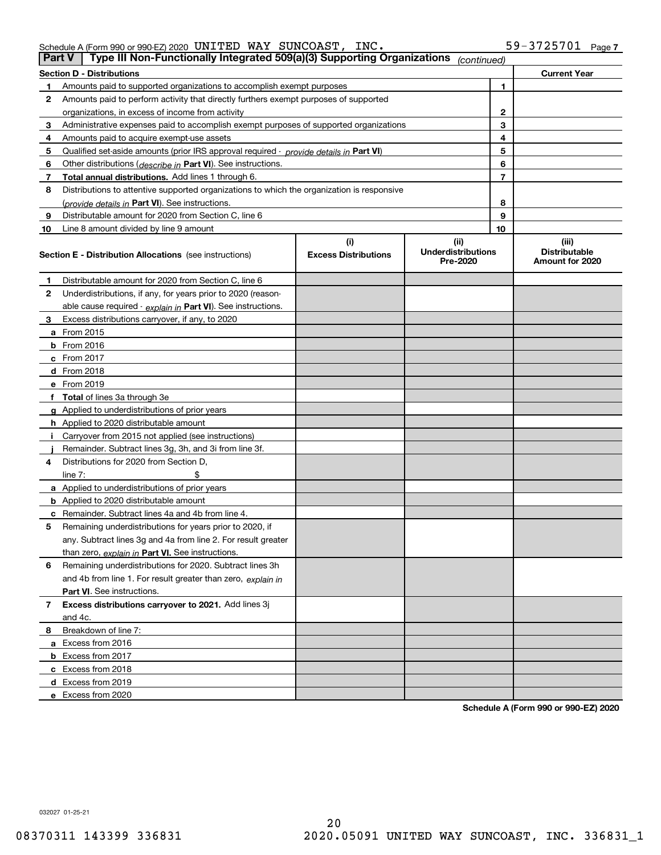|  |  | INC. | $59 - 3725701$ Page 7 |  |
|--|--|------|-----------------------|--|
|  |  |      |                       |  |

| <b>Part V</b> | Type III Non-Functionally Integrated 509(a)(3) Supporting Organizations                    |                             | (continued)                           |                |                                         |
|---------------|--------------------------------------------------------------------------------------------|-----------------------------|---------------------------------------|----------------|-----------------------------------------|
|               | <b>Section D - Distributions</b>                                                           |                             |                                       |                | <b>Current Year</b>                     |
| 1             | Amounts paid to supported organizations to accomplish exempt purposes                      |                             | 1                                     |                |                                         |
| 2             | Amounts paid to perform activity that directly furthers exempt purposes of supported       |                             |                                       |                |                                         |
|               | organizations, in excess of income from activity                                           |                             | 2                                     |                |                                         |
| 3             | Administrative expenses paid to accomplish exempt purposes of supported organizations      |                             |                                       | 3              |                                         |
| 4             | Amounts paid to acquire exempt-use assets                                                  |                             |                                       | 4              |                                         |
| 5             | Qualified set-aside amounts (prior IRS approval required - provide details in Part VI)     |                             |                                       | 5              |                                         |
| 6             | Other distributions ( <i>describe in</i> Part VI). See instructions.                       |                             |                                       | 6              |                                         |
| 7             | Total annual distributions. Add lines 1 through 6.                                         |                             |                                       | $\overline{7}$ |                                         |
| 8             | Distributions to attentive supported organizations to which the organization is responsive |                             |                                       |                |                                         |
|               | (provide details in Part VI). See instructions.                                            |                             |                                       | 8              |                                         |
| 9             | Distributable amount for 2020 from Section C, line 6                                       |                             |                                       | 9              |                                         |
| 10            | Line 8 amount divided by line 9 amount                                                     |                             |                                       | 10             |                                         |
|               |                                                                                            | (i)                         | (ii)                                  |                | (iii)                                   |
|               | <b>Section E - Distribution Allocations</b> (see instructions)                             | <b>Excess Distributions</b> | <b>Underdistributions</b><br>Pre-2020 |                | <b>Distributable</b><br>Amount for 2020 |
| 1             | Distributable amount for 2020 from Section C, line 6                                       |                             |                                       |                |                                         |
| 2             | Underdistributions, if any, for years prior to 2020 (reason-                               |                             |                                       |                |                                         |
|               | able cause required - explain in Part VI). See instructions.                               |                             |                                       |                |                                         |
| 3             | Excess distributions carryover, if any, to 2020                                            |                             |                                       |                |                                         |
|               | <b>a</b> From 2015                                                                         |                             |                                       |                |                                         |
|               | <b>b</b> From 2016                                                                         |                             |                                       |                |                                         |
|               | c From 2017                                                                                |                             |                                       |                |                                         |
|               | <b>d</b> From 2018                                                                         |                             |                                       |                |                                         |
|               | e From 2019                                                                                |                             |                                       |                |                                         |
|               | f Total of lines 3a through 3e                                                             |                             |                                       |                |                                         |
|               | g Applied to underdistributions of prior years                                             |                             |                                       |                |                                         |
|               | <b>h</b> Applied to 2020 distributable amount                                              |                             |                                       |                |                                         |
|               | Carryover from 2015 not applied (see instructions)                                         |                             |                                       |                |                                         |
|               | Remainder. Subtract lines 3g, 3h, and 3i from line 3f.                                     |                             |                                       |                |                                         |
| 4             | Distributions for 2020 from Section D,                                                     |                             |                                       |                |                                         |
|               | line $7:$                                                                                  |                             |                                       |                |                                         |
|               | a Applied to underdistributions of prior years                                             |                             |                                       |                |                                         |
|               | <b>b</b> Applied to 2020 distributable amount                                              |                             |                                       |                |                                         |
|               | c Remainder. Subtract lines 4a and 4b from line 4.                                         |                             |                                       |                |                                         |
| 5             | Remaining underdistributions for years prior to 2020, if                                   |                             |                                       |                |                                         |
|               | any. Subtract lines 3g and 4a from line 2. For result greater                              |                             |                                       |                |                                         |
|               | than zero, explain in Part VI. See instructions.                                           |                             |                                       |                |                                         |
| 6             | Remaining underdistributions for 2020. Subtract lines 3h                                   |                             |                                       |                |                                         |
|               | and 4b from line 1. For result greater than zero, explain in                               |                             |                                       |                |                                         |
|               | Part VI. See instructions.                                                                 |                             |                                       |                |                                         |
| 7             | Excess distributions carryover to 2021. Add lines 3j                                       |                             |                                       |                |                                         |
|               | and 4c.                                                                                    |                             |                                       |                |                                         |
| 8             | Breakdown of line 7:                                                                       |                             |                                       |                |                                         |
|               | a Excess from 2016                                                                         |                             |                                       |                |                                         |
|               | <b>b</b> Excess from 2017                                                                  |                             |                                       |                |                                         |
|               | c Excess from 2018                                                                         |                             |                                       |                |                                         |
|               | d Excess from 2019                                                                         |                             |                                       |                |                                         |
|               | e Excess from 2020                                                                         |                             |                                       |                |                                         |
|               |                                                                                            |                             |                                       |                |                                         |

**Schedule A (Form 990 or 990-EZ) 2020**

032027 01-25-21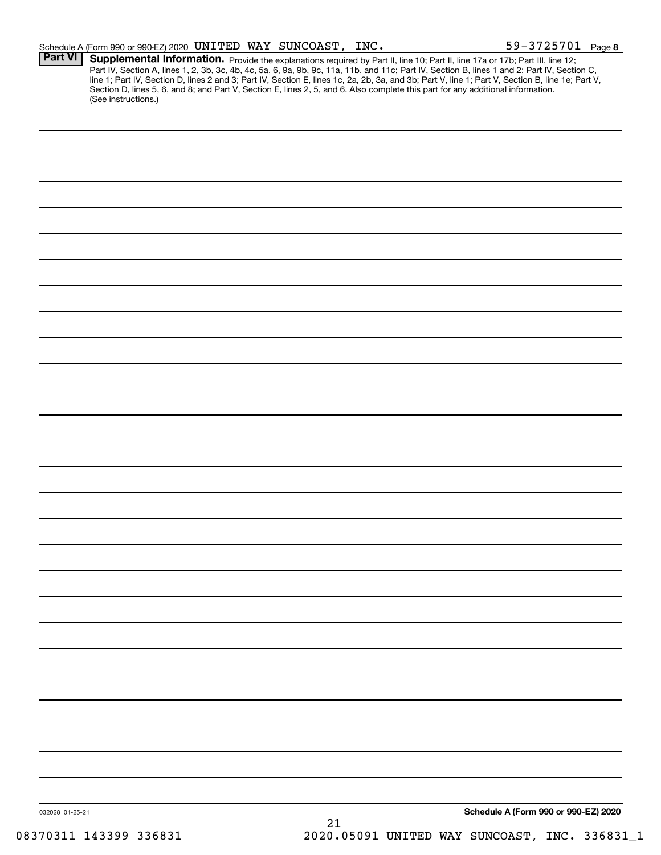|                 | Schedule A (Form 990 or 990-EZ) 2020 UNITED WAY SUNCOAST, INC.                                                                                                                                                                                                                          |    | $59 - 3725701$ Page 8                                                                                                                                                                                                                                                                            |  |
|-----------------|-----------------------------------------------------------------------------------------------------------------------------------------------------------------------------------------------------------------------------------------------------------------------------------------|----|--------------------------------------------------------------------------------------------------------------------------------------------------------------------------------------------------------------------------------------------------------------------------------------------------|--|
| <b>Part VI</b>  | Supplemental Information. Provide the explanations required by Part II, line 10; Part II, line 17a or 17b; Part III, line 12;<br>Section D, lines 5, 6, and 8; and Part V, Section E, lines 2, 5, and 6. Also complete this part for any additional information.<br>(See instructions.) |    | Part IV, Section A, lines 1, 2, 3b, 3c, 4b, 4c, 5a, 6, 9a, 9b, 9c, 11a, 11b, and 11c; Part IV, Section B, lines 1 and 2; Part IV, Section C,<br>line 1; Part IV, Section D, lines 2 and 3; Part IV, Section E, lines 1c, 2a, 2b, 3a, and 3b; Part V, line 1; Part V, Section B, line 1e; Part V, |  |
|                 |                                                                                                                                                                                                                                                                                         |    |                                                                                                                                                                                                                                                                                                  |  |
|                 |                                                                                                                                                                                                                                                                                         |    |                                                                                                                                                                                                                                                                                                  |  |
|                 |                                                                                                                                                                                                                                                                                         |    |                                                                                                                                                                                                                                                                                                  |  |
|                 |                                                                                                                                                                                                                                                                                         |    |                                                                                                                                                                                                                                                                                                  |  |
|                 |                                                                                                                                                                                                                                                                                         |    |                                                                                                                                                                                                                                                                                                  |  |
|                 |                                                                                                                                                                                                                                                                                         |    |                                                                                                                                                                                                                                                                                                  |  |
|                 |                                                                                                                                                                                                                                                                                         |    |                                                                                                                                                                                                                                                                                                  |  |
|                 |                                                                                                                                                                                                                                                                                         |    |                                                                                                                                                                                                                                                                                                  |  |
|                 |                                                                                                                                                                                                                                                                                         |    |                                                                                                                                                                                                                                                                                                  |  |
|                 |                                                                                                                                                                                                                                                                                         |    |                                                                                                                                                                                                                                                                                                  |  |
|                 |                                                                                                                                                                                                                                                                                         |    |                                                                                                                                                                                                                                                                                                  |  |
|                 |                                                                                                                                                                                                                                                                                         |    |                                                                                                                                                                                                                                                                                                  |  |
|                 |                                                                                                                                                                                                                                                                                         |    |                                                                                                                                                                                                                                                                                                  |  |
|                 |                                                                                                                                                                                                                                                                                         |    |                                                                                                                                                                                                                                                                                                  |  |
|                 |                                                                                                                                                                                                                                                                                         |    |                                                                                                                                                                                                                                                                                                  |  |
|                 |                                                                                                                                                                                                                                                                                         |    |                                                                                                                                                                                                                                                                                                  |  |
|                 |                                                                                                                                                                                                                                                                                         |    |                                                                                                                                                                                                                                                                                                  |  |
|                 |                                                                                                                                                                                                                                                                                         |    |                                                                                                                                                                                                                                                                                                  |  |
|                 |                                                                                                                                                                                                                                                                                         |    |                                                                                                                                                                                                                                                                                                  |  |
|                 |                                                                                                                                                                                                                                                                                         |    |                                                                                                                                                                                                                                                                                                  |  |
|                 |                                                                                                                                                                                                                                                                                         |    |                                                                                                                                                                                                                                                                                                  |  |
|                 |                                                                                                                                                                                                                                                                                         |    |                                                                                                                                                                                                                                                                                                  |  |
|                 |                                                                                                                                                                                                                                                                                         |    |                                                                                                                                                                                                                                                                                                  |  |
|                 |                                                                                                                                                                                                                                                                                         |    |                                                                                                                                                                                                                                                                                                  |  |
|                 |                                                                                                                                                                                                                                                                                         |    |                                                                                                                                                                                                                                                                                                  |  |
|                 |                                                                                                                                                                                                                                                                                         |    |                                                                                                                                                                                                                                                                                                  |  |
|                 |                                                                                                                                                                                                                                                                                         |    |                                                                                                                                                                                                                                                                                                  |  |
|                 |                                                                                                                                                                                                                                                                                         |    |                                                                                                                                                                                                                                                                                                  |  |
|                 |                                                                                                                                                                                                                                                                                         |    |                                                                                                                                                                                                                                                                                                  |  |
|                 |                                                                                                                                                                                                                                                                                         |    |                                                                                                                                                                                                                                                                                                  |  |
| 032028 01-25-21 |                                                                                                                                                                                                                                                                                         | 21 | Schedule A (Form 990 or 990-EZ) 2020                                                                                                                                                                                                                                                             |  |
|                 |                                                                                                                                                                                                                                                                                         |    |                                                                                                                                                                                                                                                                                                  |  |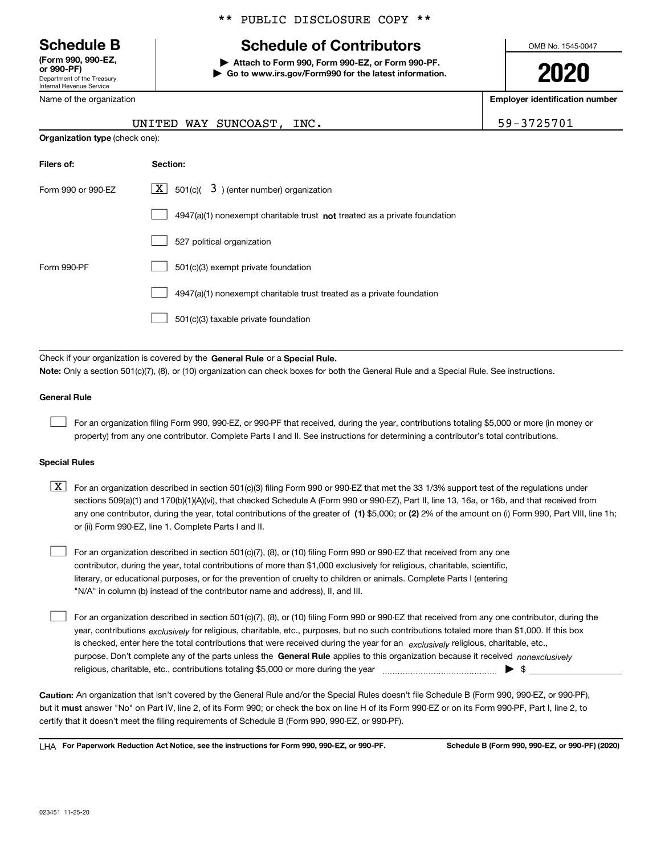Department of the Treasury Internal Revenue Service **(Form 990, 990-EZ, or 990-PF)**

Name of the organization

# \*\* PUBLIC DISCLOSURE COPY \*\*

# **Schedule B Schedule of Contributors**

**| Attach to Form 990, Form 990-EZ, or Form 990-PF. | Go to www.irs.gov/Form990 for the latest information.** OMB No. 1545-0047

**2020**

**Employer identification number**

|                                       | UNITED WAY SUNCOAST, INC. |  |
|---------------------------------------|---------------------------|--|
| <b>Organization type</b> (check one): |                           |  |

59-3725701

| Filers of:         | Section:                                                                           |
|--------------------|------------------------------------------------------------------------------------|
| Form 990 or 990-EZ | $\lfloor x \rfloor$ 501(c)( 3) (enter number) organization                         |
|                    | $4947(a)(1)$ nonexempt charitable trust <b>not</b> treated as a private foundation |
|                    | 527 political organization                                                         |
| Form 990-PF        | 501(c)(3) exempt private foundation                                                |
|                    | 4947(a)(1) nonexempt charitable trust treated as a private foundation              |
|                    | 501(c)(3) taxable private foundation                                               |

Check if your organization is covered by the **General Rule** or a **Special Rule. Note:**  Only a section 501(c)(7), (8), or (10) organization can check boxes for both the General Rule and a Special Rule. See instructions.

### **General Rule**

 $\mathcal{L}^{\text{max}}$ 

For an organization filing Form 990, 990-EZ, or 990-PF that received, during the year, contributions totaling \$5,000 or more (in money or property) from any one contributor. Complete Parts I and II. See instructions for determining a contributor's total contributions.

#### **Special Rules**

any one contributor, during the year, total contributions of the greater of  $\,$  (1) \$5,000; or **(2)** 2% of the amount on (i) Form 990, Part VIII, line 1h;  $\boxed{\textbf{X}}$  For an organization described in section 501(c)(3) filing Form 990 or 990-EZ that met the 33 1/3% support test of the regulations under sections 509(a)(1) and 170(b)(1)(A)(vi), that checked Schedule A (Form 990 or 990-EZ), Part II, line 13, 16a, or 16b, and that received from or (ii) Form 990-EZ, line 1. Complete Parts I and II.

For an organization described in section 501(c)(7), (8), or (10) filing Form 990 or 990-EZ that received from any one contributor, during the year, total contributions of more than \$1,000 exclusively for religious, charitable, scientific, literary, or educational purposes, or for the prevention of cruelty to children or animals. Complete Parts I (entering "N/A" in column (b) instead of the contributor name and address), II, and III.  $\mathcal{L}^{\text{max}}$ 

purpose. Don't complete any of the parts unless the **General Rule** applies to this organization because it received *nonexclusively* year, contributions <sub>exclusively</sub> for religious, charitable, etc., purposes, but no such contributions totaled more than \$1,000. If this box is checked, enter here the total contributions that were received during the year for an  $\;$ exclusively religious, charitable, etc., For an organization described in section 501(c)(7), (8), or (10) filing Form 990 or 990-EZ that received from any one contributor, during the religious, charitable, etc., contributions totaling \$5,000 or more during the year  $\Box$ — $\Box$   $\Box$  $\mathcal{L}^{\text{max}}$ 

**Caution:**  An organization that isn't covered by the General Rule and/or the Special Rules doesn't file Schedule B (Form 990, 990-EZ, or 990-PF),  **must** but it answer "No" on Part IV, line 2, of its Form 990; or check the box on line H of its Form 990-EZ or on its Form 990-PF, Part I, line 2, to certify that it doesn't meet the filing requirements of Schedule B (Form 990, 990-EZ, or 990-PF).

**For Paperwork Reduction Act Notice, see the instructions for Form 990, 990-EZ, or 990-PF. Schedule B (Form 990, 990-EZ, or 990-PF) (2020)** LHA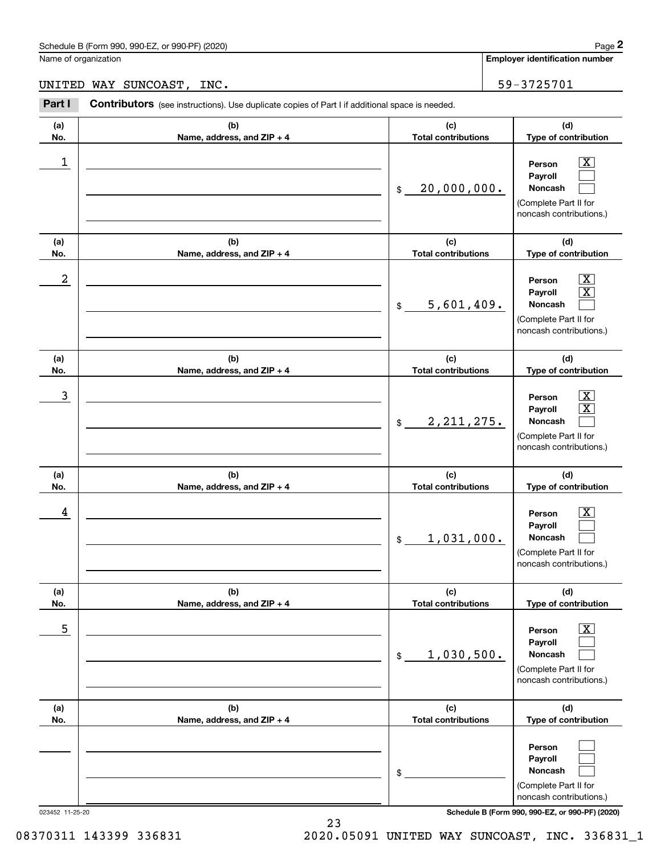Name of organization

**Employer identification number**

UNITED WAY SUNCOAST, INC.  $\vert$  59-3725701

**(a)No.(b)Name, address, and ZIP + 4 (c)Total contributions (d)Type of contribution PersonPayrollNoncash (a)No.(b)Name, address, and ZIP + 4 (c)Total contributions (d)Type of contribution PersonPayrollNoncash (a)No.(b)Name, address, and ZIP + 4 (c)Total contributions (d)Type of contribution PersonPayrollNoncash (a) No.(b) Name, address, and ZIP + 4 (c) Total contributions (d) Type of contribution PersonPayrollNoncash (a) No.(b) Name, address, and ZIP + 4 (c) Total contributions (d) Type of contribution PersonPayrollNoncash(a) No.(b)Name, address, and ZIP + 4 (c) Total contributions (d)Type of contribution PersonPayrollNoncash Contributors** (see instructions). Use duplicate copies of Part I if additional space is needed. \$(Complete Part II for noncash contributions.) \$(Complete Part II for noncash contributions.) \$(Complete Part II for noncash contributions.) \$(Complete Part II for noncash contributions.) \$(Complete Part II for noncash contributions.) \$(Complete Part II for noncash contributions.) Chedule B (Form 990, 990-EZ, or 990-PF) (2020)<br> **2Part I 2Part I Contributors** (see instructions). Use duplicate copies of Part I if additional space is needed.<br> **2Part I Contributors** (see instructions). Use duplic  $|X|$  $\mathcal{L}^{\text{max}}$  $\mathcal{L}^{\text{max}}$  $\boxed{\text{X}}$  X  $\mathcal{L}^{\text{max}}$  $|X|$  X  $\mathcal{L}^{\text{max}}$  $\boxed{\text{X}}$  $\mathcal{L}^{\text{max}}$  $\mathcal{L}^{\text{max}}$  $\boxed{\text{X}}$  $\mathcal{L}^{\text{max}}$  $\mathcal{L}^{\text{max}}$  $\mathcal{L}^{\text{max}}$  $\mathcal{L}^{\text{max}}$  $\mathcal{L}^{\text{max}}$  $\begin{array}{c|c|c|c|c|c} 1 & \hspace{1.5cm} & \hspace{1.5cm} & \hspace{1.5cm} & \hspace{1.5cm} & \hspace{1.5cm} & \hspace{1.5cm} & \hspace{1.5cm} & \hspace{1.5cm} & \hspace{1.5cm} & \hspace{1.5cm} & \hspace{1.5cm} & \hspace{1.5cm} & \hspace{1.5cm} & \hspace{1.5cm} & \hspace{1.5cm} & \hspace{1.5cm} & \hspace{1.5cm} & \hspace{1.5cm} & \hspace{1.5cm} & \hspace{1.5cm} &$ 20,000,000.  $2$  | Person  $\overline{\text{X}}$ 5,601,409.  $\overline{3}$  | Person  $\overline{X}$ 2,211,275.  $4$  | Person  $\overline{\text{X}}$ 1,031,000.  $\sim$  5 | Person X 1,030,500.

023452 11-25-20 **Schedule B (Form 990, 990-EZ, or 990-PF) (2020)**

08370311 143399 336831 2020.05091 UNITED WAY SUNCOAST, INC. 336831\_1

23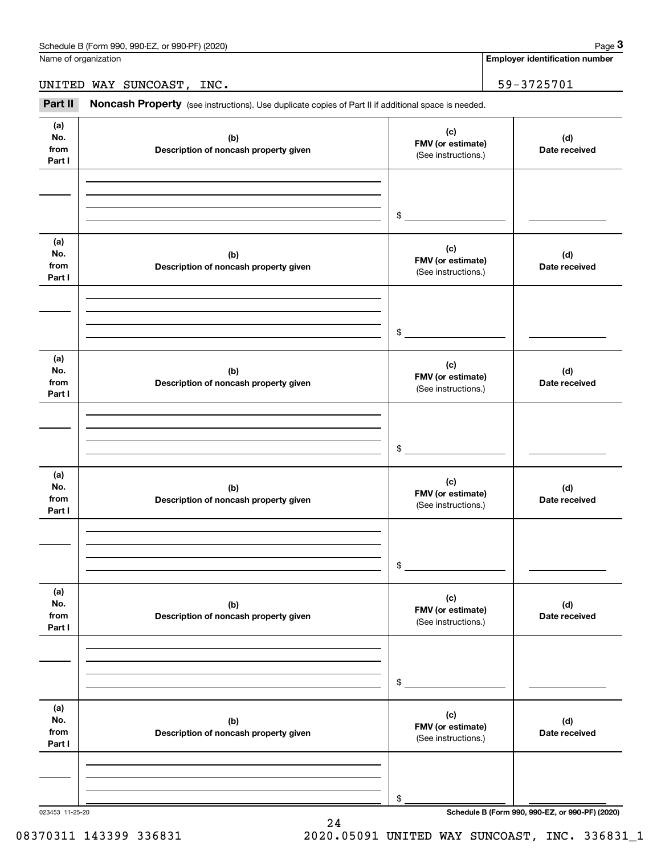Name of organization

**Employer identification number**

UNITED WAY SUNCOAST, INC. 59-3725701

(see instructions). Use duplicate copies of Part II if additional space is needed.<br> **2Part II Noncash Property** (see instructions). Use duplicate copies of Part II if additional space is needed.<br>
3Part II **Noncash Proper** 

| (a)<br>No.<br>from<br>Part I | (b)<br>Description of noncash property given | (c)<br>FMV (or estimate)<br>(See instructions.) | (d)<br>Date received                            |
|------------------------------|----------------------------------------------|-------------------------------------------------|-------------------------------------------------|
|                              |                                              |                                                 |                                                 |
|                              |                                              | $\frac{1}{2}$                                   |                                                 |
| (a)<br>No.<br>from<br>Part I | (b)<br>Description of noncash property given | (c)<br>FMV (or estimate)<br>(See instructions.) | (d)<br>Date received                            |
|                              |                                              | $$\overbrace{\hspace{2.5cm}}$                   |                                                 |
| (a)<br>No.<br>from<br>Part I | (b)<br>Description of noncash property given | (c)<br>FMV (or estimate)<br>(See instructions.) | (d)<br>Date received                            |
|                              |                                              | $\mathfrak s$                                   |                                                 |
| (a)<br>No.<br>from<br>Part I | (b)<br>Description of noncash property given | (c)<br>FMV (or estimate)<br>(See instructions.) | (d)<br>Date received                            |
|                              |                                              | \$                                              |                                                 |
| (a)<br>No.<br>from<br>Part I | (b)<br>Description of noncash property given | (c)<br>FMV (or estimate)<br>(See instructions.) | (d)<br>Date received                            |
|                              |                                              | \$                                              |                                                 |
| (a)<br>No.<br>from<br>Part I | (b)<br>Description of noncash property given | (c)<br>FMV (or estimate)<br>(See instructions.) | (d)<br>Date received                            |
|                              |                                              |                                                 |                                                 |
| 023453 11-25-20              |                                              | \$                                              | Schedule B (Form 990, 990-EZ, or 990-PF) (2020) |

24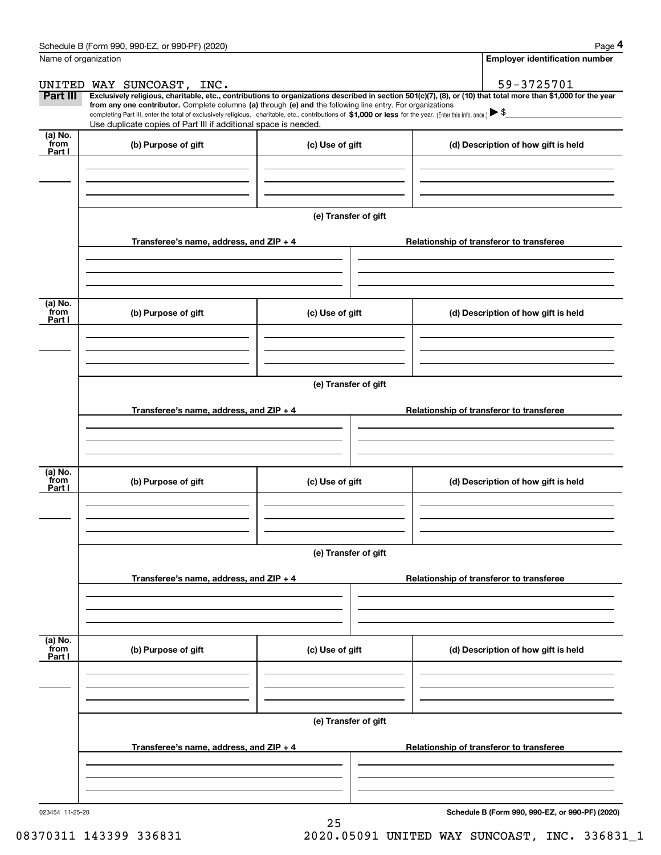|                           | Schedule B (Form 990, 990-EZ, or 990-PF) (2020)                                                                                                                                                                                                                              |                      |  | Page 4                                          |  |  |  |  |
|---------------------------|------------------------------------------------------------------------------------------------------------------------------------------------------------------------------------------------------------------------------------------------------------------------------|----------------------|--|-------------------------------------------------|--|--|--|--|
| Name of organization      |                                                                                                                                                                                                                                                                              |                      |  | Employer identification number                  |  |  |  |  |
|                           | UNITED WAY SUNCOAST, INC.                                                                                                                                                                                                                                                    |                      |  | 59-3725701                                      |  |  |  |  |
| Part III                  | Exclusively religious, charitable, etc., contributions to organizations described in section 501(c)(7), (8), or (10) that total more than \$1,000 for the year<br>from any one contributor. Complete columns (a) through (e) and the following line entry. For organizations |                      |  |                                                 |  |  |  |  |
|                           | completing Part III, enter the total of exclusively religious, charitable, etc., contributions of \$1,000 or less for the year. (Enter this info. once.) \\$                                                                                                                 |                      |  |                                                 |  |  |  |  |
| (a) No.                   | Use duplicate copies of Part III if additional space is needed.                                                                                                                                                                                                              |                      |  |                                                 |  |  |  |  |
| from<br>Part I            | (b) Purpose of gift                                                                                                                                                                                                                                                          | (c) Use of gift      |  | (d) Description of how gift is held             |  |  |  |  |
|                           |                                                                                                                                                                                                                                                                              |                      |  |                                                 |  |  |  |  |
|                           |                                                                                                                                                                                                                                                                              | (e) Transfer of gift |  |                                                 |  |  |  |  |
|                           | Transferee's name, address, and ZIP + 4                                                                                                                                                                                                                                      |                      |  | Relationship of transferor to transferee        |  |  |  |  |
|                           |                                                                                                                                                                                                                                                                              |                      |  |                                                 |  |  |  |  |
| (a) No.                   |                                                                                                                                                                                                                                                                              |                      |  |                                                 |  |  |  |  |
| from<br>Part I            | (b) Purpose of gift                                                                                                                                                                                                                                                          | (c) Use of gift      |  | (d) Description of how gift is held             |  |  |  |  |
|                           |                                                                                                                                                                                                                                                                              |                      |  |                                                 |  |  |  |  |
|                           |                                                                                                                                                                                                                                                                              | (e) Transfer of gift |  |                                                 |  |  |  |  |
|                           | Transferee's name, address, and $ZIP + 4$                                                                                                                                                                                                                                    |                      |  | Relationship of transferor to transferee        |  |  |  |  |
|                           |                                                                                                                                                                                                                                                                              |                      |  |                                                 |  |  |  |  |
|                           |                                                                                                                                                                                                                                                                              |                      |  |                                                 |  |  |  |  |
| (a) No.<br>from<br>Part I | (b) Purpose of gift                                                                                                                                                                                                                                                          | (c) Use of gift      |  | (d) Description of how gift is held             |  |  |  |  |
|                           |                                                                                                                                                                                                                                                                              |                      |  |                                                 |  |  |  |  |
|                           | (e) Transfer of gift                                                                                                                                                                                                                                                         |                      |  |                                                 |  |  |  |  |
|                           | Transferee's name, address, and ZIP + 4                                                                                                                                                                                                                                      |                      |  | Relationship of transferor to transferee        |  |  |  |  |
|                           |                                                                                                                                                                                                                                                                              |                      |  |                                                 |  |  |  |  |
|                           |                                                                                                                                                                                                                                                                              |                      |  |                                                 |  |  |  |  |
| (a) No.<br>from<br>Part I | (b) Purpose of gift                                                                                                                                                                                                                                                          | (c) Use of gift      |  | (d) Description of how gift is held             |  |  |  |  |
|                           |                                                                                                                                                                                                                                                                              |                      |  |                                                 |  |  |  |  |
|                           | (e) Transfer of gift                                                                                                                                                                                                                                                         |                      |  |                                                 |  |  |  |  |
|                           | Transferee's name, address, and $ZIP + 4$                                                                                                                                                                                                                                    |                      |  | Relationship of transferor to transferee        |  |  |  |  |
|                           |                                                                                                                                                                                                                                                                              |                      |  |                                                 |  |  |  |  |
|                           |                                                                                                                                                                                                                                                                              |                      |  |                                                 |  |  |  |  |
| 023454 11-25-20           |                                                                                                                                                                                                                                                                              |                      |  | Schedule B (Form 990, 990-EZ, or 990-PF) (2020) |  |  |  |  |

25

**Schedule B (Form 990, 990-EZ, or 990-PF) (2020)**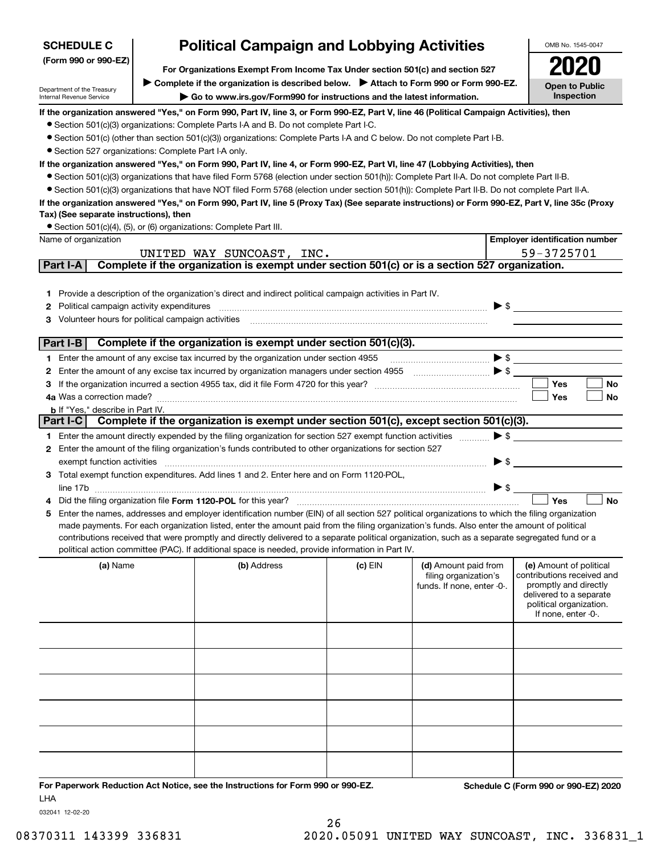| <b>SCHEDULE C</b>                                      | OMB No. 1545-0047                                                                                                                                                      |                                                                                                                                                                                                                                                                               |         |                            |                                                  |  |  |
|--------------------------------------------------------|------------------------------------------------------------------------------------------------------------------------------------------------------------------------|-------------------------------------------------------------------------------------------------------------------------------------------------------------------------------------------------------------------------------------------------------------------------------|---------|----------------------------|--------------------------------------------------|--|--|
| (Form 990 or 990-EZ)                                   |                                                                                                                                                                        |                                                                                                                                                                                                                                                                               |         |                            |                                                  |  |  |
|                                                        | For Organizations Exempt From Income Tax Under section 501(c) and section 527<br>Complete if the organization is described below. > Attach to Form 990 or Form 990-EZ. |                                                                                                                                                                                                                                                                               |         |                            |                                                  |  |  |
| Department of the Treasury<br>Internal Revenue Service |                                                                                                                                                                        | Go to www.irs.gov/Form990 for instructions and the latest information.                                                                                                                                                                                                        |         |                            | <b>Open to Public</b><br>Inspection              |  |  |
|                                                        |                                                                                                                                                                        | If the organization answered "Yes," on Form 990, Part IV, line 3, or Form 990-EZ, Part V, line 46 (Political Campaign Activities), then                                                                                                                                       |         |                            |                                                  |  |  |
|                                                        |                                                                                                                                                                        | • Section 501(c)(3) organizations: Complete Parts I-A and B. Do not complete Part I-C.                                                                                                                                                                                        |         |                            |                                                  |  |  |
|                                                        |                                                                                                                                                                        | • Section 501(c) (other than section 501(c)(3)) organizations: Complete Parts I-A and C below. Do not complete Part I-B.                                                                                                                                                      |         |                            |                                                  |  |  |
| • Section 527 organizations: Complete Part I-A only.   |                                                                                                                                                                        |                                                                                                                                                                                                                                                                               |         |                            |                                                  |  |  |
|                                                        |                                                                                                                                                                        | If the organization answered "Yes," on Form 990, Part IV, line 4, or Form 990-EZ, Part VI, line 47 (Lobbying Activities), then<br>• Section 501(c)(3) organizations that have filed Form 5768 (election under section 501(h)): Complete Part II-A. Do not complete Part II-B. |         |                            |                                                  |  |  |
|                                                        |                                                                                                                                                                        | • Section 501(c)(3) organizations that have NOT filed Form 5768 (election under section 501(h)): Complete Part II-B. Do not complete Part II-A.                                                                                                                               |         |                            |                                                  |  |  |
|                                                        |                                                                                                                                                                        | If the organization answered "Yes," on Form 990, Part IV, line 5 (Proxy Tax) (See separate instructions) or Form 990-EZ, Part V, line 35c (Proxy                                                                                                                              |         |                            |                                                  |  |  |
| Tax) (See separate instructions), then                 |                                                                                                                                                                        |                                                                                                                                                                                                                                                                               |         |                            |                                                  |  |  |
|                                                        |                                                                                                                                                                        | • Section 501(c)(4), (5), or (6) organizations: Complete Part III.                                                                                                                                                                                                            |         |                            |                                                  |  |  |
| Name of organization                                   |                                                                                                                                                                        |                                                                                                                                                                                                                                                                               |         |                            | <b>Employer identification number</b>            |  |  |
|                                                        |                                                                                                                                                                        | UNITED WAY SUNCOAST, INC.                                                                                                                                                                                                                                                     |         |                            | 59-3725701                                       |  |  |
| Part I-A                                               |                                                                                                                                                                        | Complete if the organization is exempt under section 501(c) or is a section 527 organization.                                                                                                                                                                                 |         |                            |                                                  |  |  |
|                                                        |                                                                                                                                                                        |                                                                                                                                                                                                                                                                               |         |                            |                                                  |  |  |
| 1.                                                     |                                                                                                                                                                        | Provide a description of the organization's direct and indirect political campaign activities in Part IV.                                                                                                                                                                     |         |                            |                                                  |  |  |
| Political campaign activity expenditures<br>2          |                                                                                                                                                                        |                                                                                                                                                                                                                                                                               |         | $\blacktriangleright$ \$   |                                                  |  |  |
| Volunteer hours for political campaign activities<br>з |                                                                                                                                                                        |                                                                                                                                                                                                                                                                               |         |                            |                                                  |  |  |
| Part I-B                                               |                                                                                                                                                                        | Complete if the organization is exempt under section 501(c)(3).                                                                                                                                                                                                               |         |                            |                                                  |  |  |
| 1.                                                     |                                                                                                                                                                        | Enter the amount of any excise tax incurred by the organization under section 4955                                                                                                                                                                                            |         |                            | $\blacktriangleright$ \$                         |  |  |
| 2                                                      |                                                                                                                                                                        | Enter the amount of any excise tax incurred by organization managers under section 4955 [11, 11, 11, 11, 11, 11, 11, 12, 13] [12]                                                                                                                                             |         |                            |                                                  |  |  |
| з                                                      |                                                                                                                                                                        |                                                                                                                                                                                                                                                                               |         |                            | <b>Yes</b><br>No                                 |  |  |
| 4a Was a correction made?                              |                                                                                                                                                                        |                                                                                                                                                                                                                                                                               |         |                            | Yes<br>No                                        |  |  |
| <b>b</b> If "Yes," describe in Part IV.                |                                                                                                                                                                        |                                                                                                                                                                                                                                                                               |         |                            |                                                  |  |  |
| Part I-C                                               |                                                                                                                                                                        | Complete if the organization is exempt under section 501(c), except section 501(c)(3).                                                                                                                                                                                        |         |                            |                                                  |  |  |
|                                                        |                                                                                                                                                                        | 1 Enter the amount directly expended by the filing organization for section 527 exempt function activities                                                                                                                                                                    |         | $\blacktriangleright$ \$   |                                                  |  |  |
|                                                        |                                                                                                                                                                        | 2 Enter the amount of the filing organization's funds contributed to other organizations for section 527                                                                                                                                                                      |         |                            |                                                  |  |  |
| exempt function activities                             |                                                                                                                                                                        |                                                                                                                                                                                                                                                                               |         | $\blacktriangleright$ \$   |                                                  |  |  |
|                                                        |                                                                                                                                                                        | Total exempt function expenditures. Add lines 1 and 2. Enter here and on Form 1120-POL,                                                                                                                                                                                       |         |                            |                                                  |  |  |
|                                                        |                                                                                                                                                                        |                                                                                                                                                                                                                                                                               |         | $\blacktriangleright$ \$   | Yes<br><b>No</b>                                 |  |  |
| 5                                                      |                                                                                                                                                                        | Did the filing organization file Form 1120-POL for this year?<br>Enter the names, addresses and employer identification number (EIN) of all section 527 political organizations to which the filing organization                                                              |         |                            |                                                  |  |  |
|                                                        |                                                                                                                                                                        | made payments. For each organization listed, enter the amount paid from the filing organization's funds. Also enter the amount of political                                                                                                                                   |         |                            |                                                  |  |  |
|                                                        |                                                                                                                                                                        | contributions received that were promptly and directly delivered to a separate political organization, such as a separate segregated fund or a                                                                                                                                |         |                            |                                                  |  |  |
|                                                        |                                                                                                                                                                        | political action committee (PAC). If additional space is needed, provide information in Part IV.                                                                                                                                                                              |         |                            |                                                  |  |  |
| (a) Name                                               |                                                                                                                                                                        | (b) Address                                                                                                                                                                                                                                                                   | (c) EIN | (d) Amount paid from       | (e) Amount of political                          |  |  |
|                                                        |                                                                                                                                                                        |                                                                                                                                                                                                                                                                               |         | filing organization's      | contributions received and                       |  |  |
|                                                        |                                                                                                                                                                        |                                                                                                                                                                                                                                                                               |         | funds. If none, enter -0-. | promptly and directly<br>delivered to a separate |  |  |
|                                                        |                                                                                                                                                                        |                                                                                                                                                                                                                                                                               |         |                            | political organization.                          |  |  |
|                                                        |                                                                                                                                                                        |                                                                                                                                                                                                                                                                               |         |                            | If none, enter -0-.                              |  |  |
|                                                        |                                                                                                                                                                        |                                                                                                                                                                                                                                                                               |         |                            |                                                  |  |  |
|                                                        |                                                                                                                                                                        |                                                                                                                                                                                                                                                                               |         |                            |                                                  |  |  |
|                                                        |                                                                                                                                                                        |                                                                                                                                                                                                                                                                               |         |                            |                                                  |  |  |
|                                                        |                                                                                                                                                                        |                                                                                                                                                                                                                                                                               |         |                            |                                                  |  |  |
|                                                        |                                                                                                                                                                        |                                                                                                                                                                                                                                                                               |         |                            |                                                  |  |  |
|                                                        |                                                                                                                                                                        |                                                                                                                                                                                                                                                                               |         |                            |                                                  |  |  |
|                                                        |                                                                                                                                                                        |                                                                                                                                                                                                                                                                               |         |                            |                                                  |  |  |
|                                                        |                                                                                                                                                                        |                                                                                                                                                                                                                                                                               |         |                            |                                                  |  |  |
|                                                        |                                                                                                                                                                        |                                                                                                                                                                                                                                                                               |         |                            |                                                  |  |  |
|                                                        |                                                                                                                                                                        |                                                                                                                                                                                                                                                                               |         |                            |                                                  |  |  |
|                                                        |                                                                                                                                                                        |                                                                                                                                                                                                                                                                               |         |                            |                                                  |  |  |
|                                                        |                                                                                                                                                                        | For Paperwork Reduction Act Notice, see the Instructions for Form 990 or 990-EZ.                                                                                                                                                                                              |         |                            | Schedule C (Form 990 or 990-EZ) 2020             |  |  |

032041 12-02-20 LHA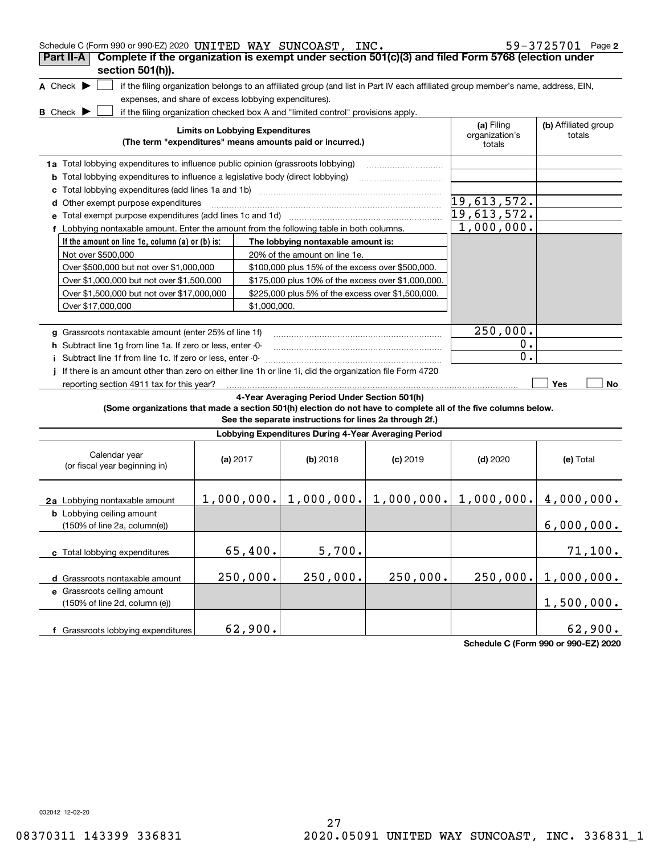| Schedule C (Form 990 or 990-EZ) 2020 UNITED WAY SUNCOAST, INC.                                                  |                                        |              |                                                                                  |            |                                                                                                                                   | $59 - 3725701$ Page 2          |
|-----------------------------------------------------------------------------------------------------------------|----------------------------------------|--------------|----------------------------------------------------------------------------------|------------|-----------------------------------------------------------------------------------------------------------------------------------|--------------------------------|
| Complete if the organization is exempt under section 501(c)(3) and filed Form 5768 (election under<br>Part II-A |                                        |              |                                                                                  |            |                                                                                                                                   |                                |
| section 501(h)).                                                                                                |                                        |              |                                                                                  |            |                                                                                                                                   |                                |
| A Check $\blacktriangleright$                                                                                   |                                        |              |                                                                                  |            | if the filing organization belongs to an affiliated group (and list in Part IV each affiliated group member's name, address, EIN, |                                |
| expenses, and share of excess lobbying expenditures).                                                           |                                        |              |                                                                                  |            |                                                                                                                                   |                                |
| <b>B</b> Check <b>D</b>                                                                                         |                                        |              | if the filing organization checked box A and "limited control" provisions apply. |            |                                                                                                                                   |                                |
|                                                                                                                 | <b>Limits on Lobbying Expenditures</b> |              | (The term "expenditures" means amounts paid or incurred.)                        |            | (a) Filing<br>organization's<br>totals                                                                                            | (b) Affiliated group<br>totals |
| 1a Total lobbying expenditures to influence public opinion (grassroots lobbying)                                |                                        |              |                                                                                  |            |                                                                                                                                   |                                |
| <b>b</b> Total lobbying expenditures to influence a legislative body (direct lobbying)                          |                                        |              |                                                                                  |            |                                                                                                                                   |                                |
| c                                                                                                               |                                        |              |                                                                                  |            |                                                                                                                                   |                                |
| d Other exempt purpose expenditures                                                                             |                                        |              |                                                                                  |            | 19,613,572.                                                                                                                       |                                |
|                                                                                                                 |                                        |              |                                                                                  |            | 19,613,572.                                                                                                                       |                                |
| f Lobbying nontaxable amount. Enter the amount from the following table in both columns.                        |                                        |              |                                                                                  |            | 1,000,000.                                                                                                                        |                                |
| If the amount on line 1e, column (a) or (b) is:                                                                 |                                        |              | The lobbying nontaxable amount is:                                               |            |                                                                                                                                   |                                |
| Not over \$500,000                                                                                              |                                        |              | 20% of the amount on line 1e.                                                    |            |                                                                                                                                   |                                |
| Over \$500,000 but not over \$1,000,000                                                                         |                                        |              | \$100,000 plus 15% of the excess over \$500,000.                                 |            |                                                                                                                                   |                                |
| Over \$1,000,000 but not over \$1,500,000                                                                       |                                        |              | \$175,000 plus 10% of the excess over \$1,000,000.                               |            |                                                                                                                                   |                                |
| Over \$1,500,000 but not over \$17,000,000                                                                      |                                        |              | \$225,000 plus 5% of the excess over \$1,500,000.                                |            |                                                                                                                                   |                                |
| Over \$17,000,000                                                                                               |                                        | \$1,000,000. |                                                                                  |            |                                                                                                                                   |                                |
|                                                                                                                 |                                        |              |                                                                                  |            |                                                                                                                                   |                                |
| g Grassroots nontaxable amount (enter 25% of line 1f)                                                           |                                        |              |                                                                                  |            | 250,000.                                                                                                                          |                                |
| h Subtract line 1g from line 1a. If zero or less, enter -0-                                                     |                                        |              |                                                                                  |            | $0$ .<br>0.                                                                                                                       |                                |
| Subtract line 1f from line 1c. If zero or less, enter -0-                                                       |                                        |              |                                                                                  |            |                                                                                                                                   |                                |
| If there is an amount other than zero on either line 1h or line 1i, did the organization file Form 4720         |                                        |              |                                                                                  |            |                                                                                                                                   | Yes<br>No                      |
| reporting section 4911 tax for this year?                                                                       |                                        |              | 4-Year Averaging Period Under Section 501(h)                                     |            |                                                                                                                                   |                                |
| (Some organizations that made a section 501(h) election do not have to complete all of the five columns below.  |                                        |              | See the separate instructions for lines 2a through 2f.)                          |            |                                                                                                                                   |                                |
|                                                                                                                 |                                        |              | Lobbying Expenditures During 4-Year Averaging Period                             |            |                                                                                                                                   |                                |
| Calendar year<br>(or fiscal year beginning in)                                                                  | (a) $2017$                             |              | (b) 2018                                                                         | $(c)$ 2019 | $(d)$ 2020                                                                                                                        | (e) Total                      |
| 2a Lobbying nontaxable amount                                                                                   |                                        |              |                                                                                  |            | $1,000,000.$ $1,000,000.$ $1,000,000.$ $1,000,000.$ $4,000,000.$                                                                  |                                |
| <b>b</b> Lobbying ceiling amount<br>(150% of line 2a, column(e))                                                |                                        |              |                                                                                  |            |                                                                                                                                   | 6,000,000.                     |
| c Total lobbying expenditures                                                                                   |                                        | 65,400.      | 5,700.                                                                           |            |                                                                                                                                   | 71,100.                        |
| d Grassroots nontaxable amount                                                                                  |                                        | 250,000.     | 250,000.                                                                         | 250,000.   | 250,000.                                                                                                                          | 1,000,000.                     |
| e Grassroots ceiling amount<br>(150% of line 2d, column (e))                                                    |                                        |              |                                                                                  |            |                                                                                                                                   | 1,500,000.                     |
| f Grassroots lobbying expenditures                                                                              |                                        | 62,900.      |                                                                                  |            |                                                                                                                                   | 62,900.                        |

**Schedule C (Form 990 or 990-EZ) 2020**

032042 12-02-20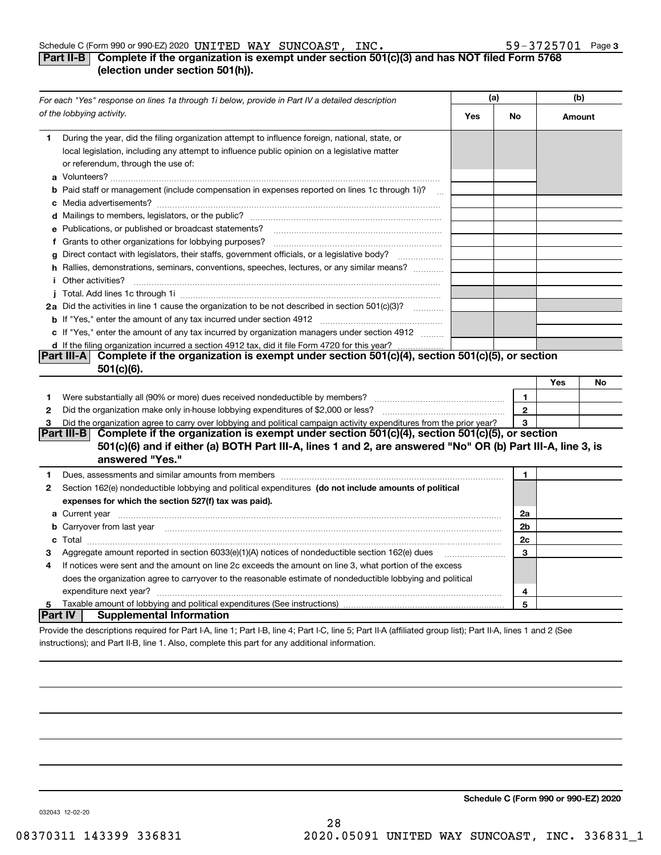#### Schedule C (Form 990 or 990-EZ) 2020 Page UNITED WAY SUNCOAST, INC. 59-3725701

# **3**

# **Part II-B** Complete if the organization is exempt under section 501(c)(3) and has NOT filed Form 5768 **(election under section 501(h)).**

|                | For each "Yes" response on lines 1a through 1i below, provide in Part IV a detailed description                                                                                                                                           | (a) |              | (b)    |    |
|----------------|-------------------------------------------------------------------------------------------------------------------------------------------------------------------------------------------------------------------------------------------|-----|--------------|--------|----|
|                | of the lobbying activity.                                                                                                                                                                                                                 | Yes | No           | Amount |    |
| 1              | During the year, did the filing organization attempt to influence foreign, national, state, or<br>local legislation, including any attempt to influence public opinion on a legislative matter<br>or referendum, through the use of:      |     |              |        |    |
|                | <b>b</b> Paid staff or management (include compensation in expenses reported on lines 1c through 1i)?<br>$\sim$                                                                                                                           |     |              |        |    |
|                |                                                                                                                                                                                                                                           |     |              |        |    |
|                | e Publications, or published or broadcast statements?<br>f Grants to other organizations for lobbying purposes?                                                                                                                           |     |              |        |    |
| g              | Direct contact with legislators, their staffs, government officials, or a legislative body?                                                                                                                                               |     |              |        |    |
|                | h Rallies, demonstrations, seminars, conventions, speeches, lectures, or any similar means?                                                                                                                                               |     |              |        |    |
|                | <i>i</i> Other activities?                                                                                                                                                                                                                |     |              |        |    |
|                |                                                                                                                                                                                                                                           |     |              |        |    |
|                | 2a Did the activities in line 1 cause the organization to be not described in section 501(c)(3)?                                                                                                                                          |     |              |        |    |
|                |                                                                                                                                                                                                                                           |     |              |        |    |
|                | c If "Yes," enter the amount of any tax incurred by organization managers under section 4912                                                                                                                                              |     |              |        |    |
|                | d If the filing organization incurred a section 4912 tax, did it file Form 4720 for this year?                                                                                                                                            |     |              |        |    |
|                | Part III-A Complete if the organization is exempt under section 501(c)(4), section 501(c)(5), or section                                                                                                                                  |     |              |        |    |
|                | $501(c)(6)$ .                                                                                                                                                                                                                             |     |              |        |    |
|                |                                                                                                                                                                                                                                           |     |              | Yes    | No |
| 1              |                                                                                                                                                                                                                                           |     | 1.           |        |    |
| 2              |                                                                                                                                                                                                                                           |     | $\mathbf{2}$ |        |    |
| 3              | Did the organization agree to carry over lobbying and political campaign activity expenditures from the prior year?<br>Complete if the organization is exempt under section 501(c)(4), section 501(c)(5), or section                      |     | 3            |        |    |
|                | Part III-B<br>501(c)(6) and if either (a) BOTH Part III-A, lines 1 and 2, are answered "No" OR (b) Part III-A, line 3, is                                                                                                                 |     |              |        |    |
| 1              | answered "Yes."                                                                                                                                                                                                                           |     | 1            |        |    |
| 2              | Section 162(e) nondeductible lobbying and political expenditures (do not include amounts of political                                                                                                                                     |     |              |        |    |
|                | expenses for which the section 527(f) tax was paid).                                                                                                                                                                                      |     |              |        |    |
|                |                                                                                                                                                                                                                                           |     | 2a           |        |    |
|                | <b>b</b> Carryover from last year <i>maching machine content to content to the content of the content of the content of the content of the content of the content of the content of the content of the content of the content of the </i> |     | 2b           |        |    |
|                |                                                                                                                                                                                                                                           |     | 2c           |        |    |
| з              | Aggregate amount reported in section 6033(e)(1)(A) notices of nondeductible section 162(e) dues                                                                                                                                           |     | 3            |        |    |
| 4              | If notices were sent and the amount on line 2c exceeds the amount on line 3, what portion of the excess                                                                                                                                   |     |              |        |    |
|                | does the organization agree to carryover to the reasonable estimate of nondeductible lobbying and political                                                                                                                               |     |              |        |    |
|                | expenditure next year?                                                                                                                                                                                                                    |     | 4            |        |    |
| 5              |                                                                                                                                                                                                                                           |     | 5            |        |    |
| <b>Part IV</b> | <b>Supplemental Information</b>                                                                                                                                                                                                           |     |              |        |    |
|                | Provide the descriptions required for Part I-A, line 1; Part I-B, line 4; Part I-C, line 5; Part II-A (affiliated group list); Part II-A, lines 1 and 2 (See                                                                              |     |              |        |    |

instructions); and Part II-B, line 1. Also, complete this part for any additional information.

**Schedule C (Form 990 or 990-EZ) 2020**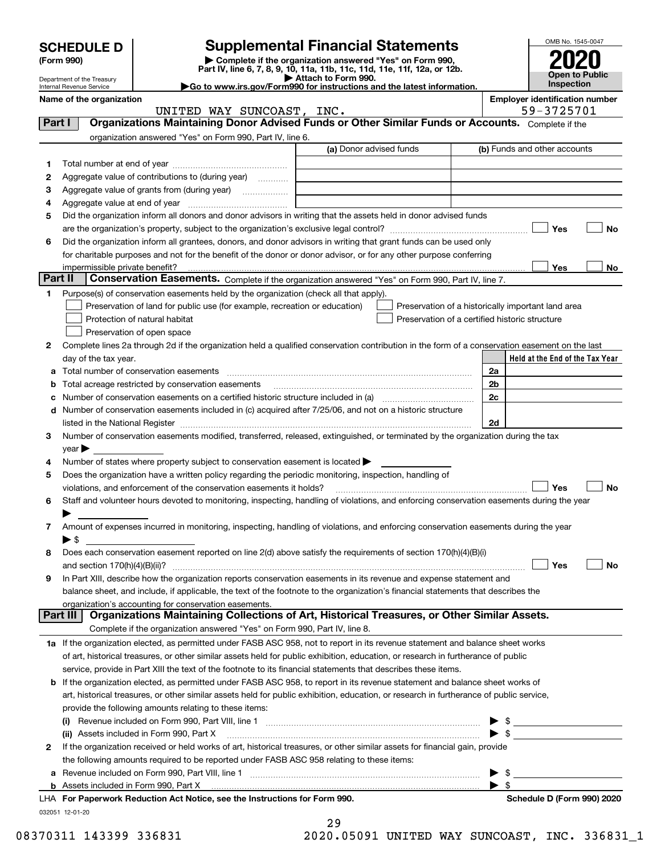| <b>Supplemental Financial Statements</b><br><b>SCHEDULE D</b><br>Complete if the organization answered "Yes" on Form 990,<br>(Form 990)<br>Part IV, line 6, 7, 8, 9, 10, 11a, 11b, 11c, 11d, 11e, 11f, 12a, or 12b.<br><b>Open to Public</b><br>Attach to Form 990.<br>Department of the Treasury<br>Inspection<br>Go to www.irs.gov/Form990 for instructions and the latest information.<br>Internal Revenue Service<br><b>Employer identification number</b><br>Name of the organization<br>59-3725701<br>UNITED WAY SUNCOAST, INC.<br>Organizations Maintaining Donor Advised Funds or Other Similar Funds or Accounts. Complete if the<br>Part I<br>organization answered "Yes" on Form 990, Part IV, line 6.<br>(a) Donor advised funds<br>(b) Funds and other accounts<br>1<br>Aggregate value of contributions to (during year)<br>2<br>З<br>4<br>Did the organization inform all donors and donor advisors in writing that the assets held in donor advised funds<br>5<br>Yes<br>Did the organization inform all grantees, donors, and donor advisors in writing that grant funds can be used only<br>6<br>for charitable purposes and not for the benefit of the donor or donor advisor, or for any other purpose conferring<br>Yes<br>No<br>impermissible private benefit?<br>Part II<br>Conservation Easements. Complete if the organization answered "Yes" on Form 990, Part IV, line 7.<br>Purpose(s) of conservation easements held by the organization (check all that apply).<br>1<br>Preservation of land for public use (for example, recreation or education)<br>Preservation of a historically important land area<br>Protection of natural habitat<br>Preservation of a certified historic structure<br>Preservation of open space<br>Complete lines 2a through 2d if the organization held a qualified conservation contribution in the form of a conservation easement on the last<br>2<br>Held at the End of the Tax Year<br>day of the tax year.<br>Total number of conservation easements<br>2a<br>а<br>Total acreage restricted by conservation easements<br>2b<br>b<br>2c<br>Number of conservation easements on a certified historic structure included in (a) manufacture of conservation<br>c<br>Number of conservation easements included in (c) acquired after 7/25/06, and not on a historic structure<br>d<br>2d<br>listed in the National Register [11, 1200] [12] The National Register [11, 1200] [12] The National Register [1<br>Number of conservation easements modified, transferred, released, extinguished, or terminated by the organization during the tax<br>З<br>$\vee$ ear<br>Number of states where property subject to conservation easement is located $\blacktriangleright$<br>4<br>Does the organization have a written policy regarding the periodic monitoring, inspection, handling of<br>5<br>Yes<br>violations, and enforcement of the conservation easements it holds?<br>Staff and volunteer hours devoted to monitoring, inspecting, handling of violations, and enforcing conservation easements during the year<br>6<br>Amount of expenses incurred in monitoring, inspecting, handling of violations, and enforcing conservation easements during the year<br>7<br>▶ \$<br>Does each conservation easement reported on line 2(d) above satisfy the requirements of section 170(h)(4)(B)(i)<br>8<br>Yes<br>In Part XIII, describe how the organization reports conservation easements in its revenue and expense statement and<br>9<br>balance sheet, and include, if applicable, the text of the footnote to the organization's financial statements that describes the<br>organization's accounting for conservation easements.<br>Organizations Maintaining Collections of Art, Historical Treasures, or Other Similar Assets.<br>Part III<br>Complete if the organization answered "Yes" on Form 990, Part IV, line 8.<br>1a If the organization elected, as permitted under FASB ASC 958, not to report in its revenue statement and balance sheet works<br>of art, historical treasures, or other similar assets held for public exhibition, education, or research in furtherance of public<br>service, provide in Part XIII the text of the footnote to its financial statements that describes these items.<br>If the organization elected, as permitted under FASB ASC 958, to report in its revenue statement and balance sheet works of<br>b<br>art, historical treasures, or other similar assets held for public exhibition, education, or research in furtherance of public service,<br>provide the following amounts relating to these items:<br>Revenue included on Form 990, Part VIII, line 1 [2000] [2000] [2000] [2000] [2000] [2000] [2000] [2000] [2000<br>$\blacktriangleright$ \$ |  |  |  |  | OMB No. 1545-0047 |    |
|-----------------------------------------------------------------------------------------------------------------------------------------------------------------------------------------------------------------------------------------------------------------------------------------------------------------------------------------------------------------------------------------------------------------------------------------------------------------------------------------------------------------------------------------------------------------------------------------------------------------------------------------------------------------------------------------------------------------------------------------------------------------------------------------------------------------------------------------------------------------------------------------------------------------------------------------------------------------------------------------------------------------------------------------------------------------------------------------------------------------------------------------------------------------------------------------------------------------------------------------------------------------------------------------------------------------------------------------------------------------------------------------------------------------------------------------------------------------------------------------------------------------------------------------------------------------------------------------------------------------------------------------------------------------------------------------------------------------------------------------------------------------------------------------------------------------------------------------------------------------------------------------------------------------------------------------------------------------------------------------------------------------------------------------------------------------------------------------------------------------------------------------------------------------------------------------------------------------------------------------------------------------------------------------------------------------------------------------------------------------------------------------------------------------------------------------------------------------------------------------------------------------------------------------------------------------------------------------------------------------------------------------------------------------------------------------------------------------------------------------------------------------------------------------------------------------------------------------------------------------------------------------------------------------------------------------------------------------------------------------------------------------------------------------------------------------------------------------------------------------------------------------------------------------------------------------------------------------------------------------------------------------------------------------------------------------------------------------------------------------------------------------------------------------------------------------------------------------------------------------------------------------------------------------------------------------------------------------------------------------------------------------------------------------------------------------------------------------------------------------------------------------------------------------------------------------------------------------------------------------------------------------------------------------------------------------------------------------------------------------------------------------------------------------------------------------------------------------------------------------------------------------------------------------------------------------------------------------------------------------------------------------------------------------------------------------------------------------------------------------------------------------------------------------------------------------------------------------------------------------------------------------------------------------------------------------------------------------------------------------------------------------------------------------------------------------------------------------------------------------------------------------------------|--|--|--|--|-------------------|----|
|                                                                                                                                                                                                                                                                                                                                                                                                                                                                                                                                                                                                                                                                                                                                                                                                                                                                                                                                                                                                                                                                                                                                                                                                                                                                                                                                                                                                                                                                                                                                                                                                                                                                                                                                                                                                                                                                                                                                                                                                                                                                                                                                                                                                                                                                                                                                                                                                                                                                                                                                                                                                                                                                                                                                                                                                                                                                                                                                                                                                                                                                                                                                                                                                                                                                                                                                                                                                                                                                                                                                                                                                                                                                                                                                                                                                                                                                                                                                                                                                                                                                                                                                                                                                                                                                                                                                                                                                                                                                                                                                                                                                                                                                                                                                                                             |  |  |  |  |                   |    |
|                                                                                                                                                                                                                                                                                                                                                                                                                                                                                                                                                                                                                                                                                                                                                                                                                                                                                                                                                                                                                                                                                                                                                                                                                                                                                                                                                                                                                                                                                                                                                                                                                                                                                                                                                                                                                                                                                                                                                                                                                                                                                                                                                                                                                                                                                                                                                                                                                                                                                                                                                                                                                                                                                                                                                                                                                                                                                                                                                                                                                                                                                                                                                                                                                                                                                                                                                                                                                                                                                                                                                                                                                                                                                                                                                                                                                                                                                                                                                                                                                                                                                                                                                                                                                                                                                                                                                                                                                                                                                                                                                                                                                                                                                                                                                                             |  |  |  |  |                   |    |
|                                                                                                                                                                                                                                                                                                                                                                                                                                                                                                                                                                                                                                                                                                                                                                                                                                                                                                                                                                                                                                                                                                                                                                                                                                                                                                                                                                                                                                                                                                                                                                                                                                                                                                                                                                                                                                                                                                                                                                                                                                                                                                                                                                                                                                                                                                                                                                                                                                                                                                                                                                                                                                                                                                                                                                                                                                                                                                                                                                                                                                                                                                                                                                                                                                                                                                                                                                                                                                                                                                                                                                                                                                                                                                                                                                                                                                                                                                                                                                                                                                                                                                                                                                                                                                                                                                                                                                                                                                                                                                                                                                                                                                                                                                                                                                             |  |  |  |  |                   |    |
|                                                                                                                                                                                                                                                                                                                                                                                                                                                                                                                                                                                                                                                                                                                                                                                                                                                                                                                                                                                                                                                                                                                                                                                                                                                                                                                                                                                                                                                                                                                                                                                                                                                                                                                                                                                                                                                                                                                                                                                                                                                                                                                                                                                                                                                                                                                                                                                                                                                                                                                                                                                                                                                                                                                                                                                                                                                                                                                                                                                                                                                                                                                                                                                                                                                                                                                                                                                                                                                                                                                                                                                                                                                                                                                                                                                                                                                                                                                                                                                                                                                                                                                                                                                                                                                                                                                                                                                                                                                                                                                                                                                                                                                                                                                                                                             |  |  |  |  |                   |    |
|                                                                                                                                                                                                                                                                                                                                                                                                                                                                                                                                                                                                                                                                                                                                                                                                                                                                                                                                                                                                                                                                                                                                                                                                                                                                                                                                                                                                                                                                                                                                                                                                                                                                                                                                                                                                                                                                                                                                                                                                                                                                                                                                                                                                                                                                                                                                                                                                                                                                                                                                                                                                                                                                                                                                                                                                                                                                                                                                                                                                                                                                                                                                                                                                                                                                                                                                                                                                                                                                                                                                                                                                                                                                                                                                                                                                                                                                                                                                                                                                                                                                                                                                                                                                                                                                                                                                                                                                                                                                                                                                                                                                                                                                                                                                                                             |  |  |  |  |                   |    |
|                                                                                                                                                                                                                                                                                                                                                                                                                                                                                                                                                                                                                                                                                                                                                                                                                                                                                                                                                                                                                                                                                                                                                                                                                                                                                                                                                                                                                                                                                                                                                                                                                                                                                                                                                                                                                                                                                                                                                                                                                                                                                                                                                                                                                                                                                                                                                                                                                                                                                                                                                                                                                                                                                                                                                                                                                                                                                                                                                                                                                                                                                                                                                                                                                                                                                                                                                                                                                                                                                                                                                                                                                                                                                                                                                                                                                                                                                                                                                                                                                                                                                                                                                                                                                                                                                                                                                                                                                                                                                                                                                                                                                                                                                                                                                                             |  |  |  |  |                   |    |
|                                                                                                                                                                                                                                                                                                                                                                                                                                                                                                                                                                                                                                                                                                                                                                                                                                                                                                                                                                                                                                                                                                                                                                                                                                                                                                                                                                                                                                                                                                                                                                                                                                                                                                                                                                                                                                                                                                                                                                                                                                                                                                                                                                                                                                                                                                                                                                                                                                                                                                                                                                                                                                                                                                                                                                                                                                                                                                                                                                                                                                                                                                                                                                                                                                                                                                                                                                                                                                                                                                                                                                                                                                                                                                                                                                                                                                                                                                                                                                                                                                                                                                                                                                                                                                                                                                                                                                                                                                                                                                                                                                                                                                                                                                                                                                             |  |  |  |  |                   |    |
|                                                                                                                                                                                                                                                                                                                                                                                                                                                                                                                                                                                                                                                                                                                                                                                                                                                                                                                                                                                                                                                                                                                                                                                                                                                                                                                                                                                                                                                                                                                                                                                                                                                                                                                                                                                                                                                                                                                                                                                                                                                                                                                                                                                                                                                                                                                                                                                                                                                                                                                                                                                                                                                                                                                                                                                                                                                                                                                                                                                                                                                                                                                                                                                                                                                                                                                                                                                                                                                                                                                                                                                                                                                                                                                                                                                                                                                                                                                                                                                                                                                                                                                                                                                                                                                                                                                                                                                                                                                                                                                                                                                                                                                                                                                                                                             |  |  |  |  |                   |    |
|                                                                                                                                                                                                                                                                                                                                                                                                                                                                                                                                                                                                                                                                                                                                                                                                                                                                                                                                                                                                                                                                                                                                                                                                                                                                                                                                                                                                                                                                                                                                                                                                                                                                                                                                                                                                                                                                                                                                                                                                                                                                                                                                                                                                                                                                                                                                                                                                                                                                                                                                                                                                                                                                                                                                                                                                                                                                                                                                                                                                                                                                                                                                                                                                                                                                                                                                                                                                                                                                                                                                                                                                                                                                                                                                                                                                                                                                                                                                                                                                                                                                                                                                                                                                                                                                                                                                                                                                                                                                                                                                                                                                                                                                                                                                                                             |  |  |  |  |                   |    |
|                                                                                                                                                                                                                                                                                                                                                                                                                                                                                                                                                                                                                                                                                                                                                                                                                                                                                                                                                                                                                                                                                                                                                                                                                                                                                                                                                                                                                                                                                                                                                                                                                                                                                                                                                                                                                                                                                                                                                                                                                                                                                                                                                                                                                                                                                                                                                                                                                                                                                                                                                                                                                                                                                                                                                                                                                                                                                                                                                                                                                                                                                                                                                                                                                                                                                                                                                                                                                                                                                                                                                                                                                                                                                                                                                                                                                                                                                                                                                                                                                                                                                                                                                                                                                                                                                                                                                                                                                                                                                                                                                                                                                                                                                                                                                                             |  |  |  |  |                   |    |
|                                                                                                                                                                                                                                                                                                                                                                                                                                                                                                                                                                                                                                                                                                                                                                                                                                                                                                                                                                                                                                                                                                                                                                                                                                                                                                                                                                                                                                                                                                                                                                                                                                                                                                                                                                                                                                                                                                                                                                                                                                                                                                                                                                                                                                                                                                                                                                                                                                                                                                                                                                                                                                                                                                                                                                                                                                                                                                                                                                                                                                                                                                                                                                                                                                                                                                                                                                                                                                                                                                                                                                                                                                                                                                                                                                                                                                                                                                                                                                                                                                                                                                                                                                                                                                                                                                                                                                                                                                                                                                                                                                                                                                                                                                                                                                             |  |  |  |  |                   |    |
|                                                                                                                                                                                                                                                                                                                                                                                                                                                                                                                                                                                                                                                                                                                                                                                                                                                                                                                                                                                                                                                                                                                                                                                                                                                                                                                                                                                                                                                                                                                                                                                                                                                                                                                                                                                                                                                                                                                                                                                                                                                                                                                                                                                                                                                                                                                                                                                                                                                                                                                                                                                                                                                                                                                                                                                                                                                                                                                                                                                                                                                                                                                                                                                                                                                                                                                                                                                                                                                                                                                                                                                                                                                                                                                                                                                                                                                                                                                                                                                                                                                                                                                                                                                                                                                                                                                                                                                                                                                                                                                                                                                                                                                                                                                                                                             |  |  |  |  |                   |    |
|                                                                                                                                                                                                                                                                                                                                                                                                                                                                                                                                                                                                                                                                                                                                                                                                                                                                                                                                                                                                                                                                                                                                                                                                                                                                                                                                                                                                                                                                                                                                                                                                                                                                                                                                                                                                                                                                                                                                                                                                                                                                                                                                                                                                                                                                                                                                                                                                                                                                                                                                                                                                                                                                                                                                                                                                                                                                                                                                                                                                                                                                                                                                                                                                                                                                                                                                                                                                                                                                                                                                                                                                                                                                                                                                                                                                                                                                                                                                                                                                                                                                                                                                                                                                                                                                                                                                                                                                                                                                                                                                                                                                                                                                                                                                                                             |  |  |  |  |                   | No |
|                                                                                                                                                                                                                                                                                                                                                                                                                                                                                                                                                                                                                                                                                                                                                                                                                                                                                                                                                                                                                                                                                                                                                                                                                                                                                                                                                                                                                                                                                                                                                                                                                                                                                                                                                                                                                                                                                                                                                                                                                                                                                                                                                                                                                                                                                                                                                                                                                                                                                                                                                                                                                                                                                                                                                                                                                                                                                                                                                                                                                                                                                                                                                                                                                                                                                                                                                                                                                                                                                                                                                                                                                                                                                                                                                                                                                                                                                                                                                                                                                                                                                                                                                                                                                                                                                                                                                                                                                                                                                                                                                                                                                                                                                                                                                                             |  |  |  |  |                   |    |
|                                                                                                                                                                                                                                                                                                                                                                                                                                                                                                                                                                                                                                                                                                                                                                                                                                                                                                                                                                                                                                                                                                                                                                                                                                                                                                                                                                                                                                                                                                                                                                                                                                                                                                                                                                                                                                                                                                                                                                                                                                                                                                                                                                                                                                                                                                                                                                                                                                                                                                                                                                                                                                                                                                                                                                                                                                                                                                                                                                                                                                                                                                                                                                                                                                                                                                                                                                                                                                                                                                                                                                                                                                                                                                                                                                                                                                                                                                                                                                                                                                                                                                                                                                                                                                                                                                                                                                                                                                                                                                                                                                                                                                                                                                                                                                             |  |  |  |  |                   |    |
|                                                                                                                                                                                                                                                                                                                                                                                                                                                                                                                                                                                                                                                                                                                                                                                                                                                                                                                                                                                                                                                                                                                                                                                                                                                                                                                                                                                                                                                                                                                                                                                                                                                                                                                                                                                                                                                                                                                                                                                                                                                                                                                                                                                                                                                                                                                                                                                                                                                                                                                                                                                                                                                                                                                                                                                                                                                                                                                                                                                                                                                                                                                                                                                                                                                                                                                                                                                                                                                                                                                                                                                                                                                                                                                                                                                                                                                                                                                                                                                                                                                                                                                                                                                                                                                                                                                                                                                                                                                                                                                                                                                                                                                                                                                                                                             |  |  |  |  |                   |    |
|                                                                                                                                                                                                                                                                                                                                                                                                                                                                                                                                                                                                                                                                                                                                                                                                                                                                                                                                                                                                                                                                                                                                                                                                                                                                                                                                                                                                                                                                                                                                                                                                                                                                                                                                                                                                                                                                                                                                                                                                                                                                                                                                                                                                                                                                                                                                                                                                                                                                                                                                                                                                                                                                                                                                                                                                                                                                                                                                                                                                                                                                                                                                                                                                                                                                                                                                                                                                                                                                                                                                                                                                                                                                                                                                                                                                                                                                                                                                                                                                                                                                                                                                                                                                                                                                                                                                                                                                                                                                                                                                                                                                                                                                                                                                                                             |  |  |  |  |                   |    |
|                                                                                                                                                                                                                                                                                                                                                                                                                                                                                                                                                                                                                                                                                                                                                                                                                                                                                                                                                                                                                                                                                                                                                                                                                                                                                                                                                                                                                                                                                                                                                                                                                                                                                                                                                                                                                                                                                                                                                                                                                                                                                                                                                                                                                                                                                                                                                                                                                                                                                                                                                                                                                                                                                                                                                                                                                                                                                                                                                                                                                                                                                                                                                                                                                                                                                                                                                                                                                                                                                                                                                                                                                                                                                                                                                                                                                                                                                                                                                                                                                                                                                                                                                                                                                                                                                                                                                                                                                                                                                                                                                                                                                                                                                                                                                                             |  |  |  |  |                   |    |
|                                                                                                                                                                                                                                                                                                                                                                                                                                                                                                                                                                                                                                                                                                                                                                                                                                                                                                                                                                                                                                                                                                                                                                                                                                                                                                                                                                                                                                                                                                                                                                                                                                                                                                                                                                                                                                                                                                                                                                                                                                                                                                                                                                                                                                                                                                                                                                                                                                                                                                                                                                                                                                                                                                                                                                                                                                                                                                                                                                                                                                                                                                                                                                                                                                                                                                                                                                                                                                                                                                                                                                                                                                                                                                                                                                                                                                                                                                                                                                                                                                                                                                                                                                                                                                                                                                                                                                                                                                                                                                                                                                                                                                                                                                                                                                             |  |  |  |  |                   |    |
|                                                                                                                                                                                                                                                                                                                                                                                                                                                                                                                                                                                                                                                                                                                                                                                                                                                                                                                                                                                                                                                                                                                                                                                                                                                                                                                                                                                                                                                                                                                                                                                                                                                                                                                                                                                                                                                                                                                                                                                                                                                                                                                                                                                                                                                                                                                                                                                                                                                                                                                                                                                                                                                                                                                                                                                                                                                                                                                                                                                                                                                                                                                                                                                                                                                                                                                                                                                                                                                                                                                                                                                                                                                                                                                                                                                                                                                                                                                                                                                                                                                                                                                                                                                                                                                                                                                                                                                                                                                                                                                                                                                                                                                                                                                                                                             |  |  |  |  |                   |    |
|                                                                                                                                                                                                                                                                                                                                                                                                                                                                                                                                                                                                                                                                                                                                                                                                                                                                                                                                                                                                                                                                                                                                                                                                                                                                                                                                                                                                                                                                                                                                                                                                                                                                                                                                                                                                                                                                                                                                                                                                                                                                                                                                                                                                                                                                                                                                                                                                                                                                                                                                                                                                                                                                                                                                                                                                                                                                                                                                                                                                                                                                                                                                                                                                                                                                                                                                                                                                                                                                                                                                                                                                                                                                                                                                                                                                                                                                                                                                                                                                                                                                                                                                                                                                                                                                                                                                                                                                                                                                                                                                                                                                                                                                                                                                                                             |  |  |  |  |                   |    |
|                                                                                                                                                                                                                                                                                                                                                                                                                                                                                                                                                                                                                                                                                                                                                                                                                                                                                                                                                                                                                                                                                                                                                                                                                                                                                                                                                                                                                                                                                                                                                                                                                                                                                                                                                                                                                                                                                                                                                                                                                                                                                                                                                                                                                                                                                                                                                                                                                                                                                                                                                                                                                                                                                                                                                                                                                                                                                                                                                                                                                                                                                                                                                                                                                                                                                                                                                                                                                                                                                                                                                                                                                                                                                                                                                                                                                                                                                                                                                                                                                                                                                                                                                                                                                                                                                                                                                                                                                                                                                                                                                                                                                                                                                                                                                                             |  |  |  |  |                   |    |
|                                                                                                                                                                                                                                                                                                                                                                                                                                                                                                                                                                                                                                                                                                                                                                                                                                                                                                                                                                                                                                                                                                                                                                                                                                                                                                                                                                                                                                                                                                                                                                                                                                                                                                                                                                                                                                                                                                                                                                                                                                                                                                                                                                                                                                                                                                                                                                                                                                                                                                                                                                                                                                                                                                                                                                                                                                                                                                                                                                                                                                                                                                                                                                                                                                                                                                                                                                                                                                                                                                                                                                                                                                                                                                                                                                                                                                                                                                                                                                                                                                                                                                                                                                                                                                                                                                                                                                                                                                                                                                                                                                                                                                                                                                                                                                             |  |  |  |  |                   |    |
|                                                                                                                                                                                                                                                                                                                                                                                                                                                                                                                                                                                                                                                                                                                                                                                                                                                                                                                                                                                                                                                                                                                                                                                                                                                                                                                                                                                                                                                                                                                                                                                                                                                                                                                                                                                                                                                                                                                                                                                                                                                                                                                                                                                                                                                                                                                                                                                                                                                                                                                                                                                                                                                                                                                                                                                                                                                                                                                                                                                                                                                                                                                                                                                                                                                                                                                                                                                                                                                                                                                                                                                                                                                                                                                                                                                                                                                                                                                                                                                                                                                                                                                                                                                                                                                                                                                                                                                                                                                                                                                                                                                                                                                                                                                                                                             |  |  |  |  |                   |    |
|                                                                                                                                                                                                                                                                                                                                                                                                                                                                                                                                                                                                                                                                                                                                                                                                                                                                                                                                                                                                                                                                                                                                                                                                                                                                                                                                                                                                                                                                                                                                                                                                                                                                                                                                                                                                                                                                                                                                                                                                                                                                                                                                                                                                                                                                                                                                                                                                                                                                                                                                                                                                                                                                                                                                                                                                                                                                                                                                                                                                                                                                                                                                                                                                                                                                                                                                                                                                                                                                                                                                                                                                                                                                                                                                                                                                                                                                                                                                                                                                                                                                                                                                                                                                                                                                                                                                                                                                                                                                                                                                                                                                                                                                                                                                                                             |  |  |  |  |                   |    |
|                                                                                                                                                                                                                                                                                                                                                                                                                                                                                                                                                                                                                                                                                                                                                                                                                                                                                                                                                                                                                                                                                                                                                                                                                                                                                                                                                                                                                                                                                                                                                                                                                                                                                                                                                                                                                                                                                                                                                                                                                                                                                                                                                                                                                                                                                                                                                                                                                                                                                                                                                                                                                                                                                                                                                                                                                                                                                                                                                                                                                                                                                                                                                                                                                                                                                                                                                                                                                                                                                                                                                                                                                                                                                                                                                                                                                                                                                                                                                                                                                                                                                                                                                                                                                                                                                                                                                                                                                                                                                                                                                                                                                                                                                                                                                                             |  |  |  |  |                   |    |
|                                                                                                                                                                                                                                                                                                                                                                                                                                                                                                                                                                                                                                                                                                                                                                                                                                                                                                                                                                                                                                                                                                                                                                                                                                                                                                                                                                                                                                                                                                                                                                                                                                                                                                                                                                                                                                                                                                                                                                                                                                                                                                                                                                                                                                                                                                                                                                                                                                                                                                                                                                                                                                                                                                                                                                                                                                                                                                                                                                                                                                                                                                                                                                                                                                                                                                                                                                                                                                                                                                                                                                                                                                                                                                                                                                                                                                                                                                                                                                                                                                                                                                                                                                                                                                                                                                                                                                                                                                                                                                                                                                                                                                                                                                                                                                             |  |  |  |  |                   |    |
|                                                                                                                                                                                                                                                                                                                                                                                                                                                                                                                                                                                                                                                                                                                                                                                                                                                                                                                                                                                                                                                                                                                                                                                                                                                                                                                                                                                                                                                                                                                                                                                                                                                                                                                                                                                                                                                                                                                                                                                                                                                                                                                                                                                                                                                                                                                                                                                                                                                                                                                                                                                                                                                                                                                                                                                                                                                                                                                                                                                                                                                                                                                                                                                                                                                                                                                                                                                                                                                                                                                                                                                                                                                                                                                                                                                                                                                                                                                                                                                                                                                                                                                                                                                                                                                                                                                                                                                                                                                                                                                                                                                                                                                                                                                                                                             |  |  |  |  |                   |    |
|                                                                                                                                                                                                                                                                                                                                                                                                                                                                                                                                                                                                                                                                                                                                                                                                                                                                                                                                                                                                                                                                                                                                                                                                                                                                                                                                                                                                                                                                                                                                                                                                                                                                                                                                                                                                                                                                                                                                                                                                                                                                                                                                                                                                                                                                                                                                                                                                                                                                                                                                                                                                                                                                                                                                                                                                                                                                                                                                                                                                                                                                                                                                                                                                                                                                                                                                                                                                                                                                                                                                                                                                                                                                                                                                                                                                                                                                                                                                                                                                                                                                                                                                                                                                                                                                                                                                                                                                                                                                                                                                                                                                                                                                                                                                                                             |  |  |  |  |                   |    |
|                                                                                                                                                                                                                                                                                                                                                                                                                                                                                                                                                                                                                                                                                                                                                                                                                                                                                                                                                                                                                                                                                                                                                                                                                                                                                                                                                                                                                                                                                                                                                                                                                                                                                                                                                                                                                                                                                                                                                                                                                                                                                                                                                                                                                                                                                                                                                                                                                                                                                                                                                                                                                                                                                                                                                                                                                                                                                                                                                                                                                                                                                                                                                                                                                                                                                                                                                                                                                                                                                                                                                                                                                                                                                                                                                                                                                                                                                                                                                                                                                                                                                                                                                                                                                                                                                                                                                                                                                                                                                                                                                                                                                                                                                                                                                                             |  |  |  |  |                   |    |
|                                                                                                                                                                                                                                                                                                                                                                                                                                                                                                                                                                                                                                                                                                                                                                                                                                                                                                                                                                                                                                                                                                                                                                                                                                                                                                                                                                                                                                                                                                                                                                                                                                                                                                                                                                                                                                                                                                                                                                                                                                                                                                                                                                                                                                                                                                                                                                                                                                                                                                                                                                                                                                                                                                                                                                                                                                                                                                                                                                                                                                                                                                                                                                                                                                                                                                                                                                                                                                                                                                                                                                                                                                                                                                                                                                                                                                                                                                                                                                                                                                                                                                                                                                                                                                                                                                                                                                                                                                                                                                                                                                                                                                                                                                                                                                             |  |  |  |  |                   |    |
|                                                                                                                                                                                                                                                                                                                                                                                                                                                                                                                                                                                                                                                                                                                                                                                                                                                                                                                                                                                                                                                                                                                                                                                                                                                                                                                                                                                                                                                                                                                                                                                                                                                                                                                                                                                                                                                                                                                                                                                                                                                                                                                                                                                                                                                                                                                                                                                                                                                                                                                                                                                                                                                                                                                                                                                                                                                                                                                                                                                                                                                                                                                                                                                                                                                                                                                                                                                                                                                                                                                                                                                                                                                                                                                                                                                                                                                                                                                                                                                                                                                                                                                                                                                                                                                                                                                                                                                                                                                                                                                                                                                                                                                                                                                                                                             |  |  |  |  |                   | No |
|                                                                                                                                                                                                                                                                                                                                                                                                                                                                                                                                                                                                                                                                                                                                                                                                                                                                                                                                                                                                                                                                                                                                                                                                                                                                                                                                                                                                                                                                                                                                                                                                                                                                                                                                                                                                                                                                                                                                                                                                                                                                                                                                                                                                                                                                                                                                                                                                                                                                                                                                                                                                                                                                                                                                                                                                                                                                                                                                                                                                                                                                                                                                                                                                                                                                                                                                                                                                                                                                                                                                                                                                                                                                                                                                                                                                                                                                                                                                                                                                                                                                                                                                                                                                                                                                                                                                                                                                                                                                                                                                                                                                                                                                                                                                                                             |  |  |  |  |                   |    |
|                                                                                                                                                                                                                                                                                                                                                                                                                                                                                                                                                                                                                                                                                                                                                                                                                                                                                                                                                                                                                                                                                                                                                                                                                                                                                                                                                                                                                                                                                                                                                                                                                                                                                                                                                                                                                                                                                                                                                                                                                                                                                                                                                                                                                                                                                                                                                                                                                                                                                                                                                                                                                                                                                                                                                                                                                                                                                                                                                                                                                                                                                                                                                                                                                                                                                                                                                                                                                                                                                                                                                                                                                                                                                                                                                                                                                                                                                                                                                                                                                                                                                                                                                                                                                                                                                                                                                                                                                                                                                                                                                                                                                                                                                                                                                                             |  |  |  |  |                   |    |
|                                                                                                                                                                                                                                                                                                                                                                                                                                                                                                                                                                                                                                                                                                                                                                                                                                                                                                                                                                                                                                                                                                                                                                                                                                                                                                                                                                                                                                                                                                                                                                                                                                                                                                                                                                                                                                                                                                                                                                                                                                                                                                                                                                                                                                                                                                                                                                                                                                                                                                                                                                                                                                                                                                                                                                                                                                                                                                                                                                                                                                                                                                                                                                                                                                                                                                                                                                                                                                                                                                                                                                                                                                                                                                                                                                                                                                                                                                                                                                                                                                                                                                                                                                                                                                                                                                                                                                                                                                                                                                                                                                                                                                                                                                                                                                             |  |  |  |  |                   |    |
|                                                                                                                                                                                                                                                                                                                                                                                                                                                                                                                                                                                                                                                                                                                                                                                                                                                                                                                                                                                                                                                                                                                                                                                                                                                                                                                                                                                                                                                                                                                                                                                                                                                                                                                                                                                                                                                                                                                                                                                                                                                                                                                                                                                                                                                                                                                                                                                                                                                                                                                                                                                                                                                                                                                                                                                                                                                                                                                                                                                                                                                                                                                                                                                                                                                                                                                                                                                                                                                                                                                                                                                                                                                                                                                                                                                                                                                                                                                                                                                                                                                                                                                                                                                                                                                                                                                                                                                                                                                                                                                                                                                                                                                                                                                                                                             |  |  |  |  |                   |    |
|                                                                                                                                                                                                                                                                                                                                                                                                                                                                                                                                                                                                                                                                                                                                                                                                                                                                                                                                                                                                                                                                                                                                                                                                                                                                                                                                                                                                                                                                                                                                                                                                                                                                                                                                                                                                                                                                                                                                                                                                                                                                                                                                                                                                                                                                                                                                                                                                                                                                                                                                                                                                                                                                                                                                                                                                                                                                                                                                                                                                                                                                                                                                                                                                                                                                                                                                                                                                                                                                                                                                                                                                                                                                                                                                                                                                                                                                                                                                                                                                                                                                                                                                                                                                                                                                                                                                                                                                                                                                                                                                                                                                                                                                                                                                                                             |  |  |  |  |                   | No |
|                                                                                                                                                                                                                                                                                                                                                                                                                                                                                                                                                                                                                                                                                                                                                                                                                                                                                                                                                                                                                                                                                                                                                                                                                                                                                                                                                                                                                                                                                                                                                                                                                                                                                                                                                                                                                                                                                                                                                                                                                                                                                                                                                                                                                                                                                                                                                                                                                                                                                                                                                                                                                                                                                                                                                                                                                                                                                                                                                                                                                                                                                                                                                                                                                                                                                                                                                                                                                                                                                                                                                                                                                                                                                                                                                                                                                                                                                                                                                                                                                                                                                                                                                                                                                                                                                                                                                                                                                                                                                                                                                                                                                                                                                                                                                                             |  |  |  |  |                   |    |
|                                                                                                                                                                                                                                                                                                                                                                                                                                                                                                                                                                                                                                                                                                                                                                                                                                                                                                                                                                                                                                                                                                                                                                                                                                                                                                                                                                                                                                                                                                                                                                                                                                                                                                                                                                                                                                                                                                                                                                                                                                                                                                                                                                                                                                                                                                                                                                                                                                                                                                                                                                                                                                                                                                                                                                                                                                                                                                                                                                                                                                                                                                                                                                                                                                                                                                                                                                                                                                                                                                                                                                                                                                                                                                                                                                                                                                                                                                                                                                                                                                                                                                                                                                                                                                                                                                                                                                                                                                                                                                                                                                                                                                                                                                                                                                             |  |  |  |  |                   |    |
|                                                                                                                                                                                                                                                                                                                                                                                                                                                                                                                                                                                                                                                                                                                                                                                                                                                                                                                                                                                                                                                                                                                                                                                                                                                                                                                                                                                                                                                                                                                                                                                                                                                                                                                                                                                                                                                                                                                                                                                                                                                                                                                                                                                                                                                                                                                                                                                                                                                                                                                                                                                                                                                                                                                                                                                                                                                                                                                                                                                                                                                                                                                                                                                                                                                                                                                                                                                                                                                                                                                                                                                                                                                                                                                                                                                                                                                                                                                                                                                                                                                                                                                                                                                                                                                                                                                                                                                                                                                                                                                                                                                                                                                                                                                                                                             |  |  |  |  |                   |    |
|                                                                                                                                                                                                                                                                                                                                                                                                                                                                                                                                                                                                                                                                                                                                                                                                                                                                                                                                                                                                                                                                                                                                                                                                                                                                                                                                                                                                                                                                                                                                                                                                                                                                                                                                                                                                                                                                                                                                                                                                                                                                                                                                                                                                                                                                                                                                                                                                                                                                                                                                                                                                                                                                                                                                                                                                                                                                                                                                                                                                                                                                                                                                                                                                                                                                                                                                                                                                                                                                                                                                                                                                                                                                                                                                                                                                                                                                                                                                                                                                                                                                                                                                                                                                                                                                                                                                                                                                                                                                                                                                                                                                                                                                                                                                                                             |  |  |  |  |                   |    |
|                                                                                                                                                                                                                                                                                                                                                                                                                                                                                                                                                                                                                                                                                                                                                                                                                                                                                                                                                                                                                                                                                                                                                                                                                                                                                                                                                                                                                                                                                                                                                                                                                                                                                                                                                                                                                                                                                                                                                                                                                                                                                                                                                                                                                                                                                                                                                                                                                                                                                                                                                                                                                                                                                                                                                                                                                                                                                                                                                                                                                                                                                                                                                                                                                                                                                                                                                                                                                                                                                                                                                                                                                                                                                                                                                                                                                                                                                                                                                                                                                                                                                                                                                                                                                                                                                                                                                                                                                                                                                                                                                                                                                                                                                                                                                                             |  |  |  |  |                   |    |
|                                                                                                                                                                                                                                                                                                                                                                                                                                                                                                                                                                                                                                                                                                                                                                                                                                                                                                                                                                                                                                                                                                                                                                                                                                                                                                                                                                                                                                                                                                                                                                                                                                                                                                                                                                                                                                                                                                                                                                                                                                                                                                                                                                                                                                                                                                                                                                                                                                                                                                                                                                                                                                                                                                                                                                                                                                                                                                                                                                                                                                                                                                                                                                                                                                                                                                                                                                                                                                                                                                                                                                                                                                                                                                                                                                                                                                                                                                                                                                                                                                                                                                                                                                                                                                                                                                                                                                                                                                                                                                                                                                                                                                                                                                                                                                             |  |  |  |  |                   |    |
|                                                                                                                                                                                                                                                                                                                                                                                                                                                                                                                                                                                                                                                                                                                                                                                                                                                                                                                                                                                                                                                                                                                                                                                                                                                                                                                                                                                                                                                                                                                                                                                                                                                                                                                                                                                                                                                                                                                                                                                                                                                                                                                                                                                                                                                                                                                                                                                                                                                                                                                                                                                                                                                                                                                                                                                                                                                                                                                                                                                                                                                                                                                                                                                                                                                                                                                                                                                                                                                                                                                                                                                                                                                                                                                                                                                                                                                                                                                                                                                                                                                                                                                                                                                                                                                                                                                                                                                                                                                                                                                                                                                                                                                                                                                                                                             |  |  |  |  |                   |    |
|                                                                                                                                                                                                                                                                                                                                                                                                                                                                                                                                                                                                                                                                                                                                                                                                                                                                                                                                                                                                                                                                                                                                                                                                                                                                                                                                                                                                                                                                                                                                                                                                                                                                                                                                                                                                                                                                                                                                                                                                                                                                                                                                                                                                                                                                                                                                                                                                                                                                                                                                                                                                                                                                                                                                                                                                                                                                                                                                                                                                                                                                                                                                                                                                                                                                                                                                                                                                                                                                                                                                                                                                                                                                                                                                                                                                                                                                                                                                                                                                                                                                                                                                                                                                                                                                                                                                                                                                                                                                                                                                                                                                                                                                                                                                                                             |  |  |  |  |                   |    |
|                                                                                                                                                                                                                                                                                                                                                                                                                                                                                                                                                                                                                                                                                                                                                                                                                                                                                                                                                                                                                                                                                                                                                                                                                                                                                                                                                                                                                                                                                                                                                                                                                                                                                                                                                                                                                                                                                                                                                                                                                                                                                                                                                                                                                                                                                                                                                                                                                                                                                                                                                                                                                                                                                                                                                                                                                                                                                                                                                                                                                                                                                                                                                                                                                                                                                                                                                                                                                                                                                                                                                                                                                                                                                                                                                                                                                                                                                                                                                                                                                                                                                                                                                                                                                                                                                                                                                                                                                                                                                                                                                                                                                                                                                                                                                                             |  |  |  |  |                   |    |
|                                                                                                                                                                                                                                                                                                                                                                                                                                                                                                                                                                                                                                                                                                                                                                                                                                                                                                                                                                                                                                                                                                                                                                                                                                                                                                                                                                                                                                                                                                                                                                                                                                                                                                                                                                                                                                                                                                                                                                                                                                                                                                                                                                                                                                                                                                                                                                                                                                                                                                                                                                                                                                                                                                                                                                                                                                                                                                                                                                                                                                                                                                                                                                                                                                                                                                                                                                                                                                                                                                                                                                                                                                                                                                                                                                                                                                                                                                                                                                                                                                                                                                                                                                                                                                                                                                                                                                                                                                                                                                                                                                                                                                                                                                                                                                             |  |  |  |  |                   |    |
|                                                                                                                                                                                                                                                                                                                                                                                                                                                                                                                                                                                                                                                                                                                                                                                                                                                                                                                                                                                                                                                                                                                                                                                                                                                                                                                                                                                                                                                                                                                                                                                                                                                                                                                                                                                                                                                                                                                                                                                                                                                                                                                                                                                                                                                                                                                                                                                                                                                                                                                                                                                                                                                                                                                                                                                                                                                                                                                                                                                                                                                                                                                                                                                                                                                                                                                                                                                                                                                                                                                                                                                                                                                                                                                                                                                                                                                                                                                                                                                                                                                                                                                                                                                                                                                                                                                                                                                                                                                                                                                                                                                                                                                                                                                                                                             |  |  |  |  |                   |    |
|                                                                                                                                                                                                                                                                                                                                                                                                                                                                                                                                                                                                                                                                                                                                                                                                                                                                                                                                                                                                                                                                                                                                                                                                                                                                                                                                                                                                                                                                                                                                                                                                                                                                                                                                                                                                                                                                                                                                                                                                                                                                                                                                                                                                                                                                                                                                                                                                                                                                                                                                                                                                                                                                                                                                                                                                                                                                                                                                                                                                                                                                                                                                                                                                                                                                                                                                                                                                                                                                                                                                                                                                                                                                                                                                                                                                                                                                                                                                                                                                                                                                                                                                                                                                                                                                                                                                                                                                                                                                                                                                                                                                                                                                                                                                                                             |  |  |  |  |                   |    |
|                                                                                                                                                                                                                                                                                                                                                                                                                                                                                                                                                                                                                                                                                                                                                                                                                                                                                                                                                                                                                                                                                                                                                                                                                                                                                                                                                                                                                                                                                                                                                                                                                                                                                                                                                                                                                                                                                                                                                                                                                                                                                                                                                                                                                                                                                                                                                                                                                                                                                                                                                                                                                                                                                                                                                                                                                                                                                                                                                                                                                                                                                                                                                                                                                                                                                                                                                                                                                                                                                                                                                                                                                                                                                                                                                                                                                                                                                                                                                                                                                                                                                                                                                                                                                                                                                                                                                                                                                                                                                                                                                                                                                                                                                                                                                                             |  |  |  |  |                   |    |
| If the organization received or held works of art, historical treasures, or other similar assets for financial gain, provide<br>2<br>the following amounts required to be reported under FASB ASC 958 relating to these items:                                                                                                                                                                                                                                                                                                                                                                                                                                                                                                                                                                                                                                                                                                                                                                                                                                                                                                                                                                                                                                                                                                                                                                                                                                                                                                                                                                                                                                                                                                                                                                                                                                                                                                                                                                                                                                                                                                                                                                                                                                                                                                                                                                                                                                                                                                                                                                                                                                                                                                                                                                                                                                                                                                                                                                                                                                                                                                                                                                                                                                                                                                                                                                                                                                                                                                                                                                                                                                                                                                                                                                                                                                                                                                                                                                                                                                                                                                                                                                                                                                                                                                                                                                                                                                                                                                                                                                                                                                                                                                                                              |  |  |  |  |                   |    |
| а                                                                                                                                                                                                                                                                                                                                                                                                                                                                                                                                                                                                                                                                                                                                                                                                                                                                                                                                                                                                                                                                                                                                                                                                                                                                                                                                                                                                                                                                                                                                                                                                                                                                                                                                                                                                                                                                                                                                                                                                                                                                                                                                                                                                                                                                                                                                                                                                                                                                                                                                                                                                                                                                                                                                                                                                                                                                                                                                                                                                                                                                                                                                                                                                                                                                                                                                                                                                                                                                                                                                                                                                                                                                                                                                                                                                                                                                                                                                                                                                                                                                                                                                                                                                                                                                                                                                                                                                                                                                                                                                                                                                                                                                                                                                                                           |  |  |  |  |                   |    |
| $\blacktriangleright$ \$                                                                                                                                                                                                                                                                                                                                                                                                                                                                                                                                                                                                                                                                                                                                                                                                                                                                                                                                                                                                                                                                                                                                                                                                                                                                                                                                                                                                                                                                                                                                                                                                                                                                                                                                                                                                                                                                                                                                                                                                                                                                                                                                                                                                                                                                                                                                                                                                                                                                                                                                                                                                                                                                                                                                                                                                                                                                                                                                                                                                                                                                                                                                                                                                                                                                                                                                                                                                                                                                                                                                                                                                                                                                                                                                                                                                                                                                                                                                                                                                                                                                                                                                                                                                                                                                                                                                                                                                                                                                                                                                                                                                                                                                                                                                                    |  |  |  |  |                   |    |

032051 12-01-20 **For Paperwork Reduction Act Notice, see the Instructions for Form 990. Schedule D (Form 990) 2020** LHA

|      | 29 |  |      |  |
|------|----|--|------|--|
| ∩ ∩∩ |    |  | ハドハく |  |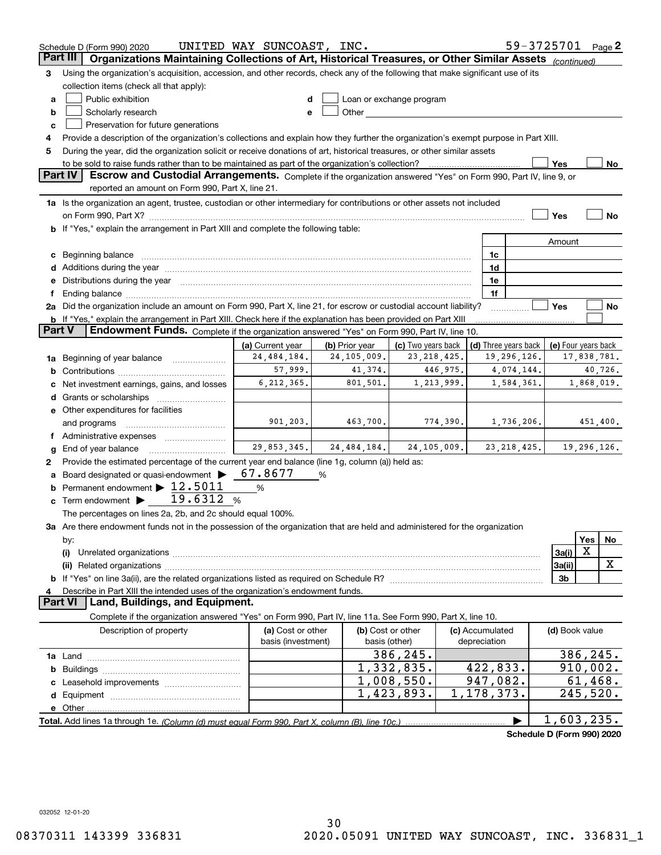|               | Schedule D (Form 990) 2020                                                                                                                                                                                                     | UNITED WAY SUNCOAST, INC. |                |                                                                                                                                                                                                                               |  |                 |                      | 59-3725701 Page 2          |             |             |
|---------------|--------------------------------------------------------------------------------------------------------------------------------------------------------------------------------------------------------------------------------|---------------------------|----------------|-------------------------------------------------------------------------------------------------------------------------------------------------------------------------------------------------------------------------------|--|-----------------|----------------------|----------------------------|-------------|-------------|
|               | Part III<br>Organizations Maintaining Collections of Art, Historical Treasures, or Other Similar Assets                                                                                                                        |                           |                |                                                                                                                                                                                                                               |  |                 |                      | (continued)                |             |             |
| з             | Using the organization's acquisition, accession, and other records, check any of the following that make significant use of its                                                                                                |                           |                |                                                                                                                                                                                                                               |  |                 |                      |                            |             |             |
|               | collection items (check all that apply):                                                                                                                                                                                       |                           |                |                                                                                                                                                                                                                               |  |                 |                      |                            |             |             |
| a             | Public exhibition                                                                                                                                                                                                              |                           |                | Loan or exchange program                                                                                                                                                                                                      |  |                 |                      |                            |             |             |
| b             | Scholarly research                                                                                                                                                                                                             |                           |                | Other and the contract of the contract of the contract of the contract of the contract of the contract of the contract of the contract of the contract of the contract of the contract of the contract of the contract of the |  |                 |                      |                            |             |             |
| с             | Preservation for future generations                                                                                                                                                                                            |                           |                |                                                                                                                                                                                                                               |  |                 |                      |                            |             |             |
| 4             | Provide a description of the organization's collections and explain how they further the organization's exempt purpose in Part XIII.                                                                                           |                           |                |                                                                                                                                                                                                                               |  |                 |                      |                            |             |             |
| 5             | During the year, did the organization solicit or receive donations of art, historical treasures, or other similar assets                                                                                                       |                           |                |                                                                                                                                                                                                                               |  |                 |                      |                            |             |             |
|               | to be sold to raise funds rather than to be maintained as part of the organization's collection?                                                                                                                               |                           |                |                                                                                                                                                                                                                               |  |                 |                      | Yes                        |             | <u>No</u>   |
|               | <b>Part IV</b><br>Escrow and Custodial Arrangements. Complete if the organization answered "Yes" on Form 990, Part IV, line 9, or                                                                                              |                           |                |                                                                                                                                                                                                                               |  |                 |                      |                            |             |             |
|               | reported an amount on Form 990, Part X, line 21.                                                                                                                                                                               |                           |                |                                                                                                                                                                                                                               |  |                 |                      |                            |             |             |
|               | 1a Is the organization an agent, trustee, custodian or other intermediary for contributions or other assets not included                                                                                                       |                           |                |                                                                                                                                                                                                                               |  |                 |                      |                            |             |             |
|               |                                                                                                                                                                                                                                |                           |                |                                                                                                                                                                                                                               |  |                 |                      | Yes                        |             | No          |
|               | <b>b</b> If "Yes," explain the arrangement in Part XIII and complete the following table:                                                                                                                                      |                           |                |                                                                                                                                                                                                                               |  |                 |                      |                            |             |             |
|               |                                                                                                                                                                                                                                |                           |                |                                                                                                                                                                                                                               |  |                 |                      | Amount                     |             |             |
|               | c Beginning balance measurements and the contract of Beginning balance measurements and the contract of the contract of the contract of the contract of the contract of the contract of the contract of the contract of the co |                           |                |                                                                                                                                                                                                                               |  | 1c              |                      |                            |             |             |
|               | d Additions during the year measurement contains and a state of the year.                                                                                                                                                      |                           |                |                                                                                                                                                                                                                               |  | 1d              |                      |                            |             |             |
|               | e Distributions during the year manufactured and continuum and contact the year manufactured and contact the year manufactured and contact the year manufactured and contact the year manufactured and contact the year manufa |                           |                |                                                                                                                                                                                                                               |  | 1e              |                      |                            |             |             |
|               |                                                                                                                                                                                                                                |                           |                |                                                                                                                                                                                                                               |  | 1f              |                      |                            |             |             |
|               | 2a Did the organization include an amount on Form 990, Part X, line 21, for escrow or custodial account liability?                                                                                                             |                           |                |                                                                                                                                                                                                                               |  |                 |                      | Yes                        |             | No          |
|               | b If "Yes," explain the arrangement in Part XIII. Check here if the explanation has been provided on Part XIII                                                                                                                 |                           |                |                                                                                                                                                                                                                               |  |                 |                      |                            |             |             |
| <b>Part V</b> | Endowment Funds. Complete if the organization answered "Yes" on Form 990, Part IV, line 10.                                                                                                                                    |                           |                |                                                                                                                                                                                                                               |  |                 |                      |                            |             |             |
|               |                                                                                                                                                                                                                                | (a) Current year          | (b) Prior year | (c) Two years back                                                                                                                                                                                                            |  |                 | (d) Three years back | (e) Four years back        |             |             |
|               | 1a Beginning of year balance                                                                                                                                                                                                   | 24, 484, 184.             | 24,105,009.    | 23, 218, 425.                                                                                                                                                                                                                 |  |                 | 19,296,126.          |                            | 17,838,781. |             |
|               |                                                                                                                                                                                                                                | 57,999.                   | 41,374.        | 446,975.                                                                                                                                                                                                                      |  |                 | 4,074,144.           |                            |             | 40,726.     |
|               | Net investment earnings, gains, and losses                                                                                                                                                                                     | 6, 212, 365.              | 801,501.       | 1,213,999.                                                                                                                                                                                                                    |  |                 | 1,584,361.           |                            |             | 1,868,019.  |
|               |                                                                                                                                                                                                                                |                           |                |                                                                                                                                                                                                                               |  |                 |                      |                            |             |             |
|               | e Other expenditures for facilities                                                                                                                                                                                            |                           |                |                                                                                                                                                                                                                               |  |                 |                      |                            |             |             |
|               | and programs                                                                                                                                                                                                                   | 901, 203.                 | 463,700.       | 774,390.                                                                                                                                                                                                                      |  |                 | 1,736,206.           |                            |             | 451,400.    |
|               | f Administrative expenses                                                                                                                                                                                                      |                           |                |                                                                                                                                                                                                                               |  |                 |                      |                            |             |             |
| g             | End of year balance                                                                                                                                                                                                            | 29,853,345.               | 24, 484, 184.  | 24, 105, 009.                                                                                                                                                                                                                 |  |                 | 23, 218, 425.        |                            |             | 19,296,126. |
| 2             | Provide the estimated percentage of the current year end balance (line 1g, column (a)) held as:                                                                                                                                |                           |                |                                                                                                                                                                                                                               |  |                 |                      |                            |             |             |
|               | Board designated or quasi-endowment                                                                                                                                                                                            | 67.8677                   | %              |                                                                                                                                                                                                                               |  |                 |                      |                            |             |             |
|               | <b>b</b> Permanent endowment $\blacktriangleright$ 12.5011                                                                                                                                                                     | %                         |                |                                                                                                                                                                                                                               |  |                 |                      |                            |             |             |
|               | 19.6312<br>$\mathbf c$ Term endowment $\blacktriangleright$                                                                                                                                                                    | %                         |                |                                                                                                                                                                                                                               |  |                 |                      |                            |             |             |
|               | The percentages on lines 2a, 2b, and 2c should equal 100%.                                                                                                                                                                     |                           |                |                                                                                                                                                                                                                               |  |                 |                      |                            |             |             |
|               | 3a Are there endowment funds not in the possession of the organization that are held and administered for the organization                                                                                                     |                           |                |                                                                                                                                                                                                                               |  |                 |                      |                            |             |             |
|               | by:                                                                                                                                                                                                                            |                           |                |                                                                                                                                                                                                                               |  |                 |                      |                            | Yes         | No.         |
|               | (i)                                                                                                                                                                                                                            |                           |                |                                                                                                                                                                                                                               |  |                 |                      | 3a(i)                      | X           |             |
|               |                                                                                                                                                                                                                                |                           |                |                                                                                                                                                                                                                               |  |                 |                      | 3a(ii)                     |             | x           |
|               | 3b                                                                                                                                                                                                                             |                           |                |                                                                                                                                                                                                                               |  |                 |                      |                            |             |             |
| 4             | Describe in Part XIII the intended uses of the organization's endowment funds.                                                                                                                                                 |                           |                |                                                                                                                                                                                                                               |  |                 |                      |                            |             |             |
|               | Land, Buildings, and Equipment.<br><b>Part VI</b>                                                                                                                                                                              |                           |                |                                                                                                                                                                                                                               |  |                 |                      |                            |             |             |
|               | Complete if the organization answered "Yes" on Form 990, Part IV, line 11a. See Form 990, Part X, line 10.                                                                                                                     |                           |                |                                                                                                                                                                                                                               |  |                 |                      |                            |             |             |
|               | Description of property                                                                                                                                                                                                        | (a) Cost or other         |                | (b) Cost or other                                                                                                                                                                                                             |  | (c) Accumulated |                      | (d) Book value             |             |             |
|               |                                                                                                                                                                                                                                | basis (investment)        |                | basis (other)                                                                                                                                                                                                                 |  | depreciation    |                      |                            |             |             |
|               |                                                                                                                                                                                                                                |                           |                | 386,245.                                                                                                                                                                                                                      |  |                 |                      |                            |             | 386,245.    |
| b             |                                                                                                                                                                                                                                |                           |                | 1,332,835.                                                                                                                                                                                                                    |  | 422,833.        |                      |                            |             | 910,002.    |
|               |                                                                                                                                                                                                                                |                           |                | $\overline{1,008,550}$ .                                                                                                                                                                                                      |  | 947,082.        |                      |                            |             | 61,468.     |
|               |                                                                                                                                                                                                                                |                           |                | 1,423,893.                                                                                                                                                                                                                    |  | 1,178,373.      |                      |                            | 245,520.    |             |
|               |                                                                                                                                                                                                                                |                           |                |                                                                                                                                                                                                                               |  |                 |                      |                            |             |             |
|               |                                                                                                                                                                                                                                |                           |                |                                                                                                                                                                                                                               |  |                 |                      | 1,603,235.                 |             |             |
|               |                                                                                                                                                                                                                                |                           |                |                                                                                                                                                                                                                               |  |                 |                      | Schedule D (Form 990) 2020 |             |             |

032052 12-01-20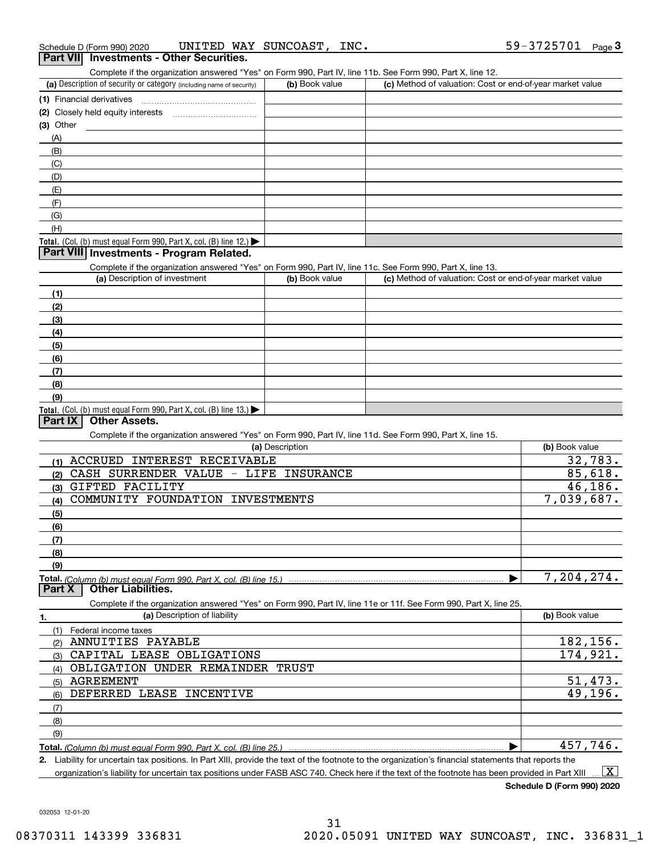| Schedule D (Form 990) 2020 |  | UNITED WAY SUNCOAST, | INC. |
|----------------------------|--|----------------------|------|
|                            |  |                      |      |

| Schedule D (Form 990) 2020          |                                                                                        | UNITED WAY SUNCOAST, INC. |                                                                                                                   | 59-3725701<br>Page <sub>3</sub> |
|-------------------------------------|----------------------------------------------------------------------------------------|---------------------------|-------------------------------------------------------------------------------------------------------------------|---------------------------------|
|                                     | Part VII Investments - Other Securities.                                               |                           |                                                                                                                   |                                 |
|                                     |                                                                                        |                           | Complete if the organization answered "Yes" on Form 990, Part IV, line 11b. See Form 990, Part X, line 12.        |                                 |
|                                     | (a) Description of security or category (including name of security)                   | (b) Book value            | (c) Method of valuation: Cost or end-of-year market value                                                         |                                 |
| (1) Financial derivatives           |                                                                                        |                           |                                                                                                                   |                                 |
|                                     |                                                                                        |                           |                                                                                                                   |                                 |
| $(3)$ Other                         |                                                                                        |                           |                                                                                                                   |                                 |
| (A)                                 |                                                                                        |                           |                                                                                                                   |                                 |
| (B)                                 |                                                                                        |                           |                                                                                                                   |                                 |
| (C)                                 |                                                                                        |                           |                                                                                                                   |                                 |
| (D)                                 |                                                                                        |                           |                                                                                                                   |                                 |
| (E)                                 |                                                                                        |                           |                                                                                                                   |                                 |
| (F)                                 |                                                                                        |                           |                                                                                                                   |                                 |
| (G)                                 |                                                                                        |                           |                                                                                                                   |                                 |
| (H)                                 |                                                                                        |                           |                                                                                                                   |                                 |
|                                     | Total. (Col. (b) must equal Form 990, Part X, col. (B) line 12.) $\blacktriangleright$ |                           |                                                                                                                   |                                 |
|                                     | Part VIII Investments - Program Related.                                               |                           |                                                                                                                   |                                 |
|                                     |                                                                                        |                           | Complete if the organization answered "Yes" on Form 990, Part IV, line 11c. See Form 990, Part X, line 13.        |                                 |
|                                     | (a) Description of investment                                                          | (b) Book value            | (c) Method of valuation: Cost or end-of-year market value                                                         |                                 |
| (1)                                 |                                                                                        |                           |                                                                                                                   |                                 |
| (2)                                 |                                                                                        |                           |                                                                                                                   |                                 |
| (3)                                 |                                                                                        |                           |                                                                                                                   |                                 |
|                                     |                                                                                        |                           |                                                                                                                   |                                 |
| (4)                                 |                                                                                        |                           |                                                                                                                   |                                 |
| (5)                                 |                                                                                        |                           |                                                                                                                   |                                 |
| (6)                                 |                                                                                        |                           |                                                                                                                   |                                 |
| (7)                                 |                                                                                        |                           |                                                                                                                   |                                 |
| (8)                                 |                                                                                        |                           |                                                                                                                   |                                 |
| (9)                                 |                                                                                        |                           |                                                                                                                   |                                 |
| Part IX<br><b>Other Assets.</b>     | Total. (Col. (b) must equal Form 990, Part X, col. (B) line 13.)                       |                           |                                                                                                                   |                                 |
|                                     |                                                                                        |                           |                                                                                                                   |                                 |
|                                     |                                                                                        | (a) Description           | Complete if the organization answered "Yes" on Form 990, Part IV, line 11d. See Form 990, Part X, line 15.        | (b) Book value                  |
|                                     | ACCRUED INTEREST RECEIVABLE                                                            |                           |                                                                                                                   |                                 |
| (1)                                 |                                                                                        |                           |                                                                                                                   | 32,783.<br>85,618.              |
| (2)                                 | CASH SURRENDER VALUE - LIFE INSURANCE                                                  |                           |                                                                                                                   |                                 |
| GIFTED FACILITY<br>(3)              |                                                                                        |                           |                                                                                                                   | 46, 186.                        |
| (4)                                 | COMMUNITY FOUNDATION INVESTMENTS                                                       |                           |                                                                                                                   | 7,039,687.                      |
| (5)                                 |                                                                                        |                           |                                                                                                                   |                                 |
| (6)                                 |                                                                                        |                           |                                                                                                                   |                                 |
| (7)                                 |                                                                                        |                           |                                                                                                                   |                                 |
| (8)                                 |                                                                                        |                           |                                                                                                                   |                                 |
| (9)                                 |                                                                                        |                           |                                                                                                                   |                                 |
| <b>Other Liabilities.</b><br>Part X | Total. (Column (b) must equal Form 990. Part X, col. (B) line 15.)                     |                           |                                                                                                                   | 7,204,274.                      |
|                                     |                                                                                        |                           | Complete if the organization answered "Yes" on Form 990, Part IV, line 11e or 11f. See Form 990, Part X, line 25. |                                 |
| 1.                                  | (a) Description of liability                                                           |                           |                                                                                                                   | (b) Book value                  |
| (1)<br>Federal income taxes         |                                                                                        |                           |                                                                                                                   |                                 |
| ANNUITIES PAYABLE<br>(2)            |                                                                                        |                           |                                                                                                                   | 182,156.                        |
| (3)                                 | CAPITAL LEASE OBLIGATIONS                                                              |                           |                                                                                                                   | 174,921.                        |
| (4)                                 | OBLIGATION UNDER REMAINDER TRUST                                                       |                           |                                                                                                                   |                                 |
| <b>AGREEMENT</b><br>(5)             |                                                                                        |                           |                                                                                                                   | 51,473.                         |
| (6)                                 | DEFERRED LEASE INCENTIVE                                                               |                           |                                                                                                                   | 49,196.                         |
| (7)                                 |                                                                                        |                           |                                                                                                                   |                                 |
|                                     |                                                                                        |                           |                                                                                                                   |                                 |
| (8)                                 |                                                                                        |                           |                                                                                                                   |                                 |
| (9)                                 |                                                                                        |                           |                                                                                                                   | 457,746.                        |
|                                     | Total. (Column (b) must equal Form 990, Part X, col. (B) line 25.)                     |                           |                                                                                                                   |                                 |

**2.** Liability for uncertain tax positions. In Part XIII, provide the text of the footnote to the organization's financial statements that reports the organization's liability for uncertain tax positions under FASB ASC 740. Check here if the text of the footnote has been provided in Part XIII  $\boxed{\text{X}}$ 

**Schedule D (Form 990) 2020**

032053 12-01-20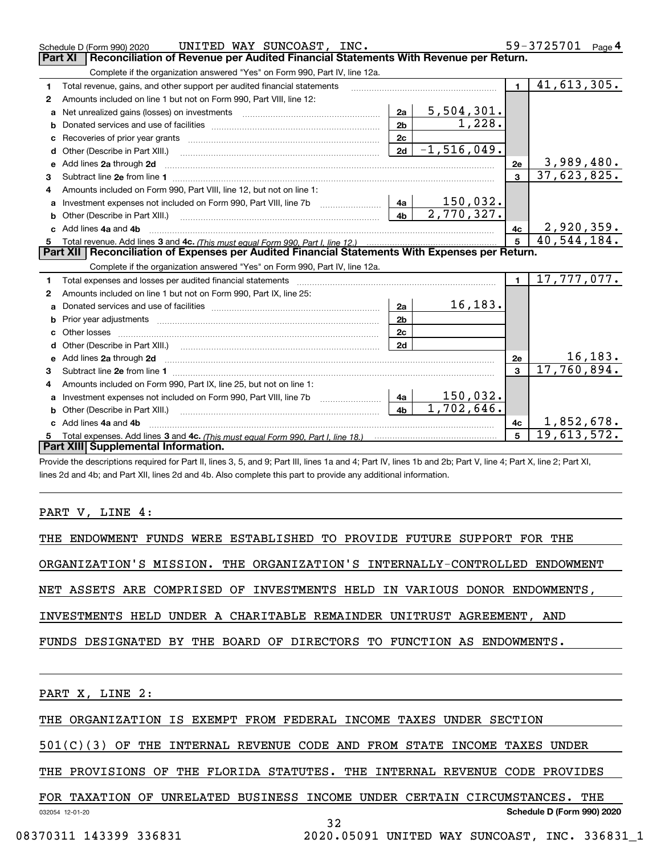| 59-3725701<br>UNITED WAY SUNCOAST, INC.<br>Page 4<br>Schedule D (Form 990) 2020                |                                                                                                                                                                                                                                    |                |                           |                |                |  |
|------------------------------------------------------------------------------------------------|------------------------------------------------------------------------------------------------------------------------------------------------------------------------------------------------------------------------------------|----------------|---------------------------|----------------|----------------|--|
| Part XI<br>Reconciliation of Revenue per Audited Financial Statements With Revenue per Return. |                                                                                                                                                                                                                                    |                |                           |                |                |  |
|                                                                                                | Complete if the organization answered "Yes" on Form 990, Part IV, line 12a.                                                                                                                                                        |                |                           |                |                |  |
| 1                                                                                              | Total revenue, gains, and other support per audited financial statements                                                                                                                                                           |                |                           | $\blacksquare$ | 41,613,305.    |  |
| $\mathbf{2}$                                                                                   | Amounts included on line 1 but not on Form 990, Part VIII, line 12:                                                                                                                                                                |                |                           |                |                |  |
| a                                                                                              | Net unrealized gains (losses) on investments [11] matter contracts and the unrealized gains (losses) on investments                                                                                                                | 2a             | 5,504,301.<br>1,228.      |                |                |  |
|                                                                                                |                                                                                                                                                                                                                                    |                |                           |                |                |  |
| с                                                                                              |                                                                                                                                                                                                                                    |                |                           |                |                |  |
| d                                                                                              | Other (Describe in Part XIII.) [100] [100] [100] [100] [100] [100] [100] [100] [100] [100] [100] [100] [100] [                                                                                                                     | 2d             | $\overline{-1,516,049}$ . |                |                |  |
| е                                                                                              | Add lines 2a through 2d                                                                                                                                                                                                            | 2e             | 3,989,480.                |                |                |  |
| 3                                                                                              |                                                                                                                                                                                                                                    |                |                           | 3              | 37,623,825.    |  |
| 4                                                                                              | Amounts included on Form 990, Part VIII, line 12, but not on line 1:                                                                                                                                                               |                |                           |                |                |  |
|                                                                                                |                                                                                                                                                                                                                                    |                | <u> 150,032.</u>          |                |                |  |
| b                                                                                              |                                                                                                                                                                                                                                    | 4 <sub>h</sub> | 2,770,327.                |                |                |  |
| c.                                                                                             | Add lines 4a and 4b                                                                                                                                                                                                                | 4c             | 2,920,359.                |                |                |  |
|                                                                                                |                                                                                                                                                                                                                                    | 5              | 40,544,184.               |                |                |  |
|                                                                                                |                                                                                                                                                                                                                                    |                |                           |                |                |  |
|                                                                                                | Part XII   Reconciliation of Expenses per Audited Financial Statements With Expenses per Return.                                                                                                                                   |                |                           |                |                |  |
|                                                                                                | Complete if the organization answered "Yes" on Form 990, Part IV, line 12a.                                                                                                                                                        |                |                           |                |                |  |
| 1                                                                                              |                                                                                                                                                                                                                                    |                |                           | $\blacksquare$ | 17, 777, 077.  |  |
| 2                                                                                              | Amounts included on line 1 but not on Form 990, Part IX, line 25:                                                                                                                                                                  |                |                           |                |                |  |
| a                                                                                              |                                                                                                                                                                                                                                    | 2a             | 16, 183.                  |                |                |  |
| b                                                                                              |                                                                                                                                                                                                                                    | 2 <sub>b</sub> |                           |                |                |  |
| c                                                                                              |                                                                                                                                                                                                                                    | 2c             |                           |                |                |  |
| d                                                                                              | Other (Describe in Part XIII.) (2000) (2000) (2000) (2010) (2010) (2010) (2010) (2010) (2010) (2010) (2010) (2010) (2010) (2010) (2010) (2010) (2010) (2010) (2010) (2010) (2010) (2010) (2010) (2010) (2010) (2010) (2010) (2     | 2d             |                           |                |                |  |
|                                                                                                | Add lines 2a through 2d <b>manufactures</b> in the contract of the contract of the contract of the contract of the contract of the contract of the contract of the contract of the contract of the contract of the contract of the |                |                           | 2e             | <u>16,183.</u> |  |
| з                                                                                              |                                                                                                                                                                                                                                    |                |                           | $\mathbf{a}$   | 17,760,894.    |  |
| 4                                                                                              | Amounts included on Form 990, Part IX, line 25, but not on line 1:                                                                                                                                                                 |                |                           |                |                |  |
| a                                                                                              |                                                                                                                                                                                                                                    | 4a             | 150,032.                  |                |                |  |
| b                                                                                              |                                                                                                                                                                                                                                    | 4 <sub>h</sub> | 1,702,646.                |                |                |  |
|                                                                                                | Add lines 4a and 4b                                                                                                                                                                                                                |                |                           | 4c             | 1,852,678.     |  |
|                                                                                                | Part XIII Supplemental Information.                                                                                                                                                                                                |                |                           | 5              | 19,613,572.    |  |

Provide the descriptions required for Part II, lines 3, 5, and 9; Part III, lines 1a and 4; Part IV, lines 1b and 2b; Part V, line 4; Part X, line 2; Part XI, lines 2d and 4b; and Part XII, lines 2d and 4b. Also complete this part to provide any additional information.

## PART V, LINE 4:

| THE ENDOWMENT FUNDS WERE ESTABLISHED TO PROVIDE FUTURE SUPPORT FOR THE     |  |
|----------------------------------------------------------------------------|--|
|                                                                            |  |
| ORGANIZATION'S MISSION. THE ORGANIZATION'S INTERNALLY-CONTROLLED ENDOWMENT |  |
|                                                                            |  |
| NET ASSETS ARE COMPRISED OF INVESTMENTS HELD IN VARIOUS DONOR ENDOWMENTS,  |  |
|                                                                            |  |
| INVESTMENTS HELD UNDER A CHARITABLE REMAINDER UNITRUST AGREEMENT, AND      |  |
|                                                                            |  |
| FUNDS DESIGNATED BY THE BOARD OF DIRECTORS TO FUNCTION AS ENDOWMENTS.      |  |
|                                                                            |  |
|                                                                            |  |

PART X, LINE 2:

THE ORGANIZATION IS EXEMPT FROM FEDERAL INCOME TAXES UNDER SECTION

501(C)(3) OF THE INTERNAL REVENUE CODE AND FROM STATE INCOME TAXES UNDER

THE PROVISIONS OF THE FLORIDA STATUTES. THE INTERNAL REVENUE CODE PROVIDES

|                 | FOR TAXATION OF |  |  |  | UNRELATED BUSINESS INCOME UNDER CERTAIN CIRCUMSTANCES. | THE |
|-----------------|-----------------|--|--|--|--------------------------------------------------------|-----|
| 032054 12-01-20 |                 |  |  |  | Schedule D (Form 990) 2020                             |     |
|                 |                 |  |  |  |                                                        |     |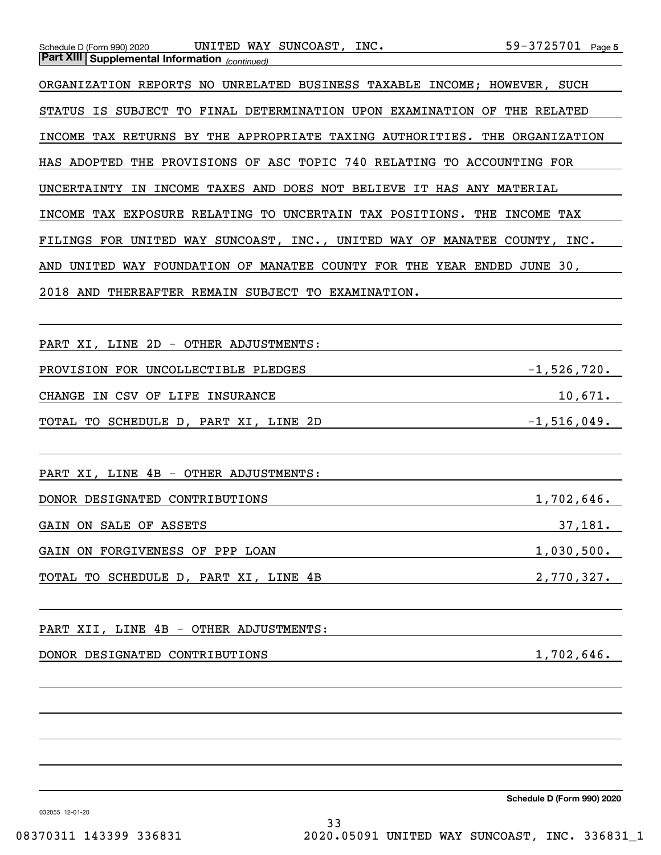| UNITED WAY SUNCOAST, INC.<br>Schedule D (Form 990) 2020<br><b>Part XIII Supplemental Information</b> (continued) | 59-3725701 Page 5 |
|------------------------------------------------------------------------------------------------------------------|-------------------|
| ORGANIZATION REPORTS NO UNRELATED BUSINESS TAXABLE INCOME; HOWEVER, SUCH                                         |                   |
| STATUS IS SUBJECT TO FINAL DETERMINATION UPON EXAMINATION OF THE RELATED                                         |                   |
| INCOME TAX RETURNS BY THE APPROPRIATE TAXING AUTHORITIES. THE ORGANIZATION                                       |                   |
| HAS ADOPTED THE PROVISIONS OF ASC TOPIC 740 RELATING TO ACCOUNTING FOR                                           |                   |
| UNCERTAINTY IN INCOME TAXES AND DOES NOT BELIEVE IT HAS ANY MATERIAL                                             |                   |
| INCOME TAX EXPOSURE RELATING TO UNCERTAIN TAX POSITIONS. THE INCOME TAX                                          |                   |
| FILINGS FOR UNITED WAY SUNCOAST, INC., UNITED WAY OF MANATEE COUNTY, INC.                                        |                   |
| AND UNITED WAY FOUNDATION OF MANATEE COUNTY FOR THE YEAR ENDED JUNE 30,                                          |                   |
| 2018 AND THEREAFTER REMAIN SUBJECT TO EXAMINATION.                                                               |                   |
|                                                                                                                  |                   |
| PART XI, LINE 2D - OTHER ADJUSTMENTS:                                                                            |                   |
| PROVISION FOR UNCOLLECTIBLE PLEDGES                                                                              | $-1$ ,526,720.    |
| CHANGE IN CSV OF LIFE INSURANCE                                                                                  | 10,671.           |
| TOTAL TO SCHEDULE D, PART XI, LINE 2D                                                                            | $-1,516,049.$     |
|                                                                                                                  |                   |
| PART XI, LINE 4B - OTHER ADJUSTMENTS:                                                                            |                   |
| DONOR DESIGNATED CONTRIBUTIONS                                                                                   | 1,702,646.        |
| GAIN ON SALE OF ASSETS                                                                                           | 37,181.           |
| GAIN ON FORGIVENESS OF PPP LOAN                                                                                  | 1,030,500.        |
| TOTAL TO SCHEDULE D, PART XI, LINE 4B<br><u> 1980 - Johann Barbara, martin a</u>                                 | 2,770,327.        |
|                                                                                                                  |                   |
| PART XII, LINE 4B - OTHER ADJUSTMENTS:                                                                           |                   |
| DONOR DESIGNATED CONTRIBUTIONS                                                                                   | 1,702,646.        |
|                                                                                                                  |                   |
|                                                                                                                  |                   |
|                                                                                                                  |                   |
|                                                                                                                  |                   |

**Schedule D (Form 990) 2020**

032055 12-01-20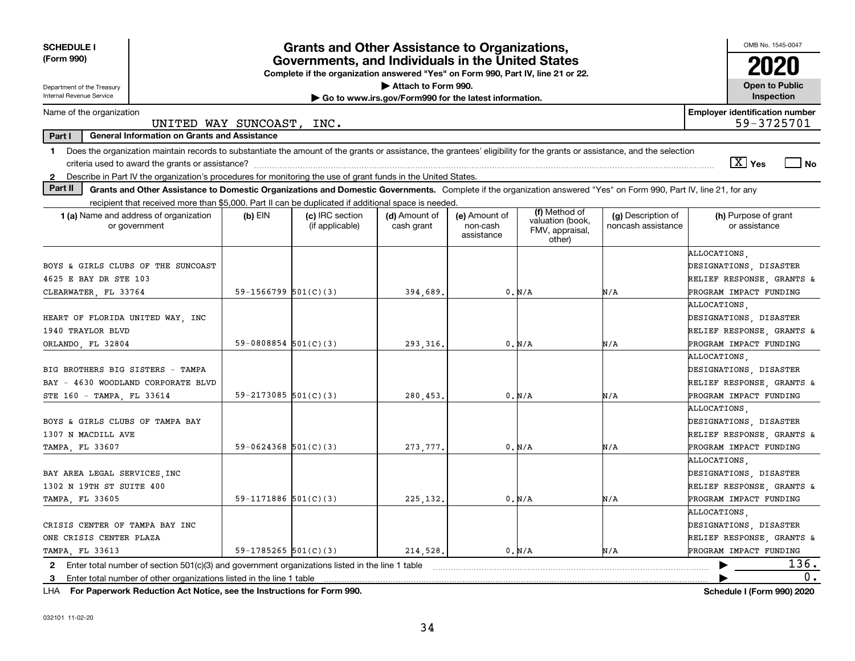| <b>SCHEDULE I</b><br>(Form 990)                                                                                                                                                                                                                                                                  |                                                    | <b>Grants and Other Assistance to Organizations,</b><br>Governments, and Individuals in the United States<br>Complete if the organization answered "Yes" on Form 990, Part IV, line 21 or 22. |                                                                              |                                         |                                                                |                                          | OMB No. 1545-0047<br>2020                                                                                               |
|--------------------------------------------------------------------------------------------------------------------------------------------------------------------------------------------------------------------------------------------------------------------------------------------------|----------------------------------------------------|-----------------------------------------------------------------------------------------------------------------------------------------------------------------------------------------------|------------------------------------------------------------------------------|-----------------------------------------|----------------------------------------------------------------|------------------------------------------|-------------------------------------------------------------------------------------------------------------------------|
| Department of the Treasury<br>Internal Revenue Service                                                                                                                                                                                                                                           |                                                    |                                                                                                                                                                                               | Attach to Form 990.<br>Go to www.irs.gov/Form990 for the latest information. |                                         |                                                                |                                          | <b>Open to Public</b><br>Inspection                                                                                     |
| Name of the organization<br>UNITED WAY SUNCOAST, INC.                                                                                                                                                                                                                                            |                                                    |                                                                                                                                                                                               |                                                                              |                                         |                                                                |                                          | <b>Employer identification number</b><br>59-3725701                                                                     |
| Part I<br><b>General Information on Grants and Assistance</b>                                                                                                                                                                                                                                    |                                                    |                                                                                                                                                                                               |                                                                              |                                         |                                                                |                                          |                                                                                                                         |
| Does the organization maintain records to substantiate the amount of the grants or assistance, the grantees' eligibility for the grants or assistance, and the selection<br>$\mathbf{1}$<br>criteria used to award the grants or assistance?                                                     |                                                    |                                                                                                                                                                                               |                                                                              |                                         |                                                                |                                          | $X \mathsf{Yes}$<br>$\overline{\phantom{a}}$ No                                                                         |
| 2 Describe in Part IV the organization's procedures for monitoring the use of grant funds in the United States.<br>Part II<br>Grants and Other Assistance to Domestic Organizations and Domestic Governments. Complete if the organization answered "Yes" on Form 990, Part IV, line 21, for any |                                                    |                                                                                                                                                                                               |                                                                              |                                         |                                                                |                                          |                                                                                                                         |
| recipient that received more than \$5,000. Part II can be duplicated if additional space is needed.                                                                                                                                                                                              |                                                    |                                                                                                                                                                                               |                                                                              |                                         |                                                                |                                          |                                                                                                                         |
| 1 (a) Name and address of organization<br>or government                                                                                                                                                                                                                                          | $(b)$ EIN                                          | (c) IRC section<br>(if applicable)                                                                                                                                                            | (d) Amount of<br>cash grant                                                  | (e) Amount of<br>non-cash<br>assistance | (f) Method of<br>valuation (book,<br>FMV, appraisal,<br>other) | (g) Description of<br>noncash assistance | (h) Purpose of grant<br>or assistance                                                                                   |
| BOYS & GIRLS CLUBS OF THE SUNCOAST<br>4625 E BAY DR STE 103<br>CLEARWATER, FL 33764                                                                                                                                                                                                              | $59-1566799$ $501(C)(3)$                           |                                                                                                                                                                                               | 394,689.                                                                     |                                         | 0. N/A                                                         | N/A                                      | ALLOCATIONS.<br>DESIGNATIONS, DISASTER<br>RELIEF RESPONSE, GRANTS &<br>PROGRAM IMPACT FUNDING                           |
| HEART OF FLORIDA UNITED WAY, INC<br>1940 TRAYLOR BLVD                                                                                                                                                                                                                                            |                                                    |                                                                                                                                                                                               |                                                                              |                                         |                                                                |                                          | ALLOCATIONS,<br>DESIGNATIONS, DISASTER<br>RELIEF RESPONSE, GRANTS &                                                     |
| ORLANDO FL 32804                                                                                                                                                                                                                                                                                 | $59-0808854$ 501(C)(3)                             |                                                                                                                                                                                               | 293.316.                                                                     |                                         | 0. N/A                                                         | N/A                                      | PROGRAM IMPACT FUNDING                                                                                                  |
| BIG BROTHERS BIG SISTERS - TAMPA<br>BAY - 4630 WOODLAND CORPORATE BLVD<br>STE 160 - TAMPA, FL 33614                                                                                                                                                                                              | 59-2173085 $501(C)(3)$                             |                                                                                                                                                                                               | 280,453.                                                                     |                                         | 0. N/A                                                         | N/A                                      | ALLOCATIONS.<br>DESIGNATIONS, DISASTER<br>RELIEF RESPONSE, GRANTS &<br>PROGRAM IMPACT FUNDING                           |
| BOYS & GIRLS CLUBS OF TAMPA BAY<br>1307 N MACDILL AVE                                                                                                                                                                                                                                            |                                                    |                                                                                                                                                                                               |                                                                              |                                         |                                                                |                                          | ALLOCATIONS,<br>DESIGNATIONS, DISASTER<br>RELIEF RESPONSE, GRANTS &                                                     |
| TAMPA, FL 33607<br>BAY AREA LEGAL SERVICES, INC<br>1302 N 19TH ST SUITE 400<br>TAMPA, FL 33605                                                                                                                                                                                                   | 59-0624368 $501(C)(3)$<br>$59-1171886$ $501(C)(3)$ |                                                                                                                                                                                               | 273, 777.<br>225, 132.                                                       |                                         | 0. N/A<br>0. N/A                                               | N/A<br>N/A                               | PROGRAM IMPACT FUNDING<br>ALLOCATIONS,<br>DESIGNATIONS, DISASTER<br>RELIEF RESPONSE, GRANTS &<br>PROGRAM IMPACT FUNDING |
| CRISIS CENTER OF TAMPA BAY INC<br>ONE CRISIS CENTER PLAZA<br>TAMPA, FL 33613                                                                                                                                                                                                                     | 59-1785265 $501(C)(3)$                             |                                                                                                                                                                                               | 214.528.                                                                     |                                         | 0. N/A                                                         | N/A                                      | ALLOCATIONS,<br>DESIGNATIONS DISASTER<br>RELIEF RESPONSE, GRANTS &<br>PROGRAM IMPACT FUNDING                            |
| 2 Enter total number of section 501(c)(3) and government organizations listed in the line 1 table<br>Enter total number of other organizations listed in the line 1 table<br>3                                                                                                                   |                                                    |                                                                                                                                                                                               |                                                                              |                                         |                                                                |                                          | 136.<br>0.                                                                                                              |

**For Paperwork Reduction Act Notice, see the Instructions for Form 990. Schedule I (Form 990) 2020** LHA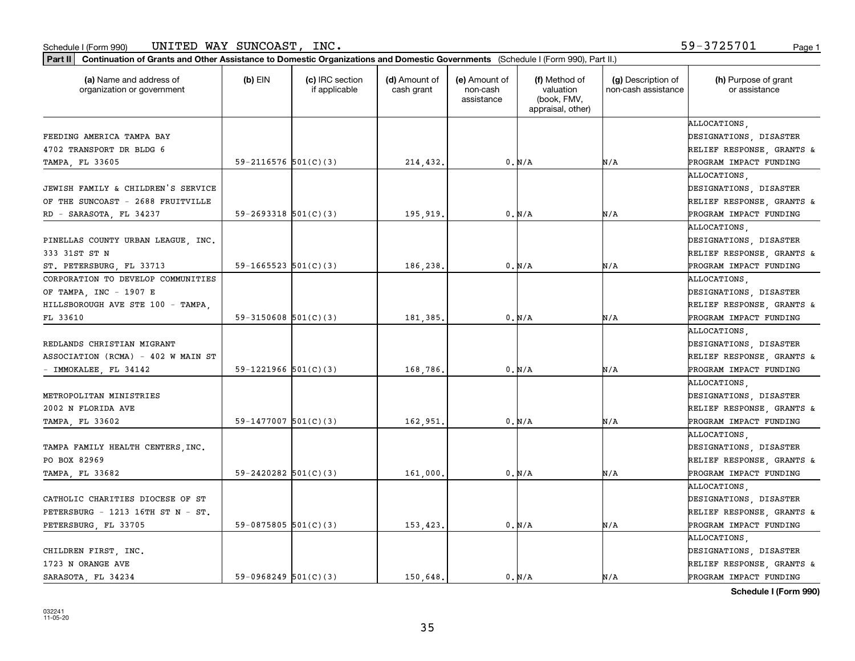| Part II   Continuation of Grants and Other Assistance to Domestic Organizations and Domestic Governments (Schedule I (Form 990), Part II.) |                            |                                  |                             |                                         |                                                                |                                           |                                       |
|--------------------------------------------------------------------------------------------------------------------------------------------|----------------------------|----------------------------------|-----------------------------|-----------------------------------------|----------------------------------------------------------------|-------------------------------------------|---------------------------------------|
| (a) Name and address of<br>organization or government                                                                                      | (b) EIN                    | (c) IRC section<br>if applicable | (d) Amount of<br>cash grant | (e) Amount of<br>non-cash<br>assistance | (f) Method of<br>valuation<br>(book, FMV,<br>appraisal, other) | (g) Description of<br>non-cash assistance | (h) Purpose of grant<br>or assistance |
|                                                                                                                                            |                            |                                  |                             |                                         |                                                                |                                           | ALLOCATIONS.                          |
| FEEDING AMERICA TAMPA BAY                                                                                                                  |                            |                                  |                             |                                         |                                                                |                                           | DESIGNATIONS, DISASTER                |
| 4702 TRANSPORT DR BLDG 6                                                                                                                   |                            |                                  |                             |                                         |                                                                |                                           | <b>RELIEF RESPONSE, GRANTS &amp;</b>  |
| TAMPA, FL 33605                                                                                                                            | 59-2116576 $501(C)(3)$     |                                  | 214,432.                    |                                         | 0. N/A                                                         | N/A                                       | PROGRAM IMPACT FUNDING                |
|                                                                                                                                            |                            |                                  |                             |                                         |                                                                |                                           | <b>ALLOCATIONS</b>                    |
| JEWISH FAMILY & CHILDREN'S SERVICE                                                                                                         |                            |                                  |                             |                                         |                                                                |                                           | DESIGNATIONS, DISASTER                |
| OF THE SUNCOAST - 2688 FRUITVILLE                                                                                                          |                            |                                  |                             |                                         |                                                                |                                           | RELIEF RESPONSE, GRANTS &             |
| RD - SARASOTA, FL 34237                                                                                                                    | $59 - 2693318$ $501(C)(3)$ |                                  | 195,919                     |                                         | 0. N/A                                                         | N/A                                       | PROGRAM IMPACT FUNDING                |
|                                                                                                                                            |                            |                                  |                             |                                         |                                                                |                                           | <b>ALLOCATIONS</b>                    |
| PINELLAS COUNTY URBAN LEAGUE, INC.                                                                                                         |                            |                                  |                             |                                         |                                                                |                                           | DESIGNATIONS, DISASTER                |
| 333 31ST ST N                                                                                                                              |                            |                                  |                             |                                         |                                                                |                                           | RELIEF RESPONSE, GRANTS &             |
| ST. PETERSBURG, FL 33713                                                                                                                   | $59-1665523$ $501(C)(3)$   |                                  | 186,238.                    |                                         | 0. N/A                                                         | N/A                                       | PROGRAM IMPACT FUNDING                |
| CORPORATION TO DEVELOP COMMUNITIES                                                                                                         |                            |                                  |                             |                                         |                                                                |                                           | ALLOCATIONS,                          |
| OF TAMPA, INC - 1907 E                                                                                                                     |                            |                                  |                             |                                         |                                                                |                                           | <b>DESIGNATIONS, DISASTER</b>         |
| HILLSBOROUGH AVE STE 100 - TAMPA,                                                                                                          |                            |                                  |                             |                                         |                                                                |                                           | RELIEF RESPONSE, GRANTS &             |
| FL 33610                                                                                                                                   | $59-3150608$ $501(C)(3)$   |                                  | 181,385,                    |                                         | 0. N/A                                                         | N/A                                       | PROGRAM IMPACT FUNDING                |
|                                                                                                                                            |                            |                                  |                             |                                         |                                                                |                                           | ALLOCATIONS,                          |
| REDLANDS CHRISTIAN MIGRANT                                                                                                                 |                            |                                  |                             |                                         |                                                                |                                           | DESIGNATIONS, DISASTER                |
| ASSOCIATION (RCMA) - 402 W MAIN ST                                                                                                         |                            |                                  |                             |                                         |                                                                |                                           | RELIEF RESPONSE, GRANTS &             |
| - IMMOKALEE, FL 34142                                                                                                                      | 59-1221966 $501(C)(3)$     |                                  | 168,786.                    |                                         | 0. N/A                                                         | N/A                                       | PROGRAM IMPACT FUNDING                |
|                                                                                                                                            |                            |                                  |                             |                                         |                                                                |                                           | ALLOCATIONS.                          |
| METROPOLITAN MINISTRIES                                                                                                                    |                            |                                  |                             |                                         |                                                                |                                           | DESIGNATIONS, DISASTER                |
| 2002 N FLORIDA AVE                                                                                                                         |                            |                                  |                             |                                         |                                                                |                                           | RELIEF RESPONSE, GRANTS &             |
| TAMPA, FL 33602                                                                                                                            | $59-1477007$ 501(C)(3)     |                                  | 162,951                     |                                         | 0. N/A                                                         | N/A                                       | PROGRAM IMPACT FUNDING                |
|                                                                                                                                            |                            |                                  |                             |                                         |                                                                |                                           | ALLOCATIONS,                          |
| TAMPA FAMILY HEALTH CENTERS, INC.                                                                                                          |                            |                                  |                             |                                         |                                                                |                                           | DESIGNATIONS, DISASTER                |
| PO BOX 82969                                                                                                                               |                            |                                  |                             |                                         |                                                                |                                           | RELIEF RESPONSE, GRANTS &             |
| TAMPA, FL 33682                                                                                                                            | $59 - 2420282$ 501(C)(3)   |                                  | 161,000                     |                                         | 0. N/A                                                         | N/A                                       | PROGRAM IMPACT FUNDING                |
|                                                                                                                                            |                            |                                  |                             |                                         |                                                                |                                           | ALLOCATIONS,                          |
| CATHOLIC CHARITIES DIOCESE OF ST                                                                                                           |                            |                                  |                             |                                         |                                                                |                                           | DESIGNATIONS, DISASTER                |
| PETERSBURG - 1213 16TH ST N - ST.                                                                                                          |                            |                                  |                             |                                         |                                                                |                                           | RELIEF RESPONSE, GRANTS &             |
| PETERSBURG, FL 33705                                                                                                                       | 59-0875805 $501(C)(3)$     |                                  | 153,423.                    |                                         | 0. N/A                                                         | N/A                                       | PROGRAM IMPACT FUNDING                |
|                                                                                                                                            |                            |                                  |                             |                                         |                                                                |                                           | ALLOCATIONS.                          |
| CHILDREN FIRST, INC.                                                                                                                       |                            |                                  |                             |                                         |                                                                |                                           | DESIGNATIONS, DISASTER                |
| 1723 N ORANGE AVE                                                                                                                          |                            |                                  |                             |                                         |                                                                |                                           | RELIEF RESPONSE, GRANTS &             |
| SARASOTA, FL 34234                                                                                                                         | 59-0968249 $501(C)(3)$     |                                  | 150.648.                    |                                         | 0. N/A                                                         | N/A                                       | PROGRAM IMPACT FUNDING                |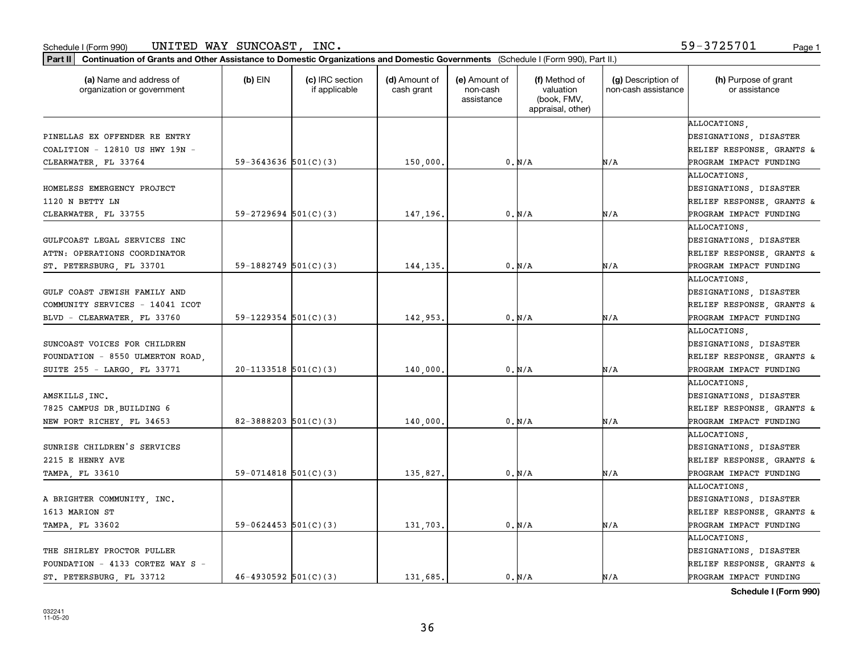| (a) Name and address of<br>organization or government | $(b)$ EIN                | (c) IRC section<br>if applicable | (d) Amount of<br>cash grant | (e) Amount of<br>non-cash<br>assistance | (f) Method of<br>valuation<br>(book, FMV,<br>appraisal, other) | (g) Description of<br>non-cash assistance | (h) Purpose of grant<br>or assistance |
|-------------------------------------------------------|--------------------------|----------------------------------|-----------------------------|-----------------------------------------|----------------------------------------------------------------|-------------------------------------------|---------------------------------------|
|                                                       |                          |                                  |                             |                                         |                                                                |                                           | ALLOCATIONS.                          |
| PINELLAS EX OFFENDER RE ENTRY                         |                          |                                  |                             |                                         |                                                                |                                           | DESIGNATIONS, DISASTER                |
| COALITION - 12810 US HWY 19N -                        |                          |                                  |                             |                                         |                                                                |                                           | RELIEF RESPONSE, GRANTS &             |
| CLEARWATER, FL 33764                                  | 59-3643636 $501(C)(3)$   |                                  | 150,000                     |                                         | 0. N/A                                                         | N/A                                       | PROGRAM IMPACT FUNDING                |
|                                                       |                          |                                  |                             |                                         |                                                                |                                           | ALLOCATIONS                           |
| HOMELESS EMERGENCY PROJECT                            |                          |                                  |                             |                                         |                                                                |                                           | DESIGNATIONS, DISASTER                |
| 1120 N BETTY LN                                       |                          |                                  |                             |                                         |                                                                |                                           | RELIEF RESPONSE, GRANTS &             |
| CLEARWATER, FL 33755                                  | $59 - 2729694$ 501(C)(3) |                                  | 147,196                     |                                         | 0. N/A                                                         | N/A                                       | PROGRAM IMPACT FUNDING                |
|                                                       |                          |                                  |                             |                                         |                                                                |                                           | ALLOCATIONS,                          |
| GULFCOAST LEGAL SERVICES INC                          |                          |                                  |                             |                                         |                                                                |                                           | DESIGNATIONS, DISASTER                |
| ATTN: OPERATIONS COORDINATOR                          |                          |                                  |                             |                                         |                                                                |                                           | RELIEF RESPONSE, GRANTS &             |
| ST. PETERSBURG, FL 33701                              | 59-1882749 $501(C)(3)$   |                                  | 144,135                     |                                         | 0. N/A                                                         | N/A                                       | PROGRAM IMPACT FUNDING                |
|                                                       |                          |                                  |                             |                                         |                                                                |                                           | ALLOCATIONS,                          |
| GULF COAST JEWISH FAMILY AND                          |                          |                                  |                             |                                         |                                                                |                                           | DESIGNATIONS, DISASTER                |
| COMMUNITY SERVICES - 14041 ICOT                       |                          |                                  |                             |                                         |                                                                |                                           | RELIEF RESPONSE, GRANTS &             |
| BLVD - CLEARWATER, FL 33760                           | $59-1229354$ $501(C)(3)$ |                                  | 142,953                     |                                         | 0. N/A                                                         | N/A                                       | PROGRAM IMPACT FUNDING                |
|                                                       |                          |                                  |                             |                                         |                                                                |                                           | ALLOCATIONS                           |
| SUNCOAST VOICES FOR CHILDREN                          |                          |                                  |                             |                                         |                                                                |                                           | DESIGNATIONS, DISASTER                |
| FOUNDATION - 8550 ULMERTON ROAD,                      |                          |                                  |                             |                                         |                                                                |                                           | RELIEF RESPONSE, GRANTS &             |
| SUITE 255 - LARGO, FL 33771                           | $20-1133518$ $501(C)(3)$ |                                  | 140,000                     |                                         | 0. N/A                                                         | N/A                                       | PROGRAM IMPACT FUNDING                |
|                                                       |                          |                                  |                             |                                         |                                                                |                                           | ALLOCATIONS.                          |
| AMSKILLS, INC.                                        |                          |                                  |                             |                                         |                                                                |                                           | DESIGNATIONS, DISASTER                |
| 7825 CAMPUS DR, BUILDING 6                            |                          |                                  |                             |                                         |                                                                |                                           | RELIEF RESPONSE, GRANTS &             |
| NEW PORT RICHEY, FL 34653                             | 82-3888203 $501(C)(3)$   |                                  | 140,000                     |                                         | 0. N/A                                                         | N/A                                       | PROGRAM IMPACT FUNDING                |
|                                                       |                          |                                  |                             |                                         |                                                                |                                           | ALLOCATIONS,                          |
| SUNRISE CHILDREN'S SERVICES                           |                          |                                  |                             |                                         |                                                                |                                           | DESIGNATIONS, DISASTER                |
| 2215 E HENRY AVE                                      |                          |                                  |                             |                                         |                                                                |                                           | RELIEF RESPONSE, GRANTS &             |
| TAMPA, FL 33610                                       | $59-0714818$ $501(C)(3)$ |                                  | 135,827.                    |                                         | 0. N/A                                                         | N/A                                       | PROGRAM IMPACT FUNDING                |
|                                                       |                          |                                  |                             |                                         |                                                                |                                           | ALLOCATIONS.                          |
| A BRIGHTER COMMUNITY, INC.                            |                          |                                  |                             |                                         |                                                                |                                           | DESIGNATIONS, DISASTER                |
| 1613 MARION ST                                        |                          |                                  |                             |                                         |                                                                |                                           | RELIEF RESPONSE, GRANTS &             |
| TAMPA, FL 33602                                       | 59-0624453 $501(C)(3)$   |                                  | 131,703.                    |                                         | $0. N/A$                                                       | N/A                                       | PROGRAM IMPACT FUNDING                |
|                                                       |                          |                                  |                             |                                         |                                                                |                                           | ALLOCATIONS.                          |
| THE SHIRLEY PROCTOR PULLER                            |                          |                                  |                             |                                         |                                                                |                                           | DESIGNATIONS, DISASTER                |
| FOUNDATION - 4133 CORTEZ WAY S -                      |                          |                                  |                             |                                         |                                                                |                                           | RELIEF RESPONSE, GRANTS &             |
| ST. PETERSBURG, FL 33712                              | $46 - 4930592$ 501(C)(3) |                                  | 131.685.                    |                                         | 0. N/A                                                         | N/A                                       | PROGRAM IMPACT FUNDING                |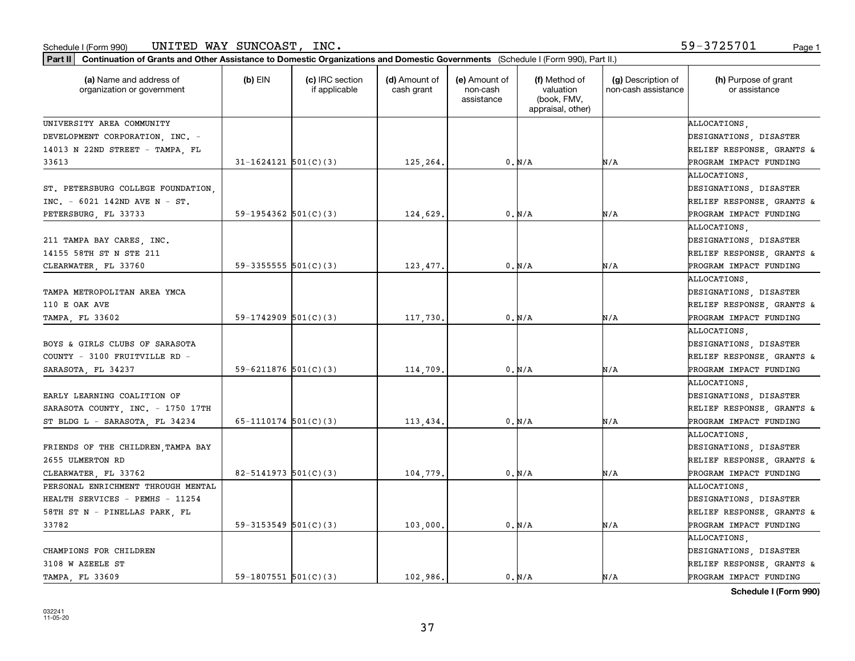| Continuation of Grants and Other Assistance to Domestic Organizations and Domestic Governments (Schedule I (Form 990), Part II.)<br>  Part II |                            |                                  |                             |                                         |                                                                |                                           |                                                                                               |
|-----------------------------------------------------------------------------------------------------------------------------------------------|----------------------------|----------------------------------|-----------------------------|-----------------------------------------|----------------------------------------------------------------|-------------------------------------------|-----------------------------------------------------------------------------------------------|
| (a) Name and address of<br>organization or government                                                                                         | $(b)$ EIN                  | (c) IRC section<br>if applicable | (d) Amount of<br>cash grant | (e) Amount of<br>non-cash<br>assistance | (f) Method of<br>valuation<br>(book, FMV,<br>appraisal, other) | (g) Description of<br>non-cash assistance | (h) Purpose of grant<br>or assistance                                                         |
| UNIVERSITY AREA COMMUNITY                                                                                                                     |                            |                                  |                             |                                         |                                                                |                                           | ALLOCATIONS.                                                                                  |
| DEVELOPMENT CORPORATION, INC. -                                                                                                               |                            |                                  |                             |                                         |                                                                |                                           | DESIGNATIONS, DISASTER                                                                        |
| 14013 N 22ND STREET - TAMPA, FL                                                                                                               |                            |                                  |                             |                                         |                                                                |                                           | RELIEF RESPONSE, GRANTS &                                                                     |
| 33613                                                                                                                                         | $31 - 1624121$ $501(C)(3)$ |                                  | 125,264.                    |                                         | 0. N/A                                                         | N/A                                       | PROGRAM IMPACT FUNDING                                                                        |
| ST. PETERSBURG COLLEGE FOUNDATION,<br>INC. - 6021 142ND AVE N - ST.<br>PETERSBURG, FL 33733                                                   | 59-1954362 $501(C)(3)$     |                                  | 124,629                     |                                         | 0. N/A                                                         | N/A                                       | ALLOCATIONS<br>DESIGNATIONS, DISASTER<br>RELIEF RESPONSE, GRANTS &<br>PROGRAM IMPACT FUNDING  |
|                                                                                                                                               |                            |                                  |                             |                                         |                                                                |                                           | ALLOCATIONS                                                                                   |
| 211 TAMPA BAY CARES, INC.<br>14155 58TH ST N STE 211                                                                                          |                            |                                  |                             |                                         |                                                                |                                           | DESIGNATIONS, DISASTER<br>RELIEF RESPONSE, GRANTS &                                           |
| CLEARWATER, FL 33760                                                                                                                          | $59-3355555$ $501(C)(3)$   |                                  | 123,477.                    |                                         | 0. N/A                                                         | N/A                                       | PROGRAM IMPACT FUNDING                                                                        |
| TAMPA METROPOLITAN AREA YMCA<br>110 E OAK AVE<br>TAMPA, FL 33602                                                                              | 59-1742909 $501(C)(3)$     |                                  | 117,730.                    |                                         | 0. N/A                                                         | N/A                                       | ALLOCATIONS.<br>DESIGNATIONS, DISASTER<br>RELIEF RESPONSE, GRANTS &<br>PROGRAM IMPACT FUNDING |
|                                                                                                                                               |                            |                                  |                             |                                         |                                                                |                                           | ALLOCATIONS.                                                                                  |
| BOYS & GIRLS CLUBS OF SARASOTA<br>COUNTY - 3100 FRUITVILLE RD                                                                                 |                            |                                  |                             |                                         |                                                                |                                           | DESIGNATIONS, DISASTER<br>RELIEF RESPONSE, GRANTS &                                           |
| SARASOTA, FL 34237                                                                                                                            | 59-6211876 $501(C)(3)$     |                                  | 114,709                     |                                         | 0. N/A                                                         | N/A                                       | PROGRAM IMPACT FUNDING                                                                        |
| EARLY LEARNING COALITION OF<br>SARASOTA COUNTY, INC. - 1750 17TH                                                                              |                            |                                  |                             |                                         |                                                                |                                           | ALLOCATIONS.<br>DESIGNATIONS, DISASTER<br>RELIEF RESPONSE, GRANTS &                           |
| ST BLDG L - SARASOTA, FL 34234                                                                                                                | $65-1110174$ $501(C)(3)$   |                                  | 113,434.                    |                                         | 0. N/A                                                         | N/A                                       | PROGRAM IMPACT FUNDING                                                                        |
| FRIENDS OF THE CHILDREN, TAMPA BAY<br>2655 ULMERTON RD                                                                                        |                            |                                  |                             |                                         |                                                                |                                           | ALLOCATIONS,<br>DESIGNATIONS, DISASTER<br>RELIEF RESPONSE, GRANTS &                           |
| CLEARWATER, FL 33762                                                                                                                          | $82 - 5141973$ $501(C)(3)$ |                                  | 104,779                     |                                         | 0. N/A                                                         | N/A                                       | PROGRAM IMPACT FUNDING                                                                        |
| PERSONAL ENRICHMENT THROUGH MENTAL                                                                                                            |                            |                                  |                             |                                         |                                                                |                                           | ALLOCATIONS.                                                                                  |
| HEALTH SERVICES - PEMHS - 11254                                                                                                               |                            |                                  |                             |                                         |                                                                |                                           | DESIGNATIONS, DISASTER                                                                        |
| 58TH ST N - PINELLAS PARK, FL                                                                                                                 |                            |                                  |                             |                                         |                                                                |                                           | RELIEF RESPONSE, GRANTS &                                                                     |
| 33782                                                                                                                                         | $59-3153549$ $501(C)(3)$   |                                  | 103,000.                    |                                         | 0. N/A                                                         | N/A                                       | PROGRAM IMPACT FUNDING                                                                        |
| CHAMPIONS FOR CHILDREN<br>3108 W AZEELE ST                                                                                                    |                            |                                  |                             |                                         |                                                                |                                           | ALLOCATIONS.<br>DESIGNATIONS, DISASTER<br>RELIEF RESPONSE, GRANTS &                           |
| <b>TAMPA FL 33609</b>                                                                                                                         | 59-1807551 $501(C)(3)$     |                                  | 102.986.                    |                                         | 0. N/A                                                         | N/A                                       | PROGRAM IMPACT FUNDING                                                                        |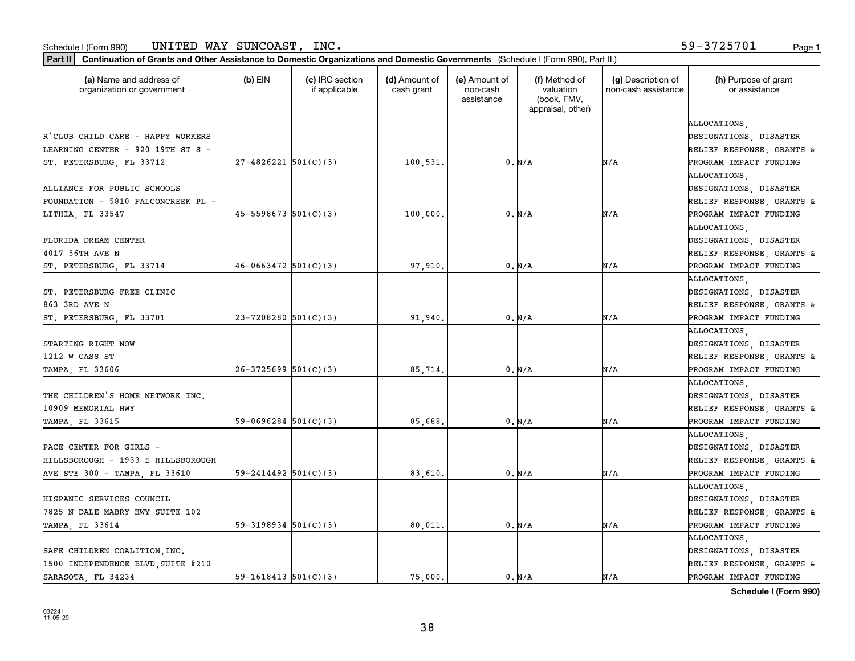| Part II   Continuation of Grants and Other Assistance to Domestic Organizations and Domestic Governments (Schedule I (Form 990), Part II.) |                            |                                  |                             |                                         |                                                                |                                           |                                       |
|--------------------------------------------------------------------------------------------------------------------------------------------|----------------------------|----------------------------------|-----------------------------|-----------------------------------------|----------------------------------------------------------------|-------------------------------------------|---------------------------------------|
| (a) Name and address of<br>organization or government                                                                                      | $(b)$ EIN                  | (c) IRC section<br>if applicable | (d) Amount of<br>cash grant | (e) Amount of<br>non-cash<br>assistance | (f) Method of<br>valuation<br>(book, FMV,<br>appraisal, other) | (g) Description of<br>non-cash assistance | (h) Purpose of grant<br>or assistance |
|                                                                                                                                            |                            |                                  |                             |                                         |                                                                |                                           | ALLOCATIONS.                          |
| R'CLUB CHILD CARE - HAPPY WORKERS                                                                                                          |                            |                                  |                             |                                         |                                                                |                                           | DESIGNATIONS, DISASTER                |
| LEARNING CENTER - 920 19TH ST S -                                                                                                          |                            |                                  |                             |                                         |                                                                |                                           | RELIEF RESPONSE, GRANTS &             |
| ST. PETERSBURG, FL 33712                                                                                                                   | $27 - 4826221$ 501(C)(3)   |                                  | 100,531.                    |                                         | 0. N/A                                                         | N/A                                       | PROGRAM IMPACT FUNDING                |
|                                                                                                                                            |                            |                                  |                             |                                         |                                                                |                                           | ALLOCATIONS,                          |
| ALLIANCE FOR PUBLIC SCHOOLS                                                                                                                |                            |                                  |                             |                                         |                                                                |                                           | DESIGNATIONS, DISASTER                |
| FOUNDATION - 5810 FALCONCREEK PL -                                                                                                         |                            |                                  |                             |                                         |                                                                |                                           | RELIEF RESPONSE, GRANTS &             |
| LITHIA, FL 33547                                                                                                                           | $45 - 5598673$ $501(C)(3)$ |                                  | 100,000                     |                                         | 0. N/A                                                         | N/A                                       | PROGRAM IMPACT FUNDING                |
|                                                                                                                                            |                            |                                  |                             |                                         |                                                                |                                           | ALLOCATIONS                           |
| FLORIDA DREAM CENTER                                                                                                                       |                            |                                  |                             |                                         |                                                                |                                           | DESIGNATIONS, DISASTER                |
| 4017 56TH AVE N                                                                                                                            |                            |                                  |                             |                                         |                                                                |                                           | RELIEF RESPONSE, GRANTS &             |
| ST. PETERSBURG, FL 33714                                                                                                                   | $46 - 0663472$ 501(C)(3)   |                                  | 97,910.                     |                                         | 0. N/A                                                         | N/A                                       | PROGRAM IMPACT FUNDING                |
|                                                                                                                                            |                            |                                  |                             |                                         |                                                                |                                           | ALLOCATIONS.                          |
| ST. PETERSBURG FREE CLINIC                                                                                                                 |                            |                                  |                             |                                         |                                                                |                                           | DESIGNATIONS, DISASTER                |
| 863 3RD AVE N                                                                                                                              |                            |                                  |                             |                                         |                                                                |                                           | RELIEF RESPONSE, GRANTS &             |
| ST. PETERSBURG, FL 33701                                                                                                                   | $23 - 7208280$ 501(C)(3)   |                                  | 91,940                      |                                         | 0. N/A                                                         | N/A                                       | PROGRAM IMPACT FUNDING                |
|                                                                                                                                            |                            |                                  |                             |                                         |                                                                |                                           | ALLOCATIONS,                          |
| STARTING RIGHT NOW                                                                                                                         |                            |                                  |                             |                                         |                                                                |                                           | DESIGNATIONS, DISASTER                |
| 1212 W CASS ST                                                                                                                             |                            |                                  |                             |                                         |                                                                |                                           | RELIEF RESPONSE, GRANTS &             |
| TAMPA, FL 33606                                                                                                                            | $26-3725699$ $501(C)(3)$   |                                  | 85,714                      |                                         | 0. N/A                                                         | N/A                                       | PROGRAM IMPACT FUNDING                |
|                                                                                                                                            |                            |                                  |                             |                                         |                                                                |                                           | ALLOCATIONS.                          |
| THE CHILDREN'S HOME NETWORK INC.                                                                                                           |                            |                                  |                             |                                         |                                                                |                                           | DESIGNATIONS, DISASTER                |
| 10909 MEMORIAL HWY                                                                                                                         |                            |                                  |                             |                                         |                                                                |                                           | RELIEF RESPONSE, GRANTS &             |
| TAMPA, FL 33615                                                                                                                            | $59-0696284$ $501(C)(3)$   |                                  | 85,688.                     |                                         | 0. N/A                                                         | N/A                                       | PROGRAM IMPACT FUNDING                |
|                                                                                                                                            |                            |                                  |                             |                                         |                                                                |                                           | ALLOCATIONS,                          |
| PACE CENTER FOR GIRLS -                                                                                                                    |                            |                                  |                             |                                         |                                                                |                                           | DESIGNATIONS, DISASTER                |
| HILLSBOROUGH - 1933 E HILLSBOROUGH                                                                                                         |                            |                                  |                             |                                         |                                                                |                                           | RELIEF RESPONSE, GRANTS &             |
| AVE STE 300 - TAMPA, FL 33610                                                                                                              | $59 - 2414492$ $501(C)(3)$ |                                  | 83,610                      |                                         | 0. N/A                                                         | N/A                                       | PROGRAM IMPACT FUNDING                |
|                                                                                                                                            |                            |                                  |                             |                                         |                                                                |                                           | ALLOCATIONS.                          |
| HISPANIC SERVICES COUNCIL                                                                                                                  |                            |                                  |                             |                                         |                                                                |                                           | DESIGNATIONS, DISASTER                |
| 7825 N DALE MABRY HWY SUITE 102                                                                                                            |                            |                                  |                             |                                         |                                                                |                                           | RELIEF RESPONSE, GRANTS &             |
| TAMPA, FL 33614                                                                                                                            | $59-3198934$ $501(C)(3)$   |                                  | 80,011.                     |                                         | 0. N/A                                                         | N/A                                       | PROGRAM IMPACT FUNDING                |
|                                                                                                                                            |                            |                                  |                             |                                         |                                                                |                                           | ALLOCATIONS.                          |
| SAFE CHILDREN COALITION, INC.                                                                                                              |                            |                                  |                             |                                         |                                                                |                                           | DESIGNATIONS, DISASTER                |
| 1500 INDEPENDENCE BLVD SUITE #210                                                                                                          |                            |                                  |                             |                                         |                                                                |                                           | RELIEF RESPONSE, GRANTS &             |
| SARASOTA, FL 34234                                                                                                                         | $59-1618413$ $501(C)(3)$   |                                  | 75.000.                     |                                         | 0. N/A                                                         | N/A                                       | PROGRAM IMPACT FUNDING                |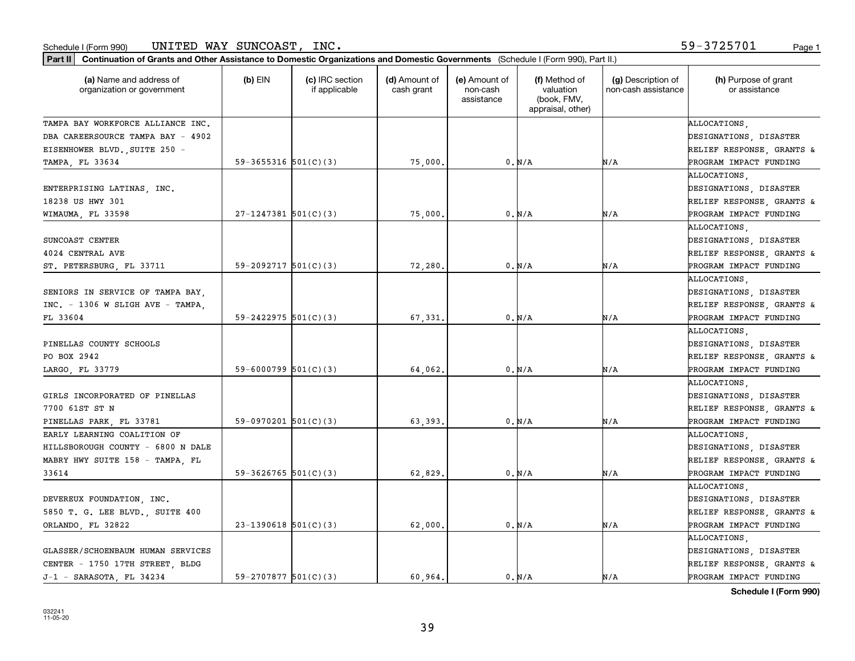| (a) Name and address of<br>organization or government                                            | $(b)$ EIN                | (c) IRC section<br>if applicable | (d) Amount of<br>cash grant | (e) Amount of<br>non-cash<br>assistance | (f) Method of<br>valuation<br>(book, FMV,<br>appraisal, other) | (g) Description of<br>non-cash assistance | (h) Purpose of grant<br>or assistance                                                         |
|--------------------------------------------------------------------------------------------------|--------------------------|----------------------------------|-----------------------------|-----------------------------------------|----------------------------------------------------------------|-------------------------------------------|-----------------------------------------------------------------------------------------------|
| TAMPA BAY WORKFORCE ALLIANCE INC.                                                                |                          |                                  |                             |                                         |                                                                |                                           | ALLOCATIONS.                                                                                  |
| DBA CAREERSOURCE TAMPA BAY - 4902                                                                |                          |                                  |                             |                                         |                                                                |                                           | DESIGNATIONS, DISASTER                                                                        |
| EISENHOWER BLVD., SUITE 250 -                                                                    |                          |                                  |                             |                                         |                                                                |                                           | RELIEF RESPONSE, GRANTS &                                                                     |
| TAMPA, FL 33634                                                                                  | 59-3655316 $501(C)(3)$   |                                  | 75,000                      |                                         | 0. N/A                                                         | N/A                                       | PROGRAM IMPACT FUNDING                                                                        |
| ENTERPRISING LATINAS, INC.<br>18238 US HWY 301                                                   |                          |                                  |                             |                                         |                                                                |                                           | ALLOCATIONS,<br>DESIGNATIONS, DISASTER<br>RELIEF RESPONSE, GRANTS &                           |
| WIMAUMA, FL 33598                                                                                | $27-1247381$ 501(C)(3)   |                                  | 75,000                      |                                         | 0. N/A                                                         | N/A                                       | PROGRAM IMPACT FUNDING                                                                        |
| SUNCOAST CENTER<br>4024 CENTRAL AVE                                                              |                          |                                  |                             |                                         |                                                                |                                           | ALLOCATIONS,<br>DESIGNATIONS, DISASTER<br>RELIEF RESPONSE, GRANTS &                           |
| ST. PETERSBURG, FL 33711                                                                         | 59-2092717 501(C)(3)     |                                  | 72,280                      |                                         | 0. N/A                                                         | N/A                                       | PROGRAM IMPACT FUNDING                                                                        |
| SENIORS IN SERVICE OF TAMPA BAY,<br>$INC. - 1306 W SLIGH AVE - TAMPA,$<br>FL 33604               | 59-2422975 501(C)(3)     |                                  | 67,331.                     |                                         | 0. N/A                                                         | N/A                                       | ALLOCATIONS.<br>DESIGNATIONS, DISASTER<br>RELIEF RESPONSE, GRANTS &<br>PROGRAM IMPACT FUNDING |
|                                                                                                  |                          |                                  |                             |                                         |                                                                |                                           | ALLOCATIONS,                                                                                  |
| PINELLAS COUNTY SCHOOLS<br>PO BOX 2942                                                           |                          |                                  |                             |                                         |                                                                |                                           | DESIGNATIONS, DISASTER<br>RELIEF RESPONSE, GRANTS &                                           |
| LARGO, FL 33779                                                                                  | 59-6000799 $501(C)(3)$   |                                  | 64,062                      |                                         | 0. N/A                                                         | N/A                                       | PROGRAM IMPACT FUNDING                                                                        |
| GIRLS INCORPORATED OF PINELLAS<br>7700 61ST ST N<br>PINELLAS PARK, FL 33781                      | 59-0970201 $501(C)(3)$   |                                  | 63,393                      |                                         | 0. N/A                                                         | N/A                                       | ALLOCATIONS.<br>DESIGNATIONS, DISASTER<br>RELIEF RESPONSE, GRANTS &<br>PROGRAM IMPACT FUNDING |
| EARLY LEARNING COALITION OF                                                                      |                          |                                  |                             |                                         |                                                                |                                           | ALLOCATIONS,                                                                                  |
| HILLSBOROUGH COUNTY - 6800 N DALE<br>MABRY HWY SUITE 158 - TAMPA, FL                             |                          |                                  |                             |                                         |                                                                |                                           | DESIGNATIONS, DISASTER<br>RELIEF RESPONSE, GRANTS &                                           |
| 33614                                                                                            | 59-3626765 $501(C)(3)$   |                                  | 62,829                      |                                         | 0. N/A                                                         | N/A                                       | PROGRAM IMPACT FUNDING                                                                        |
| DEVEREUX FOUNDATION, INC.<br>5850 T. G. LEE BLVD., SUITE 400<br>ORLANDO, FL 32822                | $23-1390618$ 501(C)(3)   |                                  | 62,000                      |                                         | 0. N/A                                                         | N/A                                       | ALLOCATIONS.<br>DESIGNATIONS, DISASTER<br>RELIEF RESPONSE, GRANTS &<br>PROGRAM IMPACT FUNDING |
| GLASSER/SCHOENBAUM HUMAN SERVICES<br>CENTER - 1750 17TH STREET, BLDG<br>J-1 - SARASOTA, FL 34234 | $59 - 2707877$ 501(C)(3) |                                  | 60.964.                     |                                         | 0. N/A                                                         | N/A                                       | ALLOCATIONS.<br>DESIGNATIONS, DISASTER<br>RELIEF RESPONSE, GRANTS &<br>PROGRAM IMPACT FUNDING |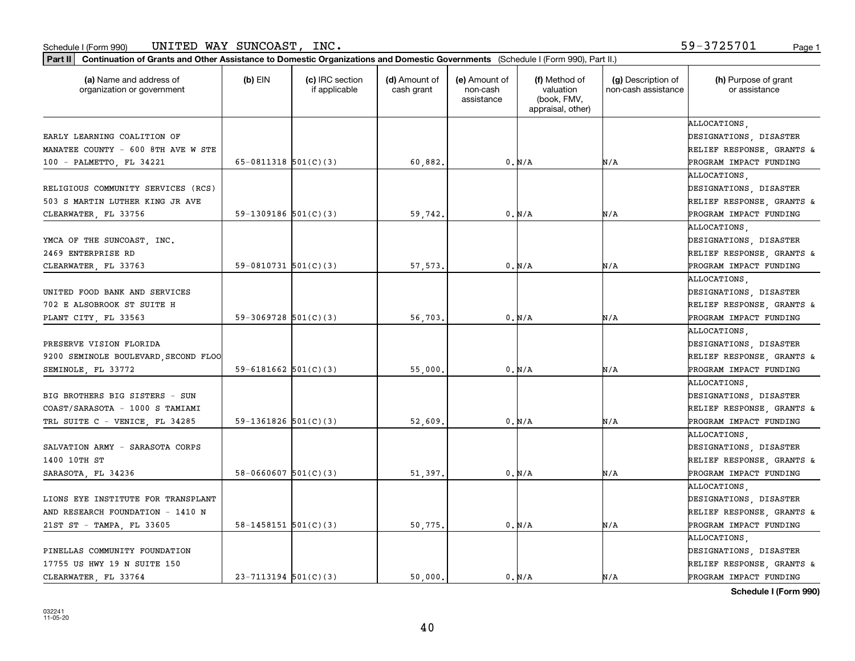| Part II   Continuation of Grants and Other Assistance to Domestic Organizations and Domestic Governments (Schedule I (Form 990), Part II.) |                          |                                  |                             |                                         |                                                                |                                           |                                       |
|--------------------------------------------------------------------------------------------------------------------------------------------|--------------------------|----------------------------------|-----------------------------|-----------------------------------------|----------------------------------------------------------------|-------------------------------------------|---------------------------------------|
| (a) Name and address of<br>organization or government                                                                                      | (b) $EIN$                | (c) IRC section<br>if applicable | (d) Amount of<br>cash grant | (e) Amount of<br>non-cash<br>assistance | (f) Method of<br>valuation<br>(book, FMV,<br>appraisal, other) | (g) Description of<br>non-cash assistance | (h) Purpose of grant<br>or assistance |
|                                                                                                                                            |                          |                                  |                             |                                         |                                                                |                                           | ALLOCATIONS.                          |
| EARLY LEARNING COALITION OF                                                                                                                |                          |                                  |                             |                                         |                                                                |                                           | DESIGNATIONS, DISASTER                |
| MANATEE COUNTY - 600 8TH AVE W STE                                                                                                         |                          |                                  |                             |                                         |                                                                |                                           | RELIEF RESPONSE, GRANTS &             |
| 100 - PALMETTO, FL 34221                                                                                                                   | 65-0811318 $501(C)(3)$   |                                  | 60,882.                     |                                         | 0. N/A                                                         | N/A                                       | PROGRAM IMPACT FUNDING                |
|                                                                                                                                            |                          |                                  |                             |                                         |                                                                |                                           | ALLOCATIONS,                          |
| RELIGIOUS COMMUNITY SERVICES (RCS)                                                                                                         |                          |                                  |                             |                                         |                                                                |                                           | DESIGNATIONS, DISASTER                |
| 503 S MARTIN LUTHER KING JR AVE                                                                                                            |                          |                                  |                             |                                         |                                                                |                                           | RELIEF RESPONSE, GRANTS &             |
| CLEARWATER, FL 33756                                                                                                                       | 59-1309186 $501(C)(3)$   |                                  | 59,742.                     |                                         | 0. N/A                                                         | N/A                                       | PROGRAM IMPACT FUNDING                |
|                                                                                                                                            |                          |                                  |                             |                                         |                                                                |                                           | ALLOCATIONS.                          |
| YMCA OF THE SUNCOAST, INC.                                                                                                                 |                          |                                  |                             |                                         |                                                                |                                           | DESIGNATIONS, DISASTER                |
| 2469 ENTERPRISE RD                                                                                                                         |                          |                                  |                             |                                         |                                                                |                                           | RELIEF RESPONSE, GRANTS &             |
| CLEARWATER, FL 33763                                                                                                                       | 59-0810731 $501(C)(3)$   |                                  | 57,573.                     |                                         | 0. N/A                                                         | N/A                                       | PROGRAM IMPACT FUNDING                |
|                                                                                                                                            |                          |                                  |                             |                                         |                                                                |                                           | ALLOCATIONS,                          |
| UNITED FOOD BANK AND SERVICES                                                                                                              |                          |                                  |                             |                                         |                                                                |                                           | DESIGNATIONS, DISASTER                |
| 702 E ALSOBROOK ST SUITE H                                                                                                                 |                          |                                  |                             |                                         |                                                                |                                           | RELIEF RESPONSE, GRANTS &             |
| PLANT CITY, FL 33563                                                                                                                       | $59-3069728$ $501(C)(3)$ |                                  | 56,703.                     |                                         | 0. N/A                                                         | N/A                                       | PROGRAM IMPACT FUNDING                |
|                                                                                                                                            |                          |                                  |                             |                                         |                                                                |                                           | ALLOCATIONS.                          |
| PRESERVE VISION FLORIDA                                                                                                                    |                          |                                  |                             |                                         |                                                                |                                           | DESIGNATIONS, DISASTER                |
| 9200 SEMINOLE BOULEVARD, SECOND FLOO                                                                                                       |                          |                                  |                             |                                         |                                                                |                                           | RELIEF RESPONSE, GRANTS &             |
| SEMINOLE, FL 33772                                                                                                                         | 59-6181662 $501(C)(3)$   |                                  | 55,000.                     |                                         | 0. N/A                                                         | N/A                                       | PROGRAM IMPACT FUNDING                |
|                                                                                                                                            |                          |                                  |                             |                                         |                                                                |                                           | ALLOCATIONS.                          |
| BIG BROTHERS BIG SISTERS - SUN                                                                                                             |                          |                                  |                             |                                         |                                                                |                                           | DESIGNATIONS, DISASTER                |
| COAST/SARASOTA - 1000 S TAMIAMI                                                                                                            |                          |                                  |                             |                                         |                                                                |                                           | RELIEF RESPONSE, GRANTS &             |
| TRL SUITE C - VENICE, FL 34285                                                                                                             | 59-1361826 $501(C)(3)$   |                                  | 52,609                      |                                         | 0. N/A                                                         | N/A                                       | PROGRAM IMPACT FUNDING                |
|                                                                                                                                            |                          |                                  |                             |                                         |                                                                |                                           | ALLOCATIONS,                          |
| SALVATION ARMY - SARASOTA CORPS                                                                                                            |                          |                                  |                             |                                         |                                                                |                                           | DESIGNATIONS, DISASTER                |
| 1400 10TH ST                                                                                                                               |                          |                                  |                             |                                         |                                                                |                                           | RELIEF RESPONSE, GRANTS &             |
| SARASOTA, FL 34236                                                                                                                         | $58-0660607$ $501(C)(3)$ |                                  | 51,397                      |                                         | 0. N/A                                                         | N/A                                       | PROGRAM IMPACT FUNDING                |
|                                                                                                                                            |                          |                                  |                             |                                         |                                                                |                                           | ALLOCATIONS.                          |
| LIONS EYE INSTITUTE FOR TRANSPLANT                                                                                                         |                          |                                  |                             |                                         |                                                                |                                           | DESIGNATIONS, DISASTER                |
| AND RESEARCH FOUNDATION - 1410 N                                                                                                           |                          |                                  |                             |                                         |                                                                |                                           | RELIEF RESPONSE, GRANTS &             |
| 21ST ST - TAMPA, FL 33605                                                                                                                  | 58-1458151 $501(C)(3)$   |                                  | 50,775.                     |                                         | 0. N/A                                                         | N/A                                       | PROGRAM IMPACT FUNDING                |
|                                                                                                                                            |                          |                                  |                             |                                         |                                                                |                                           | ALLOCATIONS.                          |
| PINELLAS COMMUNITY FOUNDATION                                                                                                              |                          |                                  |                             |                                         |                                                                |                                           | DESIGNATIONS, DISASTER                |
| 17755 US HWY 19 N SUITE 150                                                                                                                |                          |                                  |                             |                                         |                                                                |                                           | RELIEF RESPONSE, GRANTS &             |
| CLEARWATER FL 33764                                                                                                                        | $23 - 7113194$ 501(C)(3) |                                  | 50.000.                     |                                         | 0. N/A                                                         | N/A                                       | PROGRAM IMPACT FUNDING                |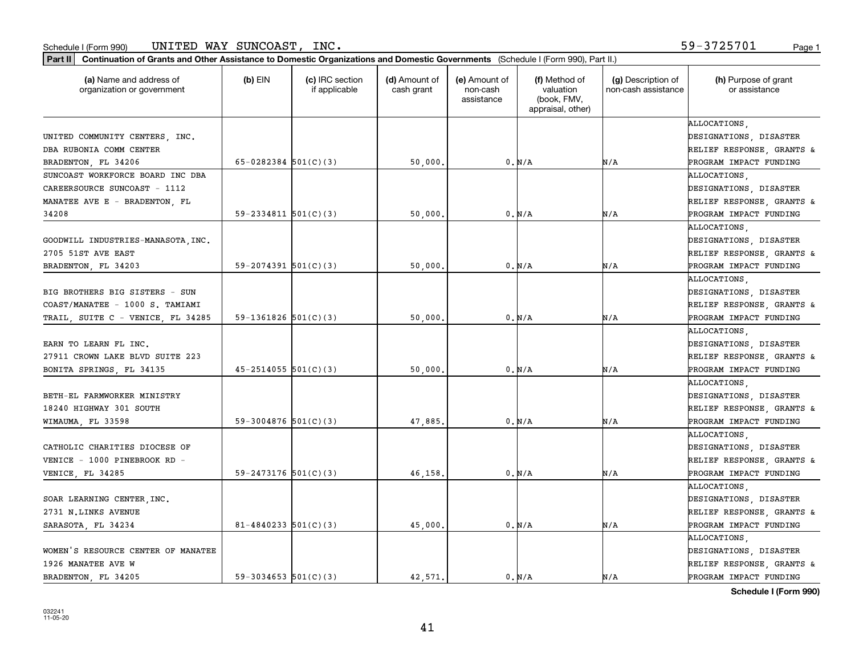| Continuation of Grants and Other Assistance to Domestic Organizations and Domestic Governments (Schedule I (Form 990), Part II.)<br>  Part II |                            |                                  |                             |                                         |                                                                |                                           |                                       |
|-----------------------------------------------------------------------------------------------------------------------------------------------|----------------------------|----------------------------------|-----------------------------|-----------------------------------------|----------------------------------------------------------------|-------------------------------------------|---------------------------------------|
| (a) Name and address of<br>organization or government                                                                                         | $(b)$ EIN                  | (c) IRC section<br>if applicable | (d) Amount of<br>cash grant | (e) Amount of<br>non-cash<br>assistance | (f) Method of<br>valuation<br>(book, FMV,<br>appraisal, other) | (g) Description of<br>non-cash assistance | (h) Purpose of grant<br>or assistance |
|                                                                                                                                               |                            |                                  |                             |                                         |                                                                |                                           | ALLOCATIONS.                          |
| UNITED COMMUNITY CENTERS, INC.                                                                                                                |                            |                                  |                             |                                         |                                                                |                                           | DESIGNATIONS, DISASTER                |
| DBA RUBONIA COMM CENTER                                                                                                                       |                            |                                  |                             |                                         |                                                                |                                           | RELIEF RESPONSE, GRANTS &             |
| BRADENTON, FL 34206                                                                                                                           | $65 - 0282384$ $501(C)(3)$ |                                  | 50,000.                     |                                         | 0. N/A                                                         | N/A                                       | PROGRAM IMPACT FUNDING                |
| SUNCOAST WORKFORCE BOARD INC DBA                                                                                                              |                            |                                  |                             |                                         |                                                                |                                           | <b>ALLOCATIONS</b>                    |
| CAREERSOURCE SUNCOAST - 1112                                                                                                                  |                            |                                  |                             |                                         |                                                                |                                           | DESIGNATIONS, DISASTER                |
| MANATEE AVE E - BRADENTON, FL                                                                                                                 |                            |                                  |                             |                                         |                                                                |                                           | RELIEF RESPONSE, GRANTS &             |
| 34208                                                                                                                                         | $59 - 2334811$ $501(C)(3)$ |                                  | 50,000                      |                                         | 0. N/A                                                         | N/A                                       | PROGRAM IMPACT FUNDING                |
|                                                                                                                                               |                            |                                  |                             |                                         |                                                                |                                           | <b>ALLOCATIONS</b>                    |
| GOODWILL INDUSTRIES-MANASOTA, INC.                                                                                                            |                            |                                  |                             |                                         |                                                                |                                           | DESIGNATIONS, DISASTER                |
| 2705 51ST AVE EAST                                                                                                                            |                            |                                  |                             |                                         |                                                                |                                           | RELIEF RESPONSE, GRANTS &             |
| BRADENTON, FL 34203                                                                                                                           | $59 - 2074391$ $501(C)(3)$ |                                  | 50,000                      |                                         | 0. N/A                                                         | N/A                                       | PROGRAM IMPACT FUNDING                |
|                                                                                                                                               |                            |                                  |                             |                                         |                                                                |                                           | ALLOCATIONS.                          |
| BIG BROTHERS BIG SISTERS - SUN                                                                                                                |                            |                                  |                             |                                         |                                                                |                                           | DESIGNATIONS, DISASTER                |
| COAST/MANATEE - 1000 S. TAMIAMI                                                                                                               |                            |                                  |                             |                                         |                                                                |                                           | RELIEF RESPONSE, GRANTS &             |
| TRAIL, SUITE C - VENICE, FL 34285                                                                                                             | $59-1361826$ $501(C)(3)$   |                                  | 50,000                      |                                         | 0. N/A                                                         | N/A                                       | PROGRAM IMPACT FUNDING                |
|                                                                                                                                               |                            |                                  |                             |                                         |                                                                |                                           | ALLOCATIONS.                          |
| EARN TO LEARN FL INC.                                                                                                                         |                            |                                  |                             |                                         |                                                                |                                           | DESIGNATIONS, DISASTER                |
| 27911 CROWN LAKE BLVD SUITE 223                                                                                                               |                            |                                  |                             |                                         |                                                                |                                           | RELIEF RESPONSE, GRANTS &             |
| BONITA SPRINGS, FL 34135                                                                                                                      | $45 - 2514055$ 501(C)(3)   |                                  | 50,000                      |                                         | 0. N/A                                                         | N/A                                       | PROGRAM IMPACT FUNDING                |
|                                                                                                                                               |                            |                                  |                             |                                         |                                                                |                                           | ALLOCATIONS.                          |
| BETH-EL FARMWORKER MINISTRY                                                                                                                   |                            |                                  |                             |                                         |                                                                |                                           | DESIGNATIONS, DISASTER                |
| 18240 HIGHWAY 301 SOUTH                                                                                                                       |                            |                                  |                             |                                         |                                                                |                                           | RELIEF RESPONSE, GRANTS &             |
| WIMAUMA, FL 33598                                                                                                                             | 59-3004876 $501(C)(3)$     |                                  | 47,885                      |                                         | 0. N/A                                                         | N/A                                       | PROGRAM IMPACT FUNDING                |
|                                                                                                                                               |                            |                                  |                             |                                         |                                                                |                                           | ALLOCATIONS,                          |
|                                                                                                                                               |                            |                                  |                             |                                         |                                                                |                                           |                                       |
| CATHOLIC CHARITIES DIOCESE OF                                                                                                                 |                            |                                  |                             |                                         |                                                                |                                           | DESIGNATIONS, DISASTER                |
| VENICE - 1000 PINEBROOK RD -                                                                                                                  |                            |                                  |                             |                                         |                                                                |                                           | RELIEF RESPONSE, GRANTS &             |
| VENICE, FL 34285                                                                                                                              | $59 - 2473176$ 501(C)(3)   |                                  | 46,158                      |                                         | 0. N/A                                                         | N/A                                       | PROGRAM IMPACT FUNDING                |
|                                                                                                                                               |                            |                                  |                             |                                         |                                                                |                                           | ALLOCATIONS.                          |
| SOAR LEARNING CENTER, INC.                                                                                                                    |                            |                                  |                             |                                         |                                                                |                                           | DESIGNATIONS, DISASTER                |
| 2731 N.LINKS AVENUE                                                                                                                           |                            |                                  |                             |                                         |                                                                |                                           | RELIEF RESPONSE, GRANTS &             |
| SARASOTA, FL 34234                                                                                                                            | $81 - 4840233$ 501(C)(3)   |                                  | 45,000                      |                                         | 0. N/A                                                         | N/A                                       | PROGRAM IMPACT FUNDING                |
|                                                                                                                                               |                            |                                  |                             |                                         |                                                                |                                           | ALLOCATIONS.                          |
| WOMEN'S RESOURCE CENTER OF MANATEE                                                                                                            |                            |                                  |                             |                                         |                                                                |                                           | DESIGNATIONS, DISASTER                |
| 1926 MANATEE AVE W                                                                                                                            |                            |                                  |                             |                                         |                                                                |                                           | RELIEF RESPONSE, GRANTS &             |
| BRADENTON, FL 34205                                                                                                                           | $59-3034653$ $501(C)(3)$   |                                  | 42.571.                     |                                         | 0. N/A                                                         | N/A                                       | PROGRAM IMPACT FUNDING                |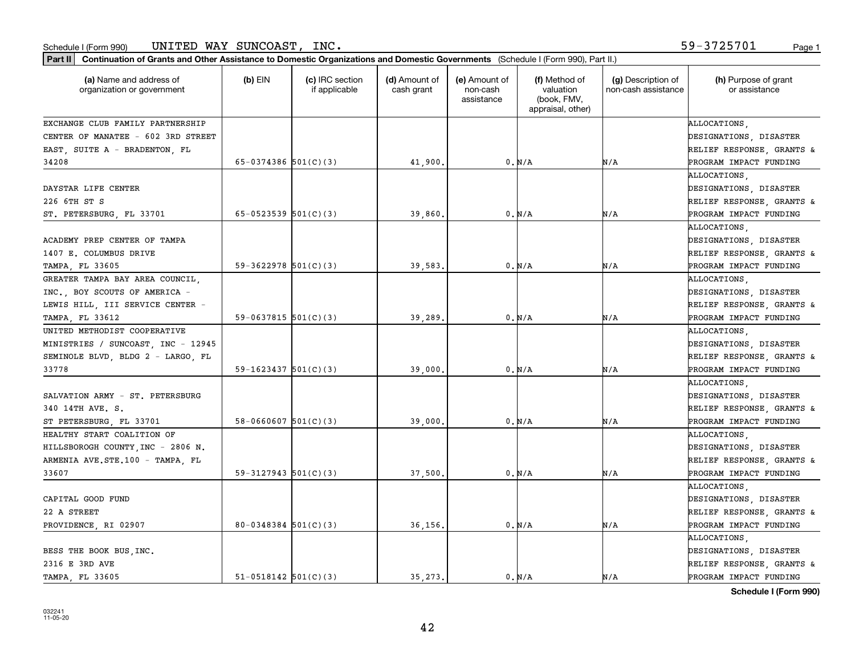| Part II   Continuation of Grants and Other Assistance to Domestic Organizations and Domestic Governments (Schedule I (Form 990), Part II.) |                            |                                  |                             |                                         |                                                                |                                           |                                       |
|--------------------------------------------------------------------------------------------------------------------------------------------|----------------------------|----------------------------------|-----------------------------|-----------------------------------------|----------------------------------------------------------------|-------------------------------------------|---------------------------------------|
| (a) Name and address of<br>organization or government                                                                                      | $(b)$ EIN                  | (c) IRC section<br>if applicable | (d) Amount of<br>cash grant | (e) Amount of<br>non-cash<br>assistance | (f) Method of<br>valuation<br>(book, FMV,<br>appraisal, other) | (g) Description of<br>non-cash assistance | (h) Purpose of grant<br>or assistance |
| EXCHANGE CLUB FAMILY PARTNERSHIP                                                                                                           |                            |                                  |                             |                                         |                                                                |                                           | ALLOCATIONS.                          |
| CENTER OF MANATEE - 602 3RD STREET                                                                                                         |                            |                                  |                             |                                         |                                                                |                                           | DESIGNATIONS, DISASTER                |
| EAST, SUITE A - BRADENTON, FL                                                                                                              |                            |                                  |                             |                                         |                                                                |                                           | RELIEF RESPONSE, GRANTS &             |
| 34208                                                                                                                                      | 65-0374386 $501(C)(3)$     |                                  | 41,900                      |                                         | 0. N/A                                                         | N/A                                       | PROGRAM IMPACT FUNDING                |
|                                                                                                                                            |                            |                                  |                             |                                         |                                                                |                                           | ALLOCATIONS                           |
| DAYSTAR LIFE CENTER                                                                                                                        |                            |                                  |                             |                                         |                                                                |                                           | DESIGNATIONS, DISASTER                |
| 226 6TH ST S                                                                                                                               |                            |                                  |                             |                                         |                                                                |                                           | RELIEF RESPONSE, GRANTS &             |
| ST. PETERSBURG, FL 33701                                                                                                                   | $65 - 0523539$ $501(C)(3)$ |                                  | 39,860                      |                                         | 0. N/A                                                         | N/A                                       | PROGRAM IMPACT FUNDING                |
|                                                                                                                                            |                            |                                  |                             |                                         |                                                                |                                           | ALLOCATIONS                           |
| ACADEMY PREP CENTER OF TAMPA                                                                                                               |                            |                                  |                             |                                         |                                                                |                                           | DESIGNATIONS, DISASTER                |
| 1407 E. COLUMBUS DRIVE                                                                                                                     |                            |                                  |                             |                                         |                                                                |                                           | RELIEF RESPONSE, GRANTS &             |
| TAMPA, FL 33605                                                                                                                            | $59-3622978$ $501(C)(3)$   |                                  | 39,583                      |                                         | 0. N/A                                                         | N/A                                       | PROGRAM IMPACT FUNDING                |
| GREATER TAMPA BAY AREA COUNCIL,                                                                                                            |                            |                                  |                             |                                         |                                                                |                                           | ALLOCATIONS,                          |
| INC., BOY SCOUTS OF AMERICA -                                                                                                              |                            |                                  |                             |                                         |                                                                |                                           | DESIGNATIONS, DISASTER                |
| LEWIS HILL, III SERVICE CENTER -                                                                                                           |                            |                                  |                             |                                         |                                                                |                                           | RELIEF RESPONSE, GRANTS &             |
| TAMPA, FL 33612                                                                                                                            | $59-0637815$ 501(C)(3)     |                                  | 39,289                      |                                         | 0. N/A                                                         | N/A                                       | PROGRAM IMPACT FUNDING                |
| UNITED METHODIST COOPERATIVE                                                                                                               |                            |                                  |                             |                                         |                                                                |                                           | ALLOCATIONS                           |
| MINISTRIES / SUNCOAST, INC - 12945                                                                                                         |                            |                                  |                             |                                         |                                                                |                                           | DESIGNATIONS, DISASTER                |
| SEMINOLE BLVD, BLDG 2 - LARGO, FL                                                                                                          |                            |                                  |                             |                                         |                                                                |                                           | RELIEF RESPONSE, GRANTS &             |
| 33778                                                                                                                                      | 59-1623437 $501(C)(3)$     |                                  | 39,000                      |                                         | 0. N/A                                                         | N/A                                       | PROGRAM IMPACT FUNDING                |
|                                                                                                                                            |                            |                                  |                             |                                         |                                                                |                                           | ALLOCATIONS.                          |
| SALVATION ARMY - ST. PETERSBURG                                                                                                            |                            |                                  |                             |                                         |                                                                |                                           | DESIGNATIONS, DISASTER                |
| 340 14TH AVE. S.                                                                                                                           |                            |                                  |                             |                                         |                                                                |                                           | RELIEF RESPONSE, GRANTS &             |
| ST PETERSBURG, FL 33701                                                                                                                    | $58 - 0660607$ $501(C)(3)$ |                                  | 39,000                      |                                         | 0. N/A                                                         | N/A                                       | PROGRAM IMPACT FUNDING                |
| HEALTHY START COALITION OF                                                                                                                 |                            |                                  |                             |                                         |                                                                |                                           | ALLOCATIONS,                          |
| HILLSBOROGH COUNTY, INC - 2806 N.                                                                                                          |                            |                                  |                             |                                         |                                                                |                                           | DESIGNATIONS, DISASTER                |
| ARMENIA AVE.STE.100 - TAMPA, FL                                                                                                            |                            |                                  |                             |                                         |                                                                |                                           | RELIEF RESPONSE, GRANTS &             |
| 33607                                                                                                                                      | $59-3127943$ $501(C)(3)$   |                                  | 37,500                      |                                         | 0. N/A                                                         | N/A                                       | PROGRAM IMPACT FUNDING                |
|                                                                                                                                            |                            |                                  |                             |                                         |                                                                |                                           | ALLOCATIONS.                          |
| CAPITAL GOOD FUND                                                                                                                          |                            |                                  |                             |                                         |                                                                |                                           | DESIGNATIONS, DISASTER                |
| 22 A STREET                                                                                                                                |                            |                                  |                             |                                         |                                                                |                                           | RELIEF RESPONSE, GRANTS &             |
| PROVIDENCE, RI 02907                                                                                                                       | $80 - 0348384$ 501(C)(3)   |                                  | 36,156.                     |                                         | $0. N/A$                                                       | N/A                                       | PROGRAM IMPACT FUNDING                |
|                                                                                                                                            |                            |                                  |                             |                                         |                                                                |                                           | ALLOCATIONS.                          |
| BESS THE BOOK BUS, INC.                                                                                                                    |                            |                                  |                             |                                         |                                                                |                                           | DESIGNATIONS, DISASTER                |
| 2316 E 3RD AVE                                                                                                                             |                            |                                  |                             |                                         |                                                                |                                           | RELIEF RESPONSE, GRANTS &             |
| TAMPA, FL 33605                                                                                                                            | $51-0518142$ $501(C)(3)$   |                                  | 35.273.                     |                                         | 0. N/A                                                         | N/A                                       | PROGRAM IMPACT FUNDING                |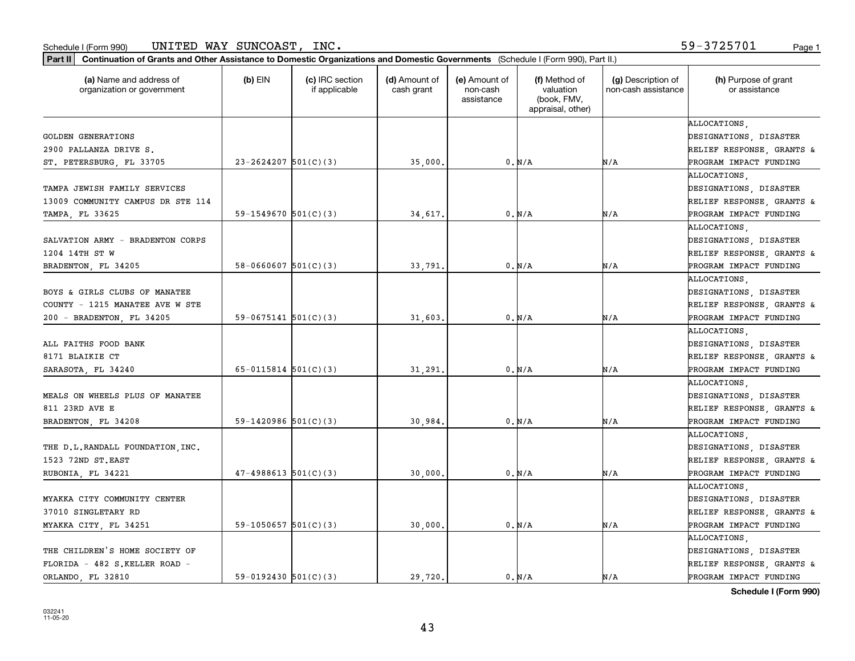| Part II   Continuation of Grants and Other Assistance to Domestic Organizations and Domestic Governments (Schedule I (Form 990), Part II.) |                            |                                  |                             |                                         |                                                                |                                           |                                        |
|--------------------------------------------------------------------------------------------------------------------------------------------|----------------------------|----------------------------------|-----------------------------|-----------------------------------------|----------------------------------------------------------------|-------------------------------------------|----------------------------------------|
| (a) Name and address of<br>organization or government                                                                                      | $(b)$ EIN                  | (c) IRC section<br>if applicable | (d) Amount of<br>cash grant | (e) Amount of<br>non-cash<br>assistance | (f) Method of<br>valuation<br>(book, FMV,<br>appraisal, other) | (g) Description of<br>non-cash assistance | (h) Purpose of grant<br>or assistance  |
|                                                                                                                                            |                            |                                  |                             |                                         |                                                                |                                           | ALLOCATIONS,                           |
| <b>GOLDEN GENERATIONS</b>                                                                                                                  |                            |                                  |                             |                                         |                                                                |                                           | DESIGNATIONS, DISASTER                 |
| 2900 PALLANZA DRIVE S.                                                                                                                     |                            |                                  |                             |                                         |                                                                |                                           | RELIEF RESPONSE, GRANTS &              |
| ST. PETERSBURG, FL 33705                                                                                                                   | $23 - 2624207$ 501(C)(3)   |                                  | 35,000.                     |                                         | 0. N/A                                                         | N/A                                       | PROGRAM IMPACT FUNDING                 |
| TAMPA JEWISH FAMILY SERVICES                                                                                                               |                            |                                  |                             |                                         |                                                                |                                           | ALLOCATIONS,<br>DESIGNATIONS, DISASTER |
| 13009 COMMUNITY CAMPUS DR STE 114                                                                                                          |                            |                                  |                             |                                         |                                                                |                                           | RELIEF RESPONSE, GRANTS &              |
| TAMPA, FL 33625                                                                                                                            | 59-1549670 $501(C)(3)$     |                                  | 34,617                      |                                         | 0. N/A                                                         | N/A                                       | PROGRAM IMPACT FUNDING                 |
|                                                                                                                                            |                            |                                  |                             |                                         |                                                                |                                           | ALLOCATIONS,                           |
| SALVATION ARMY - BRADENTON CORPS                                                                                                           |                            |                                  |                             |                                         |                                                                |                                           | DESIGNATIONS, DISASTER                 |
| 1204 14TH ST W                                                                                                                             |                            |                                  |                             |                                         |                                                                |                                           | RELIEF RESPONSE, GRANTS &              |
| BRADENTON, FL 34205                                                                                                                        | $58 - 0660607$ $501(C)(3)$ |                                  | 33,791                      |                                         | 0. N/A                                                         | N/A                                       | PROGRAM IMPACT FUNDING                 |
|                                                                                                                                            |                            |                                  |                             |                                         |                                                                |                                           | ALLOCATIONS.                           |
| BOYS & GIRLS CLUBS OF MANATEE                                                                                                              |                            |                                  |                             |                                         |                                                                |                                           | DESIGNATIONS, DISASTER                 |
| COUNTY - 1215 MANATEE AVE W STE                                                                                                            |                            |                                  |                             |                                         |                                                                |                                           | RELIEF RESPONSE, GRANTS &              |
| 200 - BRADENTON, FL 34205                                                                                                                  | $59-0675141$ $501(C)(3)$   |                                  | 31,603                      |                                         | 0. N/A                                                         | N/A                                       | PROGRAM IMPACT FUNDING                 |
|                                                                                                                                            |                            |                                  |                             |                                         |                                                                |                                           | ALLOCATIONS,                           |
| ALL FAITHS FOOD BANK                                                                                                                       |                            |                                  |                             |                                         |                                                                |                                           | DESIGNATIONS, DISASTER                 |
| 8171 BLAIKIE CT                                                                                                                            |                            |                                  |                             |                                         |                                                                |                                           | RELIEF RESPONSE, GRANTS &              |
| SARASOTA, FL 34240                                                                                                                         | $65 - 0115814$ $501(C)(3)$ |                                  | 31,291                      |                                         | 0. N/A                                                         | N/A                                       | PROGRAM IMPACT FUNDING                 |
|                                                                                                                                            |                            |                                  |                             |                                         |                                                                |                                           | ALLOCATIONS.                           |
| MEALS ON WHEELS PLUS OF MANATEE                                                                                                            |                            |                                  |                             |                                         |                                                                |                                           | DESIGNATIONS, DISASTER                 |
| 811 23RD AVE E                                                                                                                             |                            |                                  |                             |                                         |                                                                |                                           | RELIEF RESPONSE, GRANTS &              |
| BRADENTON, FL 34208                                                                                                                        | 59-1420986 $501(C)(3)$     |                                  | 30,984                      |                                         | 0. N/A                                                         | N/A                                       | PROGRAM IMPACT FUNDING                 |
|                                                                                                                                            |                            |                                  |                             |                                         |                                                                |                                           | ALLOCATIONS,                           |
| THE D.L.RANDALL FOUNDATION INC.                                                                                                            |                            |                                  |                             |                                         |                                                                |                                           | DESIGNATIONS, DISASTER                 |
| 1523 72ND ST.EAST                                                                                                                          |                            |                                  |                             |                                         |                                                                |                                           | RELIEF RESPONSE, GRANTS &              |
| RUBONIA, FL 34221                                                                                                                          | $47-4988613$ 501(C)(3)     |                                  | 30,000                      |                                         | 0. N/A                                                         | N/A                                       | PROGRAM IMPACT FUNDING                 |
|                                                                                                                                            |                            |                                  |                             |                                         |                                                                |                                           | ALLOCATIONS.                           |
| MYAKKA CITY COMMUNITY CENTER                                                                                                               |                            |                                  |                             |                                         |                                                                |                                           | DESIGNATIONS, DISASTER                 |
| 37010 SINGLETARY RD                                                                                                                        |                            |                                  |                             |                                         |                                                                |                                           | RELIEF RESPONSE, GRANTS &              |
| MYAKKA CITY, FL 34251                                                                                                                      | 59-1050657 $501(C)(3)$     |                                  | 30,000.                     |                                         | 0. N/A                                                         | N/A                                       | PROGRAM IMPACT FUNDING                 |
|                                                                                                                                            |                            |                                  |                             |                                         |                                                                |                                           | ALLOCATIONS.                           |
| THE CHILDREN'S HOME SOCIETY OF                                                                                                             |                            |                                  |                             |                                         |                                                                |                                           | DESIGNATIONS, DISASTER                 |
| FLORIDA - 482 S.KELLER ROAD -                                                                                                              |                            |                                  |                             |                                         |                                                                |                                           | RELIEF RESPONSE, GRANTS &              |
| ORLANDO FL 32810                                                                                                                           | $59-0192430$ $501(C)(3)$   |                                  | 29,720.                     |                                         | 0. N/A                                                         | N/A                                       | PROGRAM IMPACT FUNDING                 |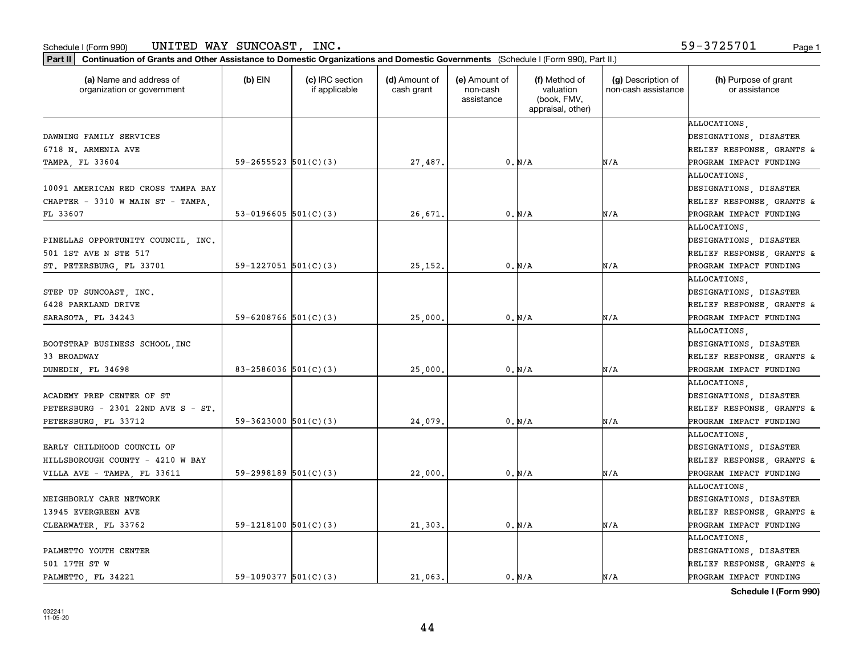| Part II   Continuation of Grants and Other Assistance to Domestic Organizations and Domestic Governments (Schedule I (Form 990), Part II.) |                            |                                  |                             |                                         |                                                                |                                           |                                                                                               |
|--------------------------------------------------------------------------------------------------------------------------------------------|----------------------------|----------------------------------|-----------------------------|-----------------------------------------|----------------------------------------------------------------|-------------------------------------------|-----------------------------------------------------------------------------------------------|
| (a) Name and address of<br>organization or government                                                                                      | $(b)$ EIN                  | (c) IRC section<br>if applicable | (d) Amount of<br>cash grant | (e) Amount of<br>non-cash<br>assistance | (f) Method of<br>valuation<br>(book, FMV,<br>appraisal, other) | (g) Description of<br>non-cash assistance | (h) Purpose of grant<br>or assistance                                                         |
|                                                                                                                                            |                            |                                  |                             |                                         |                                                                |                                           | ALLOCATIONS.                                                                                  |
| DAWNING FAMILY SERVICES                                                                                                                    |                            |                                  |                             |                                         |                                                                |                                           | DESIGNATIONS, DISASTER                                                                        |
| 6718 N. ARMENIA AVE                                                                                                                        |                            |                                  |                             |                                         |                                                                |                                           | RELIEF RESPONSE, GRANTS &                                                                     |
| TAMPA, FL 33604                                                                                                                            | $59 - 2655523$ $501(C)(3)$ |                                  | 27,487.                     |                                         | 0. N/A                                                         | N/A                                       | PROGRAM IMPACT FUNDING                                                                        |
| 10091 AMERICAN RED CROSS TAMPA BAY<br>CHAPTER - 3310 W MAIN ST - TAMPA,                                                                    |                            |                                  |                             |                                         |                                                                |                                           | ALLOCATIONS<br>DESIGNATIONS, DISASTER<br>RELIEF RESPONSE, GRANTS &                            |
| FL 33607                                                                                                                                   | 53-0196605 $501(C)(3)$     |                                  | 26,671                      |                                         | 0. N/A                                                         | N/A                                       | PROGRAM IMPACT FUNDING                                                                        |
| PINELLAS OPPORTUNITY COUNCIL, INC.<br>501 1ST AVE N STE 517                                                                                |                            |                                  |                             |                                         |                                                                |                                           | ALLOCATIONS .<br>DESIGNATIONS, DISASTER<br>RELIEF RESPONSE, GRANTS &                          |
| ST. PETERSBURG, FL 33701                                                                                                                   | $59-1227051$ 501(C)(3)     |                                  | 25, 152.                    |                                         | 0. N/A                                                         | N/A                                       | PROGRAM IMPACT FUNDING                                                                        |
| STEP UP SUNCOAST, INC.<br>6428 PARKLAND DRIVE<br>SARASOTA, FL 34243                                                                        | 59-6208766 $501(C)(3)$     |                                  | 25,000                      |                                         | 0. N/A                                                         | N/A                                       | ALLOCATIONS.<br>DESIGNATIONS, DISASTER<br>RELIEF RESPONSE, GRANTS &<br>PROGRAM IMPACT FUNDING |
|                                                                                                                                            |                            |                                  |                             |                                         |                                                                |                                           | ALLOCATIONS,                                                                                  |
| BOOTSTRAP BUSINESS SCHOOL INC<br>33 BROADWAY                                                                                               |                            |                                  |                             |                                         |                                                                |                                           | DESIGNATIONS, DISASTER<br>RELIEF RESPONSE, GRANTS &                                           |
| DUNEDIN, FL 34698                                                                                                                          | 83-2586036 $501(C)(3)$     |                                  | 25,000                      |                                         | 0. N/A                                                         | N/A                                       | PROGRAM IMPACT FUNDING                                                                        |
| ACADEMY PREP CENTER OF ST<br>PETERSBURG - 2301 22ND AVE S - ST.<br>PETERSBURG, FL 33712                                                    | 59-3623000 $501(C)(3)$     |                                  | 24,079                      |                                         | 0. N/A                                                         | N/A                                       | ALLOCATIONS.<br>DESIGNATIONS, DISASTER<br>RELIEF RESPONSE, GRANTS &<br>PROGRAM IMPACT FUNDING |
| EARLY CHILDHOOD COUNCIL OF<br>HILLSBOROUGH COUNTY - 4210 W BAY                                                                             |                            |                                  |                             |                                         |                                                                |                                           | ALLOCATIONS,<br>DESIGNATIONS, DISASTER<br>RELIEF RESPONSE, GRANTS &                           |
| VILLA AVE - TAMPA, FL 33611                                                                                                                | $59 - 2998189$ 501(C)(3)   |                                  | 22,000                      |                                         | 0. N/A                                                         | N/A                                       | PROGRAM IMPACT FUNDING                                                                        |
| NEIGHBORLY CARE NETWORK<br>13945 EVERGREEN AVE<br>CLEARWATER, FL 33762                                                                     | 59-1218100 $501(C)(3)$     |                                  | 21,303.                     |                                         | 0. N/A                                                         | N/A                                       | ALLOCATIONS.<br>DESIGNATIONS, DISASTER<br>RELIEF RESPONSE, GRANTS &<br>PROGRAM IMPACT FUNDING |
| PALMETTO YOUTH CENTER<br>501 17TH ST W<br>PALMETTO, FL 34221                                                                               | 59-1090377 $501(C)(3)$     |                                  | 21,063.                     |                                         | 0. N/A                                                         | N/A                                       | ALLOCATIONS.<br>DESIGNATIONS, DISASTER<br>RELIEF RESPONSE, GRANTS &<br>PROGRAM IMPACT FUNDING |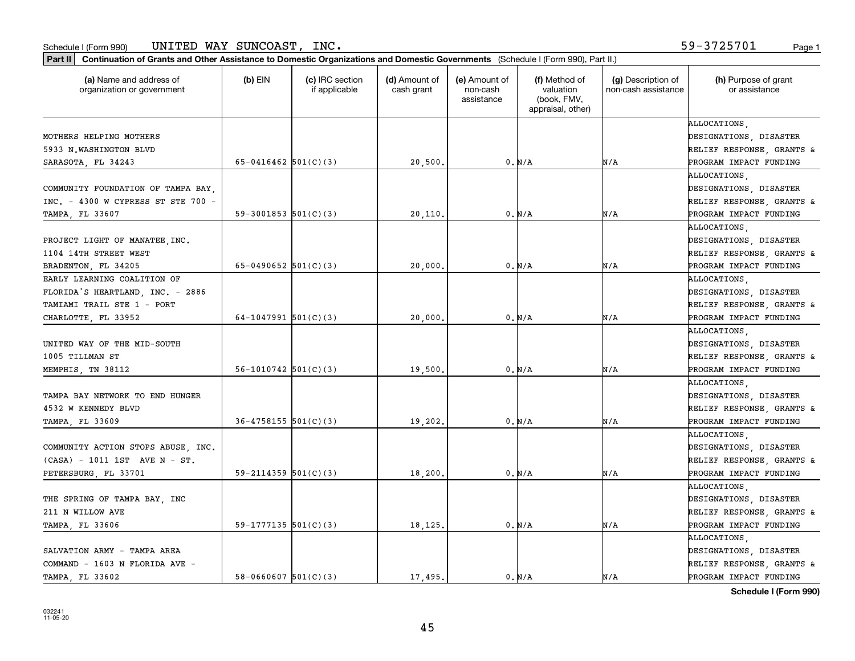| Part II   Continuation of Grants and Other Assistance to Domestic Organizations and Domestic Governments (Schedule I (Form 990), Part II.) |                            |                                  |                             |                                         |                                                                |                                           |                                       |
|--------------------------------------------------------------------------------------------------------------------------------------------|----------------------------|----------------------------------|-----------------------------|-----------------------------------------|----------------------------------------------------------------|-------------------------------------------|---------------------------------------|
| (a) Name and address of<br>organization or government                                                                                      | $(b)$ EIN                  | (c) IRC section<br>if applicable | (d) Amount of<br>cash grant | (e) Amount of<br>non-cash<br>assistance | (f) Method of<br>valuation<br>(book, FMV,<br>appraisal, other) | (g) Description of<br>non-cash assistance | (h) Purpose of grant<br>or assistance |
|                                                                                                                                            |                            |                                  |                             |                                         |                                                                |                                           | ALLOCATIONS.                          |
| MOTHERS HELPING MOTHERS                                                                                                                    |                            |                                  |                             |                                         |                                                                |                                           | DESIGNATIONS, DISASTER                |
| 5933 N.WASHINGTON BLVD                                                                                                                     |                            |                                  |                             |                                         |                                                                |                                           | RELIEF RESPONSE, GRANTS &             |
| SARASOTA, FL 34243                                                                                                                         | 65-0416462 $501(C)(3)$     |                                  | 20,500.                     |                                         | 0. N/A                                                         | N/A                                       | PROGRAM IMPACT FUNDING                |
|                                                                                                                                            |                            |                                  |                             |                                         |                                                                |                                           | ALLOCATIONS                           |
| COMMUNITY FOUNDATION OF TAMPA BAY,                                                                                                         |                            |                                  |                             |                                         |                                                                |                                           | DESIGNATIONS, DISASTER                |
| INC. - 4300 W CYPRESS ST STE 700 -                                                                                                         |                            |                                  |                             |                                         |                                                                |                                           | RELIEF RESPONSE, GRANTS &             |
| TAMPA, FL 33607                                                                                                                            | 59-3001853 $501(C)(3)$     |                                  | 20,110                      |                                         | 0. N/A                                                         | N/A                                       | PROGRAM IMPACT FUNDING                |
|                                                                                                                                            |                            |                                  |                             |                                         |                                                                |                                           | <b>ALLOCATIONS</b>                    |
| PROJECT LIGHT OF MANATEE, INC.                                                                                                             |                            |                                  |                             |                                         |                                                                |                                           | DESIGNATIONS, DISASTER                |
| 1104 14TH STREET WEST                                                                                                                      |                            |                                  |                             |                                         |                                                                |                                           | RELIEF RESPONSE, GRANTS &             |
| BRADENTON, FL 34205                                                                                                                        | 65-0490652 $501(C)(3)$     |                                  | 20,000                      |                                         | 0. N/A                                                         | N/A                                       | PROGRAM IMPACT FUNDING                |
| EARLY LEARNING COALITION OF                                                                                                                |                            |                                  |                             |                                         |                                                                |                                           | ALLOCATIONS.                          |
| FLORIDA'S HEARTLAND, INC. - 2886                                                                                                           |                            |                                  |                             |                                         |                                                                |                                           | DESIGNATIONS, DISASTER                |
| TAMIAMI TRAIL STE 1 - PORT                                                                                                                 |                            |                                  |                             |                                         |                                                                |                                           | RELIEF RESPONSE, GRANTS &             |
| CHARLOTTE, FL 33952                                                                                                                        | 64-1047991 $501(C)(3)$     |                                  | 20,000                      |                                         | 0. N/A                                                         | N/A                                       | PROGRAM IMPACT FUNDING                |
|                                                                                                                                            |                            |                                  |                             |                                         |                                                                |                                           | ALLOCATIONS,                          |
| UNITED WAY OF THE MID-SOUTH                                                                                                                |                            |                                  |                             |                                         |                                                                |                                           | DESIGNATIONS, DISASTER                |
| 1005 TILLMAN ST                                                                                                                            |                            |                                  |                             |                                         |                                                                |                                           | RELIEF RESPONSE, GRANTS &             |
| MEMPHIS, TN 38112                                                                                                                          | $56 - 1010742$ $501(C)(3)$ |                                  | 19,500                      |                                         | 0. N/A                                                         | N/A                                       | PROGRAM IMPACT FUNDING                |
|                                                                                                                                            |                            |                                  |                             |                                         |                                                                |                                           | ALLOCATIONS.                          |
| TAMPA BAY NETWORK TO END HUNGER                                                                                                            |                            |                                  |                             |                                         |                                                                |                                           | DESIGNATIONS, DISASTER                |
| 4532 W KENNEDY BLVD                                                                                                                        |                            |                                  |                             |                                         |                                                                |                                           | RELIEF RESPONSE, GRANTS &             |
| TAMPA, FL 33609                                                                                                                            | $36 - 4758155$ $501(C)(3)$ |                                  | 19,202.                     |                                         | 0. N/A                                                         | N/A                                       | PROGRAM IMPACT FUNDING                |
|                                                                                                                                            |                            |                                  |                             |                                         |                                                                |                                           | ALLOCATIONS,                          |
| COMMUNITY ACTION STOPS ABUSE, INC.                                                                                                         |                            |                                  |                             |                                         |                                                                |                                           | DESIGNATIONS, DISASTER                |
| $(CASA) - 1011 1ST AVE N - ST.$                                                                                                            |                            |                                  |                             |                                         |                                                                |                                           | RELIEF RESPONSE, GRANTS &             |
| PETERSBURG, FL 33701                                                                                                                       | $59 - 2114359$ $501(C)(3)$ |                                  | 18,200                      |                                         | 0. N/A                                                         | N/A                                       | PROGRAM IMPACT FUNDING                |
|                                                                                                                                            |                            |                                  |                             |                                         |                                                                |                                           | ALLOCATIONS.                          |
| THE SPRING OF TAMPA BAY, INC                                                                                                               |                            |                                  |                             |                                         |                                                                |                                           | DESIGNATIONS, DISASTER                |
| 211 N WILLOW AVE                                                                                                                           |                            |                                  |                             |                                         |                                                                |                                           | RELIEF RESPONSE, GRANTS &             |
| TAMPA, FL 33606                                                                                                                            | 59-1777135 $501(C)(3)$     |                                  | 18,125.                     |                                         | 0. N/A                                                         | N/A                                       | PROGRAM IMPACT FUNDING                |
|                                                                                                                                            |                            |                                  |                             |                                         |                                                                |                                           | ALLOCATIONS.                          |
| SALVATION ARMY - TAMPA AREA                                                                                                                |                            |                                  |                             |                                         |                                                                |                                           | DESIGNATIONS, DISASTER                |
| COMMAND - 1603 N FLORIDA AVE -                                                                                                             |                            |                                  |                             |                                         |                                                                |                                           | RELIEF RESPONSE, GRANTS &             |
| TAMPA, FL 33602                                                                                                                            | $58-0660607$ $501(C)(3)$   |                                  | 17.495.                     |                                         | 0. N/A                                                         | N/A                                       | PROGRAM IMPACT FUNDING                |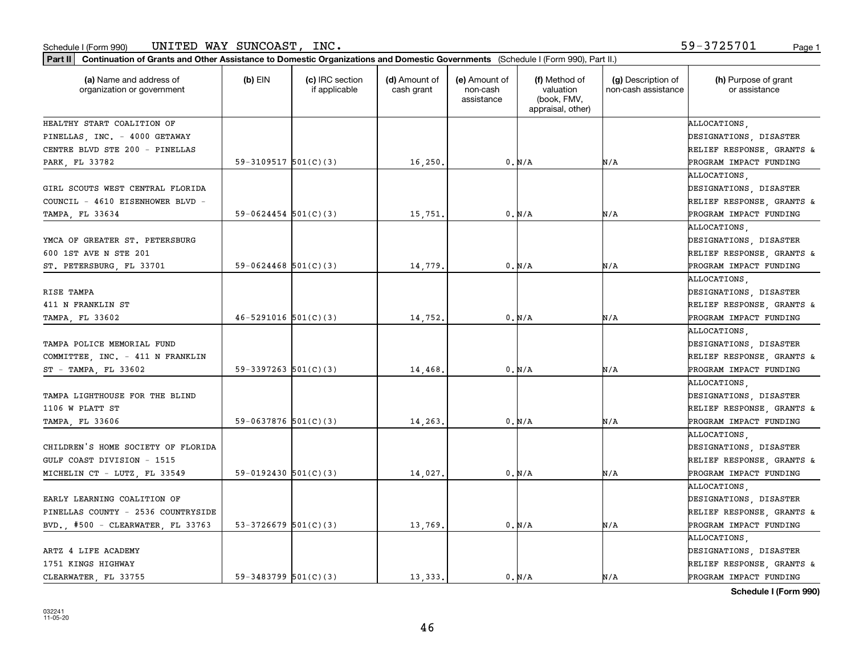| Part II   Continuation of Grants and Other Assistance to Domestic Organizations and Domestic Governments (Schedule I (Form 990), Part II.) |                            |                                  |                             |                                         |                                                                |                                           |                                                                                               |
|--------------------------------------------------------------------------------------------------------------------------------------------|----------------------------|----------------------------------|-----------------------------|-----------------------------------------|----------------------------------------------------------------|-------------------------------------------|-----------------------------------------------------------------------------------------------|
| (a) Name and address of<br>organization or government                                                                                      | $(b)$ EIN                  | (c) IRC section<br>if applicable | (d) Amount of<br>cash grant | (e) Amount of<br>non-cash<br>assistance | (f) Method of<br>valuation<br>(book, FMV,<br>appraisal, other) | (g) Description of<br>non-cash assistance | (h) Purpose of grant<br>or assistance                                                         |
| HEALTHY START COALITION OF                                                                                                                 |                            |                                  |                             |                                         |                                                                |                                           | ALLOCATIONS.                                                                                  |
| PINELLAS, INC. - 4000 GETAWAY                                                                                                              |                            |                                  |                             |                                         |                                                                |                                           | DESIGNATIONS, DISASTER                                                                        |
| CENTRE BLVD STE 200 - PINELLAS                                                                                                             |                            |                                  |                             |                                         |                                                                |                                           | RELIEF RESPONSE, GRANTS &                                                                     |
| PARK FL 33782                                                                                                                              | $59-3109517$ $501(C)(3)$   |                                  | 16,250.                     |                                         | 0. N/A                                                         | N/A                                       | PROGRAM IMPACT FUNDING                                                                        |
| GIRL SCOUTS WEST CENTRAL FLORIDA<br>COUNCIL - 4610 EISENHOWER BLVD -<br>TAMPA, FL 33634                                                    | $59-0624454$ $501(C)(3)$   |                                  | 15,751                      |                                         | 0. N/A                                                         | N/A                                       | ALLOCATIONS<br>DESIGNATIONS, DISASTER<br>RELIEF RESPONSE, GRANTS &<br>PROGRAM IMPACT FUNDING  |
|                                                                                                                                            |                            |                                  |                             |                                         |                                                                |                                           | ALLOCATIONS .                                                                                 |
| YMCA OF GREATER ST. PETERSBURG<br>600 1ST AVE N STE 201                                                                                    |                            |                                  |                             |                                         |                                                                |                                           | DESIGNATIONS, DISASTER<br>RELIEF RESPONSE, GRANTS &                                           |
| ST. PETERSBURG, FL 33701                                                                                                                   | $59-0624468$ 501(C)(3)     |                                  | 14,779                      |                                         | 0. N/A                                                         | N/A                                       | PROGRAM IMPACT FUNDING                                                                        |
| RISE TAMPA<br>411 N FRANKLIN ST<br>TAMPA, FL 33602                                                                                         | $46 - 5291016$ $501(C)(3)$ |                                  | 14,752.                     |                                         | 0. N/A                                                         | N/A                                       | ALLOCATIONS.<br>DESIGNATIONS, DISASTER<br>RELIEF RESPONSE, GRANTS &<br>PROGRAM IMPACT FUNDING |
| TAMPA POLICE MEMORIAL FUND<br>COMMITTEE, INC. - 411 N FRANKLIN<br>ST - TAMPA, FL 33602                                                     | 59-3397263 $501(C)(3)$     |                                  | 14,468                      |                                         | 0. N/A                                                         | N/A                                       | ALLOCATIONS.<br>DESIGNATIONS, DISASTER<br>RELIEF RESPONSE, GRANTS &<br>PROGRAM IMPACT FUNDING |
| TAMPA LIGHTHOUSE FOR THE BLIND<br>1106 W PLATT ST                                                                                          |                            |                                  |                             |                                         |                                                                |                                           | ALLOCATIONS.<br>DESIGNATIONS, DISASTER<br>RELIEF RESPONSE, GRANTS &                           |
| TAMPA, FL 33606                                                                                                                            | 59-0637876 $501(C)(3)$     |                                  | 14,263                      |                                         | 0. N/A                                                         | N/A                                       | PROGRAM IMPACT FUNDING                                                                        |
| CHILDREN'S HOME SOCIETY OF FLORIDA<br>GULF COAST DIVISION - 1515                                                                           | $59-0192430$ $501(C)(3)$   |                                  |                             |                                         | 0. N/A                                                         | N/A                                       | ALLOCATIONS,<br>DESIGNATIONS, DISASTER<br>RELIEF RESPONSE, GRANTS &<br>PROGRAM IMPACT FUNDING |
| MICHELIN CT - LUTZ, FL 33549                                                                                                               |                            |                                  | 14,027.                     |                                         |                                                                |                                           | ALLOCATIONS.                                                                                  |
| EARLY LEARNING COALITION OF<br>PINELLAS COUNTY - 2536 COUNTRYSIDE<br>BVD., #500 - CLEARWATER, FL 33763                                     | 53-3726679 $501(C)(3)$     |                                  | 13,769.                     |                                         | 0. N/A                                                         | N/A                                       | DESIGNATIONS, DISASTER<br>RELIEF RESPONSE, GRANTS &<br>PROGRAM IMPACT FUNDING                 |
| ARTZ 4 LIFE ACADEMY<br>1751 KINGS HIGHWAY<br>CLEARWATER FL 33755                                                                           | 59-3483799 $501(C)(3)$     |                                  | 13.333.                     |                                         | 0. N/A                                                         | N/A                                       | ALLOCATIONS.<br>DESIGNATIONS, DISASTER<br>RELIEF RESPONSE, GRANTS &<br>PROGRAM IMPACT FUNDING |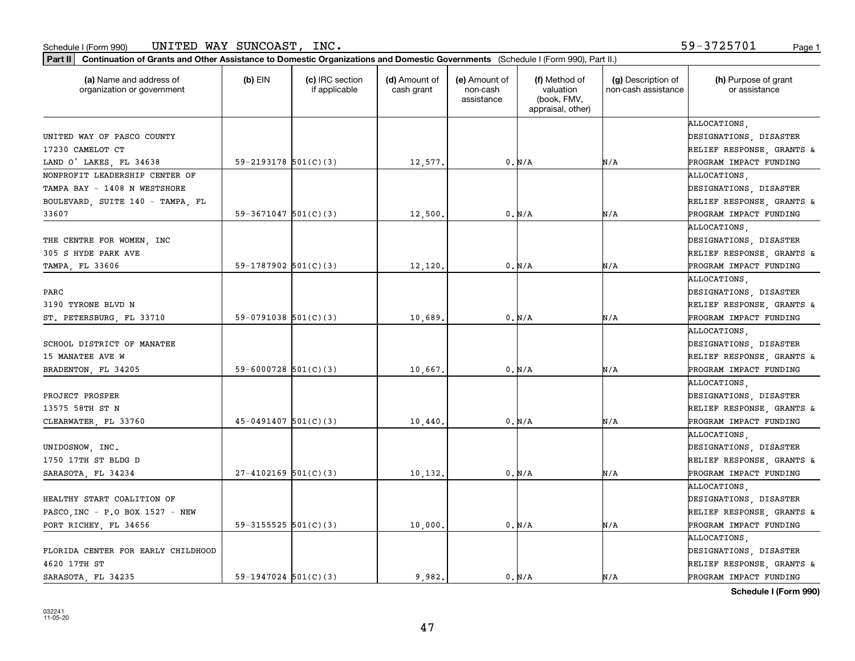| Part II   Continuation of Grants and Other Assistance to Domestic Organizations and Domestic Governments (Schedule I (Form 990), Part II.) |                            |                                  |                             |                                         |                                                                |                                           |                                       |
|--------------------------------------------------------------------------------------------------------------------------------------------|----------------------------|----------------------------------|-----------------------------|-----------------------------------------|----------------------------------------------------------------|-------------------------------------------|---------------------------------------|
| (a) Name and address of<br>organization or government                                                                                      | $(b)$ EIN                  | (c) IRC section<br>if applicable | (d) Amount of<br>cash grant | (e) Amount of<br>non-cash<br>assistance | (f) Method of<br>valuation<br>(book, FMV,<br>appraisal, other) | (g) Description of<br>non-cash assistance | (h) Purpose of grant<br>or assistance |
|                                                                                                                                            |                            |                                  |                             |                                         |                                                                |                                           | ALLOCATIONS.                          |
| UNITED WAY OF PASCO COUNTY                                                                                                                 |                            |                                  |                             |                                         |                                                                |                                           | DESIGNATIONS, DISASTER                |
| 17230 CAMELOT CT                                                                                                                           |                            |                                  |                             |                                         |                                                                |                                           | RELIEF RESPONSE, GRANTS &             |
| LAND O' LAKES, FL 34638                                                                                                                    | $59 - 2193178$ $501(C)(3)$ |                                  | 12,577.                     |                                         | 0. N/A                                                         | N/A                                       | PROGRAM IMPACT FUNDING                |
| NONPROFIT LEADERSHIP CENTER OF                                                                                                             |                            |                                  |                             |                                         |                                                                |                                           | ALLOCATIONS,                          |
| TAMPA BAY - 1408 N WESTSHORE                                                                                                               |                            |                                  |                             |                                         |                                                                |                                           | DESIGNATIONS, DISASTER                |
| BOULEVARD, SUITE 140 - TAMPA, FL                                                                                                           |                            |                                  |                             |                                         |                                                                |                                           | RELIEF RESPONSE, GRANTS &             |
| 33607                                                                                                                                      | $59-3671047$ $501(C)(3)$   |                                  | 12,500                      |                                         | 0. N/A                                                         | N/A                                       | PROGRAM IMPACT FUNDING                |
|                                                                                                                                            |                            |                                  |                             |                                         |                                                                |                                           | <b>ALLOCATIONS</b>                    |
| THE CENTRE FOR WOMEN, INC                                                                                                                  |                            |                                  |                             |                                         |                                                                |                                           | DESIGNATIONS, DISASTER                |
| 305 S HYDE PARK AVE                                                                                                                        |                            |                                  |                             |                                         |                                                                |                                           | RELIEF RESPONSE, GRANTS &             |
| TAMPA, FL 33606                                                                                                                            | 59-1787902 $501(C)(3)$     |                                  | 12,120.                     |                                         | $0. N/A$                                                       | N/A                                       | PROGRAM IMPACT FUNDING                |
|                                                                                                                                            |                            |                                  |                             |                                         |                                                                |                                           | ALLOCATIONS.                          |
| PARC                                                                                                                                       |                            |                                  |                             |                                         |                                                                |                                           | DESIGNATIONS, DISASTER                |
| 3190 TYRONE BLVD N                                                                                                                         |                            |                                  |                             |                                         |                                                                |                                           | RELIEF RESPONSE, GRANTS &             |
| ST. PETERSBURG, FL 33710                                                                                                                   | 59-0791038 501(C)(3)       |                                  | 10,689.                     |                                         | 0. N/A                                                         | N/A                                       | PROGRAM IMPACT FUNDING                |
|                                                                                                                                            |                            |                                  |                             |                                         |                                                                |                                           | ALLOCATIONS,                          |
| SCHOOL DISTRICT OF MANATEE                                                                                                                 |                            |                                  |                             |                                         |                                                                |                                           | DESIGNATIONS, DISASTER                |
| 15 MANATEE AVE W                                                                                                                           |                            |                                  |                             |                                         |                                                                |                                           | RELIEF RESPONSE, GRANTS &             |
| BRADENTON, FL 34205                                                                                                                        | $59 - 6000728$ 501(C)(3)   |                                  | 10,667.                     |                                         | 0. N/A                                                         | N/A                                       | PROGRAM IMPACT FUNDING                |
|                                                                                                                                            |                            |                                  |                             |                                         |                                                                |                                           | ALLOCATIONS.                          |
| PROJECT PROSPER                                                                                                                            |                            |                                  |                             |                                         |                                                                |                                           | DESIGNATIONS, DISASTER                |
| 13575 58TH ST N                                                                                                                            |                            |                                  |                             |                                         |                                                                |                                           | RELIEF RESPONSE, GRANTS &             |
| CLEARWATER, FL 33760                                                                                                                       | $45-0491407$ 501(C)(3)     |                                  | 10,440                      |                                         | 0. N/A                                                         | N/A                                       | PROGRAM IMPACT FUNDING                |
|                                                                                                                                            |                            |                                  |                             |                                         |                                                                |                                           | ALLOCATIONS,                          |
| UNIDOSNOW, INC.                                                                                                                            |                            |                                  |                             |                                         |                                                                |                                           | DESIGNATIONS, DISASTER                |
| 1750 17TH ST BLDG D                                                                                                                        |                            |                                  |                             |                                         |                                                                |                                           | RELIEF RESPONSE, GRANTS &             |
| SARASOTA, FL 34234                                                                                                                         | $27 - 4102169$ 501(C)(3)   |                                  | 10, 132.                    |                                         | 0. N/A                                                         | N/A                                       | PROGRAM IMPACT FUNDING                |
|                                                                                                                                            |                            |                                  |                             |                                         |                                                                |                                           | ALLOCATIONS.                          |
| HEALTHY START COALITION OF                                                                                                                 |                            |                                  |                             |                                         |                                                                |                                           | DESIGNATIONS, DISASTER                |
| PASCO, INC - P.O BOX 1527 - NEW                                                                                                            |                            |                                  |                             |                                         |                                                                |                                           | RELIEF RESPONSE, GRANTS &             |
| PORT RICHEY, FL 34656                                                                                                                      | 59-3155525 $501(C)(3)$     |                                  | 10,000.                     |                                         | 0. N/A                                                         | N/A                                       | PROGRAM IMPACT FUNDING                |
|                                                                                                                                            |                            |                                  |                             |                                         |                                                                |                                           | ALLOCATIONS.                          |
| FLORIDA CENTER FOR EARLY CHILDHOOD                                                                                                         |                            |                                  |                             |                                         |                                                                |                                           | DESIGNATIONS, DISASTER                |
| 4620 17TH ST                                                                                                                               |                            |                                  |                             |                                         |                                                                |                                           | RELIEF RESPONSE, GRANTS &             |
| SARASOTA FL 34235                                                                                                                          | $59-1947024$ 501(C)(3)     |                                  | 9.982.                      |                                         | 0. N/A                                                         | N/A                                       | PROGRAM IMPACT FUNDING                |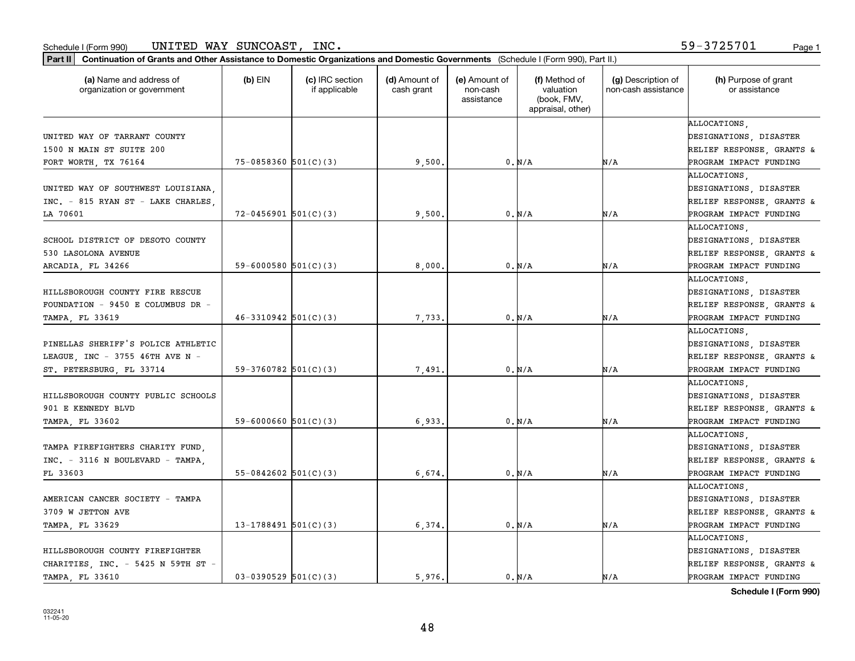| Part II   Continuation of Grants and Other Assistance to Domestic Organizations and Domestic Governments (Schedule I (Form 990), Part II.) |                            |                                  |                             |                                         |                                                                |                                           |                                       |
|--------------------------------------------------------------------------------------------------------------------------------------------|----------------------------|----------------------------------|-----------------------------|-----------------------------------------|----------------------------------------------------------------|-------------------------------------------|---------------------------------------|
| (a) Name and address of<br>organization or government                                                                                      | $(b)$ EIN                  | (c) IRC section<br>if applicable | (d) Amount of<br>cash grant | (e) Amount of<br>non-cash<br>assistance | (f) Method of<br>valuation<br>(book, FMV,<br>appraisal, other) | (g) Description of<br>non-cash assistance | (h) Purpose of grant<br>or assistance |
|                                                                                                                                            |                            |                                  |                             |                                         |                                                                |                                           | ALLOCATIONS.                          |
| UNITED WAY OF TARRANT COUNTY                                                                                                               |                            |                                  |                             |                                         |                                                                |                                           | DESIGNATIONS, DISASTER                |
| 1500 N MAIN ST SUITE 200                                                                                                                   |                            |                                  |                             |                                         |                                                                |                                           | RELIEF RESPONSE, GRANTS &             |
| FORT WORTH, TX 76164                                                                                                                       | $75 - 0858360$ $501(C)(3)$ |                                  | 9,500.                      |                                         | 0. N/A                                                         | N/A                                       | PROGRAM IMPACT FUNDING                |
|                                                                                                                                            |                            |                                  |                             |                                         |                                                                |                                           | ALLOCATIONS,                          |
| UNITED WAY OF SOUTHWEST LOUISIANA,                                                                                                         |                            |                                  |                             |                                         |                                                                |                                           | DESIGNATIONS, DISASTER                |
| INC. - 815 RYAN ST - LAKE CHARLES,                                                                                                         |                            |                                  |                             |                                         |                                                                |                                           | RELIEF RESPONSE, GRANTS &             |
| LA 70601                                                                                                                                   | $72 - 0456901$ $501(C)(3)$ |                                  | 9,500.                      |                                         | 0. N/A                                                         | N/A                                       | PROGRAM IMPACT FUNDING                |
|                                                                                                                                            |                            |                                  |                             |                                         |                                                                |                                           | ALLOCATIONS                           |
| SCHOOL DISTRICT OF DESOTO COUNTY                                                                                                           |                            |                                  |                             |                                         |                                                                |                                           | DESIGNATIONS, DISASTER                |
| 530 LASOLONA AVENUE                                                                                                                        |                            |                                  |                             |                                         |                                                                |                                           | RELIEF RESPONSE, GRANTS &             |
| ARCADIA, FL 34266                                                                                                                          | 59-6000580 $501(C)(3)$     |                                  | 8,000,                      |                                         | 0. N/A                                                         | N/A                                       | PROGRAM IMPACT FUNDING                |
|                                                                                                                                            |                            |                                  |                             |                                         |                                                                |                                           | ALLOCATIONS.                          |
| HILLSBOROUGH COUNTY FIRE RESCUE                                                                                                            |                            |                                  |                             |                                         |                                                                |                                           | DESIGNATIONS, DISASTER                |
| FOUNDATION - 9450 E COLUMBUS DR -                                                                                                          |                            |                                  |                             |                                         |                                                                |                                           | RELIEF RESPONSE, GRANTS &             |
| TAMPA, FL 33619                                                                                                                            | $46-3310942$ 501(C)(3)     |                                  | 7,733.                      |                                         | 0. N/A                                                         | N/A                                       | PROGRAM IMPACT FUNDING                |
|                                                                                                                                            |                            |                                  |                             |                                         |                                                                |                                           | ALLOCATIONS,                          |
| PINELLAS SHERIFF'S POLICE ATHLETIC                                                                                                         |                            |                                  |                             |                                         |                                                                |                                           | DESIGNATIONS, DISASTER                |
| LEAGUE, INC - 3755 46TH AVE N -                                                                                                            |                            |                                  |                             |                                         |                                                                |                                           | RELIEF RESPONSE, GRANTS &             |
| ST. PETERSBURG, FL 33714                                                                                                                   | 59-3760782 $501(C)(3)$     |                                  | 7,491                       |                                         | 0. N/A                                                         | N/A                                       | PROGRAM IMPACT FUNDING                |
|                                                                                                                                            |                            |                                  |                             |                                         |                                                                |                                           | ALLOCATIONS,                          |
| HILLSBOROUGH COUNTY PUBLIC SCHOOLS                                                                                                         |                            |                                  |                             |                                         |                                                                |                                           | DESIGNATIONS, DISASTER                |
| 901 E KENNEDY BLVD                                                                                                                         |                            |                                  |                             |                                         |                                                                |                                           | RELIEF RESPONSE, GRANTS &             |
| TAMPA, FL 33602                                                                                                                            | 59-6000660 $501(C)(3)$     |                                  | 6,933                       |                                         | 0. N/A                                                         | N/A                                       | PROGRAM IMPACT FUNDING                |
|                                                                                                                                            |                            |                                  |                             |                                         |                                                                |                                           | ALLOCATIONS,                          |
| TAMPA FIREFIGHTERS CHARITY FUND,                                                                                                           |                            |                                  |                             |                                         |                                                                |                                           | DESIGNATIONS, DISASTER                |
| $INC. - 3116 N BOULEVARD - TAMPA.$                                                                                                         |                            |                                  |                             |                                         |                                                                |                                           | RELIEF RESPONSE, GRANTS &             |
| FL 33603                                                                                                                                   | $55-0842602$ $501(C)(3)$   |                                  | 6,674,                      |                                         | 0. N/A                                                         | N/A                                       | PROGRAM IMPACT FUNDING                |
|                                                                                                                                            |                            |                                  |                             |                                         |                                                                |                                           | ALLOCATIONS.                          |
| AMERICAN CANCER SOCIETY - TAMPA                                                                                                            |                            |                                  |                             |                                         |                                                                |                                           | DESIGNATIONS, DISASTER                |
| 3709 W JETTON AVE                                                                                                                          |                            |                                  |                             |                                         |                                                                |                                           | RELIEF RESPONSE, GRANTS &             |
| TAMPA, FL 33629                                                                                                                            | 13-1788491 $501(C)(3)$     |                                  | 6,374.                      |                                         | 0. N/A                                                         | N/A                                       | PROGRAM IMPACT FUNDING                |
|                                                                                                                                            |                            |                                  |                             |                                         |                                                                |                                           | ALLOCATIONS.                          |
| HILLSBOROUGH COUNTY FIREFIGHTER                                                                                                            |                            |                                  |                             |                                         |                                                                |                                           | DESIGNATIONS, DISASTER                |
| CHARITIES, INC. - 5425 N 59TH ST -                                                                                                         |                            |                                  |                             |                                         |                                                                |                                           | RELIEF RESPONSE, GRANTS &             |
| TAMPA, FL 33610                                                                                                                            | $03-0390529$ $501(C)(3)$   |                                  | 5.976.                      |                                         | 0. N/A                                                         | N/A                                       | PROGRAM IMPACT FUNDING                |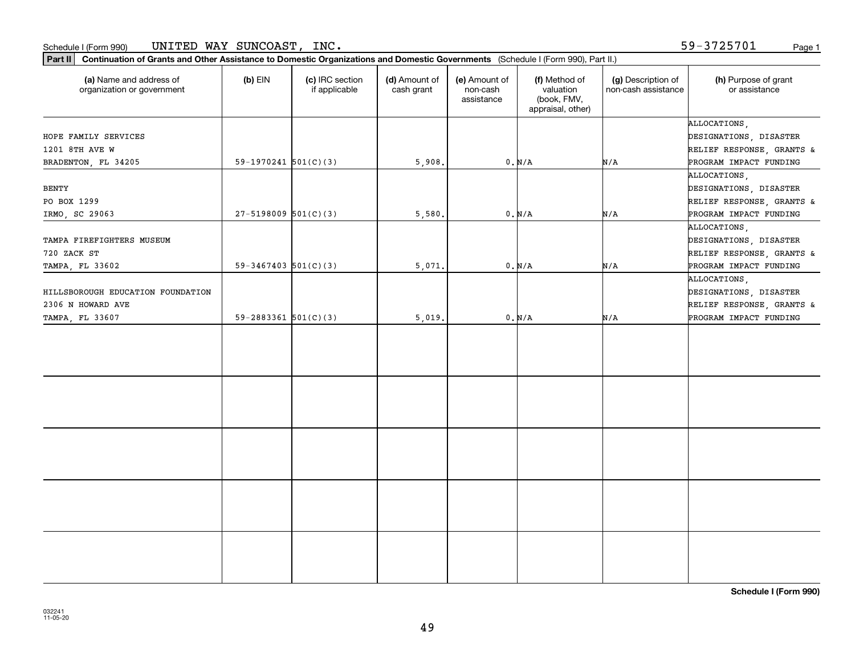59-3725701

| (a) Name and address of<br>organization or government | $(b)$ EIN                  | (c) IRC section<br>if applicable | (d) Amount of<br>cash grant | (e) Amount of<br>non-cash<br>assistance | (f) Method of<br>valuation<br>(book, FMV,<br>appraisal, other) | (g) Description of<br>non-cash assistance | (h) Purpose of grant<br>or assistance  |
|-------------------------------------------------------|----------------------------|----------------------------------|-----------------------------|-----------------------------------------|----------------------------------------------------------------|-------------------------------------------|----------------------------------------|
| HOPE FAMILY SERVICES                                  |                            |                                  |                             |                                         |                                                                |                                           | ALLOCATIONS,<br>DESIGNATIONS, DISASTER |
| 1201 8TH AVE W                                        |                            |                                  |                             |                                         |                                                                |                                           | RELIEF RESPONSE, GRANTS &              |
| BRADENTON, FL 34205                                   | 59-1970241 $501(C)(3)$     |                                  | 5,908.                      |                                         | $0. N/A$                                                       | N/A                                       | PROGRAM IMPACT FUNDING                 |
|                                                       |                            |                                  |                             |                                         |                                                                |                                           | ALLOCATIONS,                           |
| <b>BENTY</b>                                          |                            |                                  |                             |                                         |                                                                |                                           | DESIGNATIONS, DISASTER                 |
| PO BOX 1299                                           |                            |                                  |                             |                                         |                                                                |                                           | RELIEF RESPONSE, GRANTS &              |
| IRMO, SC 29063                                        | $27 - 5198009$ $501(C)(3)$ |                                  | 5,580.                      |                                         | 0. N/A                                                         | N/A                                       | PROGRAM IMPACT FUNDING                 |
|                                                       |                            |                                  |                             |                                         |                                                                |                                           | ALLOCATIONS.                           |
| TAMPA FIREFIGHTERS MUSEUM                             |                            |                                  |                             |                                         |                                                                |                                           | DESIGNATIONS, DISASTER                 |
| 720 ZACK ST                                           |                            |                                  |                             |                                         |                                                                |                                           | RELIEF RESPONSE, GRANTS &              |
| TAMPA, FL 33602                                       | $59 - 3467403$ $501(C)(3)$ |                                  | 5,071.                      |                                         | 0. N/A                                                         | N/A                                       | PROGRAM IMPACT FUNDING                 |
|                                                       |                            |                                  |                             |                                         |                                                                |                                           | ALLOCATIONS,                           |
| HILLSBOROUGH EDUCATION FOUNDATION                     |                            |                                  |                             |                                         |                                                                |                                           | DESIGNATIONS, DISASTER                 |
| 2306 N HOWARD AVE                                     |                            |                                  |                             |                                         |                                                                |                                           | RELIEF RESPONSE, GRANTS &              |
| TAMPA, FL 33607                                       | $59 - 2883361$ $501(C)(3)$ |                                  | 5,019.                      |                                         | $0 \,$ $\texttt{N/A}$                                          | N/A                                       | PROGRAM IMPACT FUNDING                 |
|                                                       |                            |                                  |                             |                                         |                                                                |                                           |                                        |
|                                                       |                            |                                  |                             |                                         |                                                                |                                           |                                        |
|                                                       |                            |                                  |                             |                                         |                                                                |                                           |                                        |
|                                                       |                            |                                  |                             |                                         |                                                                |                                           |                                        |
|                                                       |                            |                                  |                             |                                         |                                                                |                                           |                                        |
|                                                       |                            |                                  |                             |                                         |                                                                |                                           |                                        |
|                                                       |                            |                                  |                             |                                         |                                                                |                                           |                                        |
|                                                       |                            |                                  |                             |                                         |                                                                |                                           |                                        |
|                                                       |                            |                                  |                             |                                         |                                                                |                                           |                                        |
|                                                       |                            |                                  |                             |                                         |                                                                |                                           |                                        |
|                                                       |                            |                                  |                             |                                         |                                                                |                                           |                                        |
|                                                       |                            |                                  |                             |                                         |                                                                |                                           |                                        |
|                                                       |                            |                                  |                             |                                         |                                                                |                                           |                                        |
|                                                       |                            |                                  |                             |                                         |                                                                |                                           |                                        |
|                                                       |                            |                                  |                             |                                         |                                                                |                                           |                                        |
|                                                       |                            |                                  |                             |                                         |                                                                |                                           |                                        |
|                                                       |                            |                                  |                             |                                         |                                                                |                                           |                                        |
|                                                       |                            |                                  |                             |                                         |                                                                |                                           |                                        |
|                                                       |                            |                                  |                             |                                         |                                                                |                                           |                                        |
|                                                       |                            |                                  |                             |                                         |                                                                |                                           |                                        |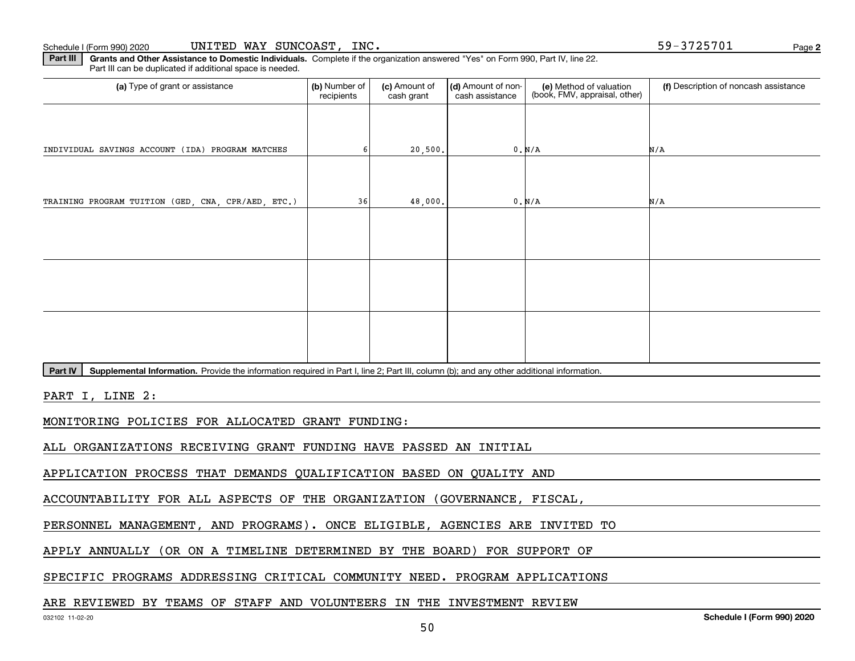**2**

**Part III** | Grants and Other Assistance to Domestic Individuals. Complete if the organization answered "Yes" on Form 990, Part IV, line 22. Part III can be duplicated if additional space is needed.

| (a) Type of grant or assistance                    | (b) Number of<br>recipients | (c) Amount of<br>cash grant | (d) Amount of non-<br>cash assistance | (e) Method of valuation<br>(book, FMV, appraisal, other) | (f) Description of noncash assistance |
|----------------------------------------------------|-----------------------------|-----------------------------|---------------------------------------|----------------------------------------------------------|---------------------------------------|
|                                                    |                             |                             |                                       |                                                          |                                       |
| INDIVIDUAL SAVINGS ACCOUNT (IDA) PROGRAM MATCHES   |                             | 20,500.                     |                                       | 0. N/A                                                   | N/A                                   |
|                                                    |                             |                             |                                       |                                                          |                                       |
| TRAINING PROGRAM TUITION (GED, CNA, CPR/AED, ETC.) | 36                          | 48,000.                     |                                       | 0. N/A                                                   | N/A                                   |
|                                                    |                             |                             |                                       |                                                          |                                       |
|                                                    |                             |                             |                                       |                                                          |                                       |
|                                                    |                             |                             |                                       |                                                          |                                       |
|                                                    |                             |                             |                                       |                                                          |                                       |
|                                                    |                             |                             |                                       |                                                          |                                       |
|                                                    |                             |                             |                                       |                                                          |                                       |

Part IV | Supplemental Information. Provide the information required in Part I, line 2; Part III, column (b); and any other additional information.

PART I, LINE 2:

MONITORING POLICIES FOR ALLOCATED GRANT FUNDING:

ALL ORGANIZATIONS RECEIVING GRANT FUNDING HAVE PASSED AN INITIAL

APPLICATION PROCESS THAT DEMANDS QUALIFICATION BASED ON QUALITY AND

ACCOUNTABILITY FOR ALL ASPECTS OF THE ORGANIZATION (GOVERNANCE, FISCAL,

PERSONNEL MANAGEMENT, AND PROGRAMS). ONCE ELIGIBLE, AGENCIES ARE INVITED TO

APPLY ANNUALLY (OR ON A TIMELINE DETERMINED BY THE BOARD) FOR SUPPORT OF

SPECIFIC PROGRAMS ADDRESSING CRITICAL COMMUNITY NEED. PROGRAM APPLICATIONS

#### ARE REVIEWED BY TEAMS OF STAFF AND VOLUNTEERS IN THE INVESTMENT REVIEW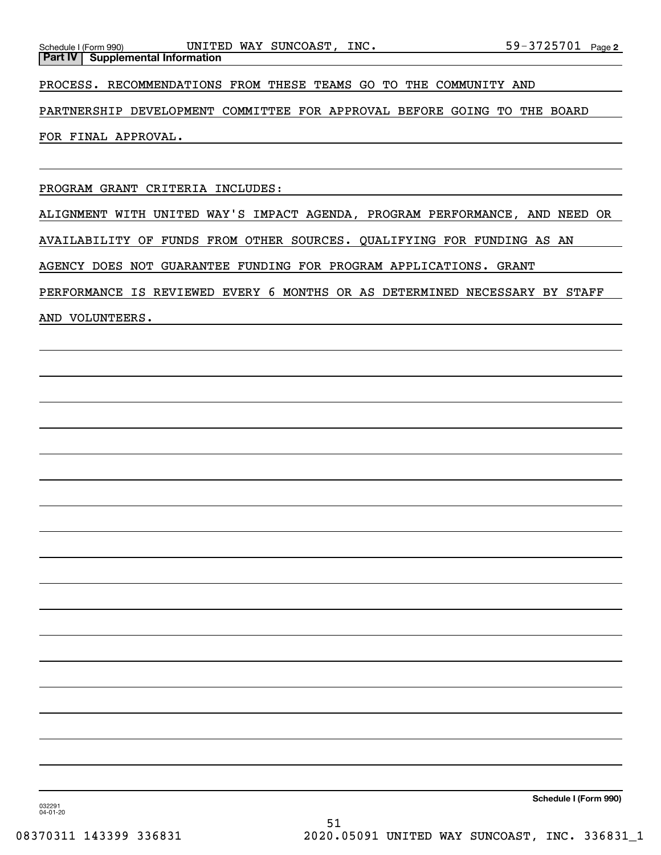PROCESS. RECOMMENDATIONS FROM THESE TEAMS GO TO THE COMMUNITY AND

PARTNERSHIP DEVELOPMENT COMMITTEE FOR APPROVAL BEFORE GOING TO THE BOARD

FOR FINAL APPROVAL.

PROGRAM GRANT CRITERIA INCLUDES:

ALIGNMENT WITH UNITED WAY'S IMPACT AGENDA, PROGRAM PERFORMANCE, AND NEED OR AVAILABILITY OF FUNDS FROM OTHER SOURCES. QUALIFYING FOR FUNDING AS AN AGENCY DOES NOT GUARANTEE FUNDING FOR PROGRAM APPLICATIONS. GRANT PERFORMANCE IS REVIEWED EVERY 6 MONTHS OR AS DETERMINED NECESSARY BY STAFF AND VOLUNTEERS.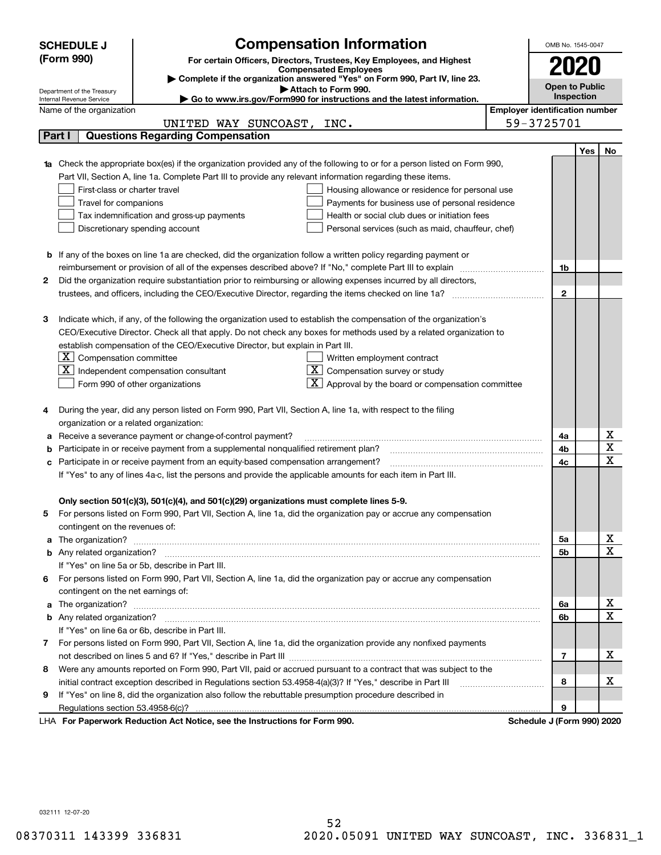|    | <b>Compensation Information</b><br><b>SCHEDULE J</b><br>OMB No. 1545-0047<br>(Form 990)<br>For certain Officers, Directors, Trustees, Key Employees, and Highest                                                                     |  |                                       |     |                       |  |  |  |
|----|--------------------------------------------------------------------------------------------------------------------------------------------------------------------------------------------------------------------------------------|--|---------------------------------------|-----|-----------------------|--|--|--|
|    | <b>Compensated Employees</b>                                                                                                                                                                                                         |  | 2020                                  |     |                       |  |  |  |
|    | Complete if the organization answered "Yes" on Form 990, Part IV, line 23.<br><b>Open to Public</b>                                                                                                                                  |  |                                       |     |                       |  |  |  |
|    | Attach to Form 990.<br>Department of the Treasury<br><b>Inspection</b><br>Go to www.irs.gov/Form990 for instructions and the latest information.<br>Internal Revenue Service                                                         |  |                                       |     |                       |  |  |  |
|    | Name of the organization                                                                                                                                                                                                             |  | <b>Employer identification number</b> |     |                       |  |  |  |
|    | UNITED WAY SUNCOAST, INC.                                                                                                                                                                                                            |  | 59-3725701                            |     |                       |  |  |  |
|    | <b>Questions Regarding Compensation</b><br>Part I                                                                                                                                                                                    |  |                                       |     |                       |  |  |  |
|    |                                                                                                                                                                                                                                      |  |                                       | Yes | No                    |  |  |  |
|    | 1a Check the appropriate box(es) if the organization provided any of the following to or for a person listed on Form 990,                                                                                                            |  |                                       |     |                       |  |  |  |
|    | Part VII, Section A, line 1a. Complete Part III to provide any relevant information regarding these items.                                                                                                                           |  |                                       |     |                       |  |  |  |
|    | First-class or charter travel<br>Housing allowance or residence for personal use                                                                                                                                                     |  |                                       |     |                       |  |  |  |
|    | Travel for companions<br>Payments for business use of personal residence                                                                                                                                                             |  |                                       |     |                       |  |  |  |
|    | Tax indemnification and gross-up payments<br>Health or social club dues or initiation fees                                                                                                                                           |  |                                       |     |                       |  |  |  |
|    | Discretionary spending account<br>Personal services (such as maid, chauffeur, chef)                                                                                                                                                  |  |                                       |     |                       |  |  |  |
|    |                                                                                                                                                                                                                                      |  |                                       |     |                       |  |  |  |
|    | <b>b</b> If any of the boxes on line 1a are checked, did the organization follow a written policy regarding payment or                                                                                                               |  |                                       |     |                       |  |  |  |
|    | reimbursement or provision of all of the expenses described above? If "No," complete Part III to explain                                                                                                                             |  | 1b                                    |     |                       |  |  |  |
| 2  | Did the organization require substantiation prior to reimbursing or allowing expenses incurred by all directors,                                                                                                                     |  |                                       |     |                       |  |  |  |
|    | trustees, and officers, including the CEO/Executive Director, regarding the items checked on line 1a?                                                                                                                                |  | $\mathbf{2}$                          |     |                       |  |  |  |
|    |                                                                                                                                                                                                                                      |  |                                       |     |                       |  |  |  |
|    |                                                                                                                                                                                                                                      |  |                                       |     |                       |  |  |  |
|    | Indicate which, if any, of the following the organization used to establish the compensation of the organization's<br>з                                                                                                              |  |                                       |     |                       |  |  |  |
|    | CEO/Executive Director. Check all that apply. Do not check any boxes for methods used by a related organization to                                                                                                                   |  |                                       |     |                       |  |  |  |
|    | establish compensation of the CEO/Executive Director, but explain in Part III.                                                                                                                                                       |  |                                       |     |                       |  |  |  |
|    | $\lfloor \texttt{X} \rfloor$ Compensation committee<br>Written employment contract<br>$X$ Compensation survey or study<br>$X$ Independent compensation consultant                                                                    |  |                                       |     |                       |  |  |  |
|    | $\mathbf{X}$ Approval by the board or compensation committee                                                                                                                                                                         |  |                                       |     |                       |  |  |  |
|    | Form 990 of other organizations                                                                                                                                                                                                      |  |                                       |     |                       |  |  |  |
|    | During the year, did any person listed on Form 990, Part VII, Section A, line 1a, with respect to the filing                                                                                                                         |  |                                       |     |                       |  |  |  |
|    |                                                                                                                                                                                                                                      |  |                                       |     |                       |  |  |  |
|    | organization or a related organization:                                                                                                                                                                                              |  |                                       |     |                       |  |  |  |
|    | Receive a severance payment or change-of-control payment?<br>а                                                                                                                                                                       |  |                                       |     |                       |  |  |  |
|    | Participate in or receive payment from a supplemental nonqualified retirement plan?                                                                                                                                                  |  |                                       |     |                       |  |  |  |
|    | Participate in or receive payment from an equity-based compensation arrangement?<br>4c<br>с<br>If "Yes" to any of lines 4a-c, list the persons and provide the applicable amounts for each item in Part III.                         |  |                                       |     |                       |  |  |  |
|    |                                                                                                                                                                                                                                      |  |                                       |     |                       |  |  |  |
|    | Only section 501(c)(3), 501(c)(4), and 501(c)(29) organizations must complete lines 5-9.                                                                                                                                             |  |                                       |     |                       |  |  |  |
|    | For persons listed on Form 990, Part VII, Section A, line 1a, did the organization pay or accrue any compensation                                                                                                                    |  |                                       |     |                       |  |  |  |
|    | contingent on the revenues of:                                                                                                                                                                                                       |  |                                       |     |                       |  |  |  |
|    |                                                                                                                                                                                                                                      |  | 5а                                    |     | x                     |  |  |  |
|    | a The organization? <b>Entitled Strategies and Strategies and Strategies and Strategies and Strategies and Strategies and Strategies and Strategies and Strategies and Strategies and Strategies and Strategies and Strategies a</b> |  | <b>5b</b>                             |     | $\overline{\text{x}}$ |  |  |  |
|    | If "Yes" on line 5a or 5b, describe in Part III.                                                                                                                                                                                     |  |                                       |     |                       |  |  |  |
| 6. | For persons listed on Form 990, Part VII, Section A, line 1a, did the organization pay or accrue any compensation                                                                                                                    |  |                                       |     |                       |  |  |  |
|    | contingent on the net earnings of:                                                                                                                                                                                                   |  |                                       |     |                       |  |  |  |
|    |                                                                                                                                                                                                                                      |  |                                       |     | x                     |  |  |  |
|    | a The organization? <b>Entitled Strategies and Strategies and Strategies and Strategies and Strategies and Strategies and Strategies and Strategies and Strategies and Strategies and Strategies and Strategies and Strategies a</b> |  | 6а<br>6b                              |     | $\overline{\text{x}}$ |  |  |  |
|    | If "Yes" on line 6a or 6b, describe in Part III.                                                                                                                                                                                     |  |                                       |     |                       |  |  |  |
|    |                                                                                                                                                                                                                                      |  |                                       |     |                       |  |  |  |
|    | 7 For persons listed on Form 990, Part VII, Section A, line 1a, did the organization provide any nonfixed payments                                                                                                                   |  | 7                                     |     | х                     |  |  |  |
|    |                                                                                                                                                                                                                                      |  |                                       |     |                       |  |  |  |
| 8  | Were any amounts reported on Form 990, Part VII, paid or accrued pursuant to a contract that was subject to the                                                                                                                      |  | 8                                     |     | x                     |  |  |  |
|    | initial contract exception described in Regulations section 53.4958-4(a)(3)? If "Yes," describe in Part III                                                                                                                          |  |                                       |     |                       |  |  |  |
| 9  | If "Yes" on line 8, did the organization also follow the rebuttable presumption procedure described in                                                                                                                               |  |                                       |     |                       |  |  |  |
|    | Regulations section 53.4958-6(c)?                                                                                                                                                                                                    |  | 9                                     |     |                       |  |  |  |
|    | LHA For Paperwork Reduction Act Notice, see the Instructions for Form 990.                                                                                                                                                           |  | Schedule J (Form 990) 2020            |     |                       |  |  |  |

032111 12-07-20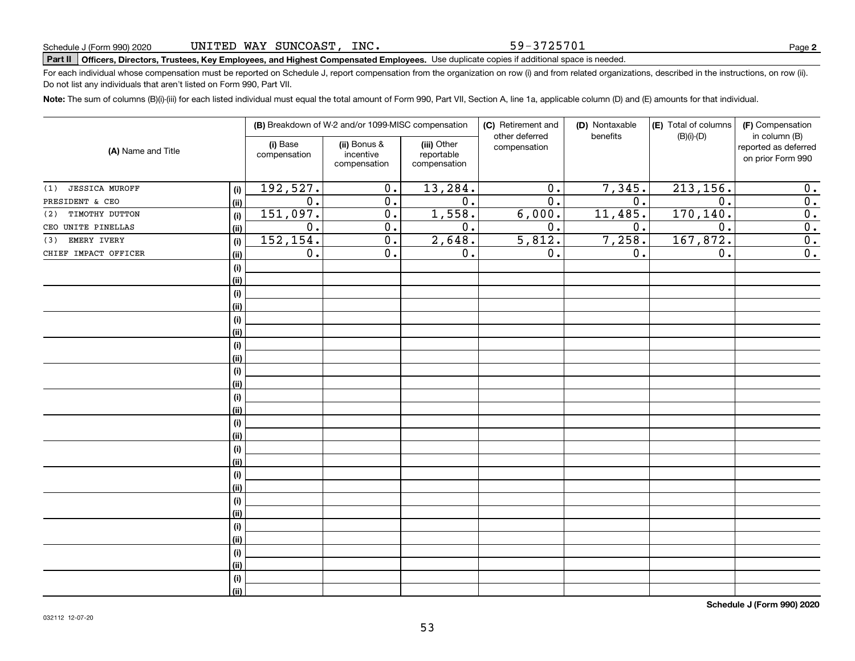59-3725701

# **Part II Officers, Directors, Trustees, Key Employees, and Highest Compensated Employees.**  Schedule J (Form 990) 2020 Page Use duplicate copies if additional space is needed.

For each individual whose compensation must be reported on Schedule J, report compensation from the organization on row (i) and from related organizations, described in the instructions, on row (ii). Do not list any individuals that aren't listed on Form 990, Part VII.

**Note:**  The sum of columns (B)(i)-(iii) for each listed individual must equal the total amount of Form 990, Part VII, Section A, line 1a, applicable column (D) and (E) amounts for that individual.

|                              |      | (B) Breakdown of W-2 and/or 1099-MISC compensation |                                           | (C) Retirement and<br>other deferred      | (D) Nontaxable<br>benefits | (E) Total of columns<br>$(B)(i)-(D)$ | (F) Compensation<br>in column (B) |                                           |
|------------------------------|------|----------------------------------------------------|-------------------------------------------|-------------------------------------------|----------------------------|--------------------------------------|-----------------------------------|-------------------------------------------|
| (A) Name and Title           |      | (i) Base<br>compensation                           | (ii) Bonus &<br>incentive<br>compensation | (iii) Other<br>reportable<br>compensation | compensation               |                                      |                                   | reported as deferred<br>on prior Form 990 |
| <b>JESSICA MUROFF</b><br>(1) | (i)  | 192,527.                                           | $\overline{0}$ .                          | 13,284.                                   | $\overline{0}$ .           | 7,345.                               | 213, 156.                         | 0.                                        |
| PRESIDENT & CEO              | (ii) | $\overline{0}$ .                                   | $\overline{0}$ .                          | $\overline{0}$ .                          | $\overline{0}$ .           | $\overline{0}$ .                     | $\overline{0}$ .                  | $\overline{0}$ .                          |
| TIMOTHY DUTTON<br>(2)        | (i)  | 151,097.                                           | $\overline{0}$ .                          | 1,558.                                    | 6,000.                     | 11,485.                              | 170, 140.                         | $\overline{0}$ .                          |
| CEO UNITE PINELLAS           | (ii) | $\overline{0}$ .                                   | $\overline{0}$ .                          | $\overline{0}$ .                          | $\overline{0}$ .           | 0.                                   | $\overline{0}$ .                  | $\overline{\mathbf{0}}$ .                 |
| EMERY IVERY<br>(3)           | (i)  | 152, 154.                                          | $\overline{0}$ .                          | 2,648.                                    | 5,812.                     | 7,258.                               | 167,872.                          | $\overline{\mathbf{0}}$ .                 |
| CHIEF IMPACT OFFICER         | (ii) | 0.                                                 | $\overline{0}$ .                          | 0.                                        | $\overline{0}$ .           | 0.                                   | $\overline{0}$ .                  | $\overline{0}$ .                          |
|                              | (i)  |                                                    |                                           |                                           |                            |                                      |                                   |                                           |
|                              | (ii) |                                                    |                                           |                                           |                            |                                      |                                   |                                           |
|                              | (i)  |                                                    |                                           |                                           |                            |                                      |                                   |                                           |
|                              | (ii) |                                                    |                                           |                                           |                            |                                      |                                   |                                           |
|                              | (i)  |                                                    |                                           |                                           |                            |                                      |                                   |                                           |
|                              | (ii) |                                                    |                                           |                                           |                            |                                      |                                   |                                           |
|                              | (i)  |                                                    |                                           |                                           |                            |                                      |                                   |                                           |
|                              | (ii) |                                                    |                                           |                                           |                            |                                      |                                   |                                           |
|                              | (i)  |                                                    |                                           |                                           |                            |                                      |                                   |                                           |
|                              | (ii) |                                                    |                                           |                                           |                            |                                      |                                   |                                           |
|                              | (i)  |                                                    |                                           |                                           |                            |                                      |                                   |                                           |
|                              | (ii) |                                                    |                                           |                                           |                            |                                      |                                   |                                           |
|                              | (i)  |                                                    |                                           |                                           |                            |                                      |                                   |                                           |
|                              | (ii) |                                                    |                                           |                                           |                            |                                      |                                   |                                           |
|                              | (i)  |                                                    |                                           |                                           |                            |                                      |                                   |                                           |
|                              | (ii) |                                                    |                                           |                                           |                            |                                      |                                   |                                           |
|                              | (i)  |                                                    |                                           |                                           |                            |                                      |                                   |                                           |
|                              | (ii) |                                                    |                                           |                                           |                            |                                      |                                   |                                           |
|                              | (i)  |                                                    |                                           |                                           |                            |                                      |                                   |                                           |
|                              | (ii) |                                                    |                                           |                                           |                            |                                      |                                   |                                           |
|                              | (i)  |                                                    |                                           |                                           |                            |                                      |                                   |                                           |
|                              | (ii) |                                                    |                                           |                                           |                            |                                      |                                   |                                           |
|                              | (i)  |                                                    |                                           |                                           |                            |                                      |                                   |                                           |
|                              | (ii) |                                                    |                                           |                                           |                            |                                      |                                   |                                           |
|                              | (i)  |                                                    |                                           |                                           |                            |                                      |                                   |                                           |
|                              | (ii) |                                                    |                                           |                                           |                            |                                      |                                   |                                           |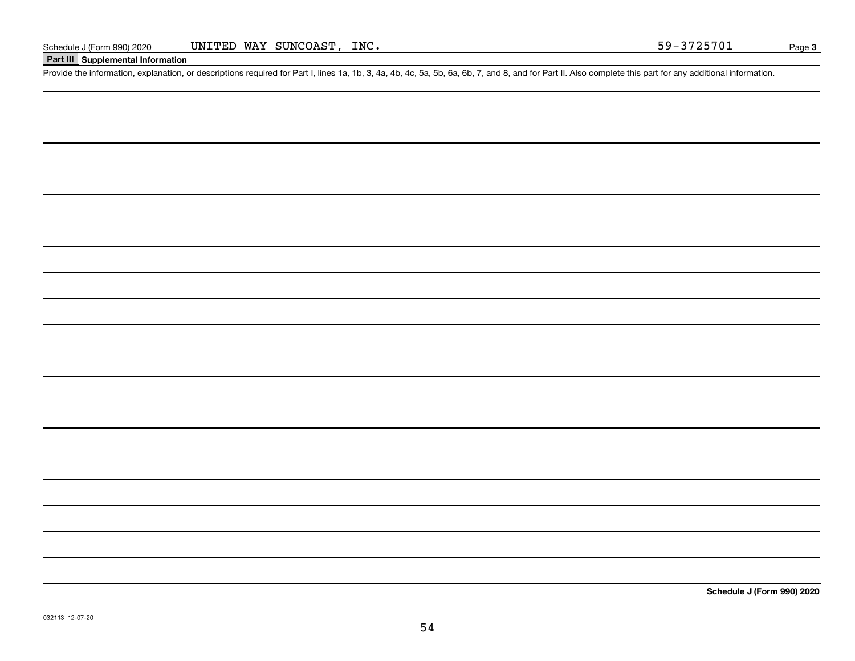## **Part III Supplemental Information**

Schedule J (Form 990) 2020 UNITED WAY SUNCOAST, INC.<br>Part III Supplemental Information<br>Provide the information, explanation, or descriptions required for Part I, lines 1a, 1b, 3, 4a, 4b, 4c, 5a, 5b, 6a, 6b, 7, and 8, and f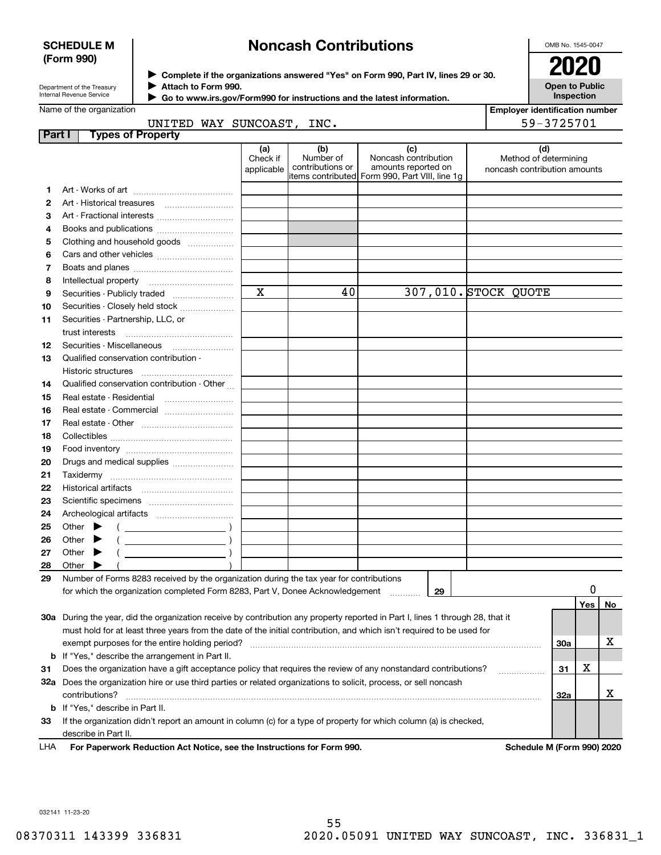### **SCHEDULE M (Form 990)**

# **Noncash Contributions**

OMB No. 1545-0047

| Department of the Treasury |
|----------------------------|
| Internal Revenue Service   |

**Complete if the organizations answered "Yes" on Form 990, Part IV, lines 29 or 30.** <sup>J</sup>**2020 Attach to Form 990.**  $\blacktriangleright$ 

**Open to Public Inspection**

|         | Name of the organization                             | <b>Employer identification number</b> |                                      |                                                                                                       |                                                              |
|---------|------------------------------------------------------|---------------------------------------|--------------------------------------|-------------------------------------------------------------------------------------------------------|--------------------------------------------------------------|
|         | UNITED WAY SUNCOAST, INC.                            |                                       |                                      |                                                                                                       | 59-3725701                                                   |
| Part I  | <b>Types of Property</b>                             |                                       |                                      |                                                                                                       |                                                              |
|         |                                                      | (a)<br>Check if<br>applicable         | (b)<br>Number of<br>contributions or | (c)<br>Noncash contribution<br>amounts reported on<br>litems contributed Form 990, Part VIII, line 1g | (d)<br>Method of determining<br>noncash contribution amounts |
|         |                                                      |                                       |                                      |                                                                                                       |                                                              |
| 2       |                                                      |                                       |                                      |                                                                                                       |                                                              |
| 3       |                                                      |                                       |                                      |                                                                                                       |                                                              |
| 4       |                                                      |                                       |                                      |                                                                                                       |                                                              |
| 5       | Clothing and household goods                         |                                       |                                      |                                                                                                       |                                                              |
| 6       |                                                      |                                       |                                      |                                                                                                       |                                                              |
| 7       |                                                      |                                       |                                      |                                                                                                       |                                                              |
| 8       |                                                      |                                       |                                      |                                                                                                       |                                                              |
| 9       |                                                      | $\mathbf x$                           | 40                                   |                                                                                                       | 307,010. STOCK QUOTE                                         |
| 10      | Securities - Closely held stock                      |                                       |                                      |                                                                                                       |                                                              |
| 11      | Securities - Partnership, LLC, or<br>trust interests |                                       |                                      |                                                                                                       |                                                              |
| $12 \,$ | Securities - Miscellaneous                           |                                       |                                      |                                                                                                       |                                                              |
| 13      | Qualified conservation contribution -                |                                       |                                      |                                                                                                       |                                                              |
|         | Historic structures                                  |                                       |                                      |                                                                                                       |                                                              |
| 14      | Qualified conservation contribution - Other          |                                       |                                      |                                                                                                       |                                                              |
| 15      | Real estate - Residential                            |                                       |                                      |                                                                                                       |                                                              |
| 16      |                                                      |                                       |                                      |                                                                                                       |                                                              |
| 17      |                                                      |                                       |                                      |                                                                                                       |                                                              |

| 28  | റther                                                                                                                      |                                       |     |    |  |  |  |
|-----|----------------------------------------------------------------------------------------------------------------------------|---------------------------------------|-----|----|--|--|--|
| 29  | Number of Forms 8283 received by the organization during the tax year for contributions                                    |                                       |     |    |  |  |  |
|     | for which the organization completed Form 8283, Part V, Donee Acknowledgement<br>29                                        |                                       |     |    |  |  |  |
|     |                                                                                                                            |                                       | Yes | No |  |  |  |
| 30a | During the year, did the organization receive by contribution any property reported in Part I, lines 1 through 28, that it |                                       |     |    |  |  |  |
|     | must hold for at least three years from the date of the initial contribution, and which isn't required to be used for      |                                       |     |    |  |  |  |
|     | 30a<br>exempt purposes for the entire holding period?                                                                      |                                       |     |    |  |  |  |
|     | <b>b</b> If "Yes," describe the arrangement in Part II.                                                                    |                                       |     |    |  |  |  |
| 31  | Does the organization have a gift acceptance policy that requires the review of any nonstandard contributions?<br>31       |                                       |     |    |  |  |  |
| 32a | Does the organization hire or use third parties or related organizations to solicit, process, or sell noncash              |                                       |     |    |  |  |  |
|     | contributions?<br>32a                                                                                                      |                                       |     |    |  |  |  |
|     | <b>b</b> If "Yes," describe in Part II.                                                                                    |                                       |     |    |  |  |  |
| 33  | If the organization didn't report an amount in column (c) for a type of property for which column (a) is checked,          |                                       |     |    |  |  |  |
|     | describe in Part II.                                                                                                       |                                       |     |    |  |  |  |
| .   | Fee Benemical: Bedication Ast Nation and the Instrumenton for Fer                                                          | <b>Calcado La Millerina 000) 0000</b> |     |    |  |  |  |

**For Paperwork Reduction Act Notice, see the Instructions for Form 990. Schedule M (Form 990) 2020** LHA

032141 11-23-20

Other  $\blacktriangleright$ 

Other  $\blacktriangleright$ 

Other  $\blacktriangleright$ 

Collectibles ~~~~~~~~~~~~~~~~ Food inventory ~~~~~~~~~~~~~~ Drugs and medical supplies  $_{\ldots\ldots\ldots\ldots\ldots\ldots\ldots\ldots}$ Taxidermy ~~~~~~~~~~~~~~~~ Historical artifacts ~~~~~~~~~~~~ Scientific specimens ~~~~~~~~~~~ Archeological artifacts ~~~~~~~~~~

 $\blacktriangleright$ 

 $($   $)$ 

 $($   $)$ 

 $\frac{1}{\left(\begin{array}{ccc} 0 & 0 & 0 \\ 0 & 0 & 0 \\ 0 & 0 & 0 \\ 0 & 0 & 0 \\ 0 & 0 & 0 \\ 0 & 0 & 0 \\ 0 & 0 & 0 \\ 0 & 0 & 0 \\ 0 & 0 & 0 \\ 0 & 0 & 0 \\ 0 & 0 & 0 \\ 0 & 0 & 0 \\ 0 & 0 & 0 \\ 0 & 0 & 0 & 0 \\ 0 & 0 & 0 & 0 \\ 0 & 0 & 0 & 0 \\ 0 & 0 & 0 & 0 & 0 \\ 0 & 0 & 0 & 0 & 0 \\ 0 & 0 & 0 & 0 & 0 \\ 0 & 0 & 0$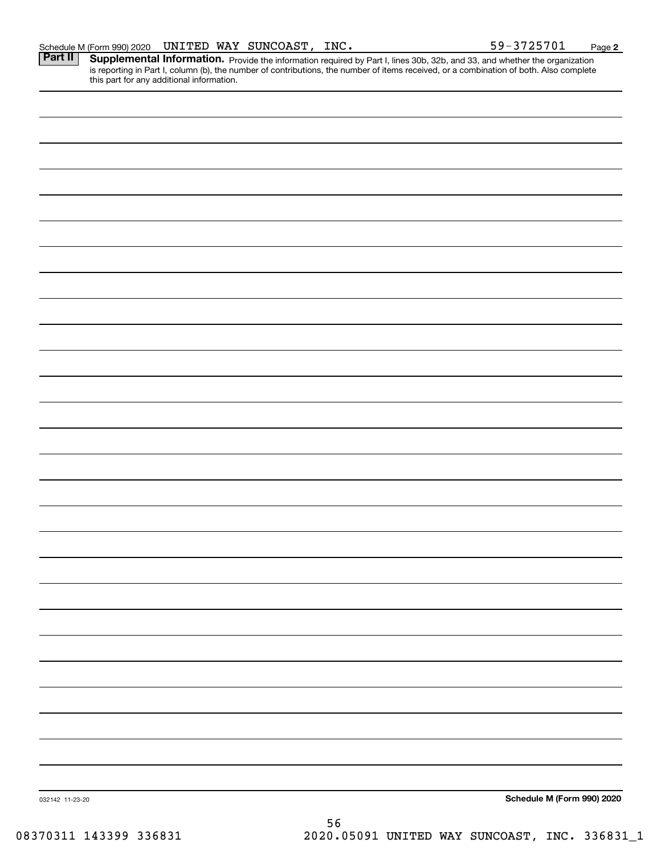Part II | Supplemental Information. Provide the information required by Part I, lines 30b, 32b, and 33, and whether the organization is reporting in Part I, column (b), the number of contributions, the number of items received, or a combination of both. Also complete this part for any additional information.

| 032142 11-23-20 | Schedule M (Form 990) 2020 |
|-----------------|----------------------------|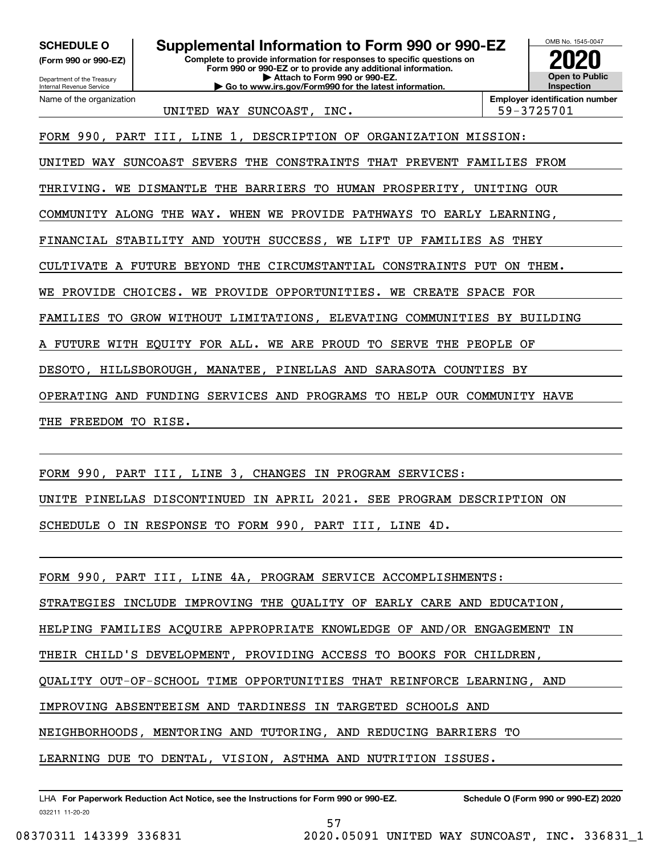**(Form 990 or 990-EZ)**

Department of the Treasury Internal Revenue Service Name of the organization

**Complete to provide information for responses to specific questions on Form 990 or 990-EZ or to provide any additional information. | Attach to Form 990 or 990-EZ. | Go to www.irs.gov/Form990 for the latest information. SCHEDULE O Supplemental Information to Form 990 or 990-EZ**



UNITED WAY SUNCOAST, INC.  $\vert$  59-3725701

FORM 990, PART III, LINE 1, DESCRIPTION OF ORGANIZATION MISSION:

UNITED WAY SUNCOAST SEVERS THE CONSTRAINTS THAT PREVENT FAMILIES FROM

THRIVING. WE DISMANTLE THE BARRIERS TO HUMAN PROSPERITY, UNITING OUR

COMMUNITY ALONG THE WAY. WHEN WE PROVIDE PATHWAYS TO EARLY LEARNING,

FINANCIAL STABILITY AND YOUTH SUCCESS, WE LIFT UP FAMILIES AS THEY

CULTIVATE A FUTURE BEYOND THE CIRCUMSTANTIAL CONSTRAINTS PUT ON THEM.

WE PROVIDE CHOICES. WE PROVIDE OPPORTUNITIES. WE CREATE SPACE FOR

FAMILIES TO GROW WITHOUT LIMITATIONS, ELEVATING COMMUNITIES BY BUILDING

FUTURE WITH EQUITY FOR ALL. WE ARE PROUD TO SERVE THE PEOPLE OF

DESOTO, HILLSBOROUGH, MANATEE, PINELLAS AND SARASOTA COUNTIES BY

OPERATING AND FUNDING SERVICES AND PROGRAMS TO HELP OUR COMMUNITY HAVE

THE FREEDOM TO RISE.

FORM 990, PART III, LINE 3, CHANGES IN PROGRAM SERVICES:

UNITE PINELLAS DISCONTINUED IN APRIL 2021. SEE PROGRAM DESCRIPTION ON

SCHEDULE O IN RESPONSE TO FORM 990, PART III, LINE 4D.

FORM 990, PART III, LINE 4A, PROGRAM SERVICE ACCOMPLISHMENTS:

STRATEGIES INCLUDE IMPROVING THE QUALITY OF EARLY CARE AND EDUCATION,

HELPING FAMILIES ACQUIRE APPROPRIATE KNOWLEDGE OF AND/OR ENGAGEMENT IN

THEIR CHILD'S DEVELOPMENT, PROVIDING ACCESS TO BOOKS FOR CHILDREN,

QUALITY OUT-OF-SCHOOL TIME OPPORTUNITIES THAT REINFORCE LEARNING, AND

57

IMPROVING ABSENTEEISM AND TARDINESS IN TARGETED SCHOOLS AND

NEIGHBORHOODS, MENTORING AND TUTORING, AND REDUCING BARRIERS TO

LEARNING DUE TO DENTAL, VISION, ASTHMA AND NUTRITION ISSUES.

032211 11-20-20 LHA For Paperwork Reduction Act Notice, see the Instructions for Form 990 or 990-EZ. Schedule O (Form 990 or 990-EZ) 2020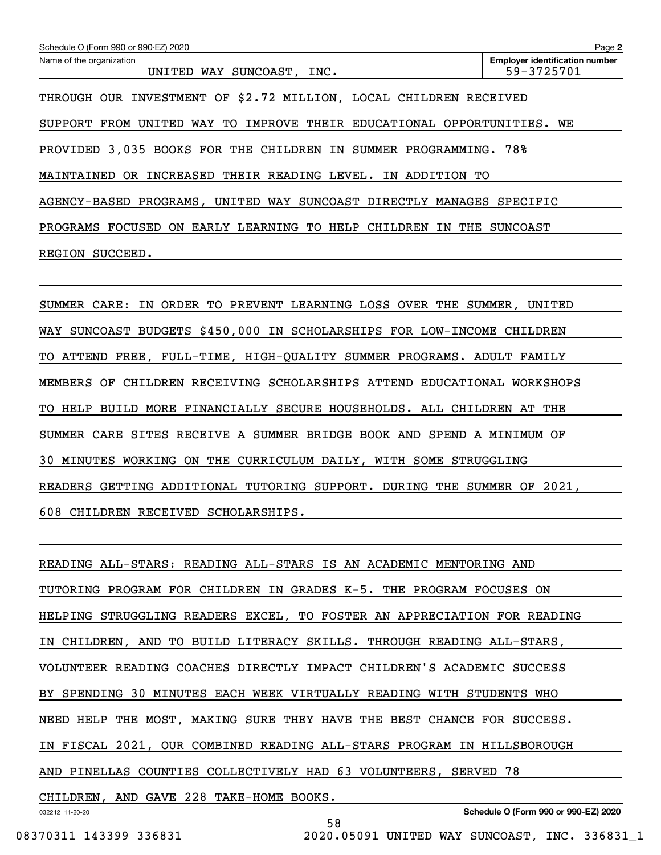| Schedule O (Form 990 or 990-EZ) 2020                                               | Page 2                                              |
|------------------------------------------------------------------------------------|-----------------------------------------------------|
| Name of the organization<br>UNITED<br>WAY SUNCOAST, INC.                           | <b>Employer identification number</b><br>59-3725701 |
| INVESTMENT OF \$2.72 MILLION, LOCAL CHILDREN RECEIVED<br>THROUGH<br>OUR.           |                                                     |
| WAY TO<br>IMPROVE THEIR EDUCATIONAL OPPORTUNITIES. WE<br>FROM<br>UNITED<br>SUPPORT |                                                     |
| PROVIDED 3,035 BOOKS FOR THE CHILDREN IN SUMMER PROGRAMMING.                       | 78%                                                 |
| INCREASED THEIR READING LEVEL.<br>MAINTAINED<br>OR.<br>ADDITION<br>IN<br>TО        |                                                     |
| AGENCY-BASED PROGRAMS, UNITED WAY SUNCOAST DIRECTLY MANAGES                        | SPECIFIC                                            |
| FOCUSED<br>EARLY LEARNING TO HELP<br>PROGRAMS<br>ON.<br>CHILDREN<br>IN<br>THE      | SUNCOAST                                            |
| SUCCEED.<br>REGION                                                                 |                                                     |
|                                                                                    |                                                     |

SUMMER CARE: IN ORDER TO PREVENT LEARNING LOSS OVER THE SUMMER, UNITED WAY SUNCOAST BUDGETS \$450,000 IN SCHOLARSHIPS FOR LOW-INCOME CHILDREN TO ATTEND FREE, FULL-TIME, HIGH-QUALITY SUMMER PROGRAMS. ADULT FAMILY MEMBERS OF CHILDREN RECEIVING SCHOLARSHIPS ATTEND EDUCATIONAL WORKSHOPS TO HELP BUILD MORE FINANCIALLY SECURE HOUSEHOLDS. ALL CHILDREN AT THE SUMMER CARE SITES RECEIVE A SUMMER BRIDGE BOOK AND SPEND A MINIMUM OF 30 MINUTES WORKING ON THE CURRICULUM DAILY, WITH SOME STRUGGLING READERS GETTING ADDITIONAL TUTORING SUPPORT. DURING THE SUMMER OF 2021, 608 CHILDREN RECEIVED SCHOLARSHIPS.

READING ALL-STARS: READING ALL-STARS IS AN ACADEMIC MENTORING AND TUTORING PROGRAM FOR CHILDREN IN GRADES K-5. THE PROGRAM FOCUSES ON HELPING STRUGGLING READERS EXCEL, TO FOSTER AN APPRECIATION FOR READING IN CHILDREN, AND TO BUILD LITERACY SKILLS. THROUGH READING ALL-STARS, VOLUNTEER READING COACHES DIRECTLY IMPACT CHILDREN'S ACADEMIC SUCCESS BY SPENDING 30 MINUTES EACH WEEK VIRTUALLY READING WITH STUDENTS WHO NEED HELP THE MOST, MAKING SURE THEY HAVE THE BEST CHANCE FOR SUCCESS. IN FISCAL 2021, OUR COMBINED READING ALL-STARS PROGRAM IN HILLSBOROUGH AND PINELLAS COUNTIES COLLECTIVELY HAD 63 VOLUNTEERS, SERVED 78 CHILDREN, AND GAVE 228 TAKE-HOME BOOKS.

58

032212 11-20-20

**Schedule O (Form 990 or 990-EZ) 2020**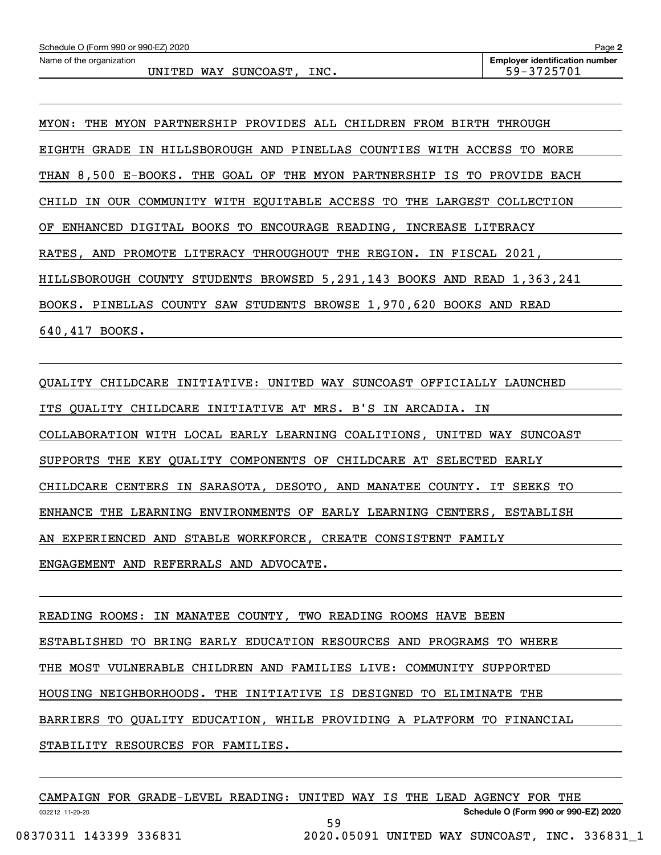MYON: THE MYON PARTNERSHIP PROVIDES ALL CHILDREN FROM BIRTH THROUGH EIGHTH GRADE IN HILLSBOROUGH AND PINELLAS COUNTIES WITH ACCESS TO MORE THAN 8,500 E-BOOKS. THE GOAL OF THE MYON PARTNERSHIP IS TO PROVIDE EACH CHILD IN OUR COMMUNITY WITH EQUITABLE ACCESS TO THE LARGEST COLLECTION OF ENHANCED DIGITAL BOOKS TO ENCOURAGE READING, INCREASE LITERACY RATES, AND PROMOTE LITERACY THROUGHOUT THE REGION. IN FISCAL 2021, HILLSBOROUGH COUNTY STUDENTS BROWSED 5,291,143 BOOKS AND READ 1,363,241 BOOKS. PINELLAS COUNTY SAW STUDENTS BROWSE 1,970,620 BOOKS AND READ 640,417 BOOKS.

QUALITY CHILDCARE INITIATIVE: UNITED WAY SUNCOAST OFFICIALLY LAUNCHED ITS QUALITY CHILDCARE INITIATIVE AT MRS. B'S IN ARCADIA. IN COLLABORATION WITH LOCAL EARLY LEARNING COALITIONS, UNITED WAY SUNCOAST SUPPORTS THE KEY QUALITY COMPONENTS OF CHILDCARE AT SELECTED EARLY CHILDCARE CENTERS IN SARASOTA, DESOTO, AND MANATEE COUNTY. IT SEEKS TO ENHANCE THE LEARNING ENVIRONMENTS OF EARLY LEARNING CENTERS, ESTABLISH AN EXPERIENCED AND STABLE WORKFORCE, CREATE CONSISTENT FAMILY ENGAGEMENT AND REFERRALS AND ADVOCATE.

READING ROOMS: IN MANATEE COUNTY, TWO READING ROOMS HAVE BEEN ESTABLISHED TO BRING EARLY EDUCATION RESOURCES AND PROGRAMS TO WHERE THE MOST VULNERABLE CHILDREN AND FAMILIES LIVE: COMMUNITY SUPPORTED HOUSING NEIGHBORHOODS. THE INITIATIVE IS DESIGNED TO ELIMINATE THE BARRIERS TO QUALITY EDUCATION, WHILE PROVIDING A PLATFORM TO FINANCIAL STABILITY RESOURCES FOR FAMILIES.

|                 |                        | CAMPAIGN FOR GRADE-LEVEL READING: UNITED WAY IS THE LEAD AGENCY FOR THE |    |  |  |                                               |  |  |  |
|-----------------|------------------------|-------------------------------------------------------------------------|----|--|--|-----------------------------------------------|--|--|--|
| 032212 11-20-20 |                        |                                                                         |    |  |  | Schedule O (Form 990 or 990-EZ) 2020          |  |  |  |
|                 |                        |                                                                         | 59 |  |  |                                               |  |  |  |
|                 | 08370311 143399 336831 |                                                                         |    |  |  | 2020.05091 UNITED WAY SUNCOAST, INC. 336831 1 |  |  |  |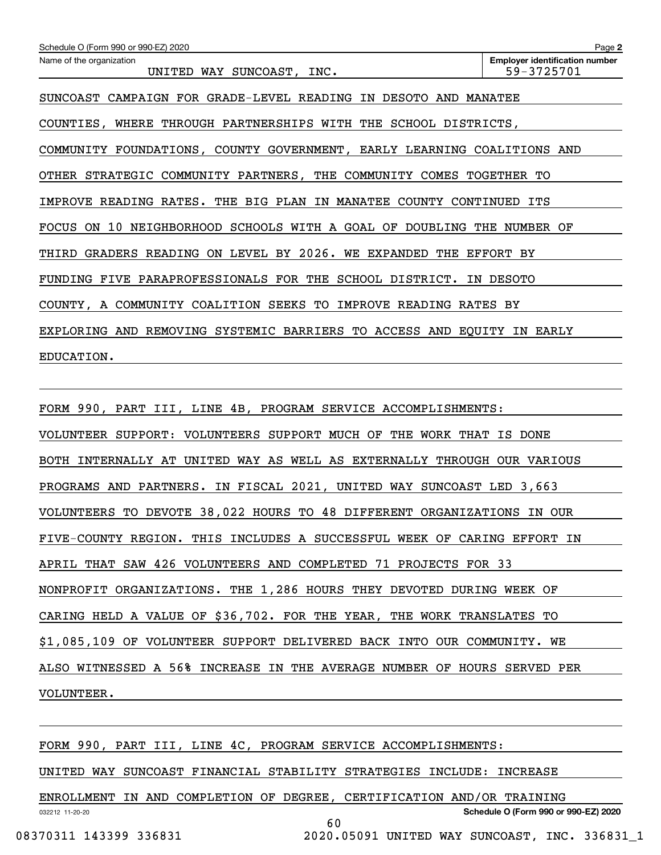| Schedule O (Form 990 or 990-EZ) 2020                                    | Page 2                                              |
|-------------------------------------------------------------------------|-----------------------------------------------------|
| Name of the organization<br>UNITED WAY SUNCOAST, INC.                   | <b>Employer identification number</b><br>59-3725701 |
| SUNCOAST CAMPAIGN FOR GRADE-LEVEL READING IN DESOTO AND MANATEE         |                                                     |
| COUNTIES, WHERE THROUGH PARTNERSHIPS WITH THE SCHOOL DISTRICTS,         |                                                     |
| COMMUNITY FOUNDATIONS, COUNTY GOVERNMENT, EARLY LEARNING COALITIONS AND |                                                     |
| OTHER STRATEGIC COMMUNITY PARTNERS, THE COMMUNITY COMES TOGETHER TO     |                                                     |
| IMPROVE READING RATES. THE BIG PLAN IN MANATEE COUNTY CONTINUED ITS     |                                                     |
| FOCUS ON 10 NEIGHBORHOOD SCHOOLS WITH A GOAL OF DOUBLING THE NUMBER OF  |                                                     |
| THIRD GRADERS READING ON LEVEL BY 2026. WE EXPANDED THE EFFORT BY       |                                                     |
| FUNDING FIVE PARAPROFESSIONALS FOR THE SCHOOL DISTRICT. IN DESOTO       |                                                     |
| COUNTY, A COMMUNITY COALITION SEEKS TO IMPROVE READING RATES BY         |                                                     |
| EXPLORING AND REMOVING SYSTEMIC BARRIERS TO ACCESS AND EQUITY IN EARLY  |                                                     |
| EDUCATION.                                                              |                                                     |
|                                                                         |                                                     |
|                                                                         |                                                     |

FORM 990, PART III, LINE 4B, PROGRAM SERVICE ACCOMPLISHMENTS: VOLUNTEER SUPPORT: VOLUNTEERS SUPPORT MUCH OF THE WORK THAT IS DONE BOTH INTERNALLY AT UNITED WAY AS WELL AS EXTERNALLY THROUGH OUR VARIOUS PROGRAMS AND PARTNERS. IN FISCAL 2021, UNITED WAY SUNCOAST LED 3,663 VOLUNTEERS TO DEVOTE 38,022 HOURS TO 48 DIFFERENT ORGANIZATIONS IN OUR FIVE-COUNTY REGION. THIS INCLUDES A SUCCESSFUL WEEK OF CARING EFFORT IN APRIL THAT SAW 426 VOLUNTEERS AND COMPLETED 71 PROJECTS FOR 33 NONPROFIT ORGANIZATIONS. THE 1,286 HOURS THEY DEVOTED DURING WEEK OF CARING HELD A VALUE OF \$36,702. FOR THE YEAR, THE WORK TRANSLATES TO \$1,085,109 OF VOLUNTEER SUPPORT DELIVERED BACK INTO OUR COMMUNITY. WE ALSO WITNESSED A 56% INCREASE IN THE AVERAGE NUMBER OF HOURS SERVED PER VOLUNTEER.

FORM 990, PART III, LINE 4C, PROGRAM SERVICE ACCOMPLISHMENTS:

UNITED WAY SUNCOAST FINANCIAL STABILITY STRATEGIES INCLUDE: INCREASE

ENROLLMENT IN AND COMPLETION OF DEGREE, CERTIFICATION AND/OR TRAINING

60

032212 11-20-20

08370311 143399 336831 2020.05091 UNITED WAY SUNCOAST, INC. 336831\_1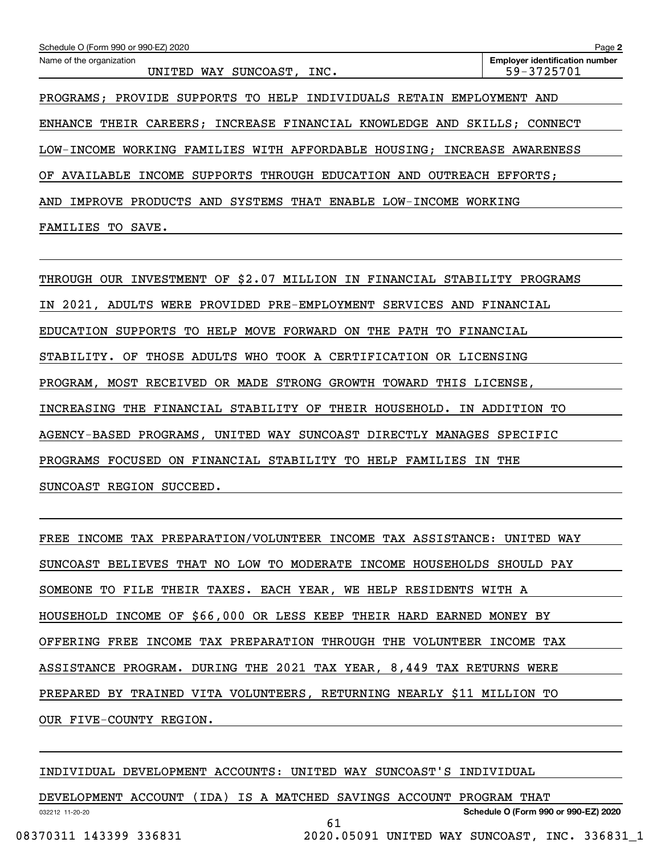| Schedule O (Form 990 or 990-EZ) 2020                                    | Page 2                                              |
|-------------------------------------------------------------------------|-----------------------------------------------------|
| Name of the organization<br>UNITED WAY SUNCOAST, INC.                   | <b>Employer identification number</b><br>59-3725701 |
| PROGRAMS; PROVIDE SUPPORTS TO HELP INDIVIDUALS RETAIN EMPLOYMENT AND    |                                                     |
| ENHANCE THEIR CAREERS; INCREASE FINANCIAL KNOWLEDGE AND SKILLS; CONNECT |                                                     |
| LOW-INCOME WORKING FAMILIES WITH AFFORDABLE HOUSING: INCREASE AWARENESS |                                                     |
| AVAILABLE INCOME SUPPORTS THROUGH EDUCATION AND OUTREACH EFFORTS:<br>ΟF |                                                     |
| SYSTEMS THAT ENABLE LOW-INCOME<br>PRODUCTS AND<br>AND<br>IMPROVE        | WORKING                                             |
| FAMILIES TO SAVE.                                                       |                                                     |

THROUGH OUR INVESTMENT OF \$2.07 MILLION IN FINANCIAL STABILITY PROGRAMS IN 2021, ADULTS WERE PROVIDED PRE-EMPLOYMENT SERVICES AND FINANCIAL EDUCATION SUPPORTS TO HELP MOVE FORWARD ON THE PATH TO FINANCIAL STABILITY. OF THOSE ADULTS WHO TOOK A CERTIFICATION OR LICENSING PROGRAM, MOST RECEIVED OR MADE STRONG GROWTH TOWARD THIS LICENSE, INCREASING THE FINANCIAL STABILITY OF THEIR HOUSEHOLD. IN ADDITION TO AGENCY-BASED PROGRAMS, UNITED WAY SUNCOAST DIRECTLY MANAGES SPECIFIC PROGRAMS FOCUSED ON FINANCIAL STABILITY TO HELP FAMILIES IN THE SUNCOAST REGION SUCCEED.

FREE INCOME TAX PREPARATION/VOLUNTEER INCOME TAX ASSISTANCE: UNITED WAY SUNCOAST BELIEVES THAT NO LOW TO MODERATE INCOME HOUSEHOLDS SHOULD PAY SOMEONE TO FILE THEIR TAXES. EACH YEAR, WE HELP RESIDENTS WITH A HOUSEHOLD INCOME OF \$66,000 OR LESS KEEP THEIR HARD EARNED MONEY BY OFFERING FREE INCOME TAX PREPARATION THROUGH THE VOLUNTEER INCOME TAX ASSISTANCE PROGRAM. DURING THE 2021 TAX YEAR, 8,449 TAX RETURNS WERE PREPARED BY TRAINED VITA VOLUNTEERS, RETURNING NEARLY \$11 MILLION TO OUR FIVE-COUNTY REGION.

INDIVIDUAL DEVELOPMENT ACCOUNTS: UNITED WAY SUNCOAST'S INDIVIDUAL

032212 11-20-20 **Schedule O (Form 990 or 990-EZ) 2020** DEVELOPMENT ACCOUNT (IDA) IS A MATCHED SAVINGS ACCOUNT PROGRAM THAT 61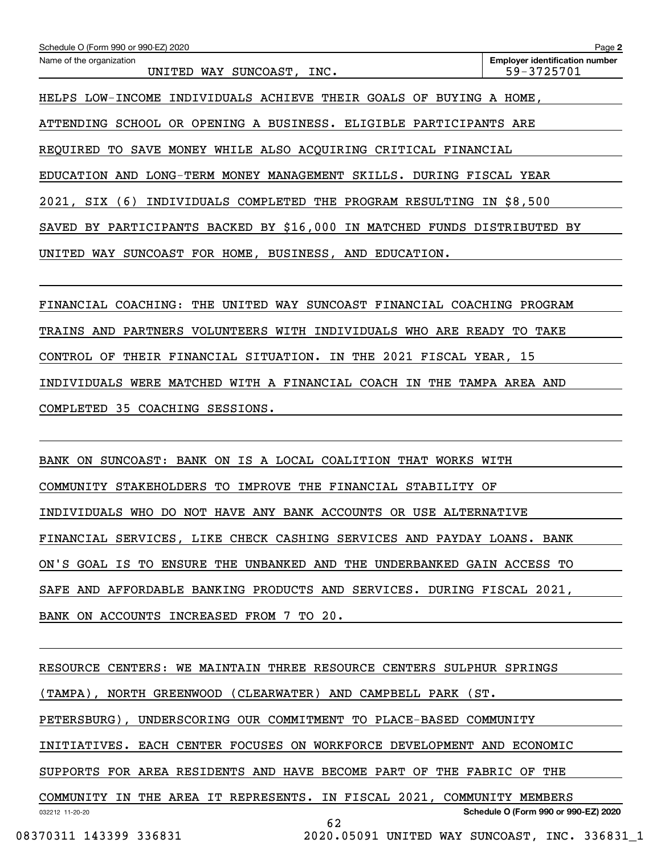| Schedule O (Form 990 or 990-EZ) 2020                                      | Page 2                                              |
|---------------------------------------------------------------------------|-----------------------------------------------------|
| Name of the organization<br>UNITED WAY SUNCOAST, INC.                     | <b>Employer identification number</b><br>59-3725701 |
| HELPS LOW-INCOME INDIVIDUALS ACHIEVE THEIR GOALS OF BUYING A HOME,        |                                                     |
| ATTENDING SCHOOL OR OPENING A BUSINESS. ELIGIBLE PARTICIPANTS ARE         |                                                     |
| SAVE MONEY WHILE ALSO ACQUIRING CRITICAL FINANCIAL<br>REQUIRED<br>TO      |                                                     |
| EDUCATION AND LONG-TERM MONEY MANAGEMENT SKILLS. DURING FISCAL YEAR       |                                                     |
| SIX (6)<br>INDIVIDUALS COMPLETED THE PROGRAM RESULTING IN<br>2021,        | \$8,500                                             |
| BY PARTICIPANTS BACKED BY \$16,000 IN MATCHED FUNDS DISTRIBUTED<br>SAVED  | BY                                                  |
| SUNCOAST FOR HOME, BUSINESS, AND EDUCATION.<br>UNITED<br>WAY              |                                                     |
|                                                                           |                                                     |
| SUNCOAST FINANCIAL COACHING<br>FINANCIAL COACHING:<br>THE<br>UNITED WAY   | PROGRAM                                             |
| ARE<br>TRAINS AND<br>PARTNERS<br>VOLUNTEERS<br>WITH<br>INDIVIDUALS<br>WHO | READY<br>TO.<br>TAKE                                |

CONTROL OF THEIR FINANCIAL SITUATION. IN THE 2021 FISCAL YEAR, 15

INDIVIDUALS WERE MATCHED WITH A FINANCIAL COACH IN THE TAMPA AREA AND

COMPLETED 35 COACHING SESSIONS.

BANK ON SUNCOAST: BANK ON IS A LOCAL COALITION THAT WORKS WITH COMMUNITY STAKEHOLDERS TO IMPROVE THE FINANCIAL STABILITY OF INDIVIDUALS WHO DO NOT HAVE ANY BANK ACCOUNTS OR USE ALTERNATIVE FINANCIAL SERVICES, LIKE CHECK CASHING SERVICES AND PAYDAY LOANS. BANK ON'S GOAL IS TO ENSURE THE UNBANKED AND THE UNDERBANKED GAIN ACCESS TO SAFE AND AFFORDABLE BANKING PRODUCTS AND SERVICES. DURING FISCAL 2021, BANK ON ACCOUNTS INCREASED FROM 7 TO 20.

032212 11-20-20 **Schedule O (Form 990 or 990-EZ) 2020** RESOURCE CENTERS: WE MAINTAIN THREE RESOURCE CENTERS SULPHUR SPRINGS (TAMPA), NORTH GREENWOOD (CLEARWATER) AND CAMPBELL PARK (ST. PETERSBURG), UNDERSCORING OUR COMMITMENT TO PLACE-BASED COMMUNITY INITIATIVES. EACH CENTER FOCUSES ON WORKFORCE DEVELOPMENT AND ECONOMIC SUPPORTS FOR AREA RESIDENTS AND HAVE BECOME PART OF THE FABRIC OF THE COMMUNITY IN THE AREA IT REPRESENTS. IN FISCAL 2021, COMMUNITY MEMBERS 62

08370311 143399 336831 2020.05091 UNITED WAY SUNCOAST, INC. 336831\_1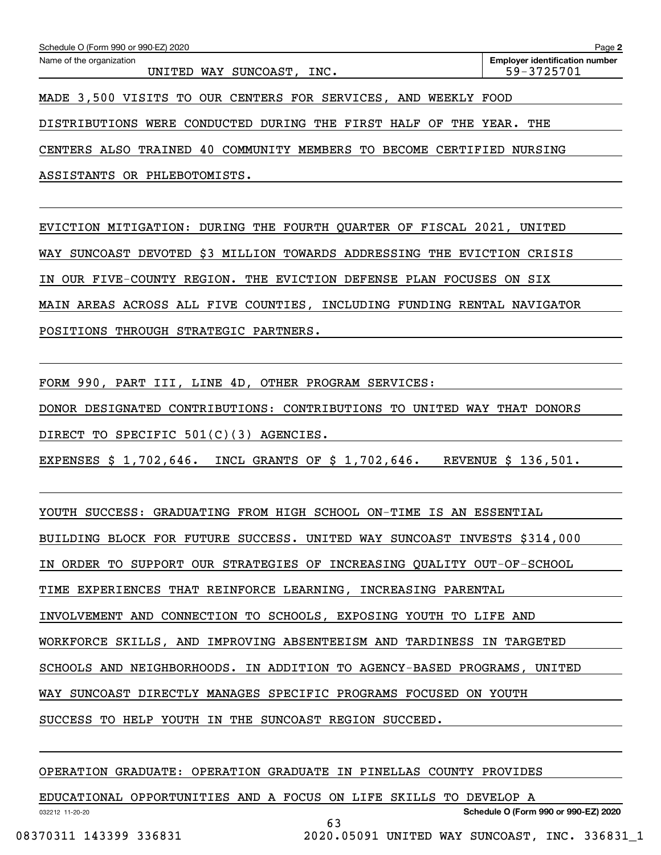| Schedule O (Form 990 or 990-EZ) 2020                                  | Page 2                                |
|-----------------------------------------------------------------------|---------------------------------------|
| Name of the organization                                              | <b>Employer identification number</b> |
| UNITED WAY SUNCOAST, INC.                                             | 59-3725701                            |
| MADE 3,500 VISITS TO OUR CENTERS FOR SERVICES, AND WEEKLY FOOD        |                                       |
| DISTRIBUTIONS WERE CONDUCTED DURING THE FIRST HALF OF THE YEAR. THE   |                                       |
| CENTERS ALSO TRAINED 40 COMMUNITY MEMBERS TO BECOME CERTIFIED NURSING |                                       |

ASSISTANTS OR PHLEBOTOMISTS.

EVICTION MITIGATION: DURING THE FOURTH QUARTER OF FISCAL 2021, UNITED WAY SUNCOAST DEVOTED \$3 MILLION TOWARDS ADDRESSING THE EVICTION CRISIS IN OUR FIVE-COUNTY REGION. THE EVICTION DEFENSE PLAN FOCUSES ON SIX MAIN AREAS ACROSS ALL FIVE COUNTIES, INCLUDING FUNDING RENTAL NAVIGATOR POSITIONS THROUGH STRATEGIC PARTNERS.

FORM 990, PART III, LINE 4D, OTHER PROGRAM SERVICES:

DONOR DESIGNATED CONTRIBUTIONS: CONTRIBUTIONS TO UNITED WAY THAT DONORS

DIRECT TO SPECIFIC 501(C)(3) AGENCIES.

EXPENSES \$ 1,702,646. INCL GRANTS OF \$ 1,702,646. REVENUE \$ 136,501.

YOUTH SUCCESS: GRADUATING FROM HIGH SCHOOL ON-TIME IS AN ESSENTIAL

BUILDING BLOCK FOR FUTURE SUCCESS. UNITED WAY SUNCOAST INVESTS \$314,000

IN ORDER TO SUPPORT OUR STRATEGIES OF INCREASING QUALITY OUT-OF-SCHOOL

TIME EXPERIENCES THAT REINFORCE LEARNING, INCREASING PARENTAL

INVOLVEMENT AND CONNECTION TO SCHOOLS, EXPOSING YOUTH TO LIFE AND

WORKFORCE SKILLS, AND IMPROVING ABSENTEEISM AND TARDINESS IN TARGETED

SCHOOLS AND NEIGHBORHOODS. IN ADDITION TO AGENCY-BASED PROGRAMS, UNITED

WAY SUNCOAST DIRECTLY MANAGES SPECIFIC PROGRAMS FOCUSED ON YOUTH

SUCCESS TO HELP YOUTH IN THE SUNCOAST REGION SUCCEED.

OPERATION GRADUATE: OPERATION GRADUATE IN PINELLAS COUNTY PROVIDES

032212 11-20-20 **Schedule O (Form 990 or 990-EZ) 2020** EDUCATIONAL OPPORTUNITIES AND A FOCUS ON LIFE SKILLS TO DEVELOP A 63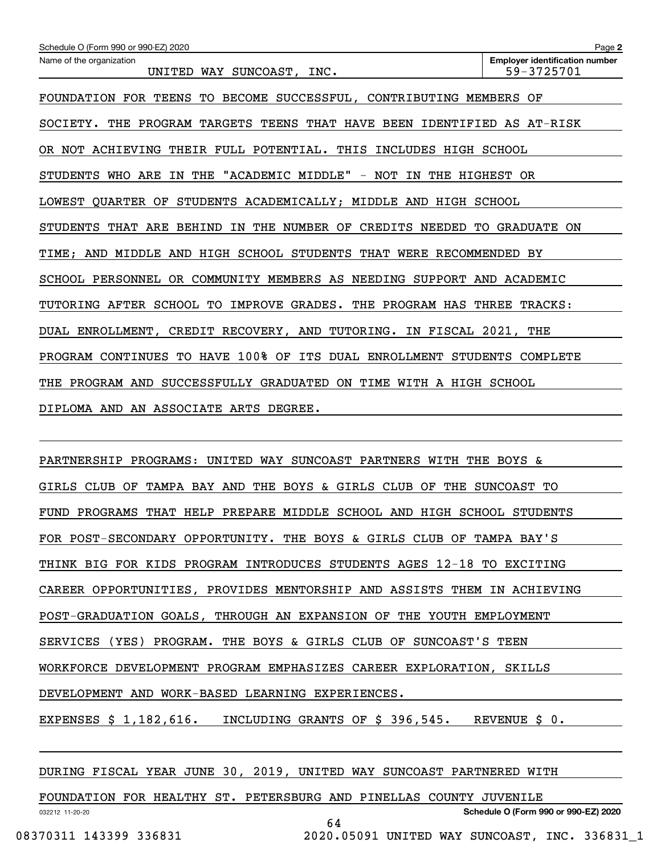| Schedule O (Form 990 or 990-EZ) 2020                                       | Page 2                                              |
|----------------------------------------------------------------------------|-----------------------------------------------------|
| Name of the organization<br>UNITED WAY SUNCOAST,<br>INC.                   | <b>Employer identification number</b><br>59-3725701 |
| FOUNDATION FOR TEENS TO BECOME SUCCESSFUL, CONTRIBUTING MEMBERS            | OF                                                  |
| SOCIETY. THE PROGRAM TARGETS TEENS THAT HAVE BEEN IDENTIFIED AS AT-RISK    |                                                     |
| OR NOT ACHIEVING THEIR FULL POTENTIAL. THIS INCLUDES HIGH SCHOOL           |                                                     |
| STUDENTS WHO ARE<br>THE<br>"ACADEMIC MIDDLE" - NOT<br>IN<br>THE<br>IN      | HIGHEST OR                                          |
| STUDENTS ACADEMICALLY; MIDDLE AND HIGH SCHOOL<br>LOWEST QUARTER OF         |                                                     |
| STUDENTS THAT ARE BEHIND IN THE NUMBER OF<br>CREDITS NEEDED<br>TO          | <b>GRADUATE ON</b>                                  |
| TIME; AND MIDDLE AND HIGH SCHOOL STUDENTS THAT WERE RECOMMENDED BY         |                                                     |
| OR COMMUNITY MEMBERS AS NEEDING SUPPORT AND ACADEMIC<br>SCHOOL PERSONNEL   |                                                     |
| TUTORING AFTER SCHOOL TO<br>IMPROVE GRADES.<br>THE PROGRAM HAS             | THREE TRACKS:                                       |
| DUAL ENROLLMENT, CREDIT RECOVERY, AND TUTORING. IN FISCAL 2021, THE        |                                                     |
| TO HAVE 100% OF ITS DUAL ENROLLMENT STUDENTS COMPLETE<br>PROGRAM CONTINUES |                                                     |
| PROGRAM AND SUCCESSFULLY GRADUATED ON TIME WITH A HIGH SCHOOL<br>THE       |                                                     |
| DIPLOMA AND AN ASSOCIATE ARTS DEGREE.                                      |                                                     |

PARTNERSHIP PROGRAMS: UNITED WAY SUNCOAST PARTNERS WITH THE BOYS & GIRLS CLUB OF TAMPA BAY AND THE BOYS & GIRLS CLUB OF THE SUNCOAST TO FUND PROGRAMS THAT HELP PREPARE MIDDLE SCHOOL AND HIGH SCHOOL STUDENTS FOR POST-SECONDARY OPPORTUNITY. THE BOYS & GIRLS CLUB OF TAMPA BAY'S THINK BIG FOR KIDS PROGRAM INTRODUCES STUDENTS AGES 12-18 TO EXCITING CAREER OPPORTUNITIES, PROVIDES MENTORSHIP AND ASSISTS THEM IN ACHIEVING POST-GRADUATION GOALS, THROUGH AN EXPANSION OF THE YOUTH EMPLOYMENT SERVICES (YES) PROGRAM. THE BOYS & GIRLS CLUB OF SUNCOAST'S TEEN WORKFORCE DEVELOPMENT PROGRAM EMPHASIZES CAREER EXPLORATION, SKILLS DEVELOPMENT AND WORK-BASED LEARNING EXPERIENCES. EXPENSES \$ 1,182,616. INCLUDING GRANTS OF \$ 396,545. REVENUE \$ 0.

DURING FISCAL YEAR JUNE 30, 2019, UNITED WAY SUNCOAST PARTNERED WITH

032212 11-20-20 **Schedule O (Form 990 or 990-EZ) 2020** FOUNDATION FOR HEALTHY ST. PETERSBURG AND PINELLAS COUNTY JUVENILE 64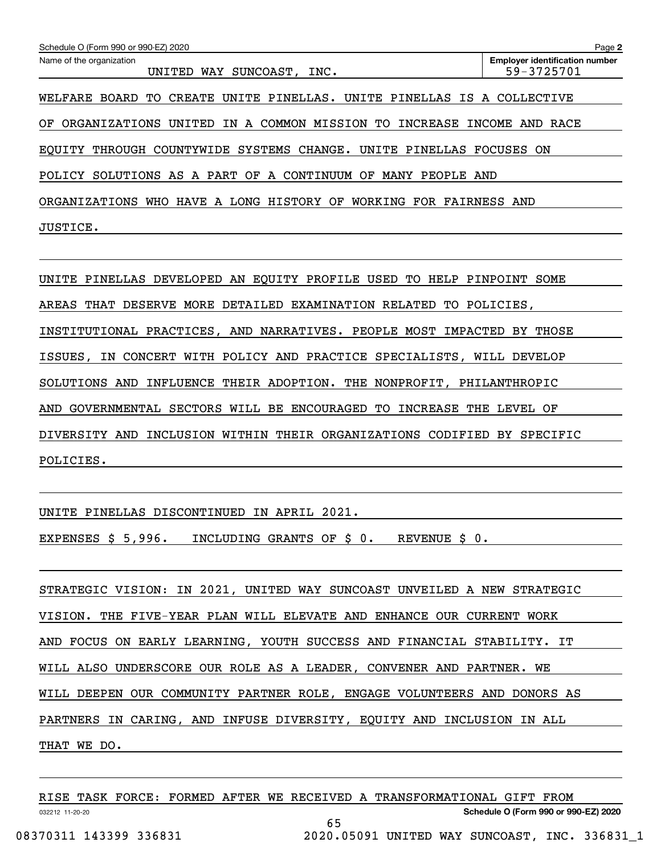| Schedule O (Form 990 or 990-EZ) 2020                                            | Page 2                                              |  |  |  |  |  |
|---------------------------------------------------------------------------------|-----------------------------------------------------|--|--|--|--|--|
| Name of the organization<br>UNITED WAY SUNCOAST, INC.                           | <b>Employer identification number</b><br>59-3725701 |  |  |  |  |  |
| WELFARE BOARD<br>TO<br>CREATE<br>UNITE PINELLAS. UNITE PINELLAS IS A COLLECTIVE |                                                     |  |  |  |  |  |
| IN A COMMON MISSION TO INCREASE INCOME AND RACE<br>ΟF<br>ORGANIZATIONS UNITED   |                                                     |  |  |  |  |  |
| EQUITY THROUGH COUNTYWIDE SYSTEMS CHANGE. UNITE PINELLAS FOCUSES ON             |                                                     |  |  |  |  |  |
| POLICY SOLUTIONS AS A PART OF A CONTINUUM OF MANY PEOPLE AND                    |                                                     |  |  |  |  |  |
| ORGANIZATIONS WHO HAVE A LONG HISTORY OF WORKING FOR FAIRNESS AND               |                                                     |  |  |  |  |  |
| JUSTICE.                                                                        |                                                     |  |  |  |  |  |
|                                                                                 |                                                     |  |  |  |  |  |
| UNITE PINELLAS DEVELOPED AN EQUITY PROFILE USED TO HELP PINPOINT SOME           |                                                     |  |  |  |  |  |
| AREAS THAT DESERVE MORE DETAILED EXAMINATION RELATED TO POLICIES,               |                                                     |  |  |  |  |  |
| INSTITUTIONAL PRACTICES, AND NARRATIVES. PEOPLE MOST IMPACTED BY THOSE          |                                                     |  |  |  |  |  |
| IN CONCERT WITH POLICY AND PRACTICE SPECIALISTS, WILL DEVELOP<br>ISSUES,        |                                                     |  |  |  |  |  |
| SOLUTIONS AND INFLUENCE THEIR ADOPTION. THE NONPROFIT, PHILANTHROPIC            |                                                     |  |  |  |  |  |
| AND GOVERNMENTAL SECTORS WILL BE ENCOURAGED TO INCREASE THE LEVEL OF            |                                                     |  |  |  |  |  |
| DIVERSITY AND INCLUSION WITHIN THEIR ORGANIZATIONS CODIFIED BY SPECIFIC         |                                                     |  |  |  |  |  |
| POLICIES.                                                                       |                                                     |  |  |  |  |  |
|                                                                                 |                                                     |  |  |  |  |  |

UNITE PINELLAS DISCONTINUED IN APRIL 2021.

EXPENSES \$ 5,996. INCLUDING GRANTS OF \$ 0. REVENUE \$ 0.

STRATEGIC VISION: IN 2021, UNITED WAY SUNCOAST UNVEILED A NEW STRATEGIC VISION. THE FIVE-YEAR PLAN WILL ELEVATE AND ENHANCE OUR CURRENT WORK AND FOCUS ON EARLY LEARNING, YOUTH SUCCESS AND FINANCIAL STABILITY. IT WILL ALSO UNDERSCORE OUR ROLE AS A LEADER, CONVENER AND PARTNER. WE WILL DEEPEN OUR COMMUNITY PARTNER ROLE, ENGAGE VOLUNTEERS AND DONORS AS PARTNERS IN CARING, AND INFUSE DIVERSITY, EQUITY AND INCLUSION IN ALL THAT WE DO.

|                        |  | RISE TASK FORCE: FORMED AFTER WE RECEIVED A TRANSFORMATIONAL GIFT FROM |                                               |  |
|------------------------|--|------------------------------------------------------------------------|-----------------------------------------------|--|
| 032212 11-20-20        |  |                                                                        | Schedule O (Form 990 or 990-EZ) 2020          |  |
|                        |  |                                                                        |                                               |  |
| 08370311 143399 336831 |  |                                                                        | 2020.05091 UNITED WAY SUNCOAST, INC. 336831 1 |  |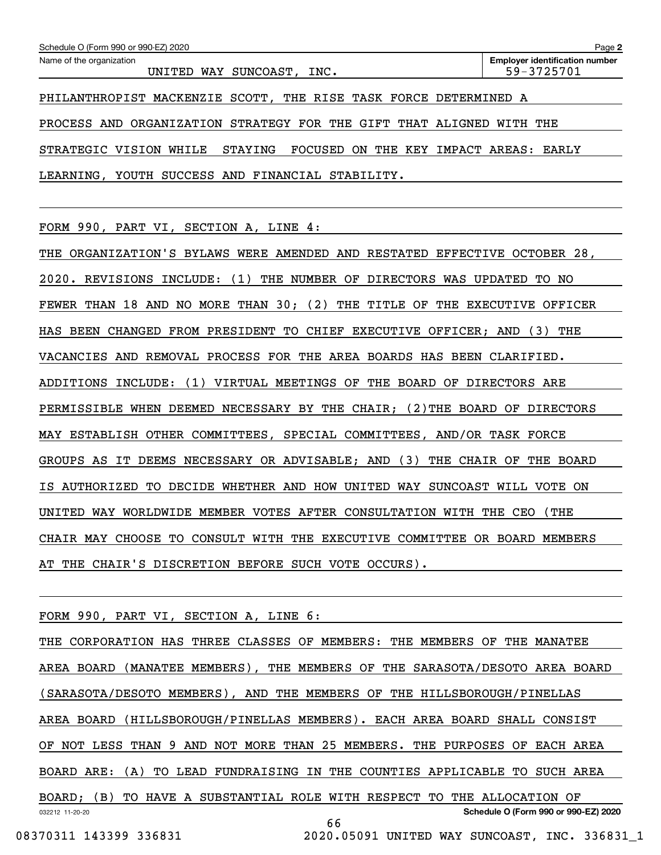| Schedule O (Form 990 or 990-EZ) 2020                                        | Page 2                                              |
|-----------------------------------------------------------------------------|-----------------------------------------------------|
| Name of the organization<br>UNITED WAY SUNCOAST, INC.                       | <b>Employer identification number</b><br>59-3725701 |
| PHILANTHROPIST MACKENZIE SCOTT, THE RISE TASK FORCE DETERMINED A            |                                                     |
| PROCESS AND ORGANIZATION STRATEGY FOR THE GIFT THAT ALIGNED WITH THE        |                                                     |
| STRATEGIC VISION WHILE<br>STAYING<br>FOCUSED ON THE KEY IMPACT AREAS: EARLY |                                                     |
| LEARNING, YOUTH SUCCESS AND FINANCIAL STABILITY.                            |                                                     |

FORM 990, PART VI, SECTION A, LINE 4:

THE ORGANIZATION'S BYLAWS WERE AMENDED AND RESTATED EFFECTIVE OCTOBER 28, 2020. REVISIONS INCLUDE: (1) THE NUMBER OF DIRECTORS WAS UPDATED TO NO FEWER THAN 18 AND NO MORE THAN 30; (2) THE TITLE OF THE EXECUTIVE OFFICER HAS BEEN CHANGED FROM PRESIDENT TO CHIEF EXECUTIVE OFFICER; AND (3) THE VACANCIES AND REMOVAL PROCESS FOR THE AREA BOARDS HAS BEEN CLARIFIED. ADDITIONS INCLUDE: (1) VIRTUAL MEETINGS OF THE BOARD OF DIRECTORS ARE PERMISSIBLE WHEN DEEMED NECESSARY BY THE CHAIR; (2) THE BOARD OF DIRECTORS MAY ESTABLISH OTHER COMMITTEES, SPECIAL COMMITTEES, AND/OR TASK FORCE GROUPS AS IT DEEMS NECESSARY OR ADVISABLE; AND (3) THE CHAIR OF THE BOARD IS AUTHORIZED TO DECIDE WHETHER AND HOW UNITED WAY SUNCOAST WILL VOTE ON UNITED WAY WORLDWIDE MEMBER VOTES AFTER CONSULTATION WITH THE CEO (THE CHAIR MAY CHOOSE TO CONSULT WITH THE EXECUTIVE COMMITTEE OR BOARD MEMBERS AT THE CHAIR'S DISCRETION BEFORE SUCH VOTE OCCURS).

FORM 990, PART VI, SECTION A, LINE 6:

032212 11-20-20 **Schedule O (Form 990 or 990-EZ) 2020** THE CORPORATION HAS THREE CLASSES OF MEMBERS: THE MEMBERS OF THE MANATEE AREA BOARD (MANATEE MEMBERS), THE MEMBERS OF THE SARASOTA/DESOTO AREA BOARD (SARASOTA/DESOTO MEMBERS), AND THE MEMBERS OF THE HILLSBOROUGH/PINELLAS AREA BOARD (HILLSBOROUGH/PINELLAS MEMBERS). EACH AREA BOARD SHALL CONSIST OF NOT LESS THAN 9 AND NOT MORE THAN 25 MEMBERS. THE PURPOSES OF EACH AREA BOARD ARE: (A) TO LEAD FUNDRAISING IN THE COUNTIES APPLICABLE TO SUCH AREA BOARD; (B) TO HAVE A SUBSTANTIAL ROLE WITH RESPECT TO THE ALLOCATION OF 66

08370311 143399 336831 2020.05091 UNITED WAY SUNCOAST, INC. 336831\_1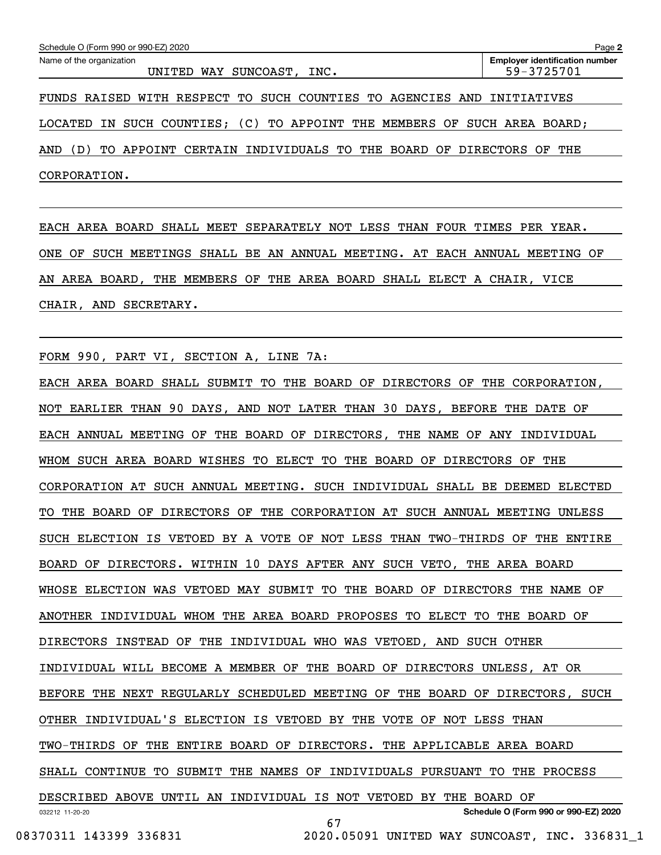| Schedule O (Form 990 or 990-EZ) 2020                                           | Page 2                                              |
|--------------------------------------------------------------------------------|-----------------------------------------------------|
| Name of the organization<br>SUNCOAST, INC.<br>UNITED WAY                       | <b>Employer identification number</b><br>59-3725701 |
| FUNDS RAISED WITH RESPECT TO SUCH COUNTIES TO AGENCIES AND INITIATIVES         |                                                     |
| IN SUCH COUNTIES; (C) TO APPOINT THE MEMBERS OF<br>LOCATED                     | SUCH AREA BOARD;                                    |
| APPOINT CERTAIN INDIVIDUALS TO THE BOARD OF DIRECTORS OF<br>, D)<br>AND<br>TO. | THE                                                 |
| CORPORATION.                                                                   |                                                     |

EACH AREA BOARD SHALL MEET SEPARATELY NOT LESS THAN FOUR TIMES PER YEAR. ONE OF SUCH MEETINGS SHALL BE AN ANNUAL MEETING. AT EACH ANNUAL MEETING OF AN AREA BOARD, THE MEMBERS OF THE AREA BOARD SHALL ELECT A CHAIR, VICE CHAIR, AND SECRETARY.

FORM 990, PART VI, SECTION A, LINE 7A:

032212 11-20-20 **Schedule O (Form 990 or 990-EZ) 2020** EACH AREA BOARD SHALL SUBMIT TO THE BOARD OF DIRECTORS OF THE CORPORATION, NOT EARLIER THAN 90 DAYS, AND NOT LATER THAN 30 DAYS, BEFORE THE DATE OF EACH ANNUAL MEETING OF THE BOARD OF DIRECTORS, THE NAME OF ANY INDIVIDUAL WHOM SUCH AREA BOARD WISHES TO ELECT TO THE BOARD OF DIRECTORS OF THE CORPORATION AT SUCH ANNUAL MEETING. SUCH INDIVIDUAL SHALL BE DEEMED ELECTED TO THE BOARD OF DIRECTORS OF THE CORPORATION AT SUCH ANNUAL MEETING UNLESS SUCH ELECTION IS VETOED BY A VOTE OF NOT LESS THAN TWO-THIRDS OF THE ENTIRE BOARD OF DIRECTORS. WITHIN 10 DAYS AFTER ANY SUCH VETO, THE AREA BOARD WHOSE ELECTION WAS VETOED MAY SUBMIT TO THE BOARD OF DIRECTORS THE NAME OF ANOTHER INDIVIDUAL WHOM THE AREA BOARD PROPOSES TO ELECT TO THE BOARD OF DIRECTORS INSTEAD OF THE INDIVIDUAL WHO WAS VETOED, AND SUCH OTHER INDIVIDUAL WILL BECOME A MEMBER OF THE BOARD OF DIRECTORS UNLESS, AT OR BEFORE THE NEXT REGULARLY SCHEDULED MEETING OF THE BOARD OF DIRECTORS, SUCH OTHER INDIVIDUAL'S ELECTION IS VETOED BY THE VOTE OF NOT LESS THAN TWO-THIRDS OF THE ENTIRE BOARD OF DIRECTORS. THE APPLICABLE AREA BOARD SHALL CONTINUE TO SUBMIT THE NAMES OF INDIVIDUALS PURSUANT TO THE PROCESS DESCRIBED ABOVE UNTIL AN INDIVIDUAL IS NOT VETOED BY THE BOARD OF 67

08370311 143399 336831 2020.05091 UNITED WAY SUNCOAST, INC. 336831\_1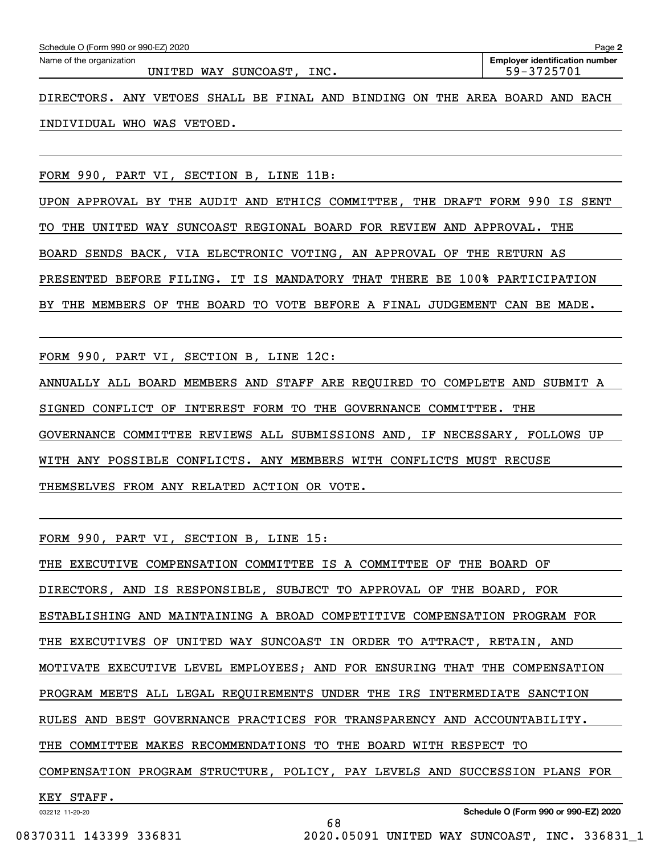INDIVIDUAL WHO WAS VETOED.

FORM 990, PART VI, SECTION B, LINE 11B:

UPON APPROVAL BY THE AUDIT AND ETHICS COMMITTEE, THE DRAFT FORM 990 IS SENT TO THE UNITED WAY SUNCOAST REGIONAL BOARD FOR REVIEW AND APPROVAL. THE BOARD SENDS BACK, VIA ELECTRONIC VOTING, AN APPROVAL OF THE RETURN AS PRESENTED BEFORE FILING. IT IS MANDATORY THAT THERE BE 100% PARTICIPATION BY THE MEMBERS OF THE BOARD TO VOTE BEFORE A FINAL JUDGEMENT CAN BE MADE.

FORM 990, PART VI, SECTION B, LINE 12C:

ANNUALLY ALL BOARD MEMBERS AND STAFF ARE REQUIRED TO COMPLETE AND SUBMIT A SIGNED CONFLICT OF INTEREST FORM TO THE GOVERNANCE COMMITTEE. THE GOVERNANCE COMMITTEE REVIEWS ALL SUBMISSIONS AND, IF NECESSARY, FOLLOWS UP WITH ANY POSSIBLE CONFLICTS. ANY MEMBERS WITH CONFLICTS MUST RECUSE THEMSELVES FROM ANY RELATED ACTION OR VOTE.

FORM 990, PART VI, SECTION B, LINE 15:

THE EXECUTIVE COMPENSATION COMMITTEE IS A COMMITTEE OF THE BOARD OF DIRECTORS, AND IS RESPONSIBLE, SUBJECT TO APPROVAL OF THE BOARD, FOR ESTABLISHING AND MAINTAINING A BROAD COMPETITIVE COMPENSATION PROGRAM FOR THE EXECUTIVES OF UNITED WAY SUNCOAST IN ORDER TO ATTRACT, RETAIN, AND MOTIVATE EXECUTIVE LEVEL EMPLOYEES; AND FOR ENSURING THAT THE COMPENSATION PROGRAM MEETS ALL LEGAL REQUIREMENTS UNDER THE IRS INTERMEDIATE SANCTION RULES AND BEST GOVERNANCE PRACTICES FOR TRANSPARENCY AND ACCOUNTABILITY. THE COMMITTEE MAKES RECOMMENDATIONS TO THE BOARD WITH RESPECT TO COMPENSATION PROGRAM STRUCTURE, POLICY, PAY LEVELS AND SUCCESSION PLANS FOR KEY STAFF.

68

032212 11-20-20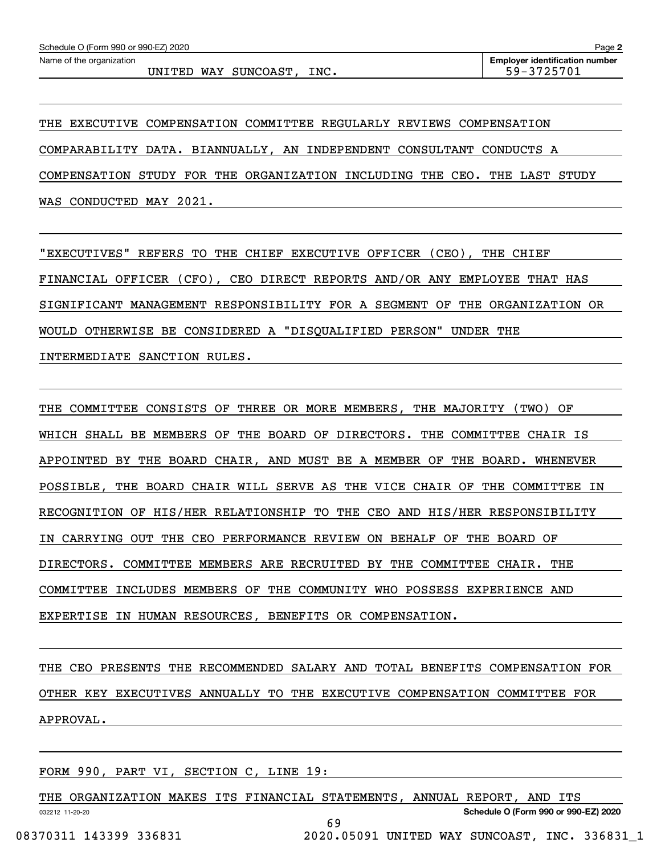UNITED WAY SUNCOAST, INC.  $\vert$  59-3725701

THE EXECUTIVE COMPENSATION COMMITTEE REGULARLY REVIEWS COMPENSATION COMPARABILITY DATA. BIANNUALLY, AN INDEPENDENT CONSULTANT CONDUCTS A COMPENSATION STUDY FOR THE ORGANIZATION INCLUDING THE CEO. THE LAST STUDY WAS CONDUCTED MAY 2021.

"EXECUTIVES" REFERS TO THE CHIEF EXECUTIVE OFFICER (CEO), THE CHIEF FINANCIAL OFFICER (CFO), CEO DIRECT REPORTS AND/OR ANY EMPLOYEE THAT HAS SIGNIFICANT MANAGEMENT RESPONSIBILITY FOR A SEGMENT OF THE ORGANIZATION OR WOULD OTHERWISE BE CONSIDERED A "DISQUALIFIED PERSON" UNDER THE INTERMEDIATE SANCTION RULES.

THE COMMITTEE CONSISTS OF THREE OR MORE MEMBERS, THE MAJORITY (TWO) OF WHICH SHALL BE MEMBERS OF THE BOARD OF DIRECTORS. THE COMMITTEE CHAIR IS APPOINTED BY THE BOARD CHAIR, AND MUST BE A MEMBER OF THE BOARD. WHENEVER POSSIBLE, THE BOARD CHAIR WILL SERVE AS THE VICE CHAIR OF THE COMMITTEE IN RECOGNITION OF HIS/HER RELATIONSHIP TO THE CEO AND HIS/HER RESPONSIBILITY IN CARRYING OUT THE CEO PERFORMANCE REVIEW ON BEHALF OF THE BOARD OF DIRECTORS. COMMITTEE MEMBERS ARE RECRUITED BY THE COMMITTEE CHAIR. THE COMMITTEE INCLUDES MEMBERS OF THE COMMUNITY WHO POSSESS EXPERIENCE AND EXPERTISE IN HUMAN RESOURCES, BENEFITS OR COMPENSATION.

THE CEO PRESENTS THE RECOMMENDED SALARY AND TOTAL BENEFITS COMPENSATION FOR OTHER KEY EXECUTIVES ANNUALLY TO THE EXECUTIVE COMPENSATION COMMITTEE FOR APPROVAL.

FORM 990, PART VI, SECTION C, LINE 19:

032212 11-20-20 **Schedule O (Form 990 or 990-EZ) 2020** THE ORGANIZATION MAKES ITS FINANCIAL STATEMENTS, ANNUAL REPORT, AND ITS 69 08370311 143399 336831 2020.05091 UNITED WAY SUNCOAST, INC. 336831\_1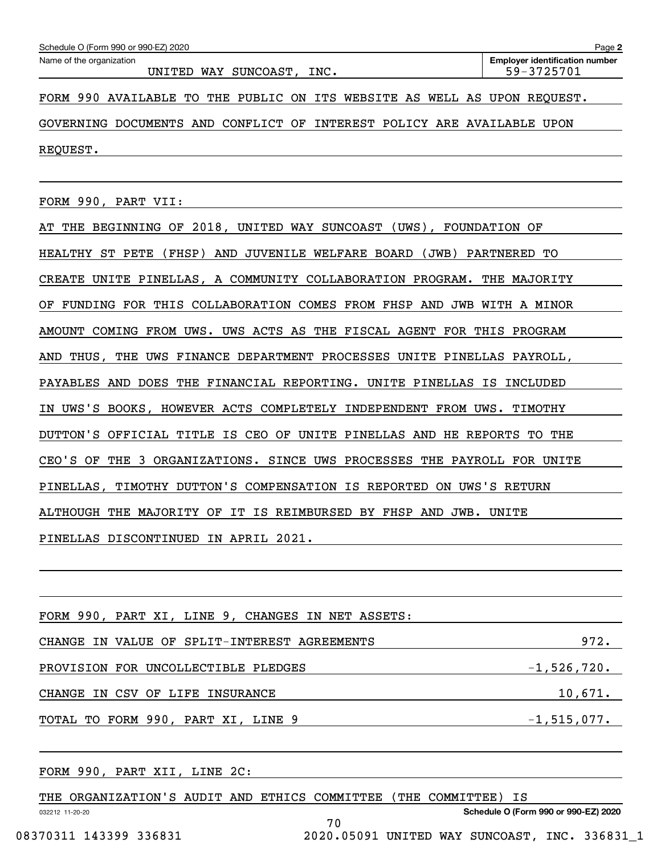| Schedule O (Form 990 or 990-EZ) 2020                                     | Page 2                                              |
|--------------------------------------------------------------------------|-----------------------------------------------------|
| Name of the organization<br>UNITED WAY SUNCOAST, INC.                    | <b>Employer identification number</b><br>59-3725701 |
| FORM 990 AVAILABLE TO THE PUBLIC ON ITS WEBSITE AS WELL AS UPON REQUEST. |                                                     |
| GOVERNING DOCUMENTS AND CONFLICT OF INTEREST POLICY ARE AVAILABLE UPON   |                                                     |
| REQUEST.                                                                 |                                                     |
|                                                                          |                                                     |

FORM 990, PART VII:

AT THE BEGINNING OF 2018, UNITED WAY SUNCOAST (UWS), FOUNDATION OF HEALTHY ST PETE (FHSP) AND JUVENILE WELFARE BOARD (JWB) PARTNERED TO CREATE UNITE PINELLAS, A COMMUNITY COLLABORATION PROGRAM. THE MAJORITY OF FUNDING FOR THIS COLLABORATION COMES FROM FHSP AND JWB WITH A MINOR AMOUNT COMING FROM UWS. UWS ACTS AS THE FISCAL AGENT FOR THIS PROGRAM AND THUS, THE UWS FINANCE DEPARTMENT PROCESSES UNITE PINELLAS PAYROLL, PAYABLES AND DOES THE FINANCIAL REPORTING. UNITE PINELLAS IS INCLUDED IN UWS'S BOOKS, HOWEVER ACTS COMPLETELY INDEPENDENT FROM UWS. TIMOTHY DUTTON'S OFFICIAL TITLE IS CEO OF UNITE PINELLAS AND HE REPORTS TO THE CEO'S OF THE 3 ORGANIZATIONS. SINCE UWS PROCESSES THE PAYROLL FOR UNITE PINELLAS, TIMOTHY DUTTON'S COMPENSATION IS REPORTED ON UWS'S RETURN ALTHOUGH THE MAJORITY OF IT IS REIMBURSED BY FHSP AND JWB. UNITE PINELLAS DISCONTINUED IN APRIL 2021.

| FORM 990, PART XI, LINE 9, CHANGES IN NET ASSETS: |                |
|---------------------------------------------------|----------------|
| CHANGE IN VALUE OF SPLIT-INTEREST AGREEMENTS      | 972.           |
| PROVISION FOR UNCOLLECTIBLE PLEDGES               | $-1,526,720.$  |
| CHANGE IN CSV OF LIFE INSURANCE                   | 10,671.        |
| TOTAL TO FORM 990, PART XI, LINE 9                | $-1,515,077$ . |
|                                                   |                |

FORM 990, PART XII, LINE 2C:

| THE ORGANIZATION'S AUDIT AND ETHICS COMMITTEE |    | (THE COMMITTEE) IS                            |                                      |
|-----------------------------------------------|----|-----------------------------------------------|--------------------------------------|
| 032212 11-20-20                               |    |                                               | Schedule O (Form 990 or 990-EZ) 2020 |
|                                               | 70 |                                               |                                      |
| 08370311 143399 336831                        |    | 2020.05091 UNITED WAY SUNCOAST, INC. 336831 1 |                                      |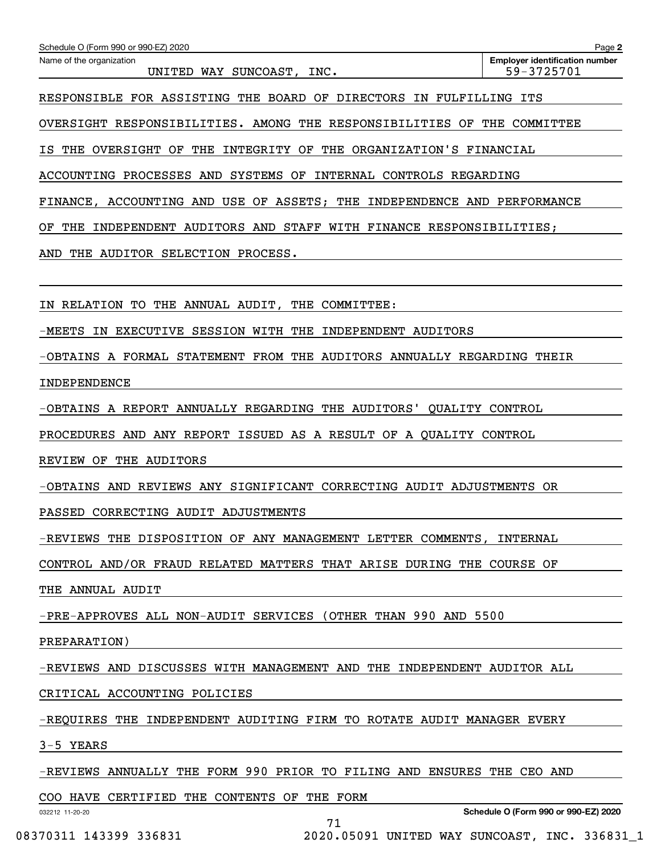| Schedule O (Form 990 or 990-EZ) 2020<br>Name of the organization                               | Page 2<br><b>Employer identification number</b> |
|------------------------------------------------------------------------------------------------|-------------------------------------------------|
| UNITED WAY SUNCOAST,<br>INC.                                                                   | 59-3725701                                      |
| RESPONSIBLE FOR ASSISTING THE BOARD OF DIRECTORS IN FULFILLING ITS                             |                                                 |
| OVERSIGHT RESPONSIBILITIES. AMONG THE RESPONSIBILITIES OF THE COMMITTEE                        |                                                 |
| IS THE OVERSIGHT OF THE INTEGRITY OF THE ORGANIZATION'S FINANCIAL                              |                                                 |
| ACCOUNTING PROCESSES AND SYSTEMS OF INTERNAL CONTROLS REGARDING                                |                                                 |
| FINANCE, ACCOUNTING AND USE OF ASSETS; THE INDEPENDENCE AND PERFORMANCE                        |                                                 |
| THE INDEPENDENT AUDITORS AND STAFF WITH FINANCE RESPONSIBILITIES;<br>ΟF                        |                                                 |
| AND<br>THE AUDITOR SELECTION PROCESS.                                                          |                                                 |
|                                                                                                |                                                 |
| IN RELATION TO THE ANNUAL AUDIT, THE COMMITTEE:                                                |                                                 |
| -MEETS IN EXECUTIVE SESSION WITH THE INDEPENDENT AUDITORS                                      |                                                 |
| -OBTAINS A FORMAL STATEMENT FROM THE AUDITORS ANNUALLY REGARDING THEIR                         |                                                 |
| INDEPENDENCE                                                                                   |                                                 |
| -OBTAINS A REPORT ANNUALLY REGARDING THE AUDITORS'                                             | QUALITY CONTROL                                 |
| PROCEDURES AND ANY REPORT ISSUED AS A RESULT OF A QUALITY CONTROL                              |                                                 |
| REVIEW OF THE AUDITORS                                                                         |                                                 |
| -OBTAINS AND REVIEWS ANY SIGNIFICANT CORRECTING AUDIT ADJUSTMENTS OR                           |                                                 |
| PASSED CORRECTING AUDIT ADJUSTMENTS                                                            |                                                 |
| -REVIEWS THE DISPOSITION OF ANY MANAGEMENT LETTER COMMENTS, INTERNAL                           |                                                 |
| CONTROL AND/OR FRAUD RELATED MATTERS THAT ARISE DURING THE COURSE OF                           |                                                 |
| THE ANNUAL AUDIT                                                                               |                                                 |
| -PRE-APPROVES ALL NON-AUDIT SERVICES (OTHER THAN 990 AND 5500                                  |                                                 |
| PREPARATION)                                                                                   |                                                 |
| -REVIEWS AND DISCUSSES WITH MANAGEMENT AND THE INDEPENDENT AUDITOR ALL                         |                                                 |
| CRITICAL ACCOUNTING POLICIES                                                                   |                                                 |
| <u>-REQUIRES THE INDEPENDENT AUDITING FIRM TO ROTATE AUDIT MANAGER EVERY</u>                   |                                                 |
| $3-5$ YEARS                                                                                    |                                                 |
| -REVIEWS ANNUALLY THE FORM 990 PRIOR TO FILING AND ENSURES THE CEO AND                         |                                                 |
| COO HAVE CERTIFIED THE CONTENTS OF THE FORM <b>COO</b> HAVE CERTIFIED THE CONTENTS OF THE FORM |                                                 |

71

032212 11-20-20

**Schedule O (Form 990 or 990-EZ) 2020**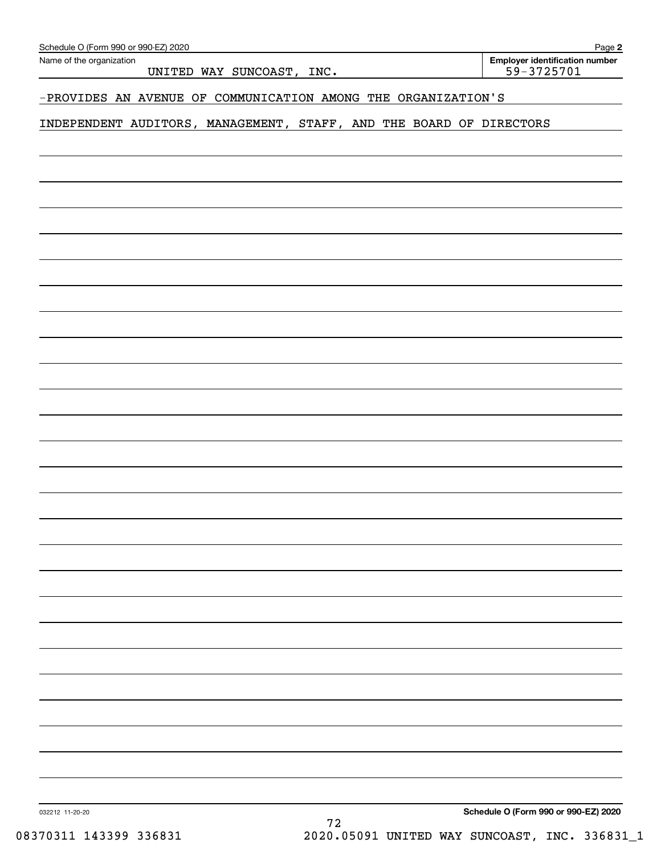| Name of the organization<br>UNITED WAY SUNCOAST, INC.               | <b>Employer identification number</b><br>59-3725701 |
|---------------------------------------------------------------------|-----------------------------------------------------|
|                                                                     |                                                     |
| -PROVIDES AN AVENUE OF COMMUNICATION AMONG THE ORGANIZATION'S       |                                                     |
| INDEPENDENT AUDITORS, MANAGEMENT, STAFF, AND THE BOARD OF DIRECTORS |                                                     |
|                                                                     |                                                     |
|                                                                     |                                                     |
|                                                                     |                                                     |
|                                                                     |                                                     |
|                                                                     |                                                     |
|                                                                     |                                                     |
|                                                                     |                                                     |
|                                                                     |                                                     |
|                                                                     |                                                     |
|                                                                     |                                                     |
|                                                                     |                                                     |
|                                                                     |                                                     |
|                                                                     |                                                     |
|                                                                     |                                                     |
|                                                                     |                                                     |
|                                                                     |                                                     |
|                                                                     |                                                     |
|                                                                     |                                                     |
|                                                                     |                                                     |
|                                                                     |                                                     |
|                                                                     |                                                     |
|                                                                     |                                                     |
|                                                                     |                                                     |
|                                                                     |                                                     |
|                                                                     |                                                     |
|                                                                     |                                                     |
|                                                                     |                                                     |
|                                                                     |                                                     |
|                                                                     |                                                     |
|                                                                     |                                                     |
|                                                                     |                                                     |
|                                                                     |                                                     |
|                                                                     |                                                     |
|                                                                     |                                                     |
|                                                                     |                                                     |
|                                                                     |                                                     |
|                                                                     |                                                     |
|                                                                     |                                                     |
| 032212 11-20-20                                                     | Schedule O (Form 990 or 990-EZ) 2020                |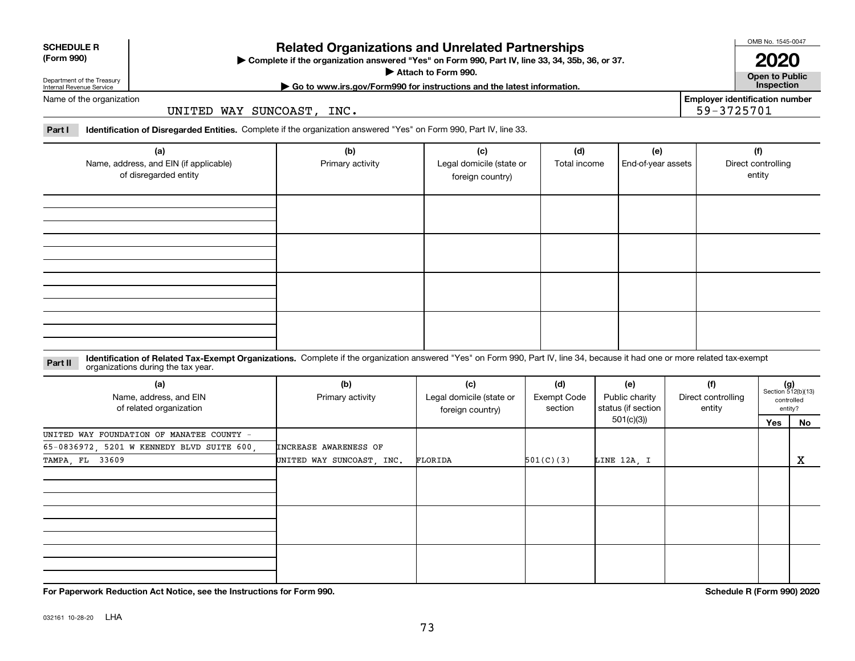| (Form 990) |  |
|------------|--|
|------------|--|

# **SCHEDULE R**

## **Related Organizations and Unrelated Partnerships**

**Complete if the organization answered "Yes" on Form 990, Part IV, line 33, 34, 35b, 36, or 37.** |

**Attach to Form 990.**  |

OMB No. 1545-0047

**Open to Public | Go to www.irs.gov/Form990 for instructions and the latest information. Inspection 2020**

**Employer identification number**

59-3725701

Department of the Treasury Internal Revenue Service Name of the organization

UNITED WAY SUNCOAST, INC.

**Part I Identification of Disregarded Entities.**  Complete if the organization answered "Yes" on Form 990, Part IV, line 33.

| (a)<br>Name, address, and EIN (if applicable)<br>of disregarded entity | (b)<br>Primary activity | (c)<br>Legal domicile (state or<br>foreign country) | (d)<br>Total income | (e)<br>End-of-year assets | (f)<br>Direct controlling<br>entity |
|------------------------------------------------------------------------|-------------------------|-----------------------------------------------------|---------------------|---------------------------|-------------------------------------|
|                                                                        |                         |                                                     |                     |                           |                                     |
|                                                                        |                         |                                                     |                     |                           |                                     |
|                                                                        |                         |                                                     |                     |                           |                                     |
|                                                                        |                         |                                                     |                     |                           |                                     |

#### **Identification of Related Tax-Exempt Organizations.** Complete if the organization answered "Yes" on Form 990, Part IV, line 34, because it had one or more related tax-exempt **Part II** organizations during the tax year.

| (a)<br>Name, address, and EIN<br>of related organization | (b)<br>Primary activity   | (c)<br>(d)<br>Legal domicile (state or<br>Exempt Code<br>section<br>foreign country) |           | (f)<br>(e)<br>Public charity<br>Direct controlling<br>status (if section<br>entity |  |     | $(g)$<br>Section 512(b)(13)<br>controlled<br>entity? |
|----------------------------------------------------------|---------------------------|--------------------------------------------------------------------------------------|-----------|------------------------------------------------------------------------------------|--|-----|------------------------------------------------------|
|                                                          |                           |                                                                                      |           | 501(c)(3))                                                                         |  | Yes | No                                                   |
| UNITED WAY FOUNDATION OF MANATEE COUNTY -                |                           |                                                                                      |           |                                                                                    |  |     |                                                      |
| 65-0836972, 5201 W KENNEDY BLVD SUITE 600,               | INCREASE AWARENESS OF     |                                                                                      |           |                                                                                    |  |     |                                                      |
| TAMPA, FL 33609                                          | UNITED WAY SUNCOAST, INC. | FLORIDA                                                                              | 501(C)(3) | LINE 12A, I                                                                        |  |     | x                                                    |
|                                                          |                           |                                                                                      |           |                                                                                    |  |     |                                                      |
|                                                          |                           |                                                                                      |           |                                                                                    |  |     |                                                      |
|                                                          |                           |                                                                                      |           |                                                                                    |  |     |                                                      |

**For Paperwork Reduction Act Notice, see the Instructions for Form 990. Schedule R (Form 990) 2020**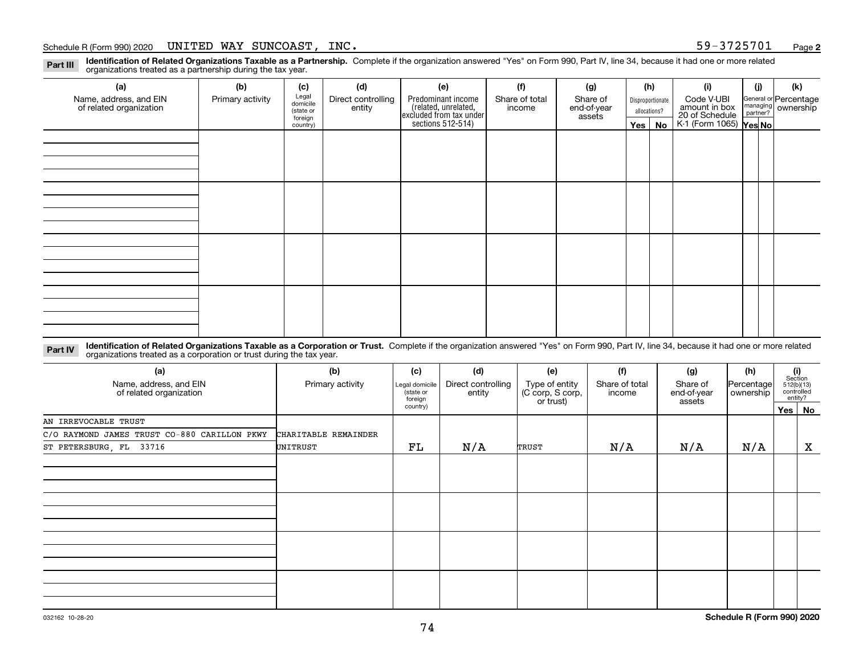**Identification of Related Organizations Taxable as a Partnership.** Complete if the organization answered "Yes" on Form 990, Part IV, line 34, because it had one or more related **Part III** organizations treated as a partnership during the tax year.

| (a)                     | (b)              | (c)                 | (d)                | (e)                                                                                                          | (f)    | (g)         |         | (h)              | (i)                                                              | (i) | (k)                                                       |
|-------------------------|------------------|---------------------|--------------------|--------------------------------------------------------------------------------------------------------------|--------|-------------|---------|------------------|------------------------------------------------------------------|-----|-----------------------------------------------------------|
| Name, address, and EIN  | Primary activity | Legal<br>domicile   | Direct controlling | Predominant income<br>(related, unrelated,<br>excluded from tax under<br>sections 512-514)<br>Share of total |        | Share of    |         | Disproportionate | Code V-UBI                                                       |     | General or Percentage<br>managing<br>partner?<br>partner? |
| of related organization |                  | (state or           | entity             |                                                                                                              | income | end-of-year |         | allocations?     | amount in box<br>20 of Schedule<br>K-1 (Form 1065) <b>Yes No</b> |     |                                                           |
|                         |                  | foreign<br>country) |                    |                                                                                                              |        | assets      | Yes $ $ | No               |                                                                  |     |                                                           |
|                         |                  |                     |                    |                                                                                                              |        |             |         |                  |                                                                  |     |                                                           |
|                         |                  |                     |                    |                                                                                                              |        |             |         |                  |                                                                  |     |                                                           |
|                         |                  |                     |                    |                                                                                                              |        |             |         |                  |                                                                  |     |                                                           |
|                         |                  |                     |                    |                                                                                                              |        |             |         |                  |                                                                  |     |                                                           |
|                         |                  |                     |                    |                                                                                                              |        |             |         |                  |                                                                  |     |                                                           |
|                         |                  |                     |                    |                                                                                                              |        |             |         |                  |                                                                  |     |                                                           |
|                         |                  |                     |                    |                                                                                                              |        |             |         |                  |                                                                  |     |                                                           |
|                         |                  |                     |                    |                                                                                                              |        |             |         |                  |                                                                  |     |                                                           |
|                         |                  |                     |                    |                                                                                                              |        |             |         |                  |                                                                  |     |                                                           |
|                         |                  |                     |                    |                                                                                                              |        |             |         |                  |                                                                  |     |                                                           |
|                         |                  |                     |                    |                                                                                                              |        |             |         |                  |                                                                  |     |                                                           |
|                         |                  |                     |                    |                                                                                                              |        |             |         |                  |                                                                  |     |                                                           |
|                         |                  |                     |                    |                                                                                                              |        |             |         |                  |                                                                  |     |                                                           |
|                         |                  |                     |                    |                                                                                                              |        |             |         |                  |                                                                  |     |                                                           |
|                         |                  |                     |                    |                                                                                                              |        |             |         |                  |                                                                  |     |                                                           |
|                         |                  |                     |                    |                                                                                                              |        |             |         |                  |                                                                  |     |                                                           |
|                         |                  |                     |                    |                                                                                                              |        |             |         |                  |                                                                  |     |                                                           |
|                         |                  |                     |                    |                                                                                                              |        |             |         |                  |                                                                  |     |                                                           |

**Identification of Related Organizations Taxable as a Corporation or Trust.** Complete if the organization answered "Yes" on Form 990, Part IV, line 34, because it had one or more related **Part IV** organizations treated as a corporation or trust during the tax year.

| (a)<br>Name, address, and EIN<br>of related organization | (b)<br>Primary activity | (c)<br>Legal domicile<br>(state or<br>foreign | (d)<br>Direct controlling<br>entity | (e)<br>Type of entity<br>(C corp, S corp,<br>or trust) | (f)<br>Share of total<br>income | (g)<br>Share of<br>end-of-year<br>assets | (h)<br>Percentage<br>ownership | (i)<br>Section<br>512(b)(13)<br>controlled<br>entity? |
|----------------------------------------------------------|-------------------------|-----------------------------------------------|-------------------------------------|--------------------------------------------------------|---------------------------------|------------------------------------------|--------------------------------|-------------------------------------------------------|
|                                                          |                         | country)                                      |                                     |                                                        |                                 |                                          |                                | Yes   No                                              |
| AN IRREVOCABLE TRUST                                     |                         |                                               |                                     |                                                        |                                 |                                          |                                |                                                       |
| C/O RAYMOND JAMES TRUST CO-880 CARILLON PKWY             | CHARITABLE REMAINDER    |                                               |                                     |                                                        |                                 |                                          |                                |                                                       |
| ST PETERSBURG, FL 33716                                  | UNITRUST                | FL                                            | N/A                                 | TRUST                                                  | N/A                             | N/A                                      | N/A                            | X                                                     |
|                                                          |                         |                                               |                                     |                                                        |                                 |                                          |                                |                                                       |
|                                                          |                         |                                               |                                     |                                                        |                                 |                                          |                                |                                                       |
|                                                          |                         |                                               |                                     |                                                        |                                 |                                          |                                |                                                       |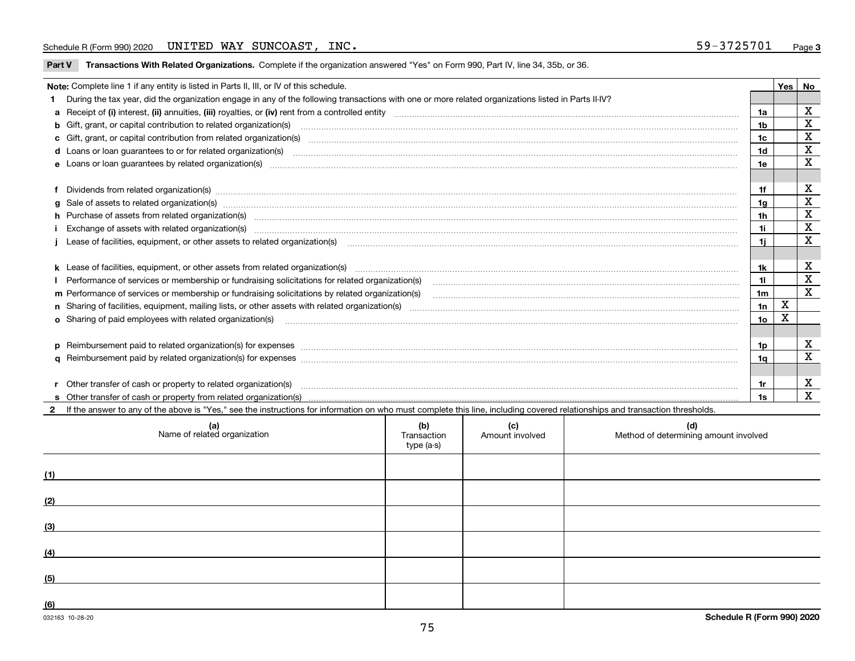## Schedule R (Form 990) 2020 Page UNITED WAY SUNCOAST, INC. 59-3725701

**Part V** T**ransactions With Related Organizations.** Complete if the organization answered "Yes" on Form 990, Part IV, line 34, 35b, or 36.

|   | Note: Complete line 1 if any entity is listed in Parts II, III, or IV of this schedule.                                                                                                                                        |                 | Yes I | No                      |
|---|--------------------------------------------------------------------------------------------------------------------------------------------------------------------------------------------------------------------------------|-----------------|-------|-------------------------|
|   | During the tax year, did the organization engage in any of the following transactions with one or more related organizations listed in Parts II-IV?                                                                            |                 |       |                         |
|   |                                                                                                                                                                                                                                | 1a              |       | х                       |
|   | b Gift, grant, or capital contribution to related organization(s) manufaction contains and contribution to related organization(s) manufaction contribution to related organization(s) manufaction contains and contribution o | 1b              |       | X                       |
|   |                                                                                                                                                                                                                                | 1c              |       | $\mathbf X$             |
|   |                                                                                                                                                                                                                                | 1 <sub>d</sub>  |       | $\mathbf X$             |
|   |                                                                                                                                                                                                                                | 1e              |       | X                       |
|   |                                                                                                                                                                                                                                |                 |       |                         |
|   | Dividends from related organization(s) machinesis and contract and contract and contract and contract and contract and contract and contract and contract and contract and contract and contract and contract and contract and | 1f              |       | х                       |
| a |                                                                                                                                                                                                                                | 1g              |       | X                       |
|   | h Purchase of assets from related organization(s) manufactured and content to the content of the content of the content of the content of the content of the content of the content of the content of the content of the conte | 1 <sub>h</sub>  |       | X                       |
|   |                                                                                                                                                                                                                                | 1i.             |       | X                       |
|   | Lease of facilities, equipment, or other assets to related organization(s) manufactured content and content and content and content and content and content and content and content and content and content and content and co | 1i.             |       | X                       |
|   |                                                                                                                                                                                                                                |                 |       |                         |
|   | k Lease of facilities, equipment, or other assets from related organization(s) manufaction content and the manufacture of facilities, equipment, or other assets from related organization(s) manufaction manufacture manufact | 1k              |       | х                       |
|   |                                                                                                                                                                                                                                | 11              |       | X                       |
|   | m Performance of services or membership or fundraising solicitations by related organization(s)                                                                                                                                | 1 <sub>m</sub>  |       | X                       |
|   |                                                                                                                                                                                                                                | 1n              | X     |                         |
|   | <b>o</b> Sharing of paid employees with related organization(s)                                                                                                                                                                | 10 <sub>o</sub> | X     |                         |
|   |                                                                                                                                                                                                                                |                 |       |                         |
|   | p Reimbursement paid to related organization(s) for expenses [11111] [12] reasonal content of the separation (s) for expenses [11111] [12] reasonal content content of the separation (s) for expenses [1111] [12] reasonal co | 1p              |       | х                       |
|   |                                                                                                                                                                                                                                | 1a              |       | X                       |
|   |                                                                                                                                                                                                                                |                 |       |                         |
|   | Other transfer of cash or property to related organization(s)                                                                                                                                                                  | 1r              |       | X                       |
|   |                                                                                                                                                                                                                                | 1s              |       | $\overline{\mathbf{X}}$ |

| (a)<br>Name of related organization | (b)<br>Transaction<br>type (a-s) | (c)<br>Amount involved | (d)<br>Method of determining amount involved |
|-------------------------------------|----------------------------------|------------------------|----------------------------------------------|
| (1)                                 |                                  |                        |                                              |
| (2)                                 |                                  |                        |                                              |
| (3)                                 |                                  |                        |                                              |
| (4)                                 |                                  |                        |                                              |
| (5)                                 |                                  |                        |                                              |
| (6)                                 |                                  |                        |                                              |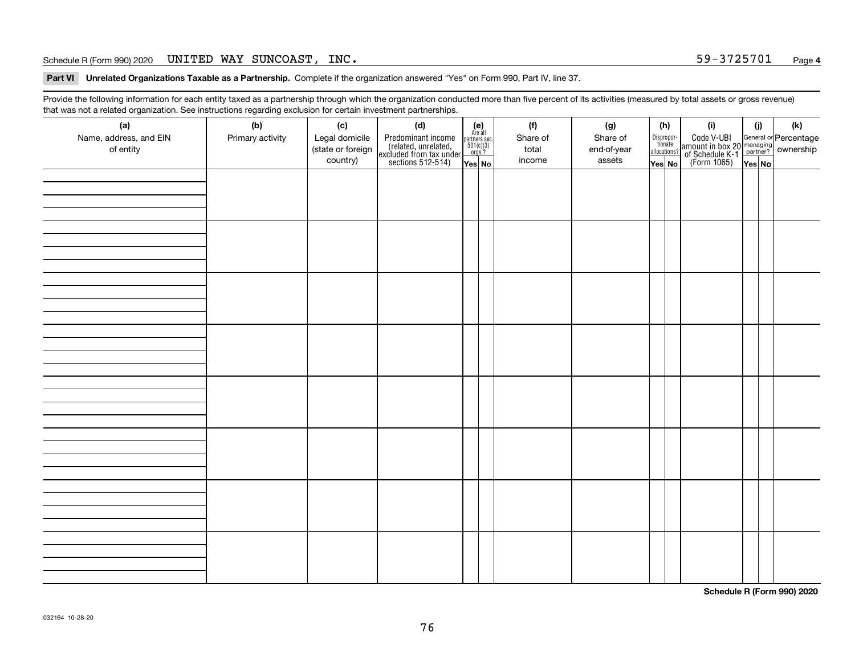### Schedule R (Form 990) 2020 Page UNITED WAY SUNCOAST, INC. 59-3725701

**Part VI Unrelated Organizations Taxable as a Partnership. Complete if the organization answered "Yes" on Form 990, Part IV, line 37.** 

Provide the following information for each entity taxed as a partnership through which the organization conducted more than five percent of its activities (measured by total assets or gross revenue) that was not a related organization. See instructions regarding exclusion for certain investment partnerships.

| (a)<br>Name, address, and EIN<br>of entity | ັ<br>(b)<br>Primary activity | (c)<br>Legal domicile<br>(state or foreign<br>country) | (d)<br>Predominant income<br>(related, unrelated,<br>excluded from tax under<br>sections 512-514) | $(e)$<br>Are all<br>partners sec.<br>501(c)(3)<br>orgs.?<br>Yes No | (f)<br>Share of<br>total<br>income | (g)<br>Share of<br>end-of-year<br>assets | (h)<br>Dispropor-<br>tionate<br>allocations?<br>Yes No | (i)<br>Code V-UBI<br>  amount in box 20 managing<br>  of Schedule K-1 partner? ownership<br>  of Schedule K-1 partner? ownership<br>  Yes No | (i)<br>Yes No | $(\mathsf{k})$ |
|--------------------------------------------|------------------------------|--------------------------------------------------------|---------------------------------------------------------------------------------------------------|--------------------------------------------------------------------|------------------------------------|------------------------------------------|--------------------------------------------------------|----------------------------------------------------------------------------------------------------------------------------------------------|---------------|----------------|
|                                            |                              |                                                        |                                                                                                   |                                                                    |                                    |                                          |                                                        |                                                                                                                                              |               |                |
|                                            |                              |                                                        |                                                                                                   |                                                                    |                                    |                                          |                                                        |                                                                                                                                              |               |                |
|                                            |                              |                                                        |                                                                                                   |                                                                    |                                    |                                          |                                                        |                                                                                                                                              |               |                |
|                                            |                              |                                                        |                                                                                                   |                                                                    |                                    |                                          |                                                        |                                                                                                                                              |               |                |
|                                            |                              |                                                        |                                                                                                   |                                                                    |                                    |                                          |                                                        |                                                                                                                                              |               |                |
|                                            |                              |                                                        |                                                                                                   |                                                                    |                                    |                                          |                                                        |                                                                                                                                              |               |                |
|                                            |                              |                                                        |                                                                                                   |                                                                    |                                    |                                          |                                                        |                                                                                                                                              |               |                |
|                                            |                              |                                                        |                                                                                                   |                                                                    |                                    |                                          |                                                        |                                                                                                                                              |               |                |

**Schedule R (Form 990) 2020**